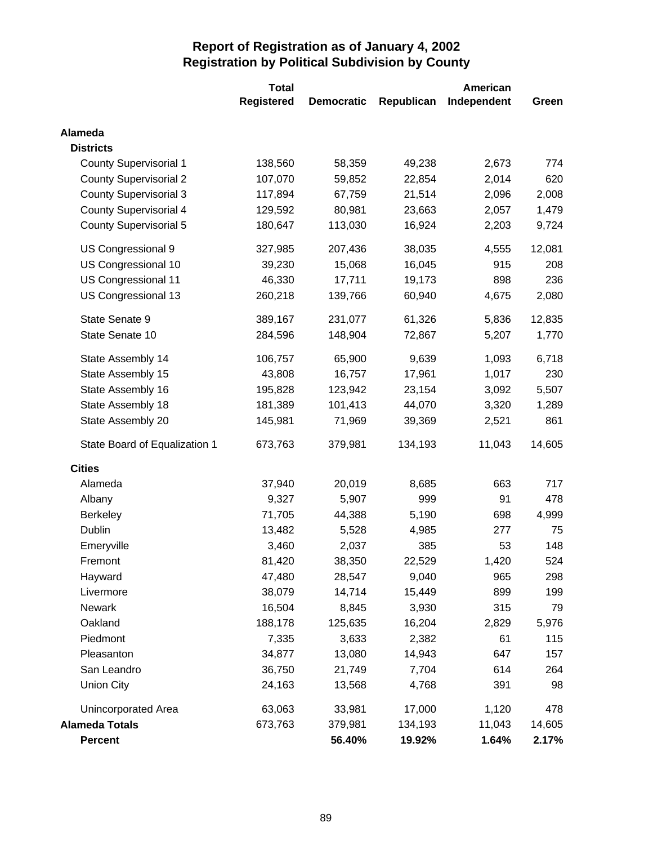|                               | <b>Total</b>      |                   |            | American    |        |
|-------------------------------|-------------------|-------------------|------------|-------------|--------|
|                               | <b>Registered</b> | <b>Democratic</b> | Republican | Independent | Green  |
| Alameda                       |                   |                   |            |             |        |
| <b>Districts</b>              |                   |                   |            |             |        |
| <b>County Supervisorial 1</b> | 138,560           | 58,359            | 49,238     | 2,673       | 774    |
| <b>County Supervisorial 2</b> | 107,070           | 59,852            | 22,854     | 2,014       | 620    |
| <b>County Supervisorial 3</b> | 117,894           | 67,759            | 21,514     | 2,096       | 2,008  |
| <b>County Supervisorial 4</b> | 129,592           | 80,981            | 23,663     | 2,057       | 1,479  |
| <b>County Supervisorial 5</b> | 180,647           | 113,030           | 16,924     | 2,203       | 9,724  |
| US Congressional 9            | 327,985           | 207,436           | 38,035     | 4,555       | 12,081 |
| US Congressional 10           | 39,230            | 15,068            | 16,045     | 915         | 208    |
| US Congressional 11           | 46,330            | 17,711            | 19,173     | 898         | 236    |
| US Congressional 13           | 260,218           | 139,766           | 60,940     | 4,675       | 2,080  |
| State Senate 9                | 389,167           | 231,077           | 61,326     | 5,836       | 12,835 |
| State Senate 10               | 284,596           | 148,904           | 72,867     | 5,207       | 1,770  |
| State Assembly 14             | 106,757           | 65,900            | 9,639      | 1,093       | 6,718  |
| State Assembly 15             | 43,808            | 16,757            | 17,961     | 1,017       | 230    |
| State Assembly 16             | 195,828           | 123,942           | 23,154     | 3,092       | 5,507  |
| State Assembly 18             | 181,389           | 101,413           | 44,070     | 3,320       | 1,289  |
| State Assembly 20             | 145,981           | 71,969            | 39,369     | 2,521       | 861    |
| State Board of Equalization 1 | 673,763           | 379,981           | 134,193    | 11,043      | 14,605 |
| <b>Cities</b>                 |                   |                   |            |             |        |
| Alameda                       | 37,940            | 20,019            | 8,685      | 663         | 717    |
| Albany                        | 9,327             | 5,907             | 999        | 91          | 478    |
| <b>Berkeley</b>               | 71,705            | 44,388            | 5,190      | 698         | 4,999  |
| Dublin                        | 13,482            | 5,528             | 4,985      | 277         | 75     |
| Emeryville                    | 3,460             | 2,037             | 385        | 53          | 148    |
| Fremont                       | 81,420            | 38,350            | 22,529     | 1,420       | 524    |
| Hayward                       | 47,480            | 28,547            | 9,040      | 965         | 298    |
| Livermore                     | 38,079            | 14,714            | 15,449     | 899         | 199    |
| <b>Newark</b>                 | 16,504            | 8,845             | 3,930      | 315         | 79     |
| Oakland                       | 188,178           | 125,635           | 16,204     | 2,829       | 5,976  |
| Piedmont                      | 7,335             | 3,633             | 2,382      | 61          | 115    |
| Pleasanton                    | 34,877            | 13,080            | 14,943     | 647         | 157    |
| San Leandro                   | 36,750            | 21,749            | 7,704      | 614         | 264    |
| <b>Union City</b>             | 24,163            | 13,568            | 4,768      | 391         | 98     |
| Unincorporated Area           | 63,063            | 33,981            | 17,000     | 1,120       | 478    |
| <b>Alameda Totals</b>         | 673,763           | 379,981           | 134,193    | 11,043      | 14,605 |
| Percent                       |                   | 56.40%            | 19.92%     | 1.64%       | 2.17%  |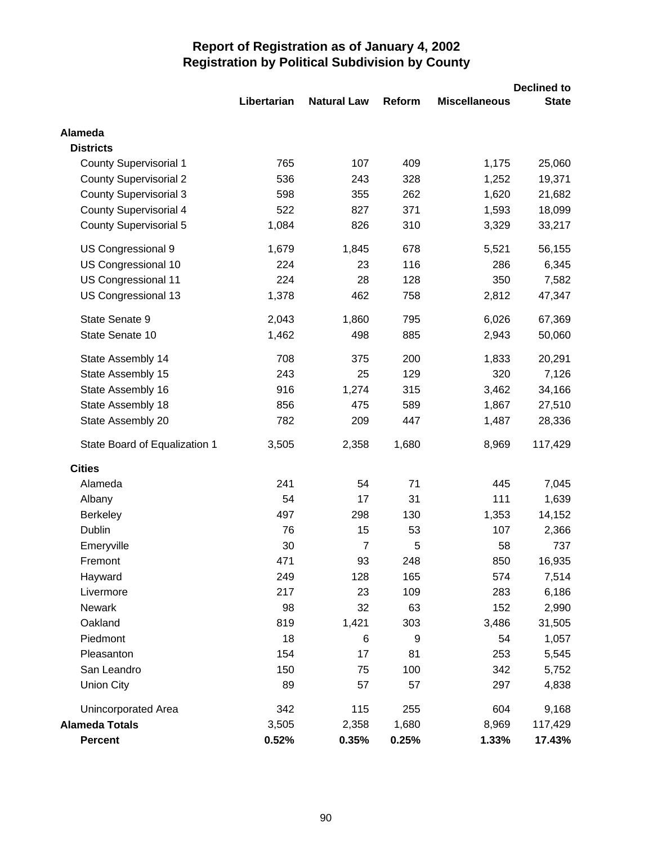|                               |             |                    |        |                      | <b>Declined to</b> |
|-------------------------------|-------------|--------------------|--------|----------------------|--------------------|
|                               | Libertarian | <b>Natural Law</b> | Reform | <b>Miscellaneous</b> | <b>State</b>       |
| Alameda                       |             |                    |        |                      |                    |
| <b>Districts</b>              |             |                    |        |                      |                    |
| <b>County Supervisorial 1</b> | 765         | 107                | 409    | 1,175                | 25,060             |
| <b>County Supervisorial 2</b> | 536         | 243                | 328    | 1,252                | 19,371             |
| <b>County Supervisorial 3</b> | 598         | 355                | 262    | 1,620                | 21,682             |
| <b>County Supervisorial 4</b> | 522         | 827                | 371    | 1,593                | 18,099             |
| <b>County Supervisorial 5</b> | 1,084       | 826                | 310    | 3,329                | 33,217             |
| US Congressional 9            | 1,679       | 1,845              | 678    | 5,521                | 56,155             |
| US Congressional 10           | 224         | 23                 | 116    | 286                  | 6,345              |
| US Congressional 11           | 224         | 28                 | 128    | 350                  | 7,582              |
| US Congressional 13           | 1,378       | 462                | 758    | 2,812                | 47,347             |
| State Senate 9                | 2,043       | 1,860              | 795    | 6,026                | 67,369             |
| State Senate 10               | 1,462       | 498                | 885    | 2,943                | 50,060             |
| State Assembly 14             | 708         | 375                | 200    | 1,833                | 20,291             |
| State Assembly 15             | 243         | 25                 | 129    | 320                  | 7,126              |
| State Assembly 16             | 916         | 1,274              | 315    | 3,462                | 34,166             |
| State Assembly 18             | 856         | 475                | 589    | 1,867                | 27,510             |
| State Assembly 20             | 782         | 209                | 447    | 1,487                | 28,336             |
| State Board of Equalization 1 | 3,505       | 2,358              | 1,680  | 8,969                | 117,429            |
| <b>Cities</b>                 |             |                    |        |                      |                    |
| Alameda                       | 241         | 54                 | 71     | 445                  | 7,045              |
| Albany                        | 54          | 17                 | 31     | 111                  | 1,639              |
| Berkeley                      | 497         | 298                | 130    | 1,353                | 14,152             |
| <b>Dublin</b>                 | 76          | 15                 | 53     | 107                  | 2,366              |
| Emeryville                    | 30          | 7                  | 5      | 58                   | 737                |
| Fremont                       | 471         | 93                 | 248    | 850                  | 16,935             |
| Hayward                       | 249         | 128                | 165    | 574                  | 7,514              |
| Livermore                     | 217         | 23                 | 109    | 283                  | 6,186              |
| Newark                        | 98          | 32                 | 63     | 152                  | 2,990              |
| Oakland                       | 819         | 1,421              | 303    | 3,486                | 31,505             |
| Piedmont                      | 18          | $6\phantom{1}6$    | 9      | 54                   | 1,057              |
| Pleasanton                    | 154         | 17                 | 81     | 253                  | 5,545              |
| San Leandro                   | 150         | 75                 | 100    | 342                  | 5,752              |
| <b>Union City</b>             | 89          | 57                 | 57     | 297                  | 4,838              |
| Unincorporated Area           | 342         | 115                | 255    | 604                  | 9,168              |
| <b>Alameda Totals</b>         | 3,505       | 2,358              | 1,680  | 8,969                | 117,429            |
| <b>Percent</b>                | 0.52%       | 0.35%              | 0.25%  | 1.33%                | 17.43%             |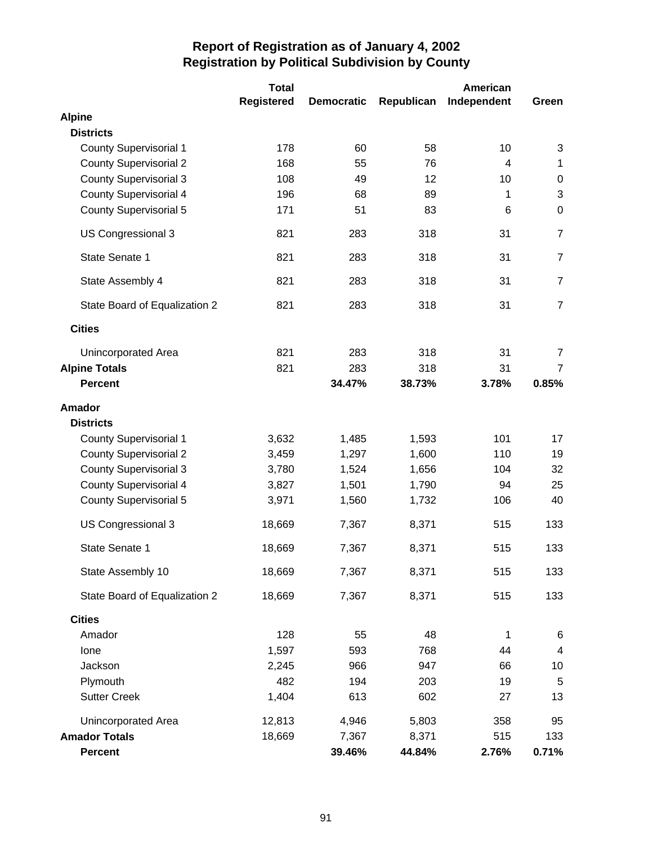|                               | <b>Total</b>      |                   |            | American    |                         |
|-------------------------------|-------------------|-------------------|------------|-------------|-------------------------|
|                               | <b>Registered</b> | <b>Democratic</b> | Republican | Independent | Green                   |
| <b>Alpine</b>                 |                   |                   |            |             |                         |
| <b>Districts</b>              |                   |                   |            |             |                         |
| <b>County Supervisorial 1</b> | 178               | 60                | 58         | 10          | 3                       |
| <b>County Supervisorial 2</b> | 168               | 55                | 76         | 4           | 1                       |
| <b>County Supervisorial 3</b> | 108               | 49                | 12         | 10          | $\pmb{0}$               |
| <b>County Supervisorial 4</b> | 196               | 68                | 89         | 1           | 3                       |
| <b>County Supervisorial 5</b> | 171               | 51                | 83         | 6           | $\mathbf 0$             |
| US Congressional 3            | 821               | 283               | 318        | 31          | $\overline{7}$          |
| State Senate 1                | 821               | 283               | 318        | 31          | $\overline{7}$          |
| State Assembly 4              | 821               | 283               | 318        | 31          | $\overline{7}$          |
| State Board of Equalization 2 | 821               | 283               | 318        | 31          | $\overline{7}$          |
| <b>Cities</b>                 |                   |                   |            |             |                         |
| <b>Unincorporated Area</b>    | 821               | 283               | 318        | 31          | $\overline{7}$          |
| <b>Alpine Totals</b>          | 821               | 283               | 318        | 31          | $\overline{7}$          |
| <b>Percent</b>                |                   | 34.47%            | 38.73%     | 3.78%       | 0.85%                   |
| <b>Amador</b>                 |                   |                   |            |             |                         |
| <b>Districts</b>              |                   |                   |            |             |                         |
| <b>County Supervisorial 1</b> | 3,632             | 1,485             | 1,593      | 101         | 17                      |
| <b>County Supervisorial 2</b> | 3,459             | 1,297             | 1,600      | 110         | 19                      |
| <b>County Supervisorial 3</b> | 3,780             | 1,524             | 1,656      | 104         | 32                      |
| <b>County Supervisorial 4</b> | 3,827             | 1,501             | 1,790      | 94          | 25                      |
| <b>County Supervisorial 5</b> | 3,971             | 1,560             | 1,732      | 106         | 40                      |
| US Congressional 3            | 18,669            | 7,367             | 8,371      | 515         | 133                     |
| State Senate 1                | 18,669            | 7,367             | 8,371      | 515         | 133                     |
| State Assembly 10             | 18,669            | 7,367             | 8,371      | 515         | 133                     |
| State Board of Equalization 2 | 18,669            | 7,367             | 8,371      | 515         | 133                     |
| <b>Cities</b>                 |                   |                   |            |             |                         |
| Amador                        | 128               | 55                | 48         | 1           | 6                       |
| Ione                          | 1,597             | 593               | 768        | 44          | $\overline{\mathbf{4}}$ |
| Jackson                       | 2,245             | 966               | 947        | 66          | 10                      |
| Plymouth                      | 482               | 194               | 203        | 19          | 5                       |
| <b>Sutter Creek</b>           | 1,404             | 613               | 602        | 27          | 13                      |
| Unincorporated Area           | 12,813            | 4,946             | 5,803      | 358         | 95                      |
| <b>Amador Totals</b>          | 18,669            | 7,367             | 8,371      | 515         | 133                     |
| <b>Percent</b>                |                   | 39.46%            | 44.84%     | 2.76%       | 0.71%                   |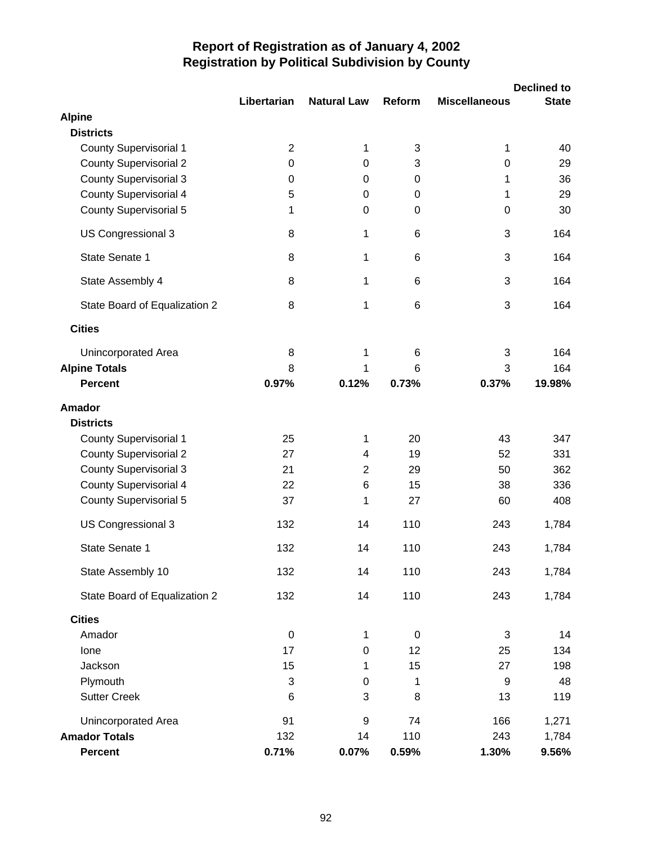|                               |                |                    |        |                      | <b>Declined to</b> |
|-------------------------------|----------------|--------------------|--------|----------------------|--------------------|
| <b>Alpine</b>                 | Libertarian    | <b>Natural Law</b> | Reform | <b>Miscellaneous</b> | <b>State</b>       |
| <b>Districts</b>              |                |                    |        |                      |                    |
| <b>County Supervisorial 1</b> | $\overline{2}$ | 1                  | 3      | 1                    | 40                 |
| <b>County Supervisorial 2</b> | $\mathbf 0$    | 0                  | 3      | 0                    | 29                 |
| <b>County Supervisorial 3</b> | 0              | 0                  | 0      | 1                    | 36                 |
| <b>County Supervisorial 4</b> | 5              | 0                  | 0      | 1                    | 29                 |
| <b>County Supervisorial 5</b> | 1              | 0                  | 0      | 0                    | 30                 |
| US Congressional 3            | 8              | 1                  | 6      | 3                    | 164                |
| State Senate 1                | 8              | $\mathbf 1$        | 6      | 3                    | 164                |
| State Assembly 4              | 8              | 1                  | 6      | 3                    | 164                |
| State Board of Equalization 2 | 8              | 1                  | 6      | 3                    | 164                |
| <b>Cities</b>                 |                |                    |        |                      |                    |
| Unincorporated Area           | 8              | 1                  | 6      | 3                    | 164                |
| <b>Alpine Totals</b>          | 8              | 1                  | 6      | 3                    | 164                |
| <b>Percent</b>                | 0.97%          | 0.12%              | 0.73%  | 0.37%                | 19.98%             |
| <b>Amador</b>                 |                |                    |        |                      |                    |
| <b>Districts</b>              |                |                    |        |                      |                    |
| <b>County Supervisorial 1</b> | 25             | 1                  | 20     | 43                   | 347                |
| <b>County Supervisorial 2</b> | 27             | 4                  | 19     | 52                   | 331                |
| <b>County Supervisorial 3</b> | 21             | $\overline{c}$     | 29     | 50                   | 362                |
| County Supervisorial 4        | 22             | 6                  | 15     | 38                   | 336                |
| <b>County Supervisorial 5</b> | 37             | 1                  | 27     | 60                   | 408                |
| US Congressional 3            | 132            | 14                 | 110    | 243                  | 1,784              |
| State Senate 1                | 132            | 14                 | 110    | 243                  | 1,784              |
| State Assembly 10             | 132            | 14                 | 110    | 243                  | 1,784              |
| State Board of Equalization 2 | 132            | 14                 | 110    | 243                  | 1,784              |
| <b>Cities</b>                 |                |                    |        |                      |                    |
| Amador                        | $\mathbf 0$    | 1                  | 0      | 3                    | 14                 |
| Ione                          | 17             | $\boldsymbol{0}$   | 12     | 25                   | 134                |
| Jackson                       | 15             | 1                  | 15     | 27                   | 198                |
| Plymouth                      | 3              | $\pmb{0}$          | 1      | 9                    | 48                 |
| <b>Sutter Creek</b>           | 6              | 3                  | 8      | 13                   | 119                |
| Unincorporated Area           | 91             | 9                  | 74     | 166                  | 1,271              |
| <b>Amador Totals</b>          | 132            | 14                 | 110    | 243                  | 1,784              |
| <b>Percent</b>                | 0.71%          | 0.07%              | 0.59%  | 1.30%                | 9.56%              |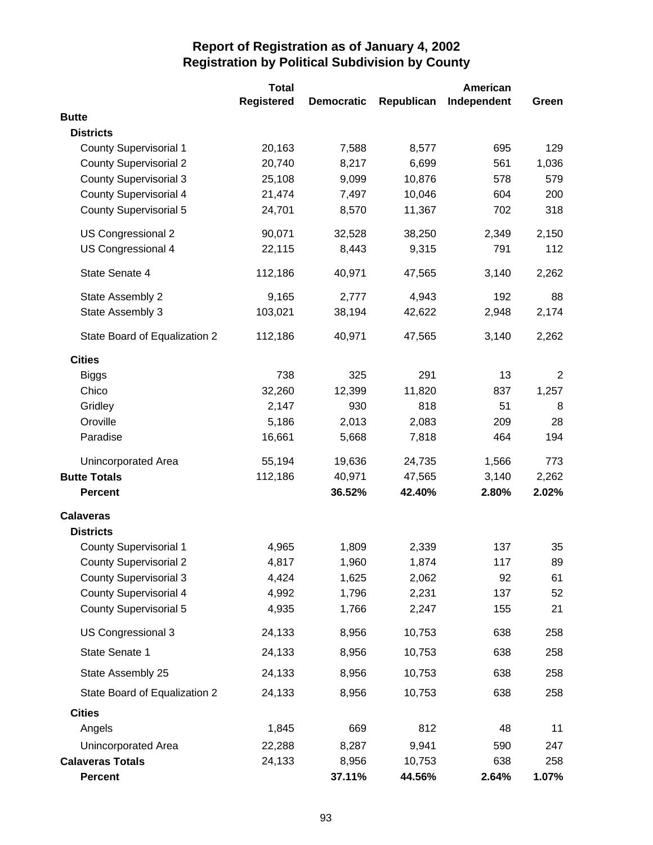|                               | <b>Total</b>      |                   |            | American    |                |
|-------------------------------|-------------------|-------------------|------------|-------------|----------------|
|                               | <b>Registered</b> | <b>Democratic</b> | Republican | Independent | Green          |
| <b>Butte</b>                  |                   |                   |            |             |                |
| <b>Districts</b>              |                   |                   |            |             |                |
| <b>County Supervisorial 1</b> | 20,163            | 7,588             | 8,577      | 695         | 129            |
| <b>County Supervisorial 2</b> | 20,740            | 8,217             | 6,699      | 561         | 1,036          |
| <b>County Supervisorial 3</b> | 25,108            | 9,099             | 10,876     | 578         | 579            |
| <b>County Supervisorial 4</b> | 21,474            | 7,497             | 10,046     | 604         | 200            |
| <b>County Supervisorial 5</b> | 24,701            | 8,570             | 11,367     | 702         | 318            |
| US Congressional 2            | 90,071            | 32,528            | 38,250     | 2,349       | 2,150          |
| US Congressional 4            | 22,115            | 8,443             | 9,315      | 791         | 112            |
| State Senate 4                | 112,186           | 40,971            | 47,565     | 3,140       | 2,262          |
| State Assembly 2              | 9,165             | 2,777             | 4,943      | 192         | 88             |
| State Assembly 3              | 103,021           | 38,194            | 42,622     | 2,948       | 2,174          |
| State Board of Equalization 2 | 112,186           | 40,971            | 47,565     | 3,140       | 2,262          |
| <b>Cities</b>                 |                   |                   |            |             |                |
| <b>Biggs</b>                  | 738               | 325               | 291        | 13          | $\overline{2}$ |
| Chico                         | 32,260            | 12,399            | 11,820     | 837         | 1,257          |
| Gridley                       | 2,147             | 930               | 818        | 51          | 8              |
| Oroville                      | 5,186             | 2,013             | 2,083      | 209         | 28             |
| Paradise                      | 16,661            | 5,668             | 7,818      | 464         | 194            |
| Unincorporated Area           | 55,194            | 19,636            | 24,735     | 1,566       | 773            |
| <b>Butte Totals</b>           | 112,186           | 40,971            | 47,565     | 3,140       | 2,262          |
| <b>Percent</b>                |                   | 36.52%            | 42.40%     | 2.80%       | 2.02%          |
| <b>Calaveras</b>              |                   |                   |            |             |                |
| <b>Districts</b>              |                   |                   |            |             |                |
| <b>County Supervisorial 1</b> | 4,965             | 1,809             | 2,339      | 137         | 35             |
| <b>County Supervisorial 2</b> | 4,817             | 1,960             | 1,874      | 117         | 89             |
| <b>County Supervisorial 3</b> | 4,424             | 1,625             | 2,062      | 92          | 61             |
| <b>County Supervisorial 4</b> | 4,992             | 1,796             | 2,231      | 137         | 52             |
| <b>County Supervisorial 5</b> | 4,935             | 1,766             | 2,247      | 155         | 21             |
| US Congressional 3            | 24,133            | 8,956             | 10,753     | 638         | 258            |
| State Senate 1                | 24,133            | 8,956             | 10,753     | 638         | 258            |
| State Assembly 25             | 24,133            | 8,956             | 10,753     | 638         | 258            |
| State Board of Equalization 2 | 24,133            | 8,956             | 10,753     | 638         | 258            |
| <b>Cities</b>                 |                   |                   |            |             |                |
| Angels                        | 1,845             | 669               | 812        | 48          | 11             |
| Unincorporated Area           | 22,288            | 8,287             | 9,941      | 590         | 247            |
| <b>Calaveras Totals</b>       | 24,133            | 8,956             | 10,753     | 638         | 258            |
| <b>Percent</b>                |                   | 37.11%            | 44.56%     | 2.64%       | 1.07%          |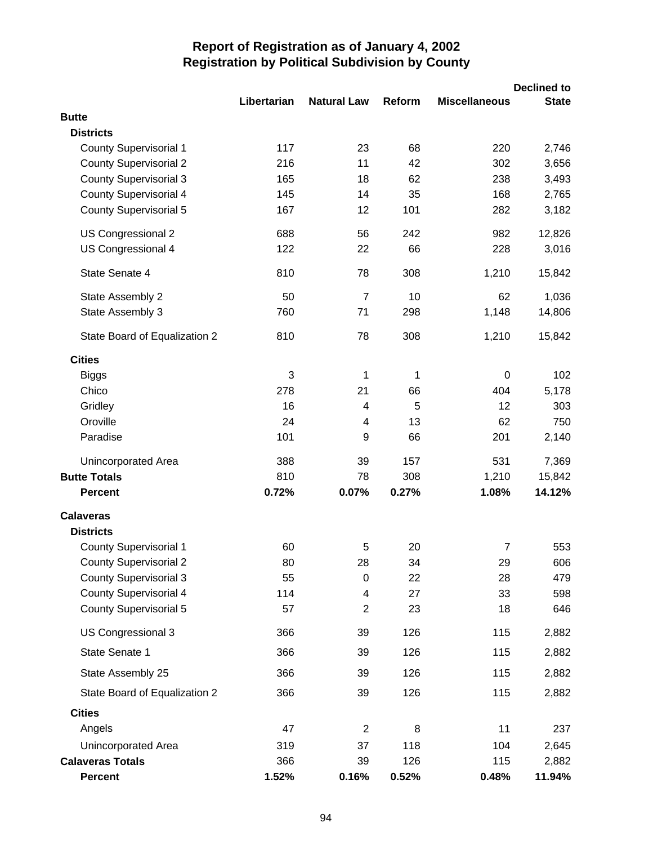|                               |             |                    |        |                      | <b>Declined to</b> |
|-------------------------------|-------------|--------------------|--------|----------------------|--------------------|
| <b>Butte</b>                  | Libertarian | <b>Natural Law</b> | Reform | <b>Miscellaneous</b> | <b>State</b>       |
| <b>Districts</b>              |             |                    |        |                      |                    |
| <b>County Supervisorial 1</b> | 117         | 23                 | 68     | 220                  | 2,746              |
| <b>County Supervisorial 2</b> | 216         | 11                 | 42     | 302                  | 3,656              |
| <b>County Supervisorial 3</b> | 165         | 18                 | 62     | 238                  | 3,493              |
| <b>County Supervisorial 4</b> | 145         | 14                 | 35     | 168                  | 2,765              |
| <b>County Supervisorial 5</b> | 167         | 12                 | 101    | 282                  | 3,182              |
| <b>US Congressional 2</b>     | 688         | 56                 | 242    | 982                  | 12,826             |
| US Congressional 4            | 122         | 22                 | 66     | 228                  | 3,016              |
| State Senate 4                | 810         | 78                 | 308    | 1,210                | 15,842             |
| State Assembly 2              | 50          | $\overline{7}$     | 10     | 62                   | 1,036              |
| State Assembly 3              | 760         | 71                 | 298    | 1,148                | 14,806             |
| State Board of Equalization 2 | 810         | 78                 | 308    | 1,210                | 15,842             |
| <b>Cities</b>                 |             |                    |        |                      |                    |
| <b>Biggs</b>                  | 3           | 1                  | 1      | 0                    | 102                |
| Chico                         | 278         | 21                 | 66     | 404                  | 5,178              |
| Gridley                       | 16          | 4                  | 5      | 12                   | 303                |
| Oroville                      | 24          | 4                  | 13     | 62                   | 750                |
| Paradise                      | 101         | 9                  | 66     | 201                  | 2,140              |
| Unincorporated Area           | 388         | 39                 | 157    | 531                  | 7,369              |
| <b>Butte Totals</b>           | 810         | 78                 | 308    | 1,210                | 15,842             |
| <b>Percent</b>                | 0.72%       | 0.07%              | 0.27%  | 1.08%                | 14.12%             |
| <b>Calaveras</b>              |             |                    |        |                      |                    |
| <b>Districts</b>              |             |                    |        |                      |                    |
| <b>County Supervisorial 1</b> | 60          | 5                  | 20     | 7                    | 553                |
| <b>County Supervisorial 2</b> | 80          | 28                 | 34     | 29                   | 606                |
| <b>County Supervisorial 3</b> | 55          | $\pmb{0}$          | 22     | 28                   | 479                |
| <b>County Supervisorial 4</b> | 114         | 4                  | 27     | 33                   | 598                |
| <b>County Supervisorial 5</b> | 57          | $\overline{2}$     | 23     | 18                   | 646                |
| US Congressional 3            | 366         | 39                 | 126    | 115                  | 2,882              |
| State Senate 1                | 366         | 39                 | 126    | 115                  | 2,882              |
| State Assembly 25             | 366         | 39                 | 126    | 115                  | 2,882              |
| State Board of Equalization 2 | 366         | 39                 | 126    | 115                  | 2,882              |
| <b>Cities</b>                 |             |                    |        |                      |                    |
| Angels                        | 47          | $\overline{2}$     | 8      | 11                   | 237                |
| Unincorporated Area           | 319         | 37                 | 118    | 104                  | 2,645              |
| <b>Calaveras Totals</b>       | 366         | 39                 | 126    | 115                  | 2,882              |
| <b>Percent</b>                | 1.52%       | 0.16%              | 0.52%  | 0.48%                | 11.94%             |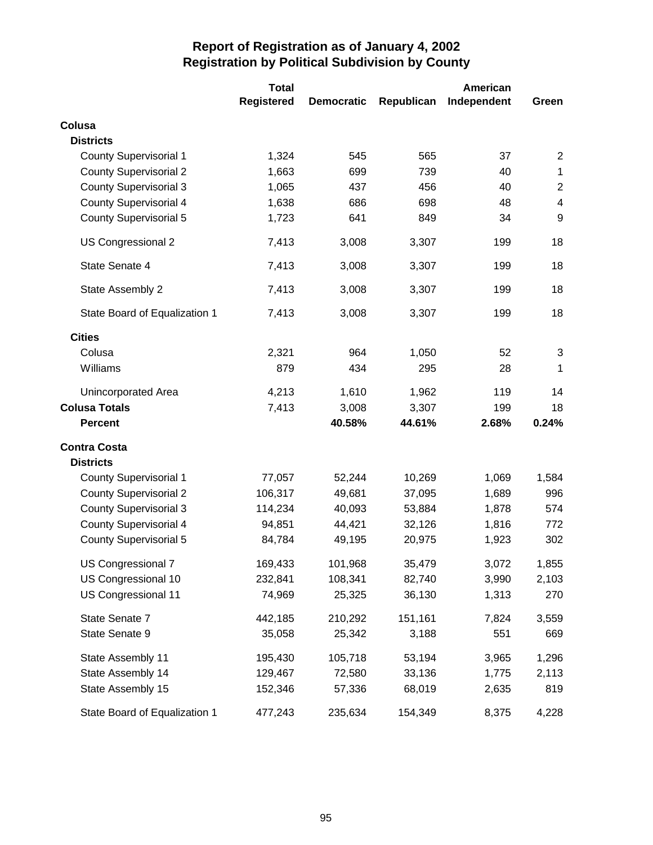|                               | <b>Total</b>      | American          |            |             |                |
|-------------------------------|-------------------|-------------------|------------|-------------|----------------|
|                               | <b>Registered</b> | <b>Democratic</b> | Republican | Independent | Green          |
| Colusa                        |                   |                   |            |             |                |
| <b>Districts</b>              |                   |                   |            |             |                |
| <b>County Supervisorial 1</b> | 1,324             | 545               | 565        | 37          | 2              |
| <b>County Supervisorial 2</b> | 1,663             | 699               | 739        | 40          | $\mathbf 1$    |
| <b>County Supervisorial 3</b> | 1,065             | 437               | 456        | 40          | $\overline{2}$ |
| <b>County Supervisorial 4</b> | 1,638             | 686               | 698        | 48          | 4              |
| <b>County Supervisorial 5</b> | 1,723             | 641               | 849        | 34          | 9              |
| US Congressional 2            | 7,413             | 3,008             | 3,307      | 199         | 18             |
| State Senate 4                | 7,413             | 3,008             | 3,307      | 199         | 18             |
| State Assembly 2              | 7,413             | 3,008             | 3,307      | 199         | 18             |
| State Board of Equalization 1 | 7,413             | 3,008             | 3,307      | 199         | 18             |
| <b>Cities</b>                 |                   |                   |            |             |                |
| Colusa                        | 2,321             | 964               | 1,050      | 52          | 3              |
| Williams                      | 879               | 434               | 295        | 28          | 1              |
| Unincorporated Area           | 4,213             | 1,610             | 1,962      | 119         | 14             |
| <b>Colusa Totals</b>          | 7,413             | 3,008             | 3,307      | 199         | 18             |
| <b>Percent</b>                |                   | 40.58%            | 44.61%     | 2.68%       | 0.24%          |
| <b>Contra Costa</b>           |                   |                   |            |             |                |
| <b>Districts</b>              |                   |                   |            |             |                |
| <b>County Supervisorial 1</b> | 77,057            | 52,244            | 10,269     | 1,069       | 1,584          |
| <b>County Supervisorial 2</b> | 106,317           | 49,681            | 37,095     | 1,689       | 996            |
| <b>County Supervisorial 3</b> | 114,234           | 40,093            | 53,884     | 1,878       | 574            |
| <b>County Supervisorial 4</b> | 94,851            | 44,421            | 32,126     | 1,816       | 772            |
| <b>County Supervisorial 5</b> | 84,784            | 49,195            | 20,975     | 1,923       | 302            |
| US Congressional 7            | 169,433           | 101,968           | 35,479     | 3,072       | 1,855          |
| US Congressional 10           | 232,841           | 108,341           | 82,740     | 3,990       | 2,103          |
| US Congressional 11           | 74,969            | 25,325            | 36,130     | 1,313       | 270            |
| State Senate 7                | 442,185           | 210,292           | 151,161    | 7,824       | 3,559          |
| State Senate 9                | 35,058            | 25,342            | 3,188      | 551         | 669            |
| State Assembly 11             | 195,430           | 105,718           | 53,194     | 3,965       | 1,296          |
| State Assembly 14             | 129,467           | 72,580            | 33,136     | 1,775       | 2,113          |
| State Assembly 15             | 152,346           | 57,336            | 68,019     | 2,635       | 819            |
| State Board of Equalization 1 | 477,243           | 235,634           | 154,349    | 8,375       | 4,228          |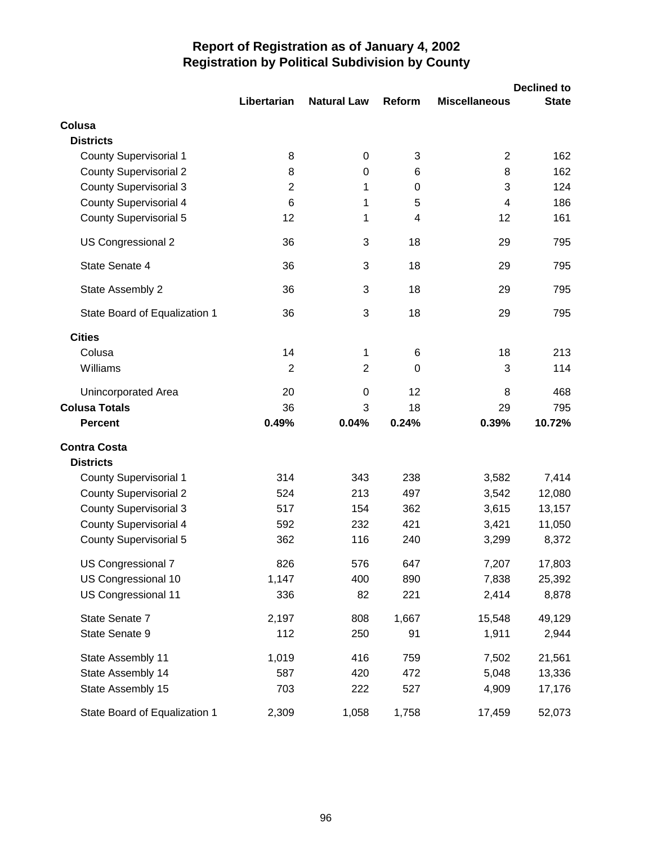|                               | Libertarian    | <b>Natural Law</b> | Reform | <b>Miscellaneous</b> | <b>Declined to</b><br><b>State</b> |
|-------------------------------|----------------|--------------------|--------|----------------------|------------------------------------|
| Colusa                        |                |                    |        |                      |                                    |
| <b>Districts</b>              |                |                    |        |                      |                                    |
| <b>County Supervisorial 1</b> | 8              | 0                  | 3      | $\overline{2}$       | 162                                |
| <b>County Supervisorial 2</b> | 8              | 0                  | 6      | 8                    | 162                                |
| <b>County Supervisorial 3</b> | $\overline{2}$ | 1                  | 0      | 3                    | 124                                |
| <b>County Supervisorial 4</b> | 6              | 1                  | 5      | $\overline{4}$       | 186                                |
| <b>County Supervisorial 5</b> | 12             | 1                  | 4      | 12                   | 161                                |
| US Congressional 2            | 36             | 3                  | 18     | 29                   | 795                                |
| State Senate 4                | 36             | 3                  | 18     | 29                   | 795                                |
| State Assembly 2              | 36             | 3                  | 18     | 29                   | 795                                |
| State Board of Equalization 1 | 36             | 3                  | 18     | 29                   | 795                                |
| <b>Cities</b>                 |                |                    |        |                      |                                    |
| Colusa                        | 14             | 1                  | 6      | 18                   | 213                                |
| Williams                      | $\overline{2}$ | $\overline{2}$     | 0      | 3                    | 114                                |
| Unincorporated Area           | 20             | 0                  | 12     | 8                    | 468                                |
| <b>Colusa Totals</b>          | 36             | 3                  | 18     | 29                   | 795                                |
| <b>Percent</b>                | 0.49%          | 0.04%              | 0.24%  | 0.39%                | 10.72%                             |
| <b>Contra Costa</b>           |                |                    |        |                      |                                    |
| <b>Districts</b>              |                |                    |        |                      |                                    |
| <b>County Supervisorial 1</b> | 314            | 343                | 238    | 3,582                | 7,414                              |
| <b>County Supervisorial 2</b> | 524            | 213                | 497    | 3,542                | 12,080                             |
| <b>County Supervisorial 3</b> | 517            | 154                | 362    | 3,615                | 13,157                             |
| <b>County Supervisorial 4</b> | 592            | 232                | 421    | 3,421                | 11,050                             |
| <b>County Supervisorial 5</b> | 362            | 116                | 240    | 3,299                | 8,372                              |
| US Congressional 7            | 826            | 576                | 647    | 7,207                | 17,803                             |
| US Congressional 10           | 1,147          | 400                | 890    | 7,838                | 25,392                             |
| US Congressional 11           | 336            | 82                 | 221    | 2,414                | 8,878                              |
| State Senate 7                | 2,197          | 808                | 1,667  | 15,548               | 49,129                             |
| State Senate 9                | 112            | 250                | 91     | 1,911                | 2,944                              |
| State Assembly 11             | 1,019          | 416                | 759    | 7,502                | 21,561                             |
| State Assembly 14             | 587            | 420                | 472    | 5,048                | 13,336                             |
| State Assembly 15             | 703            | 222                | 527    | 4,909                | 17,176                             |
| State Board of Equalization 1 | 2,309          | 1,058              | 1,758  | 17,459               | 52,073                             |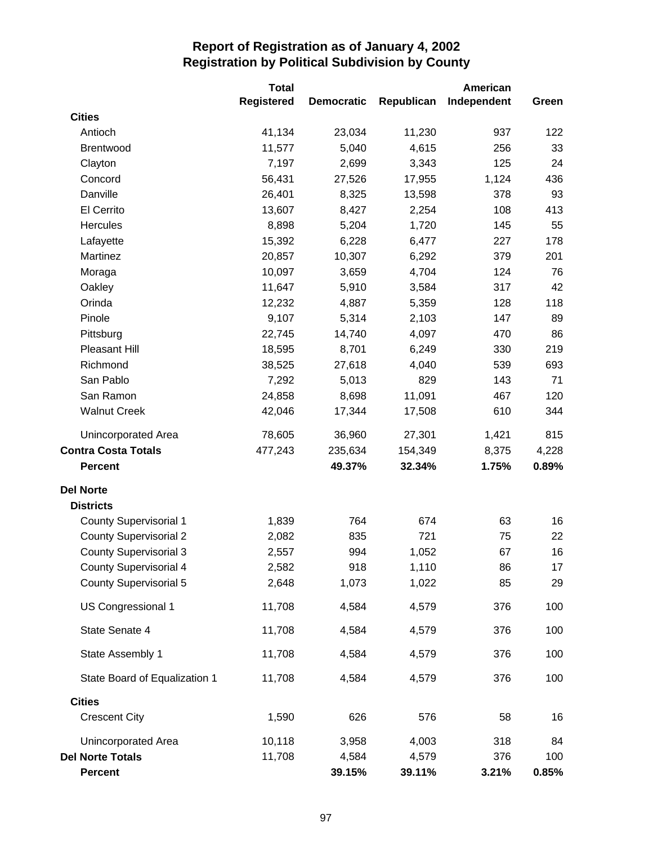|                               | <b>Total</b>      |                   |            | American    |       |
|-------------------------------|-------------------|-------------------|------------|-------------|-------|
|                               | <b>Registered</b> | <b>Democratic</b> | Republican | Independent | Green |
| <b>Cities</b>                 |                   |                   |            |             |       |
| Antioch                       | 41,134            | 23,034            | 11,230     | 937         | 122   |
| Brentwood                     | 11,577            | 5,040             | 4,615      | 256         | 33    |
| Clayton                       | 7,197             | 2,699             | 3,343      | 125         | 24    |
| Concord                       | 56,431            | 27,526            | 17,955     | 1,124       | 436   |
| Danville                      | 26,401            | 8,325             | 13,598     | 378         | 93    |
| El Cerrito                    | 13,607            | 8,427             | 2,254      | 108         | 413   |
| <b>Hercules</b>               | 8,898             | 5,204             | 1,720      | 145         | 55    |
| Lafayette                     | 15,392            | 6,228             | 6,477      | 227         | 178   |
| Martinez                      | 20,857            | 10,307            | 6,292      | 379         | 201   |
| Moraga                        | 10,097            | 3,659             | 4,704      | 124         | 76    |
| Oakley                        | 11,647            | 5,910             | 3,584      | 317         | 42    |
| Orinda                        | 12,232            | 4,887             | 5,359      | 128         | 118   |
| Pinole                        | 9,107             | 5,314             | 2,103      | 147         | 89    |
| Pittsburg                     | 22,745            | 14,740            | 4,097      | 470         | 86    |
| <b>Pleasant Hill</b>          | 18,595            | 8,701             | 6,249      | 330         | 219   |
| Richmond                      | 38,525            | 27,618            | 4,040      | 539         | 693   |
| San Pablo                     | 7,292             | 5,013             | 829        | 143         | 71    |
| San Ramon                     | 24,858            | 8,698             | 11,091     | 467         | 120   |
| <b>Walnut Creek</b>           | 42,046            | 17,344            | 17,508     | 610         | 344   |
| Unincorporated Area           | 78,605            | 36,960            | 27,301     | 1,421       | 815   |
| <b>Contra Costa Totals</b>    | 477,243           | 235,634           | 154,349    | 8,375       | 4,228 |
| <b>Percent</b>                |                   | 49.37%            | 32.34%     | 1.75%       | 0.89% |
| <b>Del Norte</b>              |                   |                   |            |             |       |
| <b>Districts</b>              |                   |                   |            |             |       |
| <b>County Supervisorial 1</b> | 1,839             | 764               | 674        | 63          | 16    |
| <b>County Supervisorial 2</b> | 2,082             | 835               | 721        | 75          | 22    |
| <b>County Supervisorial 3</b> | 2,557             | 994               | 1,052      | 67          | 16    |
| <b>County Supervisorial 4</b> | 2,582             | 918               | 1,110      | 86          | 17    |
| <b>County Supervisorial 5</b> | 2,648             | 1,073             | 1,022      | 85          | 29    |
| US Congressional 1            | 11,708            | 4,584             | 4,579      | 376         | 100   |
| State Senate 4                | 11,708            | 4,584             | 4,579      | 376         | 100   |
| State Assembly 1              | 11,708            | 4,584             | 4,579      | 376         | 100   |
| State Board of Equalization 1 | 11,708            | 4,584             | 4,579      | 376         | 100   |
| <b>Cities</b>                 |                   |                   |            |             |       |
| <b>Crescent City</b>          | 1,590             | 626               | 576        | 58          | 16    |
| Unincorporated Area           | 10,118            | 3,958             | 4,003      | 318         | 84    |
| <b>Del Norte Totals</b>       | 11,708            | 4,584             | 4,579      | 376         | 100   |
| Percent                       |                   | 39.15%            | 39.11%     | 3.21%       | 0.85% |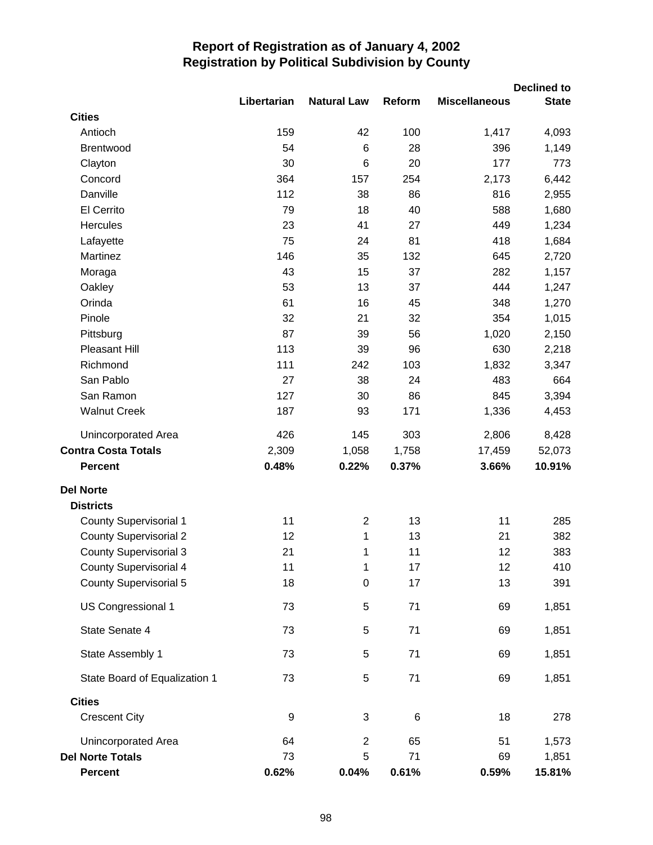|                               |             |                    |        |                      | <b>Declined to</b> |
|-------------------------------|-------------|--------------------|--------|----------------------|--------------------|
| <b>Cities</b>                 | Libertarian | <b>Natural Law</b> | Reform | <b>Miscellaneous</b> | <b>State</b>       |
| Antioch                       | 159         | 42                 | 100    | 1,417                | 4,093              |
| Brentwood                     | 54          | 6                  | 28     | 396                  | 1,149              |
| Clayton                       | 30          | $6\phantom{1}6$    | 20     | 177                  | 773                |
| Concord                       | 364         | 157                | 254    | 2,173                | 6,442              |
| Danville                      | 112         | 38                 | 86     | 816                  | 2,955              |
| El Cerrito                    | 79          | 18                 | 40     | 588                  | 1,680              |
| Hercules                      | 23          | 41                 | 27     | 449                  | 1,234              |
| Lafayette                     | 75          | 24                 | 81     | 418                  | 1,684              |
| Martinez                      | 146         | 35                 | 132    | 645                  | 2,720              |
| Moraga                        | 43          | 15                 | 37     | 282                  | 1,157              |
| Oakley                        | 53          | 13                 | 37     | 444                  | 1,247              |
| Orinda                        | 61          | 16                 | 45     | 348                  | 1,270              |
| Pinole                        | 32          | 21                 | 32     | 354                  | 1,015              |
| Pittsburg                     | 87          | 39                 | 56     | 1,020                | 2,150              |
| Pleasant Hill                 | 113         | 39                 | 96     | 630                  | 2,218              |
| Richmond                      | 111         | 242                | 103    | 1,832                | 3,347              |
| San Pablo                     | 27          | 38                 | 24     | 483                  | 664                |
| San Ramon                     | 127         | 30                 | 86     | 845                  | 3,394              |
| <b>Walnut Creek</b>           | 187         | 93                 | 171    | 1,336                | 4,453              |
|                               |             |                    |        |                      |                    |
| Unincorporated Area           | 426         | 145                | 303    | 2,806                | 8,428              |
| <b>Contra Costa Totals</b>    | 2,309       | 1,058              | 1,758  | 17,459               | 52,073             |
| <b>Percent</b>                | 0.48%       | 0.22%              | 0.37%  | 3.66%                | 10.91%             |
| <b>Del Norte</b>              |             |                    |        |                      |                    |
| <b>Districts</b>              |             |                    |        |                      |                    |
| <b>County Supervisorial 1</b> | 11          | $\overline{2}$     | 13     | 11                   | 285                |
| <b>County Supervisorial 2</b> | 12          | 1                  | 13     | 21                   | 382                |
| <b>County Supervisorial 3</b> | 21          | 1                  | 11     | 12                   | 383                |
| <b>County Supervisorial 4</b> | 11          | 1                  | 17     | 12                   | 410                |
| <b>County Supervisorial 5</b> | 18          | $\mathbf 0$        | 17     | 13                   | 391                |
| US Congressional 1            | 73          | 5                  | 71     | 69                   | 1,851              |
| State Senate 4                | 73          | 5                  | 71     | 69                   | 1,851              |
| State Assembly 1              | 73          | 5                  | 71     | 69                   | 1,851              |
| State Board of Equalization 1 | 73          | 5                  | 71     | 69                   | 1,851              |
| <b>Cities</b>                 |             |                    |        |                      |                    |
| <b>Crescent City</b>          | 9           | 3                  | 6      | 18                   | 278                |
| Unincorporated Area           | 64          | $\mathbf 2$        | 65     | 51                   | 1,573              |
| <b>Del Norte Totals</b>       | 73          | 5                  | 71     | 69                   | 1,851              |
| <b>Percent</b>                | 0.62%       | 0.04%              | 0.61%  | 0.59%                | 15.81%             |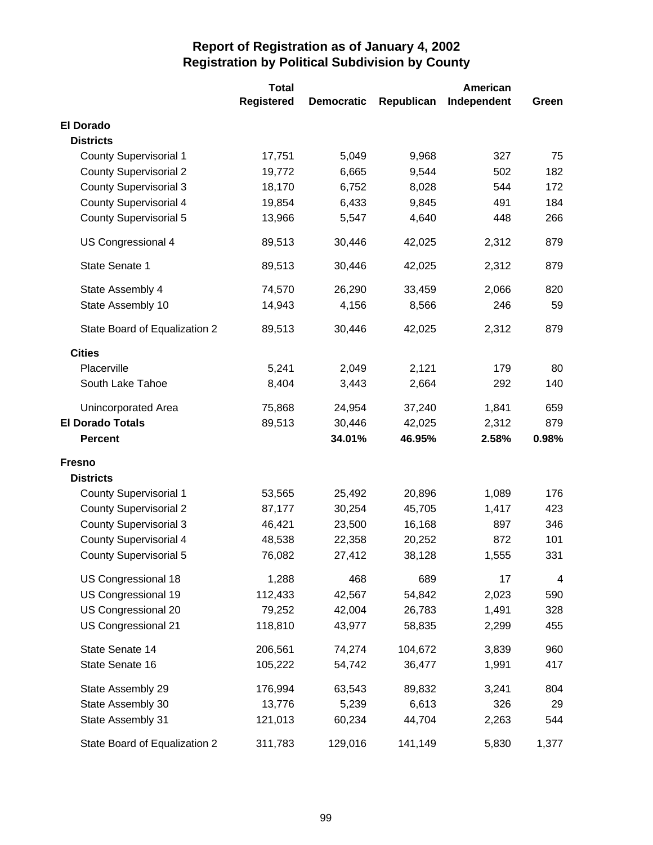|                               | <b>Total</b>      |                   |            | American    |       |
|-------------------------------|-------------------|-------------------|------------|-------------|-------|
|                               | <b>Registered</b> | <b>Democratic</b> | Republican | Independent | Green |
| <b>El Dorado</b>              |                   |                   |            |             |       |
| <b>Districts</b>              |                   |                   |            |             |       |
| <b>County Supervisorial 1</b> | 17,751            | 5,049             | 9,968      | 327         | 75    |
| <b>County Supervisorial 2</b> | 19,772            | 6,665             | 9,544      | 502         | 182   |
| <b>County Supervisorial 3</b> | 18,170            | 6,752             | 8,028      | 544         | 172   |
| <b>County Supervisorial 4</b> | 19,854            | 6,433             | 9,845      | 491         | 184   |
| <b>County Supervisorial 5</b> | 13,966            | 5,547             | 4,640      | 448         | 266   |
| US Congressional 4            | 89,513            | 30,446            | 42,025     | 2,312       | 879   |
| State Senate 1                | 89,513            | 30,446            | 42,025     | 2,312       | 879   |
| State Assembly 4              | 74,570            | 26,290            | 33,459     | 2,066       | 820   |
| State Assembly 10             | 14,943            | 4,156             | 8,566      | 246         | 59    |
| State Board of Equalization 2 | 89,513            | 30,446            | 42,025     | 2,312       | 879   |
| <b>Cities</b>                 |                   |                   |            |             |       |
| Placerville                   | 5,241             | 2,049             | 2,121      | 179         | 80    |
| South Lake Tahoe              | 8,404             | 3,443             | 2,664      | 292         | 140   |
| Unincorporated Area           | 75,868            | 24,954            | 37,240     | 1,841       | 659   |
| <b>El Dorado Totals</b>       | 89,513            | 30,446            | 42,025     | 2,312       | 879   |
| <b>Percent</b>                |                   | 34.01%            | 46.95%     | 2.58%       | 0.98% |
| <b>Fresno</b>                 |                   |                   |            |             |       |
| <b>Districts</b>              |                   |                   |            |             |       |
| <b>County Supervisorial 1</b> | 53,565            | 25,492            | 20,896     | 1,089       | 176   |
| <b>County Supervisorial 2</b> | 87,177            | 30,254            | 45,705     | 1,417       | 423   |
| <b>County Supervisorial 3</b> | 46,421            | 23,500            | 16,168     | 897         | 346   |
| <b>County Supervisorial 4</b> | 48,538            | 22,358            | 20,252     | 872         | 101   |
| <b>County Supervisorial 5</b> | 76,082            | 27,412            | 38,128     | 1,555       | 331   |
| US Congressional 18           | 1,288             | 468               | 689        | 17          | 4     |
| US Congressional 19           | 112,433           | 42,567            | 54,842     | 2,023       | 590   |
| US Congressional 20           | 79,252            | 42,004            | 26,783     | 1,491       | 328   |
| US Congressional 21           | 118,810           | 43,977            | 58,835     | 2,299       | 455   |
| State Senate 14               | 206,561           | 74,274            | 104,672    | 3,839       | 960   |
| State Senate 16               | 105,222           | 54,742            | 36,477     | 1,991       | 417   |
| State Assembly 29             | 176,994           | 63,543            | 89,832     | 3,241       | 804   |
| State Assembly 30             | 13,776            | 5,239             | 6,613      | 326         | 29    |
| State Assembly 31             | 121,013           | 60,234            | 44,704     | 2,263       | 544   |
| State Board of Equalization 2 | 311,783           | 129,016           | 141,149    | 5,830       | 1,377 |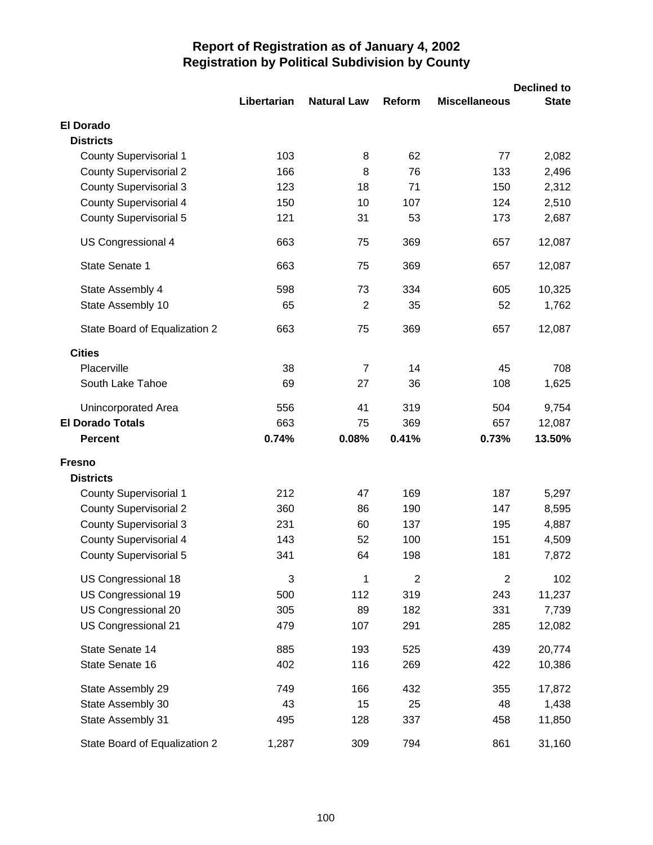|                               |             |                    |                |                      | <b>Declined to</b> |
|-------------------------------|-------------|--------------------|----------------|----------------------|--------------------|
|                               | Libertarian | <b>Natural Law</b> | Reform         | <b>Miscellaneous</b> | <b>State</b>       |
| <b>El Dorado</b>              |             |                    |                |                      |                    |
| <b>Districts</b>              |             |                    |                |                      |                    |
| <b>County Supervisorial 1</b> | 103         | 8                  | 62             | 77                   | 2,082              |
| <b>County Supervisorial 2</b> | 166         | 8                  | 76             | 133                  | 2,496              |
| <b>County Supervisorial 3</b> | 123         | 18                 | 71             | 150                  | 2,312              |
| <b>County Supervisorial 4</b> | 150         | 10                 | 107            | 124                  | 2,510              |
| <b>County Supervisorial 5</b> | 121         | 31                 | 53             | 173                  | 2,687              |
| US Congressional 4            | 663         | 75                 | 369            | 657                  | 12,087             |
| State Senate 1                | 663         | 75                 | 369            | 657                  | 12,087             |
| State Assembly 4              | 598         | 73                 | 334            | 605                  | 10,325             |
| State Assembly 10             | 65          | $\overline{2}$     | 35             | 52                   | 1,762              |
| State Board of Equalization 2 | 663         | 75                 | 369            | 657                  | 12,087             |
| <b>Cities</b>                 |             |                    |                |                      |                    |
| Placerville                   | 38          | $\overline{7}$     | 14             | 45                   | 708                |
| South Lake Tahoe              | 69          | 27                 | 36             | 108                  | 1,625              |
| Unincorporated Area           | 556         | 41                 | 319            | 504                  | 9,754              |
| <b>El Dorado Totals</b>       | 663         | 75                 | 369            | 657                  | 12,087             |
| <b>Percent</b>                | 0.74%       | 0.08%              | 0.41%          | 0.73%                | 13.50%             |
| <b>Fresno</b>                 |             |                    |                |                      |                    |
| <b>Districts</b>              |             |                    |                |                      |                    |
| <b>County Supervisorial 1</b> | 212         | 47                 | 169            | 187                  | 5,297              |
| <b>County Supervisorial 2</b> | 360         | 86                 | 190            | 147                  | 8,595              |
| <b>County Supervisorial 3</b> | 231         | 60                 | 137            | 195                  | 4,887              |
| <b>County Supervisorial 4</b> | 143         | 52                 | 100            | 151                  | 4,509              |
| <b>County Supervisorial 5</b> | 341         | 64                 | 198            | 181                  | 7,872              |
| US Congressional 18           | 3           | 1                  | $\overline{2}$ | $\overline{2}$       | 102                |
| US Congressional 19           | 500         | 112                | 319            | 243                  | 11,237             |
| US Congressional 20           | 305         | 89                 | 182            | 331                  | 7,739              |
| US Congressional 21           | 479         | 107                | 291            | 285                  | 12,082             |
| State Senate 14               | 885         | 193                | 525            | 439                  | 20,774             |
| State Senate 16               | 402         | 116                | 269            | 422                  | 10,386             |
| State Assembly 29             | 749         | 166                | 432            | 355                  | 17,872             |
| State Assembly 30             | 43          | 15                 | 25             | 48                   | 1,438              |
| State Assembly 31             | 495         | 128                | 337            | 458                  | 11,850             |
| State Board of Equalization 2 | 1,287       | 309                | 794            | 861                  | 31,160             |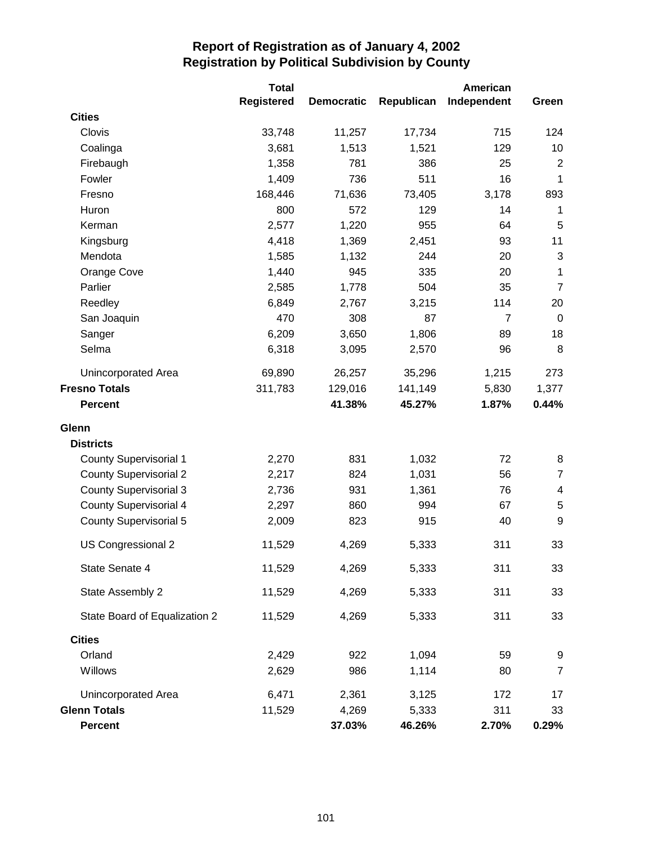|                               | <b>Total</b>      |                   |            | American       |                  |
|-------------------------------|-------------------|-------------------|------------|----------------|------------------|
|                               | <b>Registered</b> | <b>Democratic</b> | Republican | Independent    | Green            |
| <b>Cities</b>                 |                   |                   |            |                |                  |
| Clovis                        | 33,748            | 11,257            | 17,734     | 715            | 124              |
| Coalinga                      | 3,681             | 1,513             | 1,521      | 129            | 10               |
| Firebaugh                     | 1,358             | 781               | 386        | 25             | $\overline{2}$   |
| Fowler                        | 1,409             | 736               | 511        | 16             | $\mathbf{1}$     |
| Fresno                        | 168,446           | 71,636            | 73,405     | 3,178          | 893              |
| Huron                         | 800               | 572               | 129        | 14             | 1                |
| Kerman                        | 2,577             | 1,220             | 955        | 64             | 5                |
| Kingsburg                     | 4,418             | 1,369             | 2,451      | 93             | 11               |
| Mendota                       | 1,585             | 1,132             | 244        | 20             | 3                |
| Orange Cove                   | 1,440             | 945               | 335        | 20             | 1                |
| Parlier                       | 2,585             | 1,778             | 504        | 35             | $\overline{7}$   |
| Reedley                       | 6,849             | 2,767             | 3,215      | 114            | 20               |
| San Joaquin                   | 470               | 308               | 87         | $\overline{7}$ | $\boldsymbol{0}$ |
| Sanger                        | 6,209             | 3,650             | 1,806      | 89             | 18               |
| Selma                         | 6,318             | 3,095             | 2,570      | 96             | 8                |
| <b>Unincorporated Area</b>    | 69,890            | 26,257            | 35,296     | 1,215          | 273              |
| <b>Fresno Totals</b>          | 311,783           | 129,016           | 141,149    | 5,830          | 1,377            |
| <b>Percent</b>                |                   | 41.38%            | 45.27%     | 1.87%          | 0.44%            |
| Glenn                         |                   |                   |            |                |                  |
| <b>Districts</b>              |                   |                   |            |                |                  |
| <b>County Supervisorial 1</b> | 2,270             | 831               | 1,032      | 72             | 8                |
| <b>County Supervisorial 2</b> | 2,217             | 824               | 1,031      | 56             | $\overline{7}$   |
| <b>County Supervisorial 3</b> | 2,736             | 931               | 1,361      | 76             | 4                |
| <b>County Supervisorial 4</b> | 2,297             | 860               | 994        | 67             | 5                |
| <b>County Supervisorial 5</b> | 2,009             | 823               | 915        | 40             | 9                |
| US Congressional 2            | 11,529            | 4,269             | 5,333      | 311            | 33               |
| State Senate 4                | 11,529            | 4,269             | 5,333      | 311            | 33               |
| State Assembly 2              | 11,529            | 4,269             | 5,333      | 311            | 33               |
| State Board of Equalization 2 | 11,529            | 4,269             | 5,333      | 311            | 33               |
| <b>Cities</b>                 |                   |                   |            |                |                  |
| Orland                        | 2,429             | 922               | 1,094      | 59             | 9                |
| Willows                       | 2,629             | 986               | 1,114      | 80             | 7                |
| Unincorporated Area           | 6,471             | 2,361             | 3,125      | 172            | 17               |
| <b>Glenn Totals</b>           | 11,529            | 4,269             | 5,333      | 311            | 33               |
| Percent                       |                   | 37.03%            | 46.26%     | 2.70%          | 0.29%            |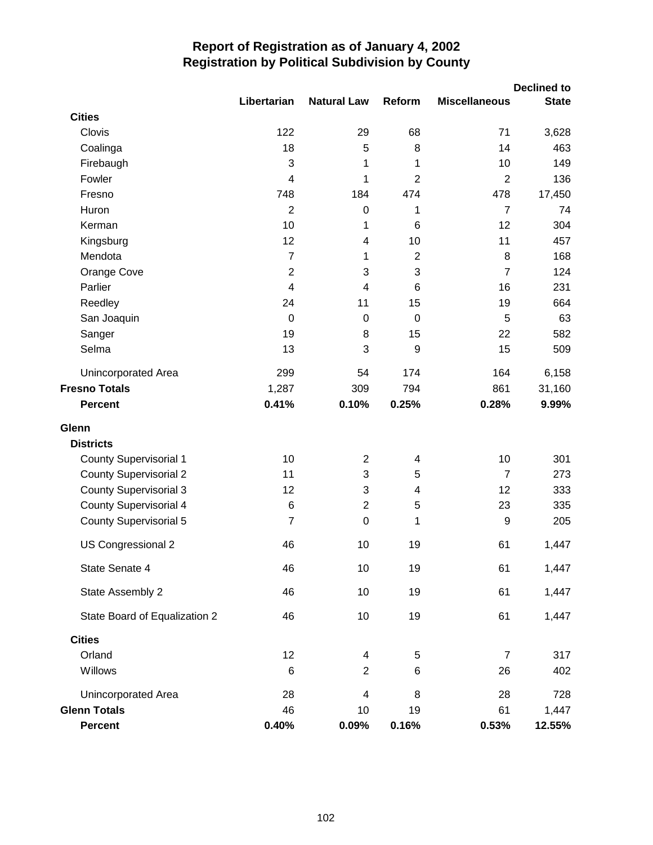|                               |                |                          |                |                      | <b>Declined to</b> |
|-------------------------------|----------------|--------------------------|----------------|----------------------|--------------------|
|                               | Libertarian    | <b>Natural Law</b>       | Reform         | <b>Miscellaneous</b> | <b>State</b>       |
| <b>Cities</b><br>Clovis       | 122            | 29                       | 68             | 71                   |                    |
|                               | 18             | 5                        | 8              | 14                   | 3,628<br>463       |
| Coalinga                      | 3              | 1                        | 1              | 10                   | 149                |
| Firebaugh<br>Fowler           | $\overline{4}$ | 1                        | $\overline{2}$ | $\overline{2}$       | 136                |
| Fresno                        | 748            | 184                      | 474            | 478                  | 17,450             |
| Huron                         | $\overline{2}$ | $\pmb{0}$                | 1              | $\overline{7}$       | 74                 |
| Kerman                        | 10             | 1                        | 6              | 12                   | 304                |
| Kingsburg                     | 12             | $\overline{\mathbf{4}}$  | 10             | 11                   | 457                |
| Mendota                       | $\overline{7}$ | 1                        | $\overline{2}$ | 8                    | 168                |
| Orange Cove                   | $\overline{2}$ | 3                        | 3              | $\overline{7}$       | 124                |
| Parlier                       | $\overline{4}$ | $\overline{4}$           | 6              | 16                   | 231                |
| Reedley                       | 24             | 11                       | 15             | 19                   | 664                |
| San Joaquin                   | $\mathbf 0$    | $\mathbf 0$              | $\mathbf 0$    | 5                    | 63                 |
| Sanger                        | 19             | 8                        | 15             | 22                   | 582                |
| Selma                         | 13             | 3                        | 9              | 15                   | 509                |
| Unincorporated Area           | 299            | 54                       | 174            | 164                  | 6,158              |
| <b>Fresno Totals</b>          | 1,287          | 309                      | 794            | 861                  | 31,160             |
| <b>Percent</b>                | 0.41%          | 0.10%                    | 0.25%          | 0.28%                | 9.99%              |
| Glenn                         |                |                          |                |                      |                    |
| <b>Districts</b>              |                |                          |                |                      |                    |
| <b>County Supervisorial 1</b> | 10             | $\overline{2}$           | 4              | 10                   | 301                |
| <b>County Supervisorial 2</b> | 11             | 3                        | 5              | $\overline{7}$       | 273                |
| <b>County Supervisorial 3</b> | 12             | 3                        | 4              | 12                   | 333                |
| <b>County Supervisorial 4</b> | $\,6$          | $\overline{2}$           | 5              | 23                   | 335                |
| <b>County Supervisorial 5</b> | $\overline{7}$ | $\mathbf 0$              | 1              | 9                    | 205                |
| US Congressional 2            | 46             | 10                       | 19             | 61                   | 1,447              |
| State Senate 4                | 46             | 10                       | 19             | 61                   | 1,447              |
| State Assembly 2              | 46             | 10                       | 19             | 61                   | 1,447              |
| State Board of Equalization 2 | 46             | 10                       | 19             | 61                   | 1,447              |
| <b>Cities</b>                 |                |                          |                |                      |                    |
| Orland                        | 12             | 4                        | 5              | 7                    | 317                |
| Willows                       | $\,6$          | $\overline{2}$           | $\,6$          | 26                   | 402                |
| Unincorporated Area           | 28             | $\overline{\mathcal{A}}$ | 8              | 28                   | 728                |
| <b>Glenn Totals</b>           | 46             | 10                       | 19             | 61                   | 1,447              |
| <b>Percent</b>                | 0.40%          | 0.09%                    | 0.16%          | 0.53%                | 12.55%             |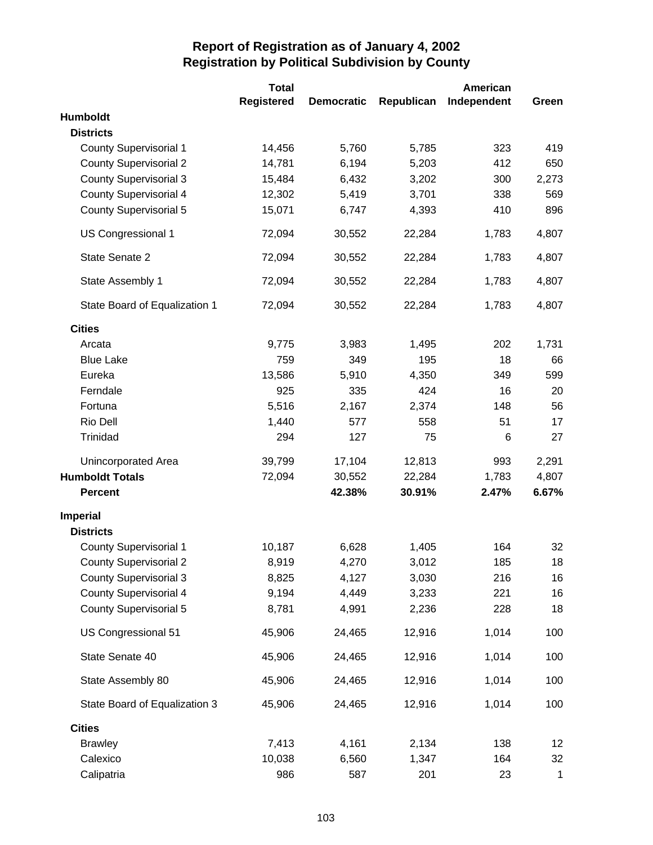|                               | <b>Total</b>      |                   |            | American    |             |
|-------------------------------|-------------------|-------------------|------------|-------------|-------------|
|                               | <b>Registered</b> | <b>Democratic</b> | Republican | Independent | Green       |
| Humboldt                      |                   |                   |            |             |             |
| <b>Districts</b>              |                   |                   |            |             |             |
| <b>County Supervisorial 1</b> | 14,456            | 5,760             | 5,785      | 323         | 419         |
| <b>County Supervisorial 2</b> | 14,781            | 6,194             | 5,203      | 412         | 650         |
| <b>County Supervisorial 3</b> | 15,484            | 6,432             | 3,202      | 300         | 2,273       |
| <b>County Supervisorial 4</b> | 12,302            | 5,419             | 3,701      | 338         | 569         |
| <b>County Supervisorial 5</b> | 15,071            | 6,747             | 4,393      | 410         | 896         |
| <b>US Congressional 1</b>     | 72,094            | 30,552            | 22,284     | 1,783       | 4,807       |
| State Senate 2                | 72,094            | 30,552            | 22,284     | 1,783       | 4,807       |
| State Assembly 1              | 72,094            | 30,552            | 22,284     | 1,783       | 4,807       |
| State Board of Equalization 1 | 72,094            | 30,552            | 22,284     | 1,783       | 4,807       |
| <b>Cities</b>                 |                   |                   |            |             |             |
| Arcata                        | 9,775             | 3,983             | 1,495      | 202         | 1,731       |
| <b>Blue Lake</b>              | 759               | 349               | 195        | 18          | 66          |
| Eureka                        | 13,586            | 5,910             | 4,350      | 349         | 599         |
| Ferndale                      | 925               | 335               | 424        | 16          | 20          |
| Fortuna                       | 5,516             | 2,167             | 2,374      | 148         | 56          |
| Rio Dell                      | 1,440             | 577               | 558        | 51          | 17          |
| Trinidad                      | 294               | 127               | 75         | 6           | 27          |
| Unincorporated Area           | 39,799            | 17,104            | 12,813     | 993         | 2,291       |
| <b>Humboldt Totals</b>        | 72,094            | 30,552            | 22,284     | 1,783       | 4,807       |
| <b>Percent</b>                |                   | 42.38%            | 30.91%     | 2.47%       | 6.67%       |
| <b>Imperial</b>               |                   |                   |            |             |             |
| <b>Districts</b>              |                   |                   |            |             |             |
| <b>County Supervisorial 1</b> | 10,187            | 6,628             | 1,405      | 164         | 32          |
| <b>County Supervisorial 2</b> | 8,919             | 4,270             | 3,012      | 185         | 18          |
| <b>County Supervisorial 3</b> | 8,825             | 4,127             | 3,030      | 216         | 16          |
| <b>County Supervisorial 4</b> | 9,194             | 4,449             | 3,233      | 221         | 16          |
| <b>County Supervisorial 5</b> | 8,781             | 4,991             | 2,236      | 228         | 18          |
| US Congressional 51           | 45,906            | 24,465            | 12,916     | 1,014       | 100         |
| State Senate 40               | 45,906            | 24,465            | 12,916     | 1,014       | 100         |
| State Assembly 80             | 45,906            | 24,465            | 12,916     | 1,014       | 100         |
| State Board of Equalization 3 | 45,906            | 24,465            | 12,916     | 1,014       | 100         |
| <b>Cities</b>                 |                   |                   |            |             |             |
| <b>Brawley</b>                | 7,413             | 4,161             | 2,134      | 138         | 12          |
| Calexico                      | 10,038            | 6,560             | 1,347      | 164         | 32          |
| Calipatria                    | 986               | 587               | 201        | 23          | $\mathbf 1$ |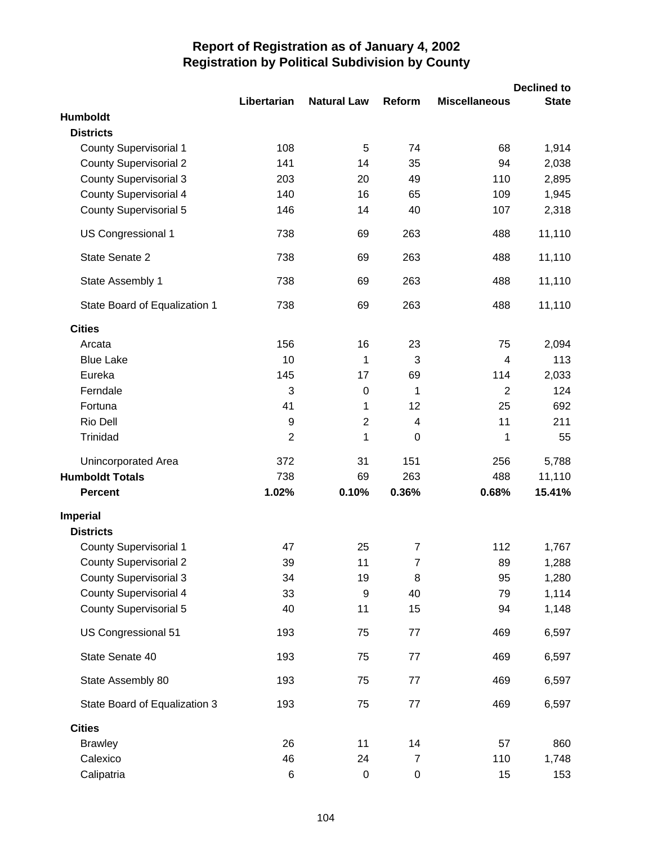|                                     |                |                    |                  |                      | <b>Declined to</b> |
|-------------------------------------|----------------|--------------------|------------------|----------------------|--------------------|
|                                     | Libertarian    | <b>Natural Law</b> | Reform           | <b>Miscellaneous</b> | <b>State</b>       |
| <b>Humboldt</b><br><b>Districts</b> |                |                    |                  |                      |                    |
| <b>County Supervisorial 1</b>       | 108            | 5                  | 74               | 68                   | 1,914              |
| <b>County Supervisorial 2</b>       | 141            | 14                 | 35               | 94                   | 2,038              |
| <b>County Supervisorial 3</b>       | 203            | 20                 | 49               | 110                  | 2,895              |
| <b>County Supervisorial 4</b>       | 140            | 16                 | 65               | 109                  | 1,945              |
| <b>County Supervisorial 5</b>       | 146            | 14                 | 40               | 107                  | 2,318              |
| US Congressional 1                  | 738            | 69                 | 263              | 488                  | 11,110             |
| State Senate 2                      | 738            | 69                 | 263              | 488                  | 11,110             |
| State Assembly 1                    | 738            | 69                 | 263              | 488                  | 11,110             |
| State Board of Equalization 1       | 738            | 69                 | 263              | 488                  | 11,110             |
| <b>Cities</b>                       |                |                    |                  |                      |                    |
| Arcata                              | 156            | 16                 | 23               | 75                   | 2,094              |
| <b>Blue Lake</b>                    | 10             | 1                  | 3                | 4                    | 113                |
| Eureka                              | 145            | 17                 | 69               | 114                  | 2,033              |
| Ferndale                            | 3              | $\mathbf 0$        | 1                | $\overline{2}$       | 124                |
| Fortuna                             | 41             | 1                  | 12               | 25                   | 692                |
| Rio Dell                            | 9              | $\overline{c}$     | 4                | 11                   | 211                |
| Trinidad                            | $\overline{2}$ | 1                  | 0                | 1                    | 55                 |
| Unincorporated Area                 | 372            | 31                 | 151              | 256                  | 5,788              |
| <b>Humboldt Totals</b>              | 738            | 69                 | 263              | 488                  | 11,110             |
| <b>Percent</b>                      | 1.02%          | 0.10%              | 0.36%            | 0.68%                | 15.41%             |
| <b>Imperial</b>                     |                |                    |                  |                      |                    |
| <b>Districts</b>                    |                |                    |                  |                      |                    |
| <b>County Supervisorial 1</b>       | 47             | 25                 | $\overline{7}$   | 112                  | 1,767              |
| <b>County Supervisorial 2</b>       | 39             | 11                 | $\overline{7}$   | 89                   | 1,288              |
| <b>County Supervisorial 3</b>       | 34             | 19                 | 8                | 95                   | 1,280              |
| <b>County Supervisorial 4</b>       | 33             | 9                  | 40               | 79                   | 1,114              |
| <b>County Supervisorial 5</b>       | 40             | 11                 | 15               | 94                   | 1,148              |
| US Congressional 51                 | 193            | 75                 | 77               | 469                  | 6,597              |
| State Senate 40                     | 193            | 75                 | 77               | 469                  | 6,597              |
| State Assembly 80                   | 193            | 75                 | 77               | 469                  | 6,597              |
| State Board of Equalization 3       | 193            | 75                 | 77               | 469                  | 6,597              |
| <b>Cities</b>                       |                |                    |                  |                      |                    |
| <b>Brawley</b>                      | 26             | 11                 | 14               | 57                   | 860                |
| Calexico                            | 46             | 24                 | $\boldsymbol{7}$ | 110                  | 1,748              |
| Calipatria                          | 6              | $\pmb{0}$          | 0                | 15                   | 153                |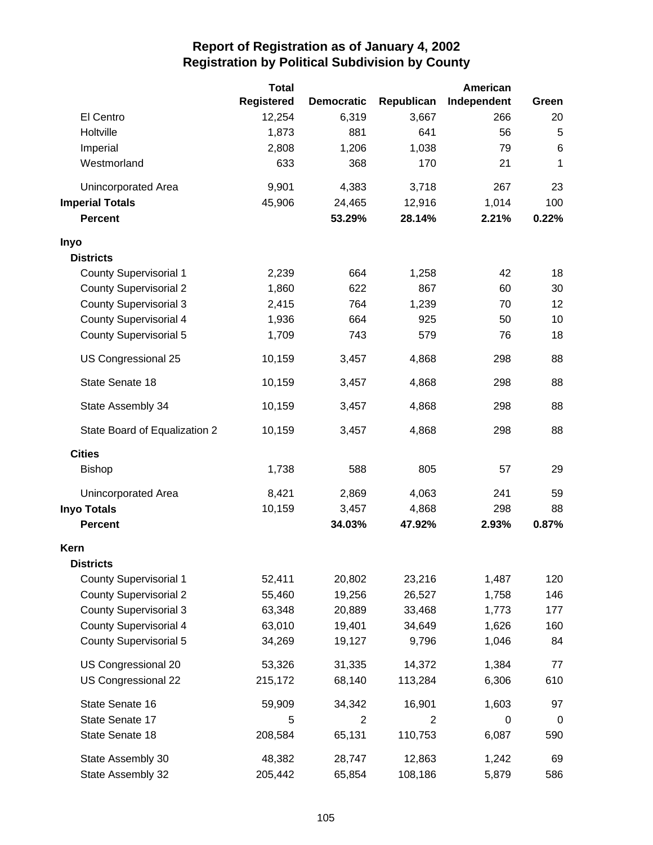|                               | <b>Total</b>      |                   |            | American    |             |
|-------------------------------|-------------------|-------------------|------------|-------------|-------------|
|                               | <b>Registered</b> | <b>Democratic</b> | Republican | Independent | Green       |
| El Centro                     | 12,254            | 6,319             | 3,667      | 266         | 20          |
| Holtville                     | 1,873             | 881               | 641        | 56          | 5           |
| Imperial                      | 2,808             | 1,206             | 1,038      | 79          | 6           |
| Westmorland                   | 633               | 368               | 170        | 21          | 1           |
| Unincorporated Area           | 9,901             | 4,383             | 3,718      | 267         | 23          |
| <b>Imperial Totals</b>        | 45,906            | 24,465            | 12,916     | 1,014       | 100         |
| <b>Percent</b>                |                   | 53.29%            | 28.14%     | 2.21%       | 0.22%       |
| Inyo                          |                   |                   |            |             |             |
| <b>Districts</b>              |                   |                   |            |             |             |
| <b>County Supervisorial 1</b> | 2,239             | 664               | 1,258      | 42          | 18          |
| <b>County Supervisorial 2</b> | 1,860             | 622               | 867        | 60          | 30          |
| <b>County Supervisorial 3</b> | 2,415             | 764               | 1,239      | 70          | 12          |
| <b>County Supervisorial 4</b> | 1,936             | 664               | 925        | 50          | 10          |
| <b>County Supervisorial 5</b> | 1,709             | 743               | 579        | 76          | 18          |
| US Congressional 25           | 10,159            | 3,457             | 4,868      | 298         | 88          |
| State Senate 18               | 10,159            | 3,457             | 4,868      | 298         | 88          |
| State Assembly 34             | 10,159            | 3,457             | 4,868      | 298         | 88          |
| State Board of Equalization 2 | 10,159            | 3,457             | 4,868      | 298         | 88          |
| <b>Cities</b>                 |                   |                   |            |             |             |
| <b>Bishop</b>                 | 1,738             | 588               | 805        | 57          | 29          |
| Unincorporated Area           | 8,421             | 2,869             | 4,063      | 241         | 59          |
| <b>Inyo Totals</b>            | 10,159            | 3,457             | 4,868      | 298         | 88          |
| <b>Percent</b>                |                   | 34.03%            | 47.92%     | 2.93%       | 0.87%       |
| Kern                          |                   |                   |            |             |             |
| <b>Districts</b>              |                   |                   |            |             |             |
| <b>County Supervisorial 1</b> | 52,411            | 20,802            | 23,216     | 1,487       | 120         |
| <b>County Supervisorial 2</b> | 55,460            | 19,256            | 26,527     | 1,758       | 146         |
| <b>County Supervisorial 3</b> | 63,348            | 20,889            | 33,468     | 1,773       | 177         |
| <b>County Supervisorial 4</b> | 63,010            | 19,401            | 34,649     | 1,626       | 160         |
| <b>County Supervisorial 5</b> | 34,269            | 19,127            | 9,796      | 1,046       | 84          |
| US Congressional 20           | 53,326            | 31,335            | 14,372     | 1,384       | 77          |
| US Congressional 22           | 215,172           | 68,140            | 113,284    | 6,306       | 610         |
| State Senate 16               | 59,909            | 34,342            | 16,901     | 1,603       | 97          |
| State Senate 17               | 5                 | $\overline{2}$    | 2          | 0           | $\mathbf 0$ |
| State Senate 18               | 208,584           | 65,131            | 110,753    | 6,087       | 590         |
| State Assembly 30             | 48,382            | 28,747            | 12,863     | 1,242       | 69          |
| State Assembly 32             | 205,442           | 65,854            | 108,186    | 5,879       | 586         |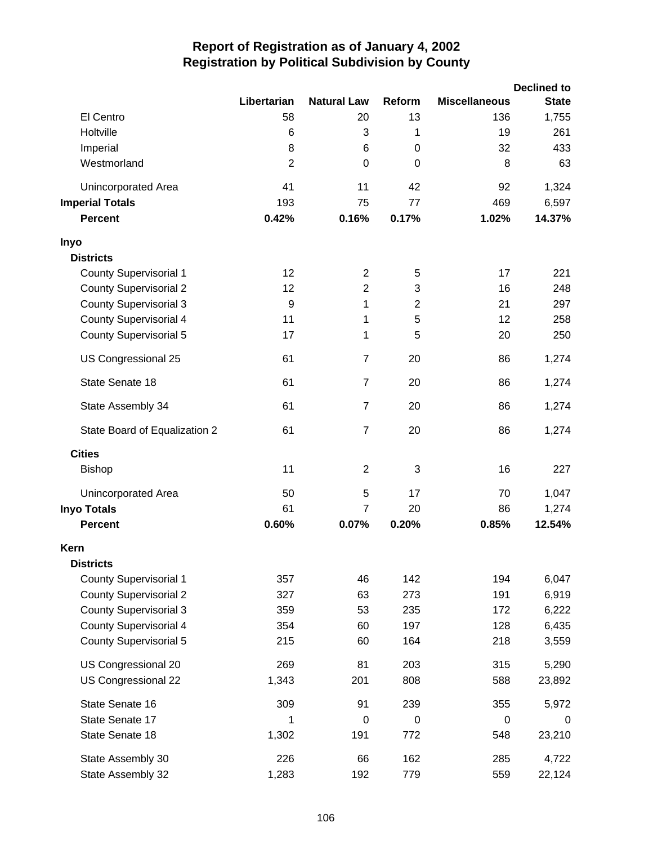|                               |                |                    |                  |                      | <b>Declined to</b> |
|-------------------------------|----------------|--------------------|------------------|----------------------|--------------------|
|                               | Libertarian    | <b>Natural Law</b> | Reform           | <b>Miscellaneous</b> | <b>State</b>       |
| El Centro                     | 58             | 20                 | 13               | 136                  | 1,755              |
| Holtville                     | 6              | 3                  | 1                | 19                   | 261                |
| Imperial                      | 8              | 6                  | 0                | 32                   | 433                |
| Westmorland                   | $\overline{2}$ | $\mathbf 0$        | $\boldsymbol{0}$ | 8                    | 63                 |
| Unincorporated Area           | 41             | 11                 | 42               | 92                   | 1,324              |
| <b>Imperial Totals</b>        | 193            | 75                 | 77               | 469                  | 6,597              |
| <b>Percent</b>                | 0.42%          | 0.16%              | 0.17%            | 1.02%                | 14.37%             |
| Inyo                          |                |                    |                  |                      |                    |
| <b>Districts</b>              |                |                    |                  |                      |                    |
| <b>County Supervisorial 1</b> | 12             | $\overline{2}$     | 5                | 17                   | 221                |
| <b>County Supervisorial 2</b> | 12             | $\overline{2}$     | 3                | 16                   | 248                |
| <b>County Supervisorial 3</b> | 9              | 1                  | $\overline{2}$   | 21                   | 297                |
| <b>County Supervisorial 4</b> | 11             | 1                  | 5                | 12                   | 258                |
| <b>County Supervisorial 5</b> | 17             | 1                  | 5                | 20                   | 250                |
| US Congressional 25           | 61             | $\overline{7}$     | 20               | 86                   | 1,274              |
| State Senate 18               | 61             | $\overline{7}$     | 20               | 86                   | 1,274              |
| State Assembly 34             | 61             | $\overline{7}$     | 20               | 86                   | 1,274              |
| State Board of Equalization 2 | 61             | $\overline{7}$     | 20               | 86                   | 1,274              |
| <b>Cities</b>                 |                |                    |                  |                      |                    |
| <b>Bishop</b>                 | 11             | $\overline{2}$     | 3                | 16                   | 227                |
| Unincorporated Area           | 50             | 5                  | 17               | 70                   | 1,047              |
| <b>Inyo Totals</b>            | 61             | $\overline{7}$     | 20               | 86                   | 1,274              |
| <b>Percent</b>                | 0.60%          | 0.07%              | 0.20%            | 0.85%                | 12.54%             |
| Kern                          |                |                    |                  |                      |                    |
| <b>Districts</b>              |                |                    |                  |                      |                    |
| <b>County Supervisorial 1</b> | 357            | 46                 | 142              | 194                  | 6,047              |
| <b>County Supervisorial 2</b> | 327            | 63                 | 273              | 191                  | 6,919              |
| <b>County Supervisorial 3</b> | 359            | 53                 | 235              | 172                  | 6,222              |
| <b>County Supervisorial 4</b> | 354            | 60                 | 197              | 128                  | 6,435              |
| <b>County Supervisorial 5</b> | 215            | 60                 | 164              | 218                  | 3,559              |
| US Congressional 20           | 269            | 81                 | 203              | 315                  | 5,290              |
| US Congressional 22           | 1,343          | 201                | 808              | 588                  | 23,892             |
| State Senate 16               | 309            | 91                 | 239              | 355                  | 5,972              |
| State Senate 17               | 1              | $\mathbf 0$        | $\mathbf 0$      | $\pmb{0}$            | 0                  |
| State Senate 18               | 1,302          | 191                | 772              | 548                  | 23,210             |
| State Assembly 30             | 226            | 66                 | 162              | 285                  | 4,722              |
| State Assembly 32             | 1,283          | 192                | 779              | 559                  | 22,124             |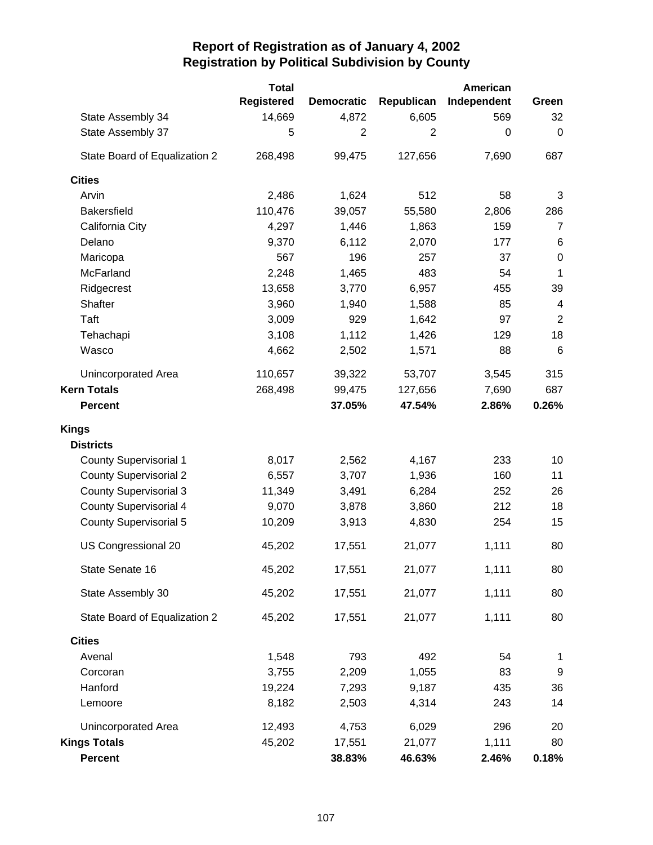|                               | <b>Total</b> |                   |                | <b>American</b> |                  |
|-------------------------------|--------------|-------------------|----------------|-----------------|------------------|
|                               | Registered   | <b>Democratic</b> | Republican     | Independent     | Green            |
| State Assembly 34             | 14,669       | 4,872             | 6,605          | 569             | 32               |
| State Assembly 37             | 5            | $\overline{2}$    | $\overline{2}$ | $\pmb{0}$       | $\mathbf 0$      |
| State Board of Equalization 2 | 268,498      | 99,475            | 127,656        | 7,690           | 687              |
| <b>Cities</b>                 |              |                   |                |                 |                  |
| Arvin                         | 2,486        | 1,624             | 512            | 58              | 3                |
| <b>Bakersfield</b>            | 110,476      | 39,057            | 55,580         | 2,806           | 286              |
| California City               | 4,297        | 1,446             | 1,863          | 159             | $\overline{7}$   |
| Delano                        | 9,370        | 6,112             | 2,070          | 177             | $\,6$            |
| Maricopa                      | 567          | 196               | 257            | 37              | $\boldsymbol{0}$ |
| McFarland                     | 2,248        | 1,465             | 483            | 54              | 1                |
| Ridgecrest                    | 13,658       | 3,770             | 6,957          | 455             | 39               |
| Shafter                       | 3,960        | 1,940             | 1,588          | 85              | 4                |
| Taft                          | 3,009        | 929               | 1,642          | 97              | $\overline{2}$   |
| Tehachapi                     | 3,108        | 1,112             | 1,426          | 129             | 18               |
| Wasco                         | 4,662        | 2,502             | 1,571          | 88              | 6                |
| Unincorporated Area           | 110,657      | 39,322            | 53,707         | 3,545           | 315              |
| <b>Kern Totals</b>            | 268,498      | 99,475            | 127,656        | 7,690           | 687              |
| <b>Percent</b>                |              | 37.05%            | 47.54%         | 2.86%           | 0.26%            |
| <b>Kings</b>                  |              |                   |                |                 |                  |
| <b>Districts</b>              |              |                   |                |                 |                  |
| <b>County Supervisorial 1</b> | 8,017        | 2,562             | 4,167          | 233             | 10               |
| <b>County Supervisorial 2</b> | 6,557        | 3,707             | 1,936          | 160             | 11               |
| <b>County Supervisorial 3</b> | 11,349       | 3,491             | 6,284          | 252             | 26               |
| <b>County Supervisorial 4</b> | 9,070        | 3,878             | 3,860          | 212             | 18               |
| <b>County Supervisorial 5</b> | 10,209       | 3,913             | 4,830          | 254             | 15               |
| US Congressional 20           | 45,202       | 17,551            | 21,077         | 1,111           | 80               |
| State Senate 16               | 45,202       | 17,551            | 21,077         | 1,111           | 80               |
| State Assembly 30             | 45,202       | 17,551            | 21,077         | 1,111           | 80               |
| State Board of Equalization 2 | 45,202       | 17,551            | 21,077         | 1,111           | 80               |
| <b>Cities</b>                 |              |                   |                |                 |                  |
| Avenal                        | 1,548        | 793               | 492            | 54              | 1                |
| Corcoran                      | 3,755        | 2,209             | 1,055          | 83              | 9                |
| Hanford                       | 19,224       | 7,293             | 9,187          | 435             | 36               |
| Lemoore                       | 8,182        | 2,503             | 4,314          | 243             | 14               |
| Unincorporated Area           | 12,493       | 4,753             | 6,029          | 296             | 20               |
| <b>Kings Totals</b>           | 45,202       | 17,551            | 21,077         | 1,111           | 80               |
| <b>Percent</b>                |              | 38.83%            | 46.63%         | 2.46%           | 0.18%            |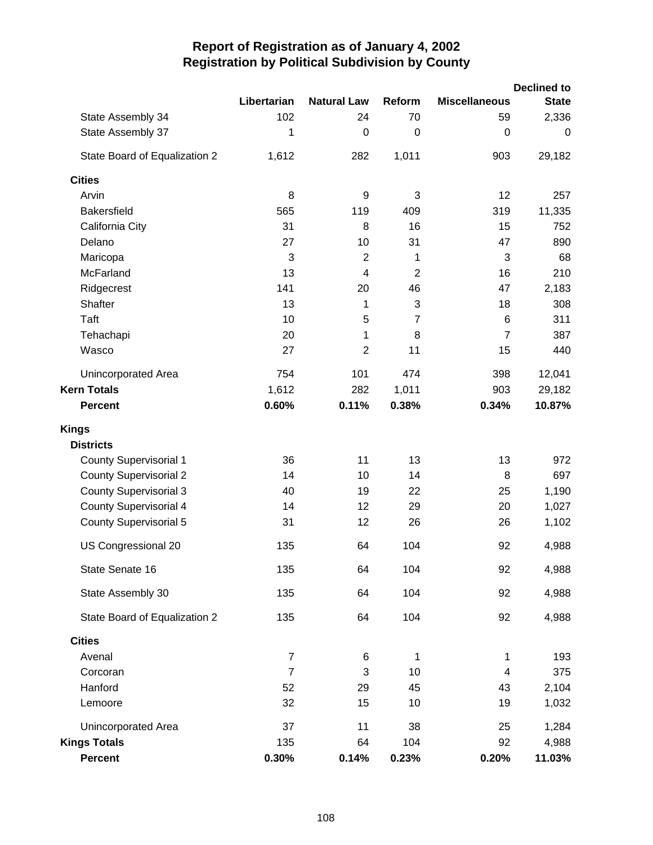|                               |                |                         |                  |                      | <b>Declined to</b> |
|-------------------------------|----------------|-------------------------|------------------|----------------------|--------------------|
|                               | Libertarian    | <b>Natural Law</b>      | Reform           | <b>Miscellaneous</b> | <b>State</b>       |
| State Assembly 34             | 102            | 24                      | 70               | 59                   | 2,336              |
| State Assembly 37             | 1              | $\mathbf 0$             | $\boldsymbol{0}$ | 0                    | $\mathbf 0$        |
| State Board of Equalization 2 | 1,612          | 282                     | 1,011            | 903                  | 29,182             |
| <b>Cities</b>                 |                |                         |                  |                      |                    |
| Arvin                         | 8              | 9                       | 3                | 12                   | 257                |
| <b>Bakersfield</b>            | 565            | 119                     | 409              | 319                  | 11,335             |
| California City               | 31             | 8                       | 16               | 15                   | 752                |
| Delano                        | 27             | 10                      | 31               | 47                   | 890                |
| Maricopa                      | 3              | $\overline{2}$          | 1                | 3                    | 68                 |
| McFarland                     | 13             | $\overline{\mathbf{4}}$ | $\overline{2}$   | 16                   | 210                |
| Ridgecrest                    | 141            | 20                      | 46               | 47                   | 2,183              |
| <b>Shafter</b>                | 13             | 1                       | 3                | 18                   | 308                |
| Taft                          | 10             | 5                       | $\overline{7}$   | 6                    | 311                |
| Tehachapi                     | 20             | 1                       | 8                | $\overline{7}$       | 387                |
| Wasco                         | 27             | $\overline{2}$          | 11               | 15                   | 440                |
| <b>Unincorporated Area</b>    | 754            | 101                     | 474              | 398                  | 12,041             |
| <b>Kern Totals</b>            | 1,612          | 282                     | 1,011            | 903                  | 29,182             |
| <b>Percent</b>                | 0.60%          | 0.11%                   | 0.38%            | 0.34%                | 10.87%             |
| Kings                         |                |                         |                  |                      |                    |
| <b>Districts</b>              |                |                         |                  |                      |                    |
| <b>County Supervisorial 1</b> | 36             | 11                      | 13               | 13                   | 972                |
| <b>County Supervisorial 2</b> | 14             | 10                      | 14               | 8                    | 697                |
| <b>County Supervisorial 3</b> | 40             | 19                      | 22               | 25                   | 1,190              |
| <b>County Supervisorial 4</b> | 14             | 12                      | 29               | 20                   | 1,027              |
| <b>County Supervisorial 5</b> | 31             | 12                      | 26               | 26                   | 1,102              |
| US Congressional 20           | 135            | 64                      | 104              | 92                   | 4,988              |
| State Senate 16               | 135            | 64                      | 104              | 92                   | 4,988              |
| State Assembly 30             | 135            | 64                      | 104              | 92                   | 4,988              |
| State Board of Equalization 2 | 135            | 64                      | 104              | 92                   | 4,988              |
| <b>Cities</b>                 |                |                         |                  |                      |                    |
| Avenal                        | $\overline{7}$ | 6                       | 1                | 1                    | 193                |
| Corcoran                      | $\overline{7}$ | 3                       | 10               | 4                    | 375                |
| Hanford                       | 52             | 29                      | 45               | 43                   | 2,104              |
| Lemoore                       | 32             | 15                      | 10               | 19                   | 1,032              |
| Unincorporated Area           | 37             | 11                      | 38               | 25                   | 1,284              |
| <b>Kings Totals</b>           | 135            | 64                      | 104              | 92                   | 4,988              |
| Percent                       | 0.30%          | 0.14%                   | 0.23%            | 0.20%                | 11.03%             |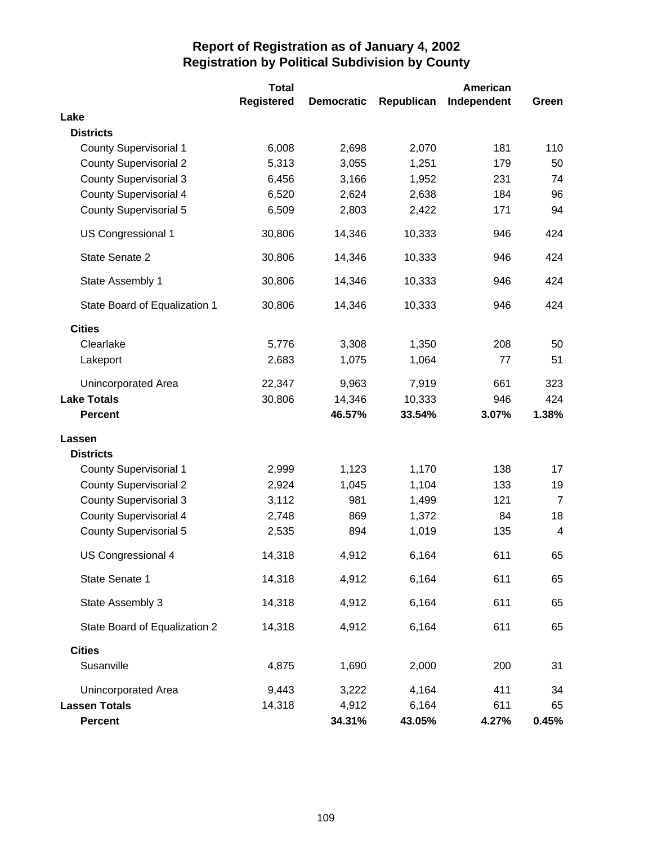|                               | <b>Total</b>      |                   |            | American    |                |
|-------------------------------|-------------------|-------------------|------------|-------------|----------------|
|                               | <b>Registered</b> | <b>Democratic</b> | Republican | Independent | Green          |
| Lake                          |                   |                   |            |             |                |
| <b>Districts</b>              |                   |                   |            |             |                |
| <b>County Supervisorial 1</b> | 6,008             | 2,698             | 2,070      | 181         | 110            |
| <b>County Supervisorial 2</b> | 5,313             | 3,055             | 1,251      | 179         | 50             |
| <b>County Supervisorial 3</b> | 6,456             | 3,166             | 1,952      | 231         | 74             |
| <b>County Supervisorial 4</b> | 6,520             | 2,624             | 2,638      | 184         | 96             |
| <b>County Supervisorial 5</b> | 6,509             | 2,803             | 2,422      | 171         | 94             |
| US Congressional 1            | 30,806            | 14,346            | 10,333     | 946         | 424            |
| State Senate 2                | 30,806            | 14,346            | 10,333     | 946         | 424            |
| State Assembly 1              | 30,806            | 14,346            | 10,333     | 946         | 424            |
| State Board of Equalization 1 | 30,806            | 14,346            | 10,333     | 946         | 424            |
| <b>Cities</b>                 |                   |                   |            |             |                |
| Clearlake                     | 5,776             | 3,308             | 1,350      | 208         | 50             |
| Lakeport                      | 2,683             | 1,075             | 1,064      | 77          | 51             |
| Unincorporated Area           | 22,347            | 9,963             | 7,919      | 661         | 323            |
| <b>Lake Totals</b>            | 30,806            | 14,346            | 10,333     | 946         | 424            |
| <b>Percent</b>                |                   | 46.57%            | 33.54%     | 3.07%       | 1.38%          |
| Lassen                        |                   |                   |            |             |                |
| <b>Districts</b>              |                   |                   |            |             |                |
| <b>County Supervisorial 1</b> | 2,999             | 1,123             | 1,170      | 138         | 17             |
| <b>County Supervisorial 2</b> | 2,924             | 1,045             | 1,104      | 133         | 19             |
| <b>County Supervisorial 3</b> | 3,112             | 981               | 1,499      | 121         | $\overline{7}$ |
| <b>County Supervisorial 4</b> | 2,748             | 869               | 1,372      | 84          | 18             |
| <b>County Supervisorial 5</b> | 2,535             | 894               | 1,019      | 135         | $\overline{4}$ |
| US Congressional 4            | 14,318            | 4,912             | 6,164      | 611         | 65             |
| State Senate 1                | 14,318            | 4,912             | 6,164      | 611         | 65             |
| State Assembly 3              | 14,318            | 4,912             | 6,164      | 611         | 65             |
| State Board of Equalization 2 | 14,318            | 4,912             | 6,164      | 611         | 65             |
| <b>Cities</b>                 |                   |                   |            |             |                |
| Susanville                    | 4,875             | 1,690             | 2,000      | 200         | 31             |
| Unincorporated Area           | 9,443             | 3,222             | 4,164      | 411         | 34             |
| <b>Lassen Totals</b>          | 14,318            | 4,912             | 6,164      | 611         | 65             |
| <b>Percent</b>                |                   | 34.31%            | 43.05%     | 4.27%       | 0.45%          |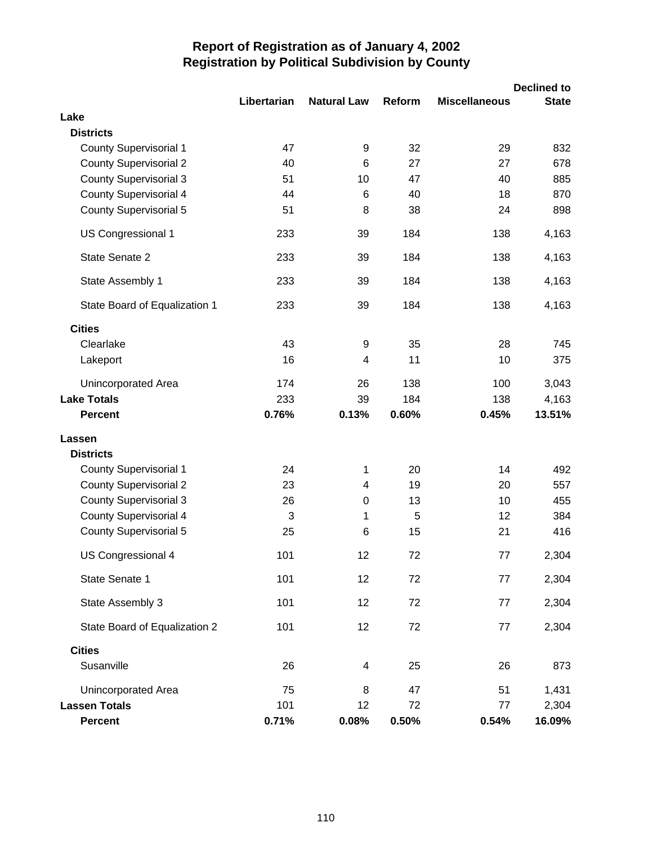|                               |             |                    |        |                      | <b>Declined to</b> |
|-------------------------------|-------------|--------------------|--------|----------------------|--------------------|
|                               | Libertarian | <b>Natural Law</b> | Reform | <b>Miscellaneous</b> | <b>State</b>       |
| Lake                          |             |                    |        |                      |                    |
| <b>Districts</b>              |             |                    |        |                      |                    |
| <b>County Supervisorial 1</b> | 47          | 9                  | 32     | 29                   | 832                |
| <b>County Supervisorial 2</b> | 40          | 6                  | 27     | 27                   | 678                |
| <b>County Supervisorial 3</b> | 51          | 10                 | 47     | 40                   | 885                |
| <b>County Supervisorial 4</b> | 44          | 6                  | 40     | 18                   | 870                |
| <b>County Supervisorial 5</b> | 51          | 8                  | 38     | 24                   | 898                |
| US Congressional 1            | 233         | 39                 | 184    | 138                  | 4,163              |
| State Senate 2                | 233         | 39                 | 184    | 138                  | 4,163              |
| State Assembly 1              | 233         | 39                 | 184    | 138                  | 4,163              |
| State Board of Equalization 1 | 233         | 39                 | 184    | 138                  | 4,163              |
| <b>Cities</b>                 |             |                    |        |                      |                    |
| Clearlake                     | 43          | 9                  | 35     | 28                   | 745                |
| Lakeport                      | 16          | 4                  | 11     | 10                   | 375                |
| Unincorporated Area           | 174         | 26                 | 138    | 100                  | 3,043              |
| <b>Lake Totals</b>            | 233         | 39                 | 184    | 138                  | 4,163              |
| <b>Percent</b>                | 0.76%       | 0.13%              | 0.60%  | 0.45%                | 13.51%             |
| Lassen                        |             |                    |        |                      |                    |
| <b>Districts</b>              |             |                    |        |                      |                    |
| <b>County Supervisorial 1</b> | 24          | 1                  | 20     | 14                   | 492                |
| <b>County Supervisorial 2</b> | 23          | 4                  | 19     | 20                   | 557                |
| <b>County Supervisorial 3</b> | 26          | $\pmb{0}$          | 13     | 10                   | 455                |
| <b>County Supervisorial 4</b> | 3           | 1                  | 5      | 12                   | 384                |
| <b>County Supervisorial 5</b> | 25          | 6                  | 15     | 21                   | 416                |
| US Congressional 4            | 101         | 12                 | 72     | 77                   | 2,304              |
| State Senate 1                | 101         | 12                 | 72     | 77                   | 2,304              |
| State Assembly 3              | 101         | 12                 | 72     | 77                   | 2,304              |
| State Board of Equalization 2 | 101         | 12                 | 72     | 77                   | 2,304              |
| <b>Cities</b>                 |             |                    |        |                      |                    |
| Susanville                    | 26          | 4                  | 25     | 26                   | 873                |
| Unincorporated Area           | 75          | 8                  | 47     | 51                   | 1,431              |
| <b>Lassen Totals</b>          | 101         | 12                 | 72     | 77                   | 2,304              |
| <b>Percent</b>                | 0.71%       | 0.08%              | 0.50%  | 0.54%                | 16.09%             |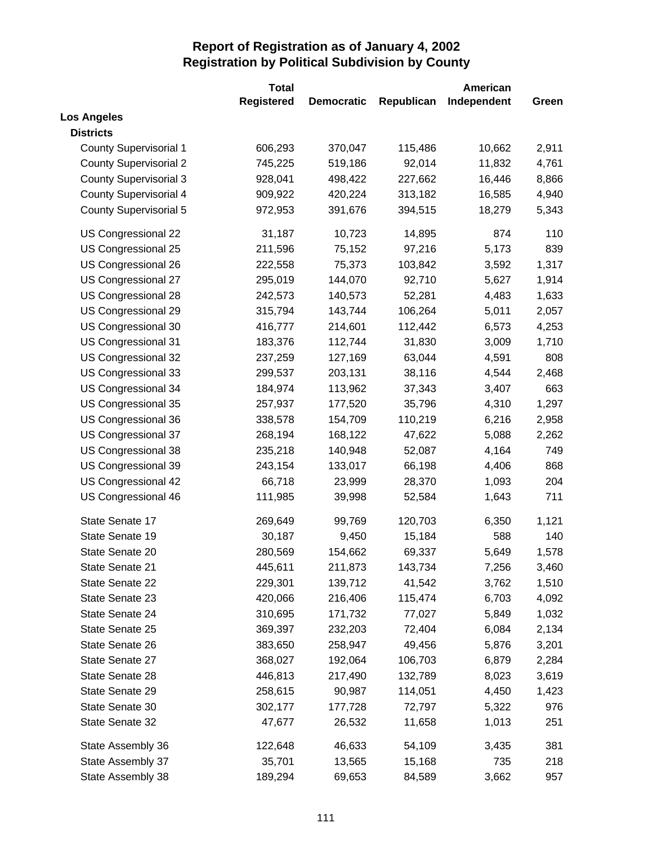|                               | <b>Total</b>      |                   |            | American    |       |
|-------------------------------|-------------------|-------------------|------------|-------------|-------|
|                               | <b>Registered</b> | <b>Democratic</b> | Republican | Independent | Green |
| <b>Los Angeles</b>            |                   |                   |            |             |       |
| <b>Districts</b>              |                   |                   |            |             |       |
| <b>County Supervisorial 1</b> | 606,293           | 370,047           | 115,486    | 10,662      | 2,911 |
| <b>County Supervisorial 2</b> | 745,225           | 519,186           | 92,014     | 11,832      | 4,761 |
| <b>County Supervisorial 3</b> | 928,041           | 498,422           | 227,662    | 16,446      | 8,866 |
| <b>County Supervisorial 4</b> | 909,922           | 420,224           | 313,182    | 16,585      | 4,940 |
| <b>County Supervisorial 5</b> | 972,953           | 391,676           | 394,515    | 18,279      | 5,343 |
| US Congressional 22           | 31,187            | 10,723            | 14,895     | 874         | 110   |
| US Congressional 25           | 211,596           | 75,152            | 97,216     | 5,173       | 839   |
| US Congressional 26           | 222,558           | 75,373            | 103,842    | 3,592       | 1,317 |
| US Congressional 27           | 295,019           | 144,070           | 92,710     | 5,627       | 1,914 |
| US Congressional 28           | 242,573           | 140,573           | 52,281     | 4,483       | 1,633 |
| US Congressional 29           | 315,794           | 143,744           | 106,264    | 5,011       | 2,057 |
| US Congressional 30           | 416,777           | 214,601           | 112,442    | 6,573       | 4,253 |
| US Congressional 31           | 183,376           | 112,744           | 31,830     | 3,009       | 1,710 |
| US Congressional 32           | 237,259           | 127,169           | 63,044     | 4,591       | 808   |
| US Congressional 33           | 299,537           | 203,131           | 38,116     | 4,544       | 2,468 |
| US Congressional 34           | 184,974           | 113,962           | 37,343     | 3,407       | 663   |
| US Congressional 35           | 257,937           | 177,520           | 35,796     | 4,310       | 1,297 |
| US Congressional 36           | 338,578           | 154,709           | 110,219    | 6,216       | 2,958 |
| US Congressional 37           | 268,194           | 168,122           | 47,622     | 5,088       | 2,262 |
| US Congressional 38           | 235,218           | 140,948           | 52,087     | 4,164       | 749   |
| US Congressional 39           | 243,154           | 133,017           | 66,198     | 4,406       | 868   |
| US Congressional 42           | 66,718            | 23,999            | 28,370     | 1,093       | 204   |
| US Congressional 46           | 111,985           | 39,998            | 52,584     | 1,643       | 711   |
| State Senate 17               | 269,649           | 99,769            | 120,703    | 6,350       | 1,121 |
| State Senate 19               | 30,187            | 9,450             | 15,184     | 588         | 140   |
| State Senate 20               | 280,569           | 154,662           | 69,337     | 5,649       | 1,578 |
| State Senate 21               | 445,611           | 211,873           | 143,734    | 7,256       | 3,460 |
| State Senate 22               | 229,301           | 139,712           | 41,542     | 3,762       | 1,510 |
| State Senate 23               | 420,066           | 216,406           | 115,474    | 6,703       | 4,092 |
| State Senate 24               | 310,695           | 171,732           | 77,027     | 5,849       | 1,032 |
| State Senate 25               | 369,397           | 232,203           | 72,404     | 6,084       | 2,134 |
| State Senate 26               | 383,650           | 258,947           | 49,456     | 5,876       | 3,201 |
| State Senate 27               | 368,027           | 192,064           | 106,703    | 6,879       | 2,284 |
| State Senate 28               | 446,813           | 217,490           | 132,789    | 8,023       | 3,619 |
| State Senate 29               | 258,615           | 90,987            | 114,051    | 4,450       | 1,423 |
| State Senate 30               | 302,177           | 177,728           | 72,797     | 5,322       | 976   |
| State Senate 32               | 47,677            | 26,532            | 11,658     | 1,013       | 251   |
| State Assembly 36             | 122,648           | 46,633            | 54,109     | 3,435       | 381   |
| State Assembly 37             | 35,701            | 13,565            | 15,168     | 735         | 218   |
| State Assembly 38             | 189,294           | 69,653            | 84,589     | 3,662       | 957   |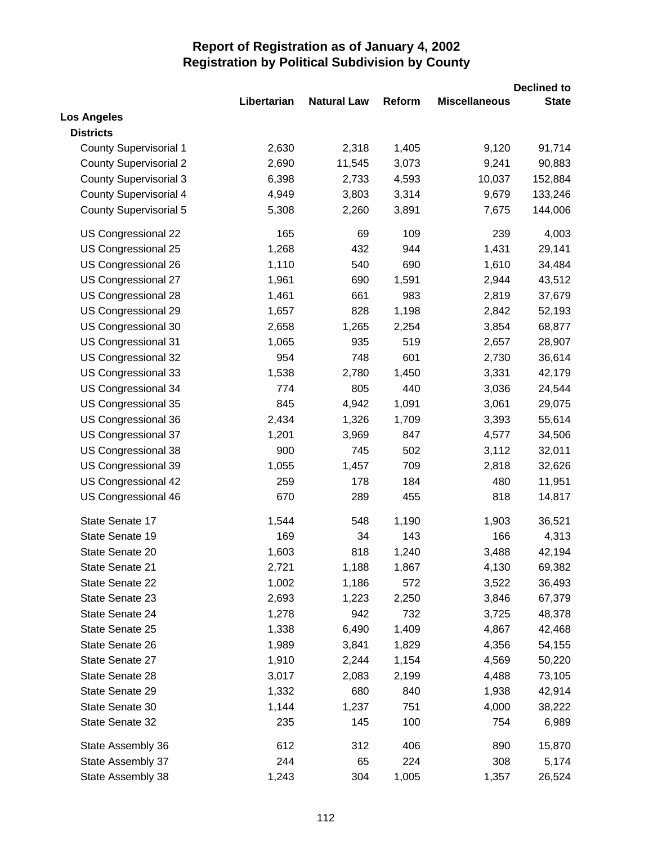|                               |             |                    |        |                      | <b>Declined to</b> |
|-------------------------------|-------------|--------------------|--------|----------------------|--------------------|
|                               | Libertarian | <b>Natural Law</b> | Reform | <b>Miscellaneous</b> | <b>State</b>       |
| <b>Los Angeles</b>            |             |                    |        |                      |                    |
| <b>Districts</b>              |             |                    |        |                      |                    |
| <b>County Supervisorial 1</b> | 2,630       | 2,318              | 1,405  | 9,120                | 91,714             |
| <b>County Supervisorial 2</b> | 2,690       | 11,545             | 3,073  | 9,241                | 90,883             |
| <b>County Supervisorial 3</b> | 6,398       | 2,733              | 4,593  | 10,037               | 152,884            |
| <b>County Supervisorial 4</b> | 4,949       | 3,803              | 3,314  | 9,679                | 133,246            |
| <b>County Supervisorial 5</b> | 5,308       | 2,260              | 3,891  | 7,675                | 144,006            |
| US Congressional 22           | 165         | 69                 | 109    | 239                  | 4,003              |
| US Congressional 25           | 1,268       | 432                | 944    | 1,431                | 29,141             |
| US Congressional 26           | 1,110       | 540                | 690    | 1,610                | 34,484             |
| US Congressional 27           | 1,961       | 690                | 1,591  | 2,944                | 43,512             |
| US Congressional 28           | 1,461       | 661                | 983    | 2,819                | 37,679             |
| US Congressional 29           | 1,657       | 828                | 1,198  | 2,842                | 52,193             |
| US Congressional 30           | 2,658       | 1,265              | 2,254  | 3,854                | 68,877             |
| US Congressional 31           | 1,065       | 935                | 519    | 2,657                | 28,907             |
| US Congressional 32           | 954         | 748                | 601    | 2,730                | 36,614             |
| US Congressional 33           | 1,538       | 2,780              | 1,450  | 3,331                | 42,179             |
| US Congressional 34           | 774         | 805                | 440    | 3,036                | 24,544             |
| US Congressional 35           | 845         | 4,942              | 1,091  | 3,061                | 29,075             |
| US Congressional 36           | 2,434       | 1,326              | 1,709  | 3,393                | 55,614             |
| US Congressional 37           | 1,201       | 3,969              | 847    | 4,577                | 34,506             |
| US Congressional 38           | 900         | 745                | 502    | 3,112                | 32,011             |
| US Congressional 39           | 1,055       | 1,457              | 709    | 2,818                | 32,626             |
| US Congressional 42           | 259         | 178                | 184    | 480                  | 11,951             |
| US Congressional 46           | 670         | 289                | 455    | 818                  | 14,817             |
| State Senate 17               | 1,544       | 548                | 1,190  | 1,903                | 36,521             |
| State Senate 19               | 169         | 34                 | 143    | 166                  | 4,313              |
| State Senate 20               | 1,603       | 818                | 1,240  | 3,488                | 42,194             |
| State Senate 21               | 2,721       | 1,188              | 1,867  | 4,130                | 69,382             |
| State Senate 22               | 1,002       | 1,186              | 572    | 3,522                | 36,493             |
| State Senate 23               | 2,693       | 1,223              | 2,250  | 3,846                | 67,379             |
| State Senate 24               | 1,278       | 942                | 732    | 3,725                | 48,378             |
| State Senate 25               | 1,338       | 6,490              | 1,409  | 4,867                | 42,468             |
| State Senate 26               | 1,989       | 3,841              | 1,829  | 4,356                | 54,155             |
| State Senate 27               | 1,910       | 2,244              | 1,154  | 4,569                | 50,220             |
| State Senate 28               | 3,017       | 2,083              | 2,199  | 4,488                | 73,105             |
| State Senate 29               | 1,332       | 680                | 840    | 1,938                | 42,914             |
| State Senate 30               | 1,144       | 1,237              | 751    | 4,000                | 38,222             |
| State Senate 32               | 235         | 145                | 100    | 754                  | 6,989              |
| State Assembly 36             | 612         | 312                | 406    | 890                  | 15,870             |
| State Assembly 37             | 244         | 65                 | 224    | 308                  | 5,174              |
| State Assembly 38             | 1,243       | 304                | 1,005  | 1,357                | 26,524             |
|                               |             |                    |        |                      |                    |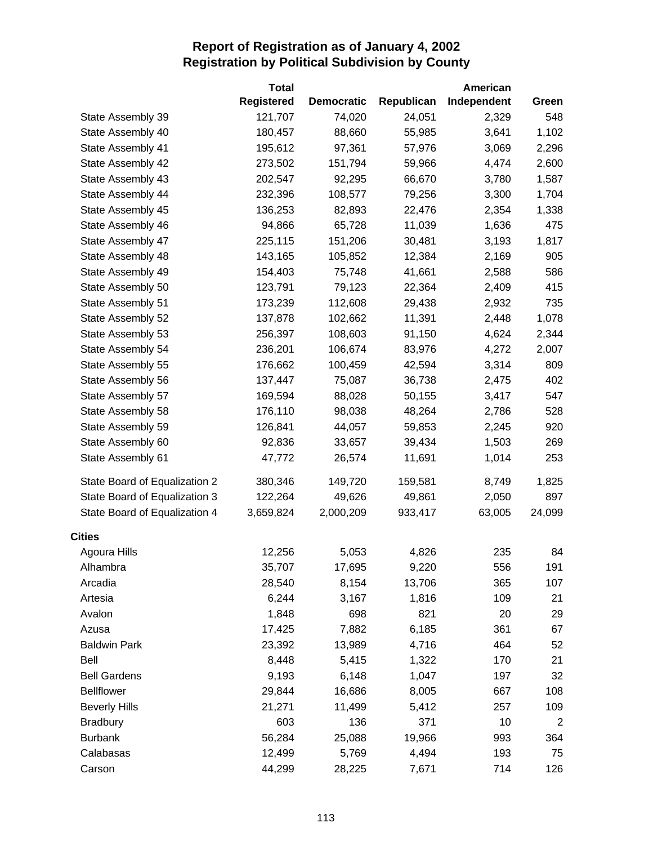|                               | <b>Total</b>      |                   |            | American    |                |
|-------------------------------|-------------------|-------------------|------------|-------------|----------------|
|                               | <b>Registered</b> | <b>Democratic</b> | Republican | Independent | Green          |
| State Assembly 39             | 121,707           | 74,020            | 24,051     | 2,329       | 548            |
| State Assembly 40             | 180,457           | 88,660            | 55,985     | 3,641       | 1,102          |
| State Assembly 41             | 195,612           | 97,361            | 57,976     | 3,069       | 2,296          |
| State Assembly 42             | 273,502           | 151,794           | 59,966     | 4,474       | 2,600          |
| State Assembly 43             | 202,547           | 92,295            | 66,670     | 3,780       | 1,587          |
| State Assembly 44             | 232,396           | 108,577           | 79,256     | 3,300       | 1,704          |
| State Assembly 45             | 136,253           | 82,893            | 22,476     | 2,354       | 1,338          |
| State Assembly 46             | 94,866            | 65,728            | 11,039     | 1,636       | 475            |
| State Assembly 47             | 225,115           | 151,206           | 30,481     | 3,193       | 1,817          |
| State Assembly 48             | 143,165           | 105,852           | 12,384     | 2,169       | 905            |
| State Assembly 49             | 154,403           | 75,748            | 41,661     | 2,588       | 586            |
| State Assembly 50             | 123,791           | 79,123            | 22,364     | 2,409       | 415            |
| State Assembly 51             | 173,239           | 112,608           | 29,438     | 2,932       | 735            |
| State Assembly 52             | 137,878           | 102,662           | 11,391     | 2,448       | 1,078          |
| State Assembly 53             | 256,397           | 108,603           | 91,150     | 4,624       | 2,344          |
| State Assembly 54             | 236,201           | 106,674           | 83,976     | 4,272       | 2,007          |
| State Assembly 55             | 176,662           | 100,459           | 42,594     | 3,314       | 809            |
| State Assembly 56             | 137,447           | 75,087            | 36,738     | 2,475       | 402            |
| State Assembly 57             | 169,594           | 88,028            | 50,155     | 3,417       | 547            |
| State Assembly 58             | 176,110           | 98,038            | 48,264     | 2,786       | 528            |
| State Assembly 59             | 126,841           | 44,057            | 59,853     | 2,245       | 920            |
| State Assembly 60             | 92,836            | 33,657            | 39,434     | 1,503       | 269            |
| State Assembly 61             | 47,772            | 26,574            | 11,691     | 1,014       | 253            |
| State Board of Equalization 2 | 380,346           | 149,720           | 159,581    | 8,749       | 1,825          |
| State Board of Equalization 3 | 122,264           | 49,626            | 49,861     | 2,050       | 897            |
| State Board of Equalization 4 | 3,659,824         | 2,000,209         | 933,417    | 63,005      | 24,099         |
| <b>Cities</b>                 |                   |                   |            |             |                |
| Agoura Hills                  | 12,256            | 5,053             | 4,826      | 235         | 84             |
| Alhambra                      | 35,707            | 17,695            | 9,220      | 556         | 191            |
| Arcadia                       | 28,540            | 8,154             | 13,706     | 365         | 107            |
| Artesia                       | 6,244             | 3,167             | 1,816      | 109         | 21             |
| Avalon                        | 1,848             | 698               | 821        | 20          | 29             |
| Azusa                         | 17,425            | 7,882             | 6,185      | 361         | 67             |
| <b>Baldwin Park</b>           | 23,392            | 13,989            | 4,716      | 464         | 52             |
| Bell                          | 8,448             | 5,415             | 1,322      | 170         | 21             |
| <b>Bell Gardens</b>           | 9,193             | 6,148             | 1,047      | 197         | 32             |
| <b>Bellflower</b>             | 29,844            | 16,686            | 8,005      | 667         | 108            |
| <b>Beverly Hills</b>          | 21,271            | 11,499            | 5,412      | 257         | 109            |
| <b>Bradbury</b>               | 603               | 136               | 371        | 10          | $\overline{2}$ |
| <b>Burbank</b>                | 56,284            | 25,088            | 19,966     | 993         | 364            |
| Calabasas                     | 12,499            | 5,769             | 4,494      | 193         | 75             |
| Carson                        | 44,299            | 28,225            | 7,671      | 714         | 126            |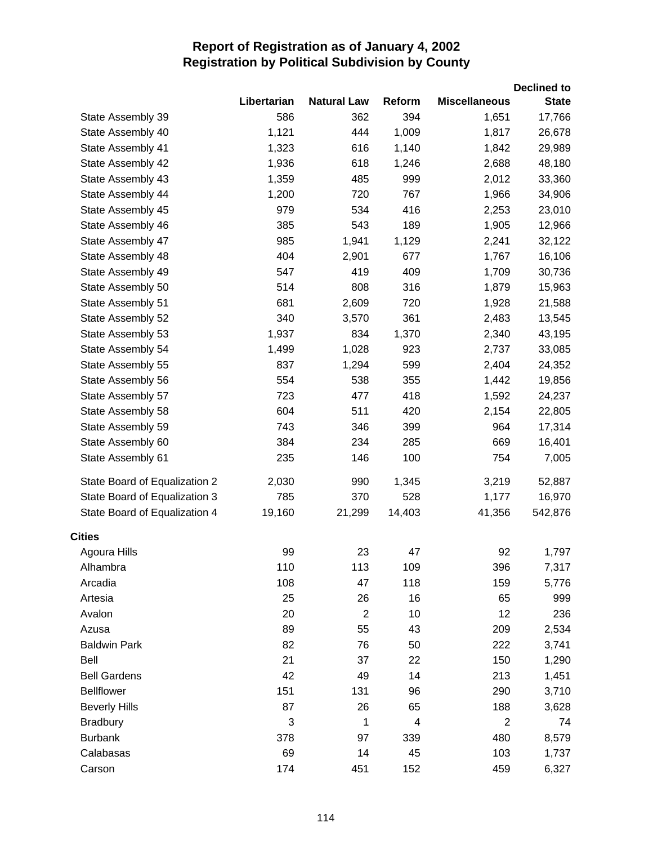|                               |             |                    |        |                      | <b>Declined to</b> |
|-------------------------------|-------------|--------------------|--------|----------------------|--------------------|
|                               | Libertarian | <b>Natural Law</b> | Reform | <b>Miscellaneous</b> | <b>State</b>       |
| State Assembly 39             | 586         | 362                | 394    | 1,651                | 17,766             |
| State Assembly 40             | 1,121       | 444                | 1,009  | 1,817                | 26,678             |
| State Assembly 41             | 1,323       | 616                | 1,140  | 1,842                | 29,989             |
| State Assembly 42             | 1,936       | 618                | 1,246  | 2,688                | 48,180             |
| State Assembly 43             | 1,359       | 485                | 999    | 2,012                | 33,360             |
| State Assembly 44             | 1,200       | 720                | 767    | 1,966                | 34,906             |
| State Assembly 45             | 979         | 534                | 416    | 2,253                | 23,010             |
| State Assembly 46             | 385         | 543                | 189    | 1,905                | 12,966             |
| State Assembly 47             | 985         | 1,941              | 1,129  | 2,241                | 32,122             |
| State Assembly 48             | 404         | 2,901              | 677    | 1,767                | 16,106             |
| State Assembly 49             | 547         | 419                | 409    | 1,709                | 30,736             |
| State Assembly 50             | 514         | 808                | 316    | 1,879                | 15,963             |
| State Assembly 51             | 681         | 2,609              | 720    | 1,928                | 21,588             |
| State Assembly 52             | 340         | 3,570              | 361    | 2,483                | 13,545             |
| State Assembly 53             | 1,937       | 834                | 1,370  | 2,340                | 43,195             |
| State Assembly 54             | 1,499       | 1,028              | 923    | 2,737                | 33,085             |
| State Assembly 55             | 837         | 1,294              | 599    | 2,404                | 24,352             |
| State Assembly 56             | 554         | 538                | 355    | 1,442                | 19,856             |
| State Assembly 57             | 723         | 477                | 418    | 1,592                | 24,237             |
| State Assembly 58             | 604         | 511                | 420    | 2,154                | 22,805             |
| State Assembly 59             | 743         | 346                | 399    | 964                  | 17,314             |
| State Assembly 60             | 384         | 234                | 285    | 669                  | 16,401             |
| State Assembly 61             | 235         | 146                | 100    | 754                  | 7,005              |
| State Board of Equalization 2 | 2,030       | 990                | 1,345  | 3,219                | 52,887             |
| State Board of Equalization 3 | 785         | 370                | 528    | 1,177                | 16,970             |
| State Board of Equalization 4 | 19,160      | 21,299             | 14,403 | 41,356               | 542,876            |
| <b>Cities</b>                 |             |                    |        |                      |                    |
| Agoura Hills                  | 99          | 23                 | 47     | 92                   | 1,797              |
| Alhambra                      | 110         | 113                | 109    | 396                  | 7,317              |
| Arcadia                       | 108         | 47                 | 118    | 159                  | 5,776              |
| Artesia                       | 25          | 26                 | 16     | 65                   | 999                |
| Avalon                        | 20          | $\overline{2}$     | 10     | 12                   | 236                |
| Azusa                         | 89          | 55                 | 43     | 209                  | 2,534              |
| <b>Baldwin Park</b>           | 82          | 76                 | 50     | 222                  | 3,741              |
| Bell                          | 21          | 37                 | 22     | 150                  | 1,290              |
| <b>Bell Gardens</b>           | 42          | 49                 | 14     | 213                  | 1,451              |
| <b>Bellflower</b>             | 151         | 131                | 96     | 290                  | 3,710              |
| <b>Beverly Hills</b>          | 87          | 26                 | 65     | 188                  | 3,628              |
| <b>Bradbury</b>               | 3           | 1                  | 4      | $\overline{2}$       | 74                 |
| <b>Burbank</b>                | 378         | 97                 | 339    | 480                  | 8,579              |
| Calabasas                     | 69          | 14                 | 45     | 103                  | 1,737              |
| Carson                        | 174         | 451                | 152    | 459                  | 6,327              |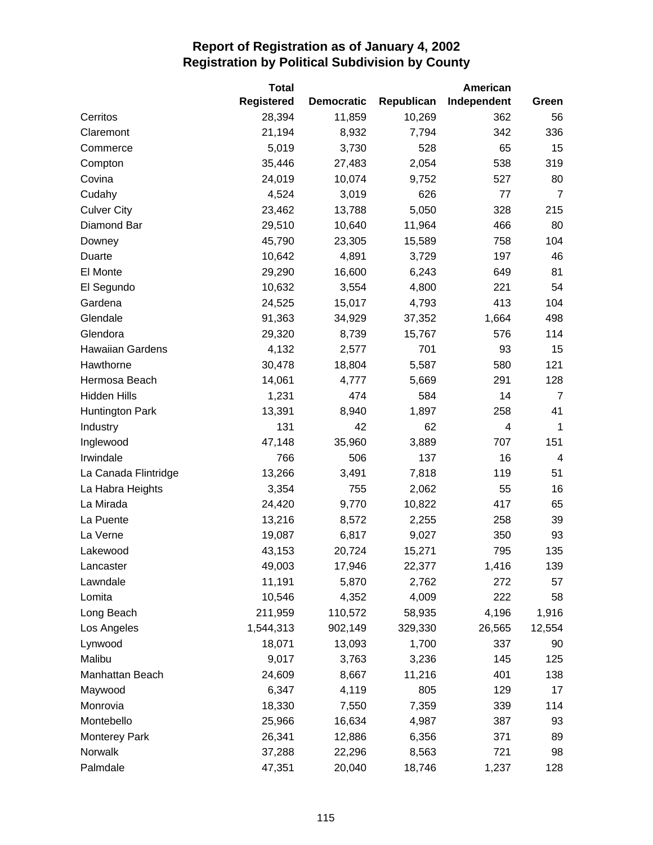|                         | <b>Total</b><br><b>Registered</b> | <b>Democratic</b> | Republican   | American<br>Independent | Green                   |
|-------------------------|-----------------------------------|-------------------|--------------|-------------------------|-------------------------|
| Cerritos                | 28,394                            | 11,859            | 10,269       | 362                     | 56                      |
| Claremont               | 21,194                            | 8,932             | 7,794        | 342                     | 336                     |
| Commerce                | 5,019                             | 3,730             | 528          | 65                      | 15                      |
|                         | 35,446                            |                   |              |                         |                         |
| Compton<br>Covina       | 24,019                            | 27,483            | 2,054        | 538<br>527              | 319<br>80               |
|                         |                                   | 10,074            | 9,752<br>626 |                         |                         |
| Cudahy                  | 4,524                             | 3,019             |              | 77                      | $\overline{7}$          |
| <b>Culver City</b>      | 23,462                            | 13,788            | 5,050        | 328                     | 215                     |
| Diamond Bar             | 29,510                            | 10,640            | 11,964       | 466                     | 80                      |
| Downey                  | 45,790                            | 23,305            | 15,589       | 758                     | 104                     |
| Duarte                  | 10,642                            | 4,891             | 3,729        | 197                     | 46                      |
| El Monte                | 29,290                            | 16,600            | 6,243        | 649                     | 81                      |
| El Segundo              | 10,632                            | 3,554             | 4,800        | 221                     | 54                      |
| Gardena                 | 24,525                            | 15,017            | 4,793        | 413                     | 104                     |
| Glendale                | 91,363                            | 34,929            | 37,352       | 1,664                   | 498                     |
| Glendora                | 29,320                            | 8,739             | 15,767       | 576                     | 114                     |
| <b>Hawaiian Gardens</b> | 4,132                             | 2,577             | 701          | 93                      | 15                      |
| Hawthorne               | 30,478                            | 18,804            | 5,587        | 580                     | 121                     |
| Hermosa Beach           | 14,061                            | 4,777             | 5,669        | 291                     | 128                     |
| <b>Hidden Hills</b>     | 1,231                             | 474               | 584          | 14                      | $\overline{7}$          |
| <b>Huntington Park</b>  | 13,391                            | 8,940             | 1,897        | 258                     | 41                      |
| Industry                | 131                               | 42                | 62           | 4                       | 1                       |
| Inglewood               | 47,148                            | 35,960            | 3,889        | 707                     | 151                     |
| Irwindale               | 766                               | 506               | 137          | 16                      | $\overline{\mathbf{4}}$ |
| La Canada Flintridge    | 13,266                            | 3,491             | 7,818        | 119                     | 51                      |
| La Habra Heights        | 3,354                             | 755               | 2,062        | 55                      | 16                      |
| La Mirada               | 24,420                            | 9,770             | 10,822       | 417                     | 65                      |
| La Puente               | 13,216                            | 8,572             | 2,255        | 258                     | 39                      |
| La Verne                | 19,087                            | 6,817             | 9,027        | 350                     | 93                      |
| Lakewood                | 43,153                            | 20,724            | 15,271       | 795                     | 135                     |
| Lancaster               | 49,003                            | 17,946            | 22,377       | 1,416                   | 139                     |
| Lawndale                | 11,191                            | 5,870             | 2,762        | 272                     | 57                      |
| Lomita                  | 10,546                            | 4,352             | 4,009        | 222                     | 58                      |
| Long Beach              | 211,959                           | 110,572           | 58,935       | 4,196                   | 1,916                   |
| Los Angeles             | 1,544,313                         | 902,149           | 329,330      | 26,565                  | 12,554                  |
| Lynwood                 | 18,071                            | 13,093            | 1,700        | 337                     | 90                      |
| Malibu                  | 9,017                             | 3,763             | 3,236        | 145                     | 125                     |
| Manhattan Beach         | 24,609                            | 8,667             | 11,216       | 401                     | 138                     |
| Maywood                 | 6,347                             | 4,119             | 805          | 129                     | 17                      |
| Monrovia                | 18,330                            | 7,550             | 7,359        | 339                     | 114                     |
| Montebello              | 25,966                            | 16,634            | 4,987        | 387                     | 93                      |
| <b>Monterey Park</b>    | 26,341                            | 12,886            | 6,356        | 371                     | 89                      |
| Norwalk                 | 37,288                            | 22,296            | 8,563        | 721                     | 98                      |
| Palmdale                | 47,351                            | 20,040            | 18,746       | 1,237                   | 128                     |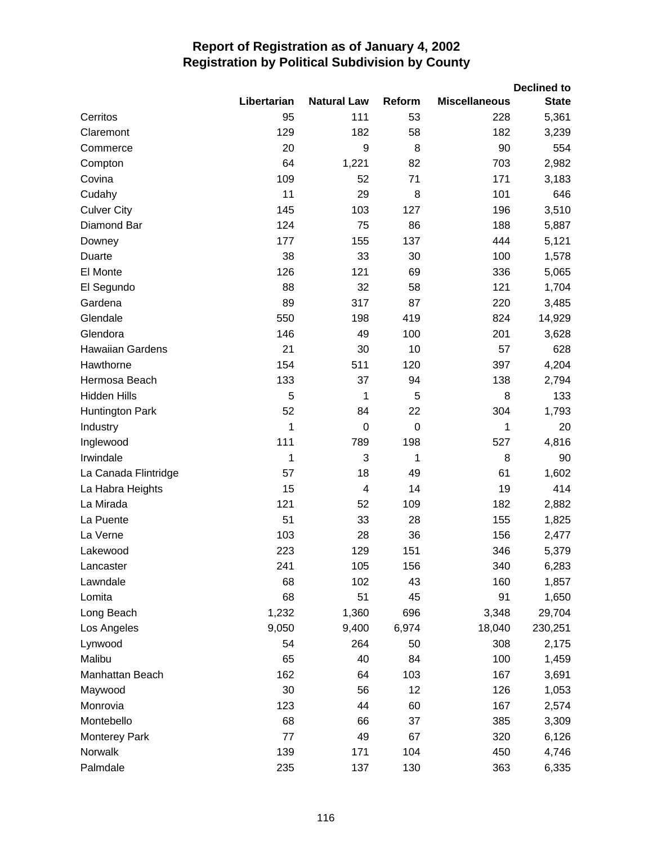|                         |             |                         |                  |                      | <b>Declined to</b> |
|-------------------------|-------------|-------------------------|------------------|----------------------|--------------------|
|                         | Libertarian | <b>Natural Law</b>      | Reform           | <b>Miscellaneous</b> | <b>State</b>       |
| Cerritos                | 95          | 111                     | 53               | 228                  | 5,361              |
| Claremont               | 129         | 182                     | 58               | 182                  | 3,239              |
| Commerce                | 20          | 9                       | 8                | 90                   | 554                |
| Compton                 | 64          | 1,221                   | 82               | 703                  | 2,982              |
| Covina                  | 109         | 52                      | 71               | 171                  | 3,183              |
| Cudahy                  | 11          | 29                      | 8                | 101                  | 646                |
| <b>Culver City</b>      | 145         | 103                     | 127              | 196                  | 3,510              |
| Diamond Bar             | 124         | 75                      | 86               | 188                  | 5,887              |
| Downey                  | 177         | 155                     | 137              | 444                  | 5,121              |
| Duarte                  | 38          | 33                      | 30               | 100                  | 1,578              |
| El Monte                | 126         | 121                     | 69               | 336                  | 5,065              |
| El Segundo              | 88          | 32                      | 58               | 121                  | 1,704              |
| Gardena                 | 89          | 317                     | 87               | 220                  | 3,485              |
| Glendale                | 550         | 198                     | 419              | 824                  | 14,929             |
| Glendora                | 146         | 49                      | 100              | 201                  | 3,628              |
| <b>Hawaiian Gardens</b> | 21          | 30                      | 10               | 57                   | 628                |
| Hawthorne               | 154         | 511                     | 120              | 397                  | 4,204              |
| Hermosa Beach           | 133         | 37                      | 94               | 138                  | 2,794              |
| <b>Hidden Hills</b>     | 5           | 1                       | 5                | 8                    | 133                |
| <b>Huntington Park</b>  | 52          | 84                      | 22               | 304                  | 1,793              |
| Industry                | 1           | $\mathbf 0$             | $\boldsymbol{0}$ | 1                    | 20                 |
| Inglewood               | 111         | 789                     | 198              | 527                  | 4,816              |
| Irwindale               | 1           | 3                       | 1                | 8                    | 90                 |
| La Canada Flintridge    | 57          | 18                      | 49               | 61                   | 1,602              |
| La Habra Heights        | 15          | $\overline{\mathbf{4}}$ | 14               | 19                   | 414                |
| La Mirada               | 121         | 52                      | 109              | 182                  | 2,882              |
| La Puente               | 51          | 33                      | 28               | 155                  | 1,825              |
| La Verne                | 103         | 28                      | 36               | 156                  | 2,477              |
| Lakewood                | 223         | 129                     | 151              | 346                  | 5,379              |
| Lancaster               | 241         | 105                     | 156              | 340                  | 6,283              |
| Lawndale                | 68          | 102                     | 43               | 160                  | 1,857              |
| Lomita                  | 68          | 51                      | 45               | 91                   | 1,650              |
| Long Beach              | 1,232       | 1,360                   | 696              | 3,348                | 29,704             |
| Los Angeles             | 9,050       | 9,400                   | 6,974            | 18,040               | 230,251            |
| Lynwood                 | 54          | 264                     | 50               | 308                  | 2,175              |
| Malibu                  | 65          | 40                      | 84               | 100                  | 1,459              |
| Manhattan Beach         | 162         | 64                      | 103              | 167                  | 3,691              |
| Maywood                 | 30          | 56                      | 12               | 126                  | 1,053              |
| Monrovia                | 123         | 44                      | 60               | 167                  | 2,574              |
| Montebello              | 68          | 66                      | 37               | 385                  | 3,309              |
| <b>Monterey Park</b>    | 77          | 49                      | 67               | 320                  | 6,126              |
| Norwalk                 | 139         | 171                     | 104              | 450                  | 4,746              |
| Palmdale                | 235         | 137                     | 130              | 363                  | 6,335              |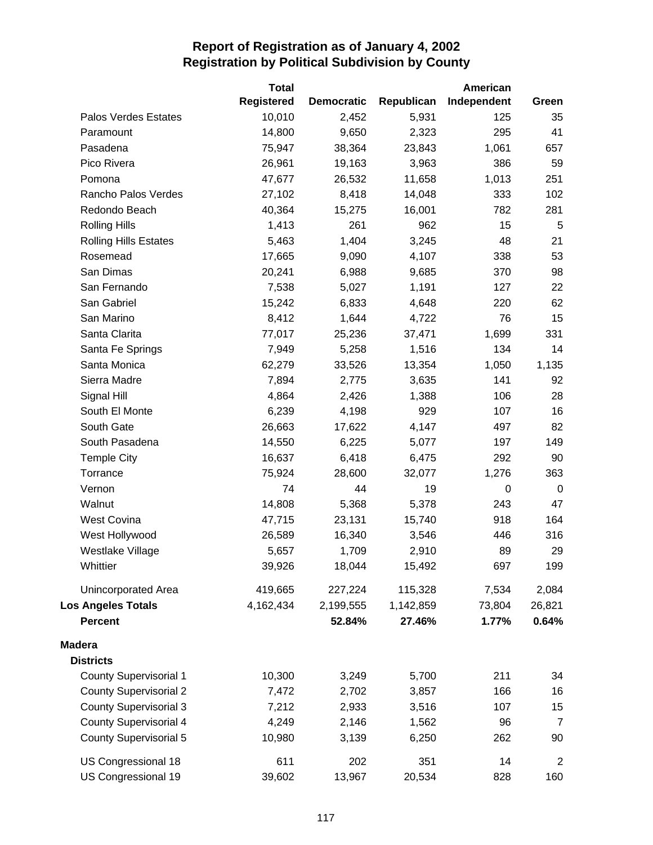|                               | <b>Total</b>      |                   |            | American    |                |
|-------------------------------|-------------------|-------------------|------------|-------------|----------------|
|                               | <b>Registered</b> | <b>Democratic</b> | Republican | Independent | Green          |
| Palos Verdes Estates          | 10,010            | 2,452             | 5,931      | 125         | 35             |
| Paramount                     | 14,800            | 9,650             | 2,323      | 295         | 41             |
| Pasadena                      | 75,947            | 38,364            | 23,843     | 1,061       | 657            |
| Pico Rivera                   | 26,961            | 19,163            | 3,963      | 386         | 59             |
| Pomona                        | 47,677            | 26,532            | 11,658     | 1,013       | 251            |
| Rancho Palos Verdes           | 27,102            | 8,418             | 14,048     | 333         | 102            |
| Redondo Beach                 | 40,364            | 15,275            | 16,001     | 782         | 281            |
| <b>Rolling Hills</b>          | 1,413             | 261               | 962        | 15          | 5              |
| <b>Rolling Hills Estates</b>  | 5,463             | 1,404             | 3,245      | 48          | 21             |
| Rosemead                      | 17,665            | 9,090             | 4,107      | 338         | 53             |
| San Dimas                     | 20,241            | 6,988             | 9,685      | 370         | 98             |
| San Fernando                  | 7,538             | 5,027             | 1,191      | 127         | 22             |
| San Gabriel                   | 15,242            | 6,833             | 4,648      | 220         | 62             |
| San Marino                    | 8,412             | 1,644             | 4,722      | 76          | 15             |
| Santa Clarita                 | 77,017            | 25,236            | 37,471     | 1,699       | 331            |
| Santa Fe Springs              | 7,949             | 5,258             | 1,516      | 134         | 14             |
| Santa Monica                  | 62,279            | 33,526            | 13,354     | 1,050       | 1,135          |
| Sierra Madre                  | 7,894             | 2,775             | 3,635      | 141         | 92             |
| Signal Hill                   | 4,864             | 2,426             | 1,388      | 106         | 28             |
| South El Monte                | 6,239             | 4,198             | 929        | 107         | 16             |
| South Gate                    | 26,663            | 17,622            | 4,147      | 497         | 82             |
| South Pasadena                | 14,550            | 6,225             | 5,077      | 197         | 149            |
| <b>Temple City</b>            | 16,637            | 6,418             | 6,475      | 292         | 90             |
| Torrance                      | 75,924            | 28,600            | 32,077     | 1,276       | 363            |
| Vernon                        | 74                | 44                | 19         | 0           | 0              |
| Walnut                        | 14,808            | 5,368             | 5,378      | 243         | 47             |
| <b>West Covina</b>            | 47,715            | 23,131            | 15,740     | 918         | 164            |
| West Hollywood                | 26,589            | 16,340            | 3,546      | 446         | 316            |
| Westlake Village              | 5,657             | 1,709             | 2,910      | 89          | 29             |
| Whittier                      | 39,926            | 18,044            | 15,492     | 697         | 199            |
| <b>Unincorporated Area</b>    | 419,665           | 227,224           | 115,328    | 7,534       | 2,084          |
| <b>Los Angeles Totals</b>     | 4,162,434         | 2,199,555         | 1,142,859  | 73,804      | 26,821         |
| <b>Percent</b>                |                   | 52.84%            | 27.46%     | 1.77%       | 0.64%          |
| <b>Madera</b>                 |                   |                   |            |             |                |
| <b>Districts</b>              |                   |                   |            |             |                |
| <b>County Supervisorial 1</b> | 10,300            | 3,249             | 5,700      | 211         | 34             |
| <b>County Supervisorial 2</b> | 7,472             | 2,702             | 3,857      | 166         | 16             |
| <b>County Supervisorial 3</b> | 7,212             | 2,933             | 3,516      | 107         | 15             |
| <b>County Supervisorial 4</b> | 4,249             | 2,146             | 1,562      | 96          | $\overline{7}$ |
| <b>County Supervisorial 5</b> | 10,980            | 3,139             | 6,250      | 262         | 90             |
| US Congressional 18           | 611               | 202               | 351        | 14          | $\overline{2}$ |
| US Congressional 19           | 39,602            | 13,967            | 20,534     | 828         | 160            |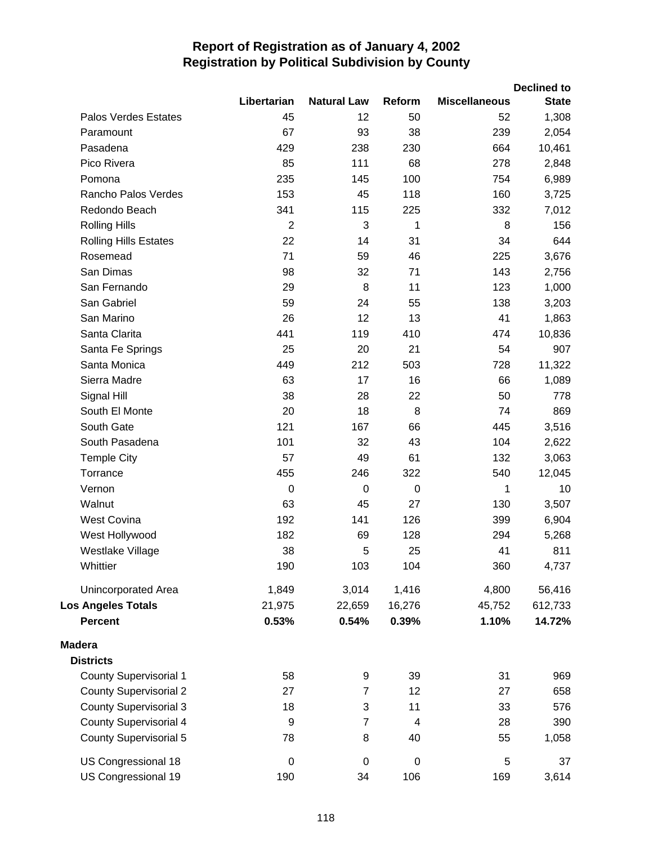|                               |                  |                    |                  |                      | <b>Declined to</b> |
|-------------------------------|------------------|--------------------|------------------|----------------------|--------------------|
|                               | Libertarian      | <b>Natural Law</b> | Reform           | <b>Miscellaneous</b> | <b>State</b>       |
| <b>Palos Verdes Estates</b>   | 45               | 12                 | 50               | 52                   | 1,308              |
| Paramount                     | 67               | 93                 | 38               | 239                  | 2,054              |
| Pasadena                      | 429              | 238                | 230              | 664                  | 10,461             |
| Pico Rivera                   | 85               | 111                | 68               | 278                  | 2,848              |
| Pomona                        | 235              | 145                | 100              | 754                  | 6,989              |
| Rancho Palos Verdes           | 153              | 45                 | 118              | 160                  | 3,725              |
| Redondo Beach                 | 341              | 115                | 225              | 332                  | 7,012              |
| <b>Rolling Hills</b>          | $\overline{2}$   | 3                  | 1                | 8                    | 156                |
| <b>Rolling Hills Estates</b>  | 22               | 14                 | 31               | 34                   | 644                |
| Rosemead                      | 71               | 59                 | 46               | 225                  | 3,676              |
| San Dimas                     | 98               | 32                 | 71               | 143                  | 2,756              |
| San Fernando                  | 29               | 8                  | 11               | 123                  | 1,000              |
| San Gabriel                   | 59               | 24                 | 55               | 138                  | 3,203              |
| San Marino                    | 26               | 12                 | 13               | 41                   | 1,863              |
| Santa Clarita                 | 441              | 119                | 410              | 474                  | 10,836             |
| Santa Fe Springs              | 25               | 20                 | 21               | 54                   | 907                |
| Santa Monica                  | 449              | 212                | 503              | 728                  | 11,322             |
| Sierra Madre                  | 63               | 17                 | 16               | 66                   | 1,089              |
| Signal Hill                   | 38               | 28                 | 22               | 50                   | 778                |
| South El Monte                | 20               | 18                 | 8                | 74                   | 869                |
| South Gate                    | 121              | 167                | 66               | 445                  | 3,516              |
| South Pasadena                | 101              | 32                 | 43               | 104                  | 2,622              |
| <b>Temple City</b>            | 57               | 49                 | 61               | 132                  | 3,063              |
| Torrance                      | 455              | 246                | 322              | 540                  | 12,045             |
| Vernon                        | $\Omega$         | 0                  | 0                | 1                    | 10                 |
| Walnut                        | 63               | 45                 | 27               | 130                  | 3,507              |
| <b>West Covina</b>            | 192              | 141                | 126              | 399                  | 6,904              |
| West Hollywood                | 182              | 69                 | 128              | 294                  | 5,268              |
| Westlake Village              | 38               | 5                  | 25               | 41                   | 811                |
| Whittier                      | 190              | 103                | 104              | 360                  | 4,737              |
| Unincorporated Area           | 1,849            | 3,014              | 1,416            | 4,800                | 56,416             |
| <b>Los Angeles Totals</b>     | 21,975           | 22,659             | 16,276           | 45,752               | 612,733            |
| <b>Percent</b>                | 0.53%            | 0.54%              | 0.39%            | 1.10%                | 14.72%             |
| <b>Madera</b>                 |                  |                    |                  |                      |                    |
| <b>Districts</b>              |                  |                    |                  |                      |                    |
| <b>County Supervisorial 1</b> | 58               | 9                  | 39               | 31                   | 969                |
| <b>County Supervisorial 2</b> | 27               | $\overline{7}$     | 12               | 27                   | 658                |
| <b>County Supervisorial 3</b> | 18               | 3                  | 11               | 33                   | 576                |
| <b>County Supervisorial 4</b> | 9                | $\overline{7}$     | 4                | 28                   | 390                |
| <b>County Supervisorial 5</b> | 78               | 8                  | 40               | 55                   | 1,058              |
| US Congressional 18           | $\boldsymbol{0}$ | $\pmb{0}$          | $\boldsymbol{0}$ | 5                    | 37                 |
| US Congressional 19           | 190              | 34                 | 106              | 169                  | 3,614              |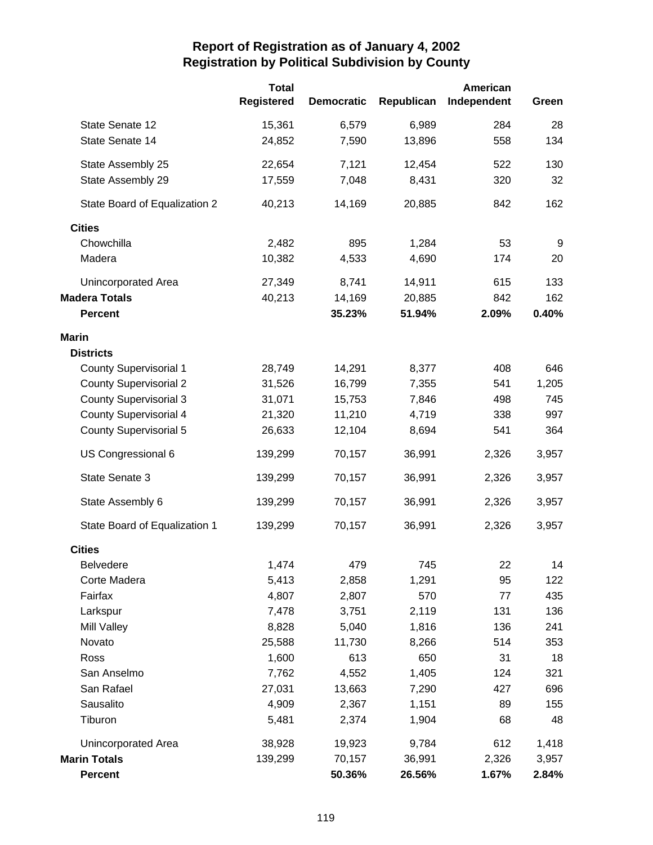|                               | <b>Total</b>      |                   |            | American    |       |
|-------------------------------|-------------------|-------------------|------------|-------------|-------|
|                               | <b>Registered</b> | <b>Democratic</b> | Republican | Independent | Green |
| State Senate 12               | 15,361            | 6,579             | 6,989      | 284         | 28    |
| State Senate 14               | 24,852            | 7,590             | 13,896     | 558         | 134   |
| State Assembly 25             | 22,654            | 7,121             | 12,454     | 522         | 130   |
| State Assembly 29             | 17,559            | 7,048             | 8,431      | 320         | 32    |
| State Board of Equalization 2 | 40,213            | 14,169            | 20,885     | 842         | 162   |
| <b>Cities</b>                 |                   |                   |            |             |       |
| Chowchilla                    | 2,482             | 895               | 1,284      | 53          | 9     |
| Madera                        | 10,382            | 4,533             | 4,690      | 174         | 20    |
| Unincorporated Area           | 27,349            | 8,741             | 14,911     | 615         | 133   |
| <b>Madera Totals</b>          | 40,213            | 14,169            | 20,885     | 842         | 162   |
| <b>Percent</b>                |                   | 35.23%            | 51.94%     | 2.09%       | 0.40% |
| <b>Marin</b>                  |                   |                   |            |             |       |
| <b>Districts</b>              |                   |                   |            |             |       |
| <b>County Supervisorial 1</b> | 28,749            | 14,291            | 8,377      | 408         | 646   |
| <b>County Supervisorial 2</b> | 31,526            | 16,799            | 7,355      | 541         | 1,205 |
| <b>County Supervisorial 3</b> | 31,071            | 15,753            | 7,846      | 498         | 745   |
| <b>County Supervisorial 4</b> | 21,320            | 11,210            | 4,719      | 338         | 997   |
| <b>County Supervisorial 5</b> | 26,633            | 12,104            | 8,694      | 541         | 364   |
| US Congressional 6            | 139,299           | 70,157            | 36,991     | 2,326       | 3,957 |
| State Senate 3                | 139,299           | 70,157            | 36,991     | 2,326       | 3,957 |
| State Assembly 6              | 139,299           | 70,157            | 36,991     | 2,326       | 3,957 |
| State Board of Equalization 1 | 139,299           | 70,157            | 36,991     | 2,326       | 3,957 |
| <b>Cities</b>                 |                   |                   |            |             |       |
| <b>Belvedere</b>              | 1,474             | 479               | 745        | 22          | 14    |
| Corte Madera                  | 5,413             | 2,858             | 1,291      | 95          | 122   |
| Fairfax                       | 4,807             | 2,807             | 570        | 77          | 435   |
| Larkspur                      | 7,478             | 3,751             | 2,119      | 131         | 136   |
| Mill Valley                   | 8,828             | 5,040             | 1,816      | 136         | 241   |
| Novato                        | 25,588            | 11,730            | 8,266      | 514         | 353   |
| Ross                          | 1,600             | 613               | 650        | 31          | 18    |
| San Anselmo                   | 7,762             | 4,552             | 1,405      | 124         | 321   |
| San Rafael                    | 27,031            | 13,663            | 7,290      | 427         | 696   |
| Sausalito                     | 4,909             | 2,367             | 1,151      | 89          | 155   |
| Tiburon                       | 5,481             | 2,374             | 1,904      | 68          | 48    |
| Unincorporated Area           | 38,928            | 19,923            | 9,784      | 612         | 1,418 |
| <b>Marin Totals</b>           | 139,299           | 70,157            | 36,991     | 2,326       | 3,957 |
| <b>Percent</b>                |                   | 50.36%            | 26.56%     | 1.67%       | 2.84% |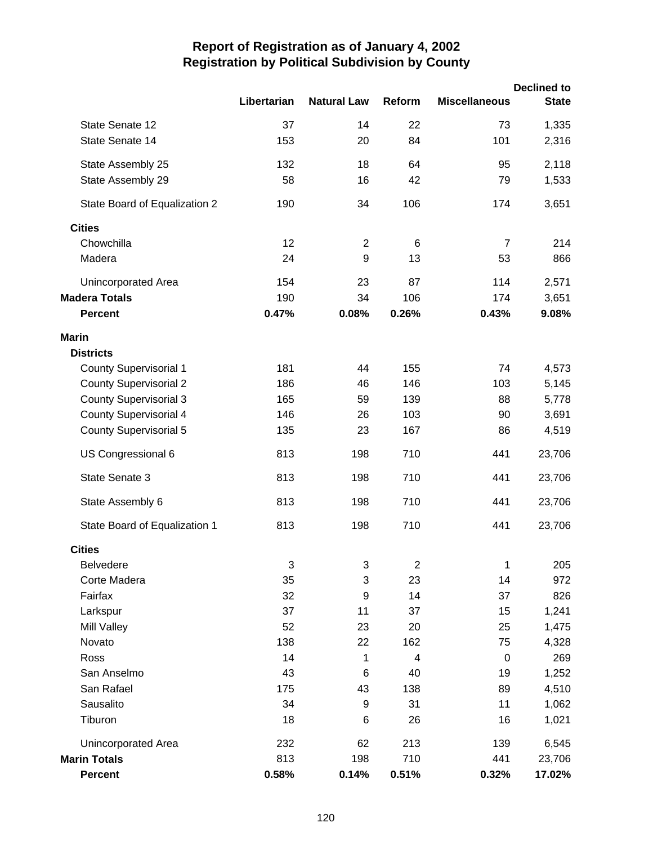|                               |             |                    |        |                      | <b>Declined to</b> |
|-------------------------------|-------------|--------------------|--------|----------------------|--------------------|
|                               | Libertarian | <b>Natural Law</b> | Reform | <b>Miscellaneous</b> | <b>State</b>       |
| State Senate 12               | 37          | 14                 | 22     | 73                   | 1,335              |
| State Senate 14               | 153         | 20                 | 84     | 101                  | 2,316              |
| State Assembly 25             | 132         | 18                 | 64     | 95                   | 2,118              |
| State Assembly 29             | 58          | 16                 | 42     | 79                   | 1,533              |
| State Board of Equalization 2 | 190         | 34                 | 106    | 174                  | 3,651              |
| <b>Cities</b>                 |             |                    |        |                      |                    |
| Chowchilla                    | 12          | $\overline{2}$     | 6      | $\overline{7}$       | 214                |
| Madera                        | 24          | 9                  | 13     | 53                   | 866                |
| Unincorporated Area           | 154         | 23                 | 87     | 114                  | 2,571              |
| <b>Madera Totals</b>          | 190         | 34                 | 106    | 174                  | 3,651              |
| <b>Percent</b>                | 0.47%       | 0.08%              | 0.26%  | 0.43%                | 9.08%              |
| <b>Marin</b>                  |             |                    |        |                      |                    |
| <b>Districts</b>              |             |                    |        |                      |                    |
| <b>County Supervisorial 1</b> | 181         | 44                 | 155    | 74                   | 4,573              |
| <b>County Supervisorial 2</b> | 186         | 46                 | 146    | 103                  | 5,145              |
| <b>County Supervisorial 3</b> | 165         | 59                 | 139    | 88                   | 5,778              |
| <b>County Supervisorial 4</b> | 146         | 26                 | 103    | 90                   | 3,691              |
| <b>County Supervisorial 5</b> | 135         | 23                 | 167    | 86                   | 4,519              |
| US Congressional 6            | 813         | 198                | 710    | 441                  | 23,706             |
| State Senate 3                | 813         | 198                | 710    | 441                  | 23,706             |
| State Assembly 6              | 813         | 198                | 710    | 441                  | 23,706             |
| State Board of Equalization 1 | 813         | 198                | 710    | 441                  | 23,706             |
| <b>Cities</b>                 |             |                    |        |                      |                    |
| <b>Belvedere</b>              | 3           | 3                  | 2      | 1                    | 205                |
| Corte Madera                  | 35          | 3                  | 23     | 14                   | 972                |
| Fairfax                       | 32          | 9                  | 14     | 37                   | 826                |
| Larkspur                      | 37          | 11                 | 37     | 15                   | 1,241              |
| <b>Mill Valley</b>            | 52          | 23                 | 20     | 25                   | 1,475              |
| Novato                        | 138         | 22                 | 162    | 75                   | 4,328              |
| Ross                          | 14          | 1                  | 4      | $\boldsymbol{0}$     | 269                |
| San Anselmo                   | 43          | 6                  | 40     | 19                   | 1,252              |
| San Rafael                    | 175         | 43                 | 138    | 89                   | 4,510              |
| Sausalito                     | 34          | 9                  | 31     | 11                   | 1,062              |
| Tiburon                       | 18          | 6                  | 26     | 16                   | 1,021              |
| Unincorporated Area           | 232         | 62                 | 213    | 139                  | 6,545              |
| <b>Marin Totals</b>           | 813         | 198                | 710    | 441                  | 23,706             |
| <b>Percent</b>                | 0.58%       | 0.14%              | 0.51%  | 0.32%                | 17.02%             |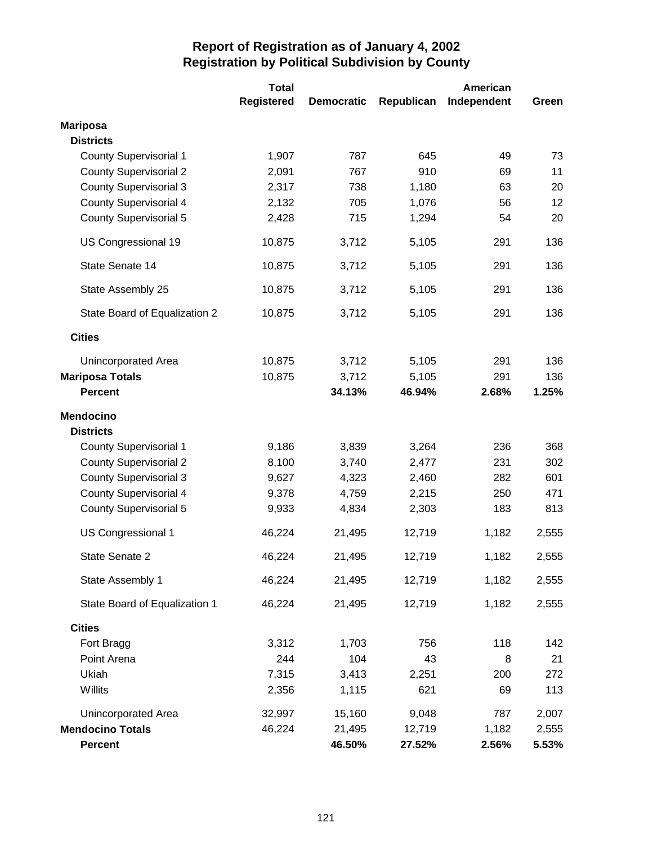|                               | <b>Total</b>      |                   |            | American    |       |
|-------------------------------|-------------------|-------------------|------------|-------------|-------|
|                               | <b>Registered</b> | <b>Democratic</b> | Republican | Independent | Green |
| <b>Mariposa</b>               |                   |                   |            |             |       |
| <b>Districts</b>              |                   |                   |            |             |       |
| <b>County Supervisorial 1</b> | 1,907             | 787               | 645        | 49          | 73    |
| <b>County Supervisorial 2</b> | 2,091             | 767               | 910        | 69          | 11    |
| <b>County Supervisorial 3</b> | 2,317             | 738               | 1,180      | 63          | 20    |
| <b>County Supervisorial 4</b> | 2,132             | 705               | 1,076      | 56          | 12    |
| <b>County Supervisorial 5</b> | 2,428             | 715               | 1,294      | 54          | 20    |
| US Congressional 19           | 10,875            | 3,712             | 5,105      | 291         | 136   |
| State Senate 14               | 10,875            | 3,712             | 5,105      | 291         | 136   |
| State Assembly 25             | 10,875            | 3,712             | 5,105      | 291         | 136   |
| State Board of Equalization 2 | 10,875            | 3,712             | 5,105      | 291         | 136   |
| <b>Cities</b>                 |                   |                   |            |             |       |
| Unincorporated Area           | 10,875            | 3,712             | 5,105      | 291         | 136   |
| <b>Mariposa Totals</b>        | 10,875            | 3,712             | 5,105      | 291         | 136   |
| <b>Percent</b>                |                   | 34.13%            | 46.94%     | 2.68%       | 1.25% |
| <b>Mendocino</b>              |                   |                   |            |             |       |
| <b>Districts</b>              |                   |                   |            |             |       |
| <b>County Supervisorial 1</b> | 9,186             | 3,839             | 3,264      | 236         | 368   |
| <b>County Supervisorial 2</b> | 8,100             | 3,740             | 2,477      | 231         | 302   |
| <b>County Supervisorial 3</b> | 9,627             | 4,323             | 2,460      | 282         | 601   |
| <b>County Supervisorial 4</b> | 9,378             | 4,759             | 2,215      | 250         | 471   |
| <b>County Supervisorial 5</b> | 9,933             | 4,834             | 2,303      | 183         | 813   |
| US Congressional 1            | 46,224            | 21,495            | 12,719     | 1,182       | 2,555 |
| State Senate 2                | 46,224            | 21,495            | 12,719     | 1,182       | 2,555 |
| State Assembly 1              | 46,224            | 21,495            | 12,719     | 1,182       | 2,555 |
| State Board of Equalization 1 | 46,224            | 21,495            | 12,719     | 1,182       | 2,555 |
| <b>Cities</b>                 |                   |                   |            |             |       |
| Fort Bragg                    | 3,312             | 1,703             | 756        | 118         | 142   |
| Point Arena                   | 244               | 104               | 43         | 8           | 21    |
| Ukiah                         | 7,315             | 3,413             | 2,251      | 200         | 272   |
| Willits                       | 2,356             | 1,115             | 621        | 69          | 113   |
| Unincorporated Area           | 32,997            | 15,160            | 9,048      | 787         | 2,007 |
| <b>Mendocino Totals</b>       | 46,224            | 21,495            | 12,719     | 1,182       | 2,555 |
| <b>Percent</b>                |                   | 46.50%            | 27.52%     | 2.56%       | 5.53% |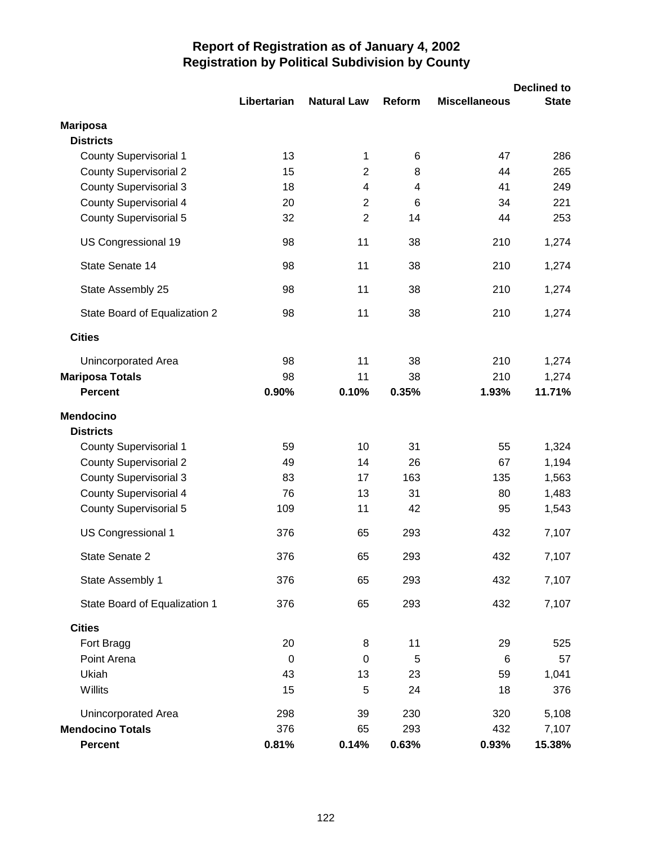|                               | Libertarian | <b>Natural Law</b> | Reform | <b>Miscellaneous</b> | <b>Declined to</b><br><b>State</b> |
|-------------------------------|-------------|--------------------|--------|----------------------|------------------------------------|
|                               |             |                    |        |                      |                                    |
| <b>Mariposa</b>               |             |                    |        |                      |                                    |
| <b>Districts</b>              |             |                    |        |                      |                                    |
| <b>County Supervisorial 1</b> | 13          | 1                  | 6      | 47                   | 286                                |
| <b>County Supervisorial 2</b> | 15          | $\overline{2}$     | 8      | 44                   | 265                                |
| <b>County Supervisorial 3</b> | 18          | 4                  | 4      | 41                   | 249                                |
| <b>County Supervisorial 4</b> | 20          | $\overline{2}$     | 6      | 34                   | 221                                |
| <b>County Supervisorial 5</b> | 32          | $\overline{2}$     | 14     | 44                   | 253                                |
| US Congressional 19           | 98          | 11                 | 38     | 210                  | 1,274                              |
| State Senate 14               | 98          | 11                 | 38     | 210                  | 1,274                              |
| State Assembly 25             | 98          | 11                 | 38     | 210                  | 1,274                              |
| State Board of Equalization 2 | 98          | 11                 | 38     | 210                  | 1,274                              |
| <b>Cities</b>                 |             |                    |        |                      |                                    |
| Unincorporated Area           | 98          | 11                 | 38     | 210                  | 1,274                              |
| <b>Mariposa Totals</b>        | 98          | 11                 | 38     | 210                  | 1,274                              |
| <b>Percent</b>                | 0.90%       | 0.10%              | 0.35%  | 1.93%                | 11.71%                             |
| <b>Mendocino</b>              |             |                    |        |                      |                                    |
| <b>Districts</b>              |             |                    |        |                      |                                    |
| <b>County Supervisorial 1</b> | 59          | 10                 | 31     | 55                   | 1,324                              |
| <b>County Supervisorial 2</b> | 49          | 14                 | 26     | 67                   | 1,194                              |
| <b>County Supervisorial 3</b> | 83          | 17                 | 163    | 135                  | 1,563                              |
| <b>County Supervisorial 4</b> | 76          | 13                 | 31     | 80                   | 1,483                              |
| <b>County Supervisorial 5</b> | 109         | 11                 | 42     | 95                   | 1,543                              |
| US Congressional 1            | 376         | 65                 | 293    | 432                  | 7,107                              |
| State Senate 2                | 376         | 65                 | 293    | 432                  | 7,107                              |
| State Assembly 1              | 376         | 65                 | 293    | 432                  | 7,107                              |
| State Board of Equalization 1 | 376         | 65                 | 293    | 432                  | 7,107                              |
| <b>Cities</b>                 |             |                    |        |                      |                                    |
| Fort Bragg                    | 20          | 8                  | 11     | 29                   | 525                                |
| Point Arena                   | $\pmb{0}$   | $\pmb{0}$          | 5      | 6                    | 57                                 |
| Ukiah                         | 43          | 13                 | 23     | 59                   | 1,041                              |
| Willits                       | 15          | 5                  | 24     | 18                   | 376                                |
| Unincorporated Area           | 298         | 39                 | 230    | 320                  | 5,108                              |
| <b>Mendocino Totals</b>       | 376         | 65                 | 293    | 432                  | 7,107                              |
| Percent                       | 0.81%       | 0.14%              | 0.63%  | 0.93%                | 15.38%                             |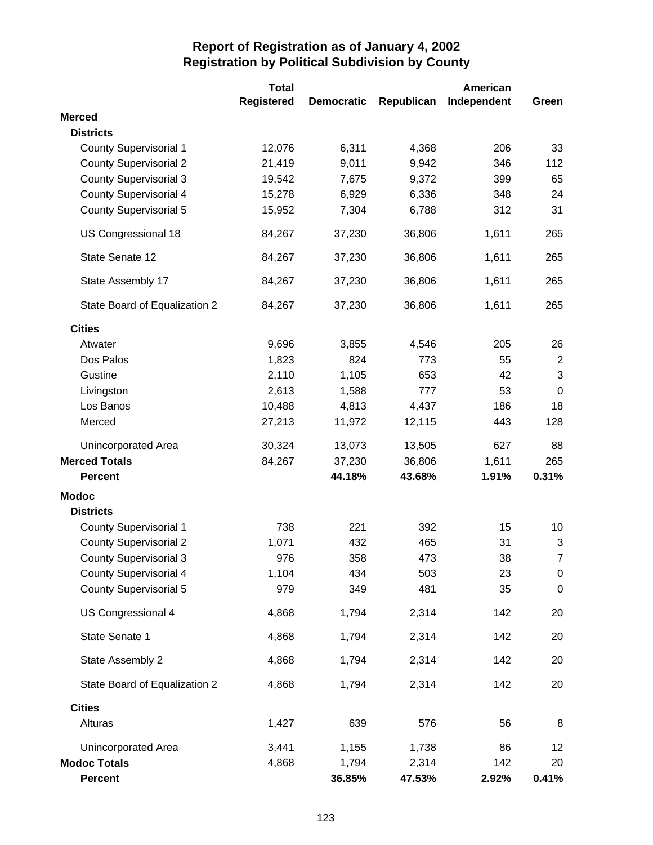|                               | <b>Total</b>      |                   |            | American    |                |
|-------------------------------|-------------------|-------------------|------------|-------------|----------------|
|                               | <b>Registered</b> | <b>Democratic</b> | Republican | Independent | Green          |
| <b>Merced</b>                 |                   |                   |            |             |                |
| <b>Districts</b>              |                   |                   |            |             |                |
| <b>County Supervisorial 1</b> | 12,076            | 6,311             | 4,368      | 206         | 33             |
| <b>County Supervisorial 2</b> | 21,419            | 9,011             | 9,942      | 346         | 112            |
| <b>County Supervisorial 3</b> | 19,542            | 7,675             | 9,372      | 399         | 65             |
| <b>County Supervisorial 4</b> | 15,278            | 6,929             | 6,336      | 348         | 24             |
| <b>County Supervisorial 5</b> | 15,952            | 7,304             | 6,788      | 312         | 31             |
| US Congressional 18           | 84,267            | 37,230            | 36,806     | 1,611       | 265            |
| State Senate 12               | 84,267            | 37,230            | 36,806     | 1,611       | 265            |
| State Assembly 17             | 84,267            | 37,230            | 36,806     | 1,611       | 265            |
| State Board of Equalization 2 | 84,267            | 37,230            | 36,806     | 1,611       | 265            |
| <b>Cities</b>                 |                   |                   |            |             |                |
| Atwater                       | 9,696             | 3,855             | 4,546      | 205         | 26             |
| Dos Palos                     | 1,823             | 824               | 773        | 55          | $\overline{2}$ |
| Gustine                       | 2,110             | 1,105             | 653        | 42          | 3              |
| Livingston                    | 2,613             | 1,588             | 777        | 53          | $\mathbf 0$    |
| Los Banos                     | 10,488            | 4,813             | 4,437      | 186         | 18             |
| Merced                        | 27,213            | 11,972            | 12,115     | 443         | 128            |
| Unincorporated Area           | 30,324            | 13,073            | 13,505     | 627         | 88             |
| <b>Merced Totals</b>          | 84,267            | 37,230            | 36,806     | 1,611       | 265            |
| <b>Percent</b>                |                   | 44.18%            | 43.68%     | 1.91%       | 0.31%          |
| <b>Modoc</b>                  |                   |                   |            |             |                |
| <b>Districts</b>              |                   |                   |            |             |                |
| <b>County Supervisorial 1</b> | 738               | 221               | 392        | 15          | 10             |
| <b>County Supervisorial 2</b> | 1,071             | 432               | 465        | 31          | 3              |
| <b>County Supervisorial 3</b> | 976               | 358               | 473        | 38          | 7              |
| <b>County Supervisorial 4</b> | 1,104             | 434               | 503        | 23          | $\pmb{0}$      |
| <b>County Supervisorial 5</b> | 979               | 349               | 481        | 35          | $\pmb{0}$      |
| US Congressional 4            | 4,868             | 1,794             | 2,314      | 142         | 20             |
| State Senate 1                | 4,868             | 1,794             | 2,314      | 142         | 20             |
| State Assembly 2              | 4,868             | 1,794             | 2,314      | 142         | 20             |
| State Board of Equalization 2 | 4,868             | 1,794             | 2,314      | 142         | 20             |
| <b>Cities</b>                 |                   |                   |            |             |                |
| Alturas                       | 1,427             | 639               | 576        | 56          | 8              |
| Unincorporated Area           | 3,441             | 1,155             | 1,738      | 86          | 12             |
| <b>Modoc Totals</b>           | 4,868             | 1,794             | 2,314      | 142         | 20             |
| <b>Percent</b>                |                   | 36.85%            | 47.53%     | 2.92%       | 0.41%          |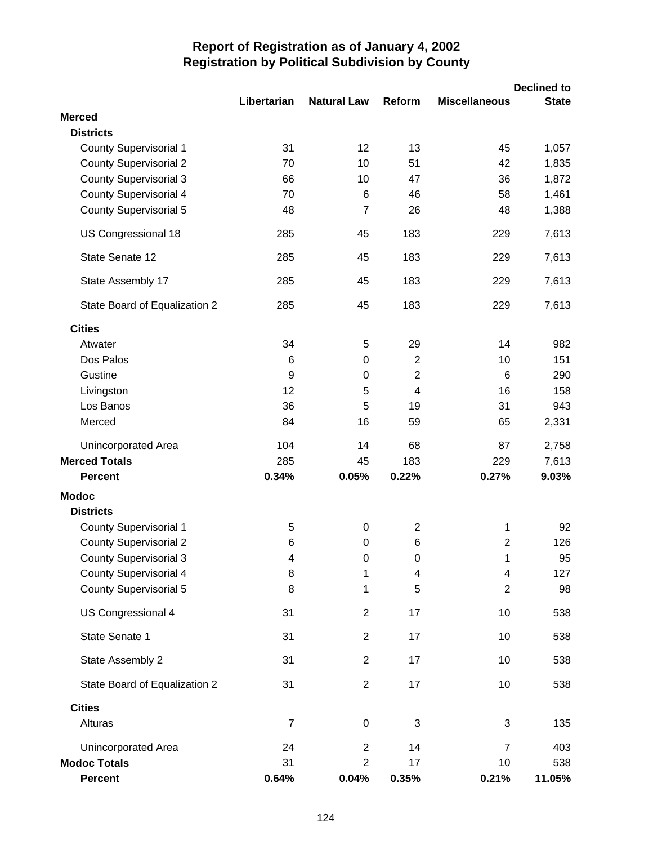|                                   |                |                    |                         |                      | <b>Declined to</b> |
|-----------------------------------|----------------|--------------------|-------------------------|----------------------|--------------------|
|                                   | Libertarian    | <b>Natural Law</b> | Reform                  | <b>Miscellaneous</b> | <b>State</b>       |
| <b>Merced</b><br><b>Districts</b> |                |                    |                         |                      |                    |
| <b>County Supervisorial 1</b>     | 31             | 12                 | 13                      | 45                   | 1,057              |
| <b>County Supervisorial 2</b>     | 70             | 10                 | 51                      | 42                   | 1,835              |
| <b>County Supervisorial 3</b>     | 66             | 10                 | 47                      | 36                   | 1,872              |
| <b>County Supervisorial 4</b>     | 70             | 6                  | 46                      | 58                   | 1,461              |
| <b>County Supervisorial 5</b>     | 48             | $\overline{7}$     | 26                      | 48                   | 1,388              |
| US Congressional 18               | 285            | 45                 | 183                     | 229                  | 7,613              |
| State Senate 12                   | 285            | 45                 | 183                     | 229                  | 7,613              |
| State Assembly 17                 | 285            | 45                 | 183                     | 229                  | 7,613              |
| State Board of Equalization 2     | 285            | 45                 | 183                     | 229                  | 7,613              |
| <b>Cities</b>                     |                |                    |                         |                      |                    |
| Atwater                           | 34             | 5                  | 29                      | 14                   | 982                |
| Dos Palos                         | 6              | $\pmb{0}$          | $\overline{2}$          | 10                   | 151                |
| Gustine                           | 9              | $\mathbf 0$        | $\overline{2}$          | 6                    | 290                |
| Livingston                        | 12             | 5                  | 4                       | 16                   | 158                |
| Los Banos                         | 36             | 5                  | 19                      | 31                   | 943                |
| Merced                            | 84             | 16                 | 59                      | 65                   | 2,331              |
| Unincorporated Area               | 104            | 14                 | 68                      | 87                   | 2,758              |
| <b>Merced Totals</b>              | 285            | 45                 | 183                     | 229                  | 7,613              |
| <b>Percent</b>                    | 0.34%          | 0.05%              | 0.22%                   | 0.27%                | 9.03%              |
| <b>Modoc</b>                      |                |                    |                         |                      |                    |
| <b>Districts</b>                  |                |                    |                         |                      |                    |
| <b>County Supervisorial 1</b>     | 5              | 0                  | $\overline{\mathbf{c}}$ | 1                    | 92                 |
| <b>County Supervisorial 2</b>     | 6              | $\mathbf 0$        | 6                       | $\overline{2}$       | 126                |
| <b>County Supervisorial 3</b>     | 4              | 0                  | 0                       | 1                    | 95                 |
| <b>County Supervisorial 4</b>     | 8              | 1                  | 4                       | 4                    | 127                |
| <b>County Supervisorial 5</b>     | 8              | 1                  | 5                       | $\overline{2}$       | 98                 |
| US Congressional 4                | 31             | $\overline{2}$     | 17                      | 10                   | 538                |
| State Senate 1                    | 31             | $\overline{2}$     | 17                      | 10                   | 538                |
| State Assembly 2                  | 31             | $\overline{2}$     | 17                      | 10                   | 538                |
| State Board of Equalization 2     | 31             | $\overline{2}$     | 17                      | 10                   | 538                |
| <b>Cities</b>                     |                |                    |                         |                      |                    |
| Alturas                           | $\overline{7}$ | $\boldsymbol{0}$   | 3                       | 3                    | 135                |
| Unincorporated Area               | 24             | $\overline{2}$     | 14                      | $\overline{7}$       | 403                |
| <b>Modoc Totals</b>               | 31             | $\overline{2}$     | 17                      | 10                   | 538                |
| Percent                           | 0.64%          | 0.04%              | 0.35%                   | 0.21%                | 11.05%             |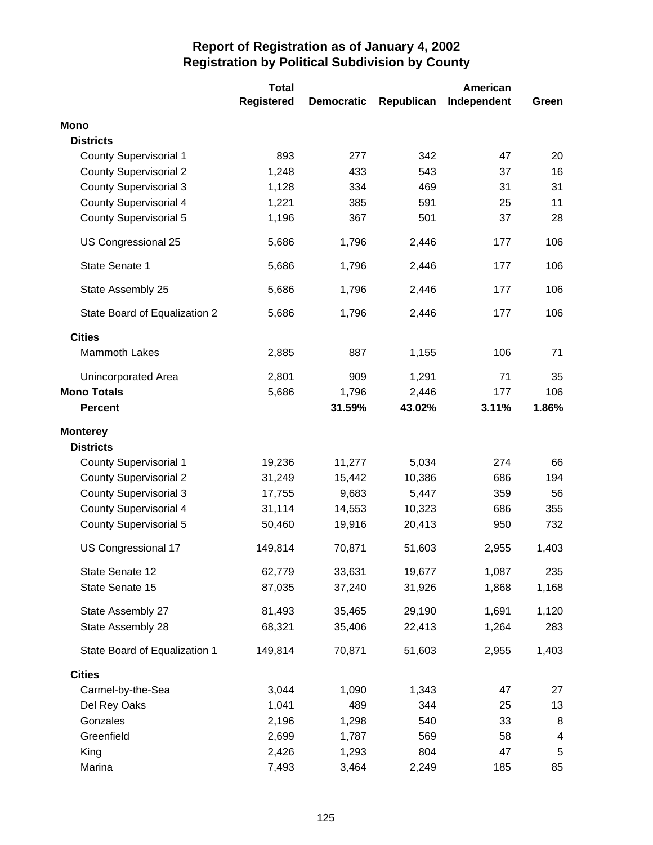|                               | <b>Total</b> |                   |            | American    |                         |
|-------------------------------|--------------|-------------------|------------|-------------|-------------------------|
|                               | Registered   | <b>Democratic</b> | Republican | Independent | Green                   |
| <b>Mono</b>                   |              |                   |            |             |                         |
| <b>Districts</b>              |              |                   |            |             |                         |
| <b>County Supervisorial 1</b> | 893          | 277               | 342        | 47          | 20                      |
| <b>County Supervisorial 2</b> | 1,248        | 433               | 543        | 37          | 16                      |
| <b>County Supervisorial 3</b> | 1,128        | 334               | 469        | 31          | 31                      |
| <b>County Supervisorial 4</b> | 1,221        | 385               | 591        | 25          | 11                      |
| <b>County Supervisorial 5</b> | 1,196        | 367               | 501        | 37          | 28                      |
| US Congressional 25           | 5,686        | 1,796             | 2,446      | 177         | 106                     |
| State Senate 1                | 5,686        | 1,796             | 2,446      | 177         | 106                     |
| State Assembly 25             | 5,686        | 1,796             | 2,446      | 177         | 106                     |
| State Board of Equalization 2 | 5,686        | 1,796             | 2,446      | 177         | 106                     |
| <b>Cities</b>                 |              |                   |            |             |                         |
| <b>Mammoth Lakes</b>          | 2,885        | 887               | 1,155      | 106         | 71                      |
| Unincorporated Area           | 2,801        | 909               | 1,291      | 71          | 35                      |
| <b>Mono Totals</b>            | 5,686        | 1,796             | 2,446      | 177         | 106                     |
| <b>Percent</b>                |              | 31.59%            | 43.02%     | 3.11%       | 1.86%                   |
| <b>Monterey</b>               |              |                   |            |             |                         |
| <b>Districts</b>              |              |                   |            |             |                         |
| <b>County Supervisorial 1</b> | 19,236       | 11,277            | 5,034      | 274         | 66                      |
| <b>County Supervisorial 2</b> | 31,249       | 15,442            | 10,386     | 686         | 194                     |
| <b>County Supervisorial 3</b> | 17,755       | 9,683             | 5,447      | 359         | 56                      |
| <b>County Supervisorial 4</b> | 31,114       | 14,553            | 10,323     | 686         | 355                     |
| <b>County Supervisorial 5</b> | 50,460       | 19,916            | 20,413     | 950         | 732                     |
| US Congressional 17           | 149,814      | 70,871            | 51,603     | 2,955       | 1,403                   |
| State Senate 12               | 62,779       | 33,631            | 19,677     | 1,087       | 235                     |
| State Senate 15               | 87,035       | 37,240            | 31,926     | 1,868       | 1,168                   |
| State Assembly 27             | 81,493       | 35,465            | 29,190     | 1,691       | 1,120                   |
| State Assembly 28             | 68,321       | 35,406            | 22,413     | 1,264       | 283                     |
| State Board of Equalization 1 | 149,814      | 70,871            | 51,603     | 2,955       | 1,403                   |
| <b>Cities</b>                 |              |                   |            |             |                         |
| Carmel-by-the-Sea             | 3,044        | 1,090             | 1,343      | 47          | 27                      |
| Del Rey Oaks                  | 1,041        | 489               | 344        | 25          | 13                      |
| Gonzales                      | 2,196        | 1,298             | 540        | 33          | 8                       |
| Greenfield                    | 2,699        | 1,787             | 569        | 58          | $\overline{\mathbf{4}}$ |
| King                          | 2,426        | 1,293             | 804        | 47          | 5                       |
| Marina                        | 7,493        | 3,464             | 2,249      | 185         | 85                      |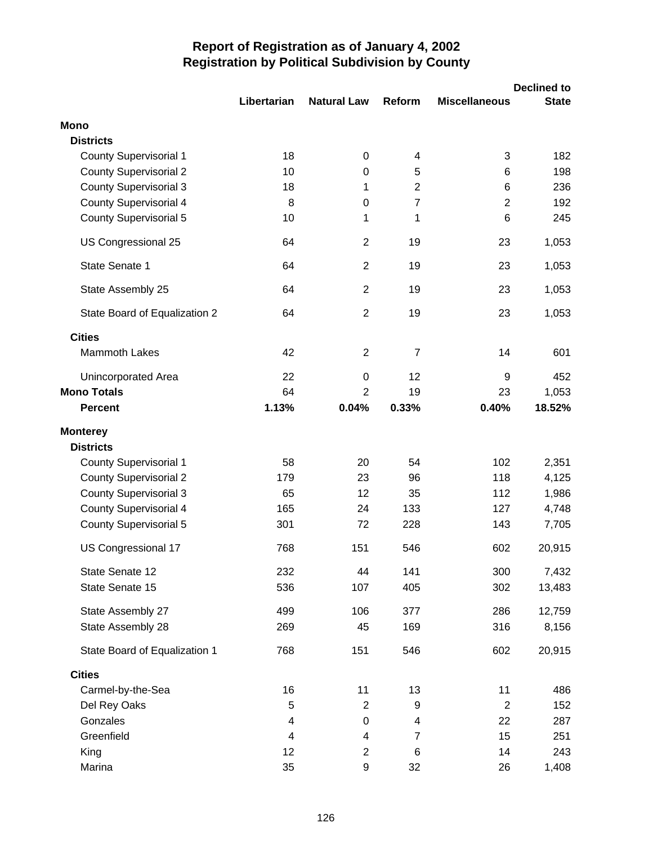|                               |             |                    |                |                      | <b>Declined to</b> |
|-------------------------------|-------------|--------------------|----------------|----------------------|--------------------|
|                               | Libertarian | <b>Natural Law</b> | Reform         | <b>Miscellaneous</b> | <b>State</b>       |
| <b>Mono</b>                   |             |                    |                |                      |                    |
| <b>Districts</b>              |             |                    |                |                      |                    |
| <b>County Supervisorial 1</b> | 18          | 0                  | 4              | 3                    | 182                |
| <b>County Supervisorial 2</b> | 10          | 0                  | 5              | 6                    | 198                |
| <b>County Supervisorial 3</b> | 18          | 1                  | $\overline{2}$ | 6                    | 236                |
| <b>County Supervisorial 4</b> | 8           | $\mathbf 0$        | $\overline{7}$ | $\overline{2}$       | 192                |
| <b>County Supervisorial 5</b> | 10          | 1                  | 1              | 6                    | 245                |
| US Congressional 25           | 64          | $\overline{2}$     | 19             | 23                   | 1,053              |
| State Senate 1                | 64          | $\overline{2}$     | 19             | 23                   | 1,053              |
| State Assembly 25             | 64          | $\overline{2}$     | 19             | 23                   | 1,053              |
| State Board of Equalization 2 | 64          | $\overline{2}$     | 19             | 23                   | 1,053              |
| <b>Cities</b>                 |             |                    |                |                      |                    |
| <b>Mammoth Lakes</b>          | 42          | $\overline{2}$     | $\overline{7}$ | 14                   | 601                |
| Unincorporated Area           | 22          | $\boldsymbol{0}$   | 12             | 9                    | 452                |
| <b>Mono Totals</b>            | 64          | $\overline{2}$     | 19             | 23                   | 1,053              |
| <b>Percent</b>                | 1.13%       | 0.04%              | 0.33%          | 0.40%                | 18.52%             |
| <b>Monterey</b>               |             |                    |                |                      |                    |
| <b>Districts</b>              |             |                    |                |                      |                    |
| <b>County Supervisorial 1</b> | 58          | 20                 | 54             | 102                  | 2,351              |
| <b>County Supervisorial 2</b> | 179         | 23                 | 96             | 118                  | 4,125              |
| <b>County Supervisorial 3</b> | 65          | 12                 | 35             | 112                  | 1,986              |
| <b>County Supervisorial 4</b> | 165         | 24                 | 133            | 127                  | 4,748              |
| <b>County Supervisorial 5</b> | 301         | 72                 | 228            | 143                  | 7,705              |
| US Congressional 17           | 768         | 151                | 546            | 602                  | 20,915             |
| State Senate 12               | 232         | 44                 | 141            | 300                  | 7,432              |
| State Senate 15               | 536         | 107                | 405            | 302                  | 13,483             |
| State Assembly 27             | 499         | 106                | 377            | 286                  | 12,759             |
| State Assembly 28             | 269         | 45                 | 169            | 316                  | 8,156              |
| State Board of Equalization 1 | 768         | 151                | 546            | 602                  | 20,915             |
| <b>Cities</b>                 |             |                    |                |                      |                    |
| Carmel-by-the-Sea             | 16          | 11                 | 13             | 11                   | 486                |
| Del Rey Oaks                  | 5           | 2                  | 9              | 2                    | 152                |
| Gonzales                      | 4           | $\boldsymbol{0}$   | 4              | 22                   | 287                |
| Greenfield                    | 4           | 4                  | $\overline{7}$ | 15                   | 251                |
| King                          | 12          | $\overline{2}$     | 6              | 14                   | 243                |
| Marina                        | 35          | 9                  | 32             | 26                   | 1,408              |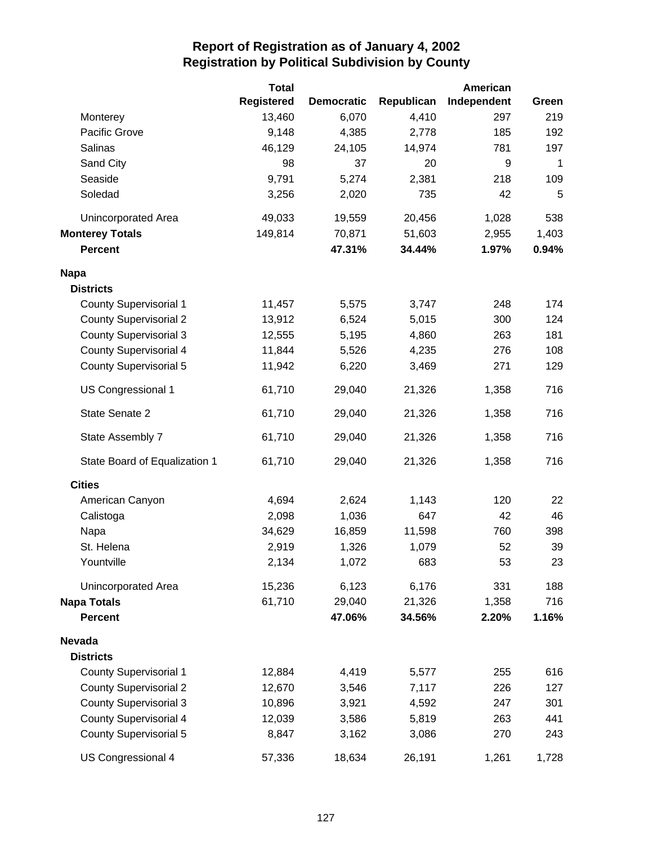|                               | <b>Total</b> |                   |            | American    |             |
|-------------------------------|--------------|-------------------|------------|-------------|-------------|
|                               | Registered   | <b>Democratic</b> | Republican | Independent | Green       |
| Monterey                      | 13,460       | 6,070             | 4,410      | 297         | 219         |
| Pacific Grove                 | 9,148        | 4,385             | 2,778      | 185         | 192         |
| Salinas                       | 46,129       | 24,105            | 14,974     | 781         | 197         |
| Sand City                     | 98           | 37                | 20         | 9           | $\mathbf 1$ |
| Seaside                       | 9,791        | 5,274             | 2,381      | 218         | 109         |
| Soledad                       | 3,256        | 2,020             | 735        | 42          | 5           |
| Unincorporated Area           | 49,033       | 19,559            | 20,456     | 1,028       | 538         |
| <b>Monterey Totals</b>        | 149,814      | 70,871            | 51,603     | 2,955       | 1,403       |
| <b>Percent</b>                |              | 47.31%            | 34.44%     | 1.97%       | 0.94%       |
| <b>Napa</b>                   |              |                   |            |             |             |
| <b>Districts</b>              |              |                   |            |             |             |
| <b>County Supervisorial 1</b> | 11,457       | 5,575             | 3,747      | 248         | 174         |
| <b>County Supervisorial 2</b> | 13,912       | 6,524             | 5,015      | 300         | 124         |
| <b>County Supervisorial 3</b> | 12,555       | 5,195             | 4,860      | 263         | 181         |
| <b>County Supervisorial 4</b> | 11,844       | 5,526             | 4,235      | 276         | 108         |
| <b>County Supervisorial 5</b> | 11,942       | 6,220             | 3,469      | 271         | 129         |
| US Congressional 1            | 61,710       | 29,040            | 21,326     | 1,358       | 716         |
| State Senate 2                | 61,710       | 29,040            | 21,326     | 1,358       | 716         |
| State Assembly 7              | 61,710       | 29,040            | 21,326     | 1,358       | 716         |
| State Board of Equalization 1 | 61,710       | 29,040            | 21,326     | 1,358       | 716         |
| <b>Cities</b>                 |              |                   |            |             |             |
| American Canyon               | 4,694        | 2,624             | 1,143      | 120         | 22          |
| Calistoga                     | 2,098        | 1,036             | 647        | 42          | 46          |
| Napa                          | 34,629       | 16,859            | 11,598     | 760         | 398         |
| St. Helena                    | 2,919        | 1,326             | 1,079      | 52          | 39          |
| Yountville                    | 2,134        | 1,072             | 683        | 53          | 23          |
| Unincorporated Area           | 15,236       | 6,123             | 6,176      | 331         | 188         |
| <b>Napa Totals</b>            | 61,710       | 29,040            | 21,326     | 1,358       | 716         |
| <b>Percent</b>                |              | 47.06%            | 34.56%     | 2.20%       | 1.16%       |
| <b>Nevada</b>                 |              |                   |            |             |             |
| <b>Districts</b>              |              |                   |            |             |             |
| <b>County Supervisorial 1</b> | 12,884       | 4,419             | 5,577      | 255         | 616         |
| <b>County Supervisorial 2</b> | 12,670       | 3,546             | 7,117      | 226         | 127         |
| <b>County Supervisorial 3</b> | 10,896       | 3,921             | 4,592      | 247         | 301         |
| <b>County Supervisorial 4</b> | 12,039       | 3,586             | 5,819      | 263         | 441         |
| <b>County Supervisorial 5</b> | 8,847        | 3,162             | 3,086      | 270         | 243         |
| US Congressional 4            | 57,336       | 18,634            | 26,191     | 1,261       | 1,728       |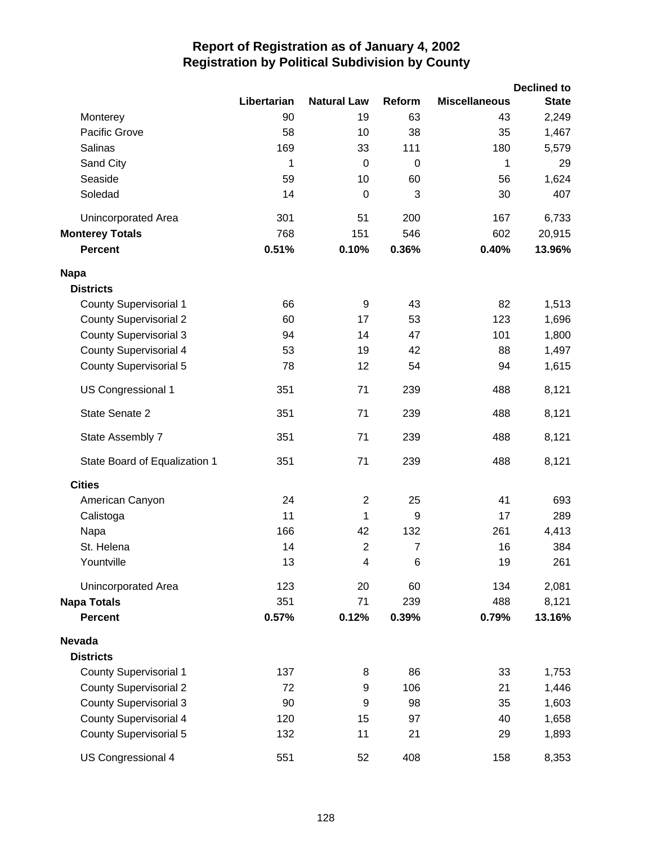|                               |             |                    |                |                      | <b>Declined to</b> |
|-------------------------------|-------------|--------------------|----------------|----------------------|--------------------|
|                               | Libertarian | <b>Natural Law</b> | Reform         | <b>Miscellaneous</b> | <b>State</b>       |
| Monterey                      | 90          | 19                 | 63             | 43                   | 2,249              |
| Pacific Grove                 | 58          | 10                 | 38             | 35                   | 1,467              |
| Salinas                       | 169         | 33                 | 111            | 180                  | 5,579              |
| Sand City                     | 1           | $\mathbf 0$        | 0              | 1                    | 29                 |
| Seaside                       | 59          | 10                 | 60             | 56                   | 1,624              |
| Soledad                       | 14          | 0                  | 3              | 30                   | 407                |
| <b>Unincorporated Area</b>    | 301         | 51                 | 200            | 167                  | 6,733              |
| <b>Monterey Totals</b>        | 768         | 151                | 546            | 602                  | 20,915             |
| Percent                       | 0.51%       | 0.10%              | 0.36%          | 0.40%                | 13.96%             |
| <b>Napa</b>                   |             |                    |                |                      |                    |
| <b>Districts</b>              |             |                    |                |                      |                    |
| <b>County Supervisorial 1</b> | 66          | 9                  | 43             | 82                   | 1,513              |
| <b>County Supervisorial 2</b> | 60          | 17                 | 53             | 123                  | 1,696              |
| <b>County Supervisorial 3</b> | 94          | 14                 | 47             | 101                  | 1,800              |
| <b>County Supervisorial 4</b> | 53          | 19                 | 42             | 88                   | 1,497              |
| <b>County Supervisorial 5</b> | 78          | 12                 | 54             | 94                   | 1,615              |
| US Congressional 1            | 351         | 71                 | 239            | 488                  | 8,121              |
| State Senate 2                | 351         | 71                 | 239            | 488                  | 8,121              |
| State Assembly 7              | 351         | 71                 | 239            | 488                  | 8,121              |
| State Board of Equalization 1 | 351         | 71                 | 239            | 488                  | 8,121              |
| <b>Cities</b>                 |             |                    |                |                      |                    |
| American Canyon               | 24          | $\overline{2}$     | 25             | 41                   | 693                |
| Calistoga                     | 11          | 1                  | 9              | 17                   | 289                |
| Napa                          | 166         | 42                 | 132            | 261                  | 4,413              |
| St. Helena                    | 14          | $\overline{2}$     | $\overline{7}$ | 16                   | 384                |
| Yountville                    | 13          | 4                  | 6              | 19                   | 261                |
| <b>Unincorporated Area</b>    | 123         | 20                 | 60             | 134                  | 2,081              |
| <b>Napa Totals</b>            | 351         | 71                 | 239            | 488                  | 8,121              |
| <b>Percent</b>                | 0.57%       | 0.12%              | 0.39%          | 0.79%                | 13.16%             |
| <b>Nevada</b>                 |             |                    |                |                      |                    |
| <b>Districts</b>              |             |                    |                |                      |                    |
| <b>County Supervisorial 1</b> | 137         | 8                  | 86             | 33                   | 1,753              |
| <b>County Supervisorial 2</b> | 72          | 9                  | 106            | 21                   | 1,446              |
| <b>County Supervisorial 3</b> | 90          | 9                  | 98             | 35                   | 1,603              |
| <b>County Supervisorial 4</b> | 120         | 15                 | 97             | 40                   | 1,658              |
| <b>County Supervisorial 5</b> | 132         | 11                 | 21             | 29                   | 1,893              |
| US Congressional 4            | 551         | 52                 | 408            | 158                  | 8,353              |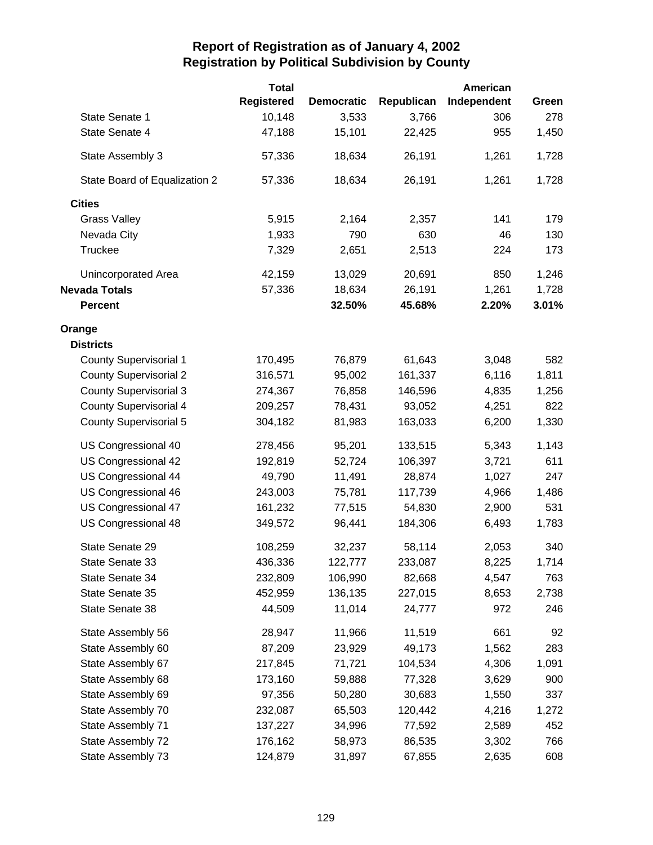|                               | <b>Total</b>      |                   |            | American    |       |
|-------------------------------|-------------------|-------------------|------------|-------------|-------|
|                               | <b>Registered</b> | <b>Democratic</b> | Republican | Independent | Green |
| State Senate 1                | 10,148            | 3,533             | 3,766      | 306         | 278   |
| State Senate 4                | 47,188            | 15,101            | 22,425     | 955         | 1,450 |
| State Assembly 3              | 57,336            | 18,634            | 26,191     | 1,261       | 1,728 |
| State Board of Equalization 2 | 57,336            | 18,634            | 26,191     | 1,261       | 1,728 |
| <b>Cities</b>                 |                   |                   |            |             |       |
| <b>Grass Valley</b>           | 5,915             | 2,164             | 2,357      | 141         | 179   |
| Nevada City                   | 1,933             | 790               | 630        | 46          | 130   |
| <b>Truckee</b>                | 7,329             | 2,651             | 2,513      | 224         | 173   |
| Unincorporated Area           | 42,159            | 13,029            | 20,691     | 850         | 1,246 |
| <b>Nevada Totals</b>          | 57,336            | 18,634            | 26,191     | 1,261       | 1,728 |
| <b>Percent</b>                |                   | 32.50%            | 45.68%     | 2.20%       | 3.01% |
| Orange                        |                   |                   |            |             |       |
| <b>Districts</b>              |                   |                   |            |             |       |
| <b>County Supervisorial 1</b> | 170,495           | 76,879            | 61,643     | 3,048       | 582   |
| <b>County Supervisorial 2</b> | 316,571           | 95,002            | 161,337    | 6,116       | 1,811 |
| <b>County Supervisorial 3</b> | 274,367           | 76,858            | 146,596    | 4,835       | 1,256 |
| <b>County Supervisorial 4</b> | 209,257           | 78,431            | 93,052     | 4,251       | 822   |
| <b>County Supervisorial 5</b> | 304,182           | 81,983            | 163,033    | 6,200       | 1,330 |
| US Congressional 40           | 278,456           | 95,201            | 133,515    | 5,343       | 1,143 |
| US Congressional 42           | 192,819           | 52,724            | 106,397    | 3,721       | 611   |
| US Congressional 44           | 49,790            | 11,491            | 28,874     | 1,027       | 247   |
| US Congressional 46           | 243,003           | 75,781            | 117,739    | 4,966       | 1,486 |
| US Congressional 47           | 161,232           | 77,515            | 54,830     | 2,900       | 531   |
| US Congressional 48           | 349,572           | 96,441            | 184,306    | 6,493       | 1,783 |
| State Senate 29               | 108,259           | 32,237            | 58,114     | 2,053       | 340   |
| State Senate 33               | 436,336           | 122,777           | 233,087    | 8,225       | 1,714 |
| State Senate 34               | 232,809           | 106,990           | 82,668     | 4,547       | 763   |
| State Senate 35               | 452,959           | 136,135           | 227,015    | 8,653       | 2,738 |
| State Senate 38               | 44,509            | 11,014            | 24,777     | 972         | 246   |
| State Assembly 56             | 28,947            | 11,966            | 11,519     | 661         | 92    |
| State Assembly 60             | 87,209            | 23,929            | 49,173     | 1,562       | 283   |
| State Assembly 67             | 217,845           | 71,721            | 104,534    | 4,306       | 1,091 |
| State Assembly 68             | 173,160           | 59,888            | 77,328     | 3,629       | 900   |
| State Assembly 69             | 97,356            | 50,280            | 30,683     | 1,550       | 337   |
| State Assembly 70             | 232,087           | 65,503            | 120,442    | 4,216       | 1,272 |
| State Assembly 71             | 137,227           | 34,996            | 77,592     | 2,589       | 452   |
| State Assembly 72             | 176,162           | 58,973            | 86,535     | 3,302       | 766   |
| State Assembly 73             | 124,879           | 31,897            | 67,855     | 2,635       | 608   |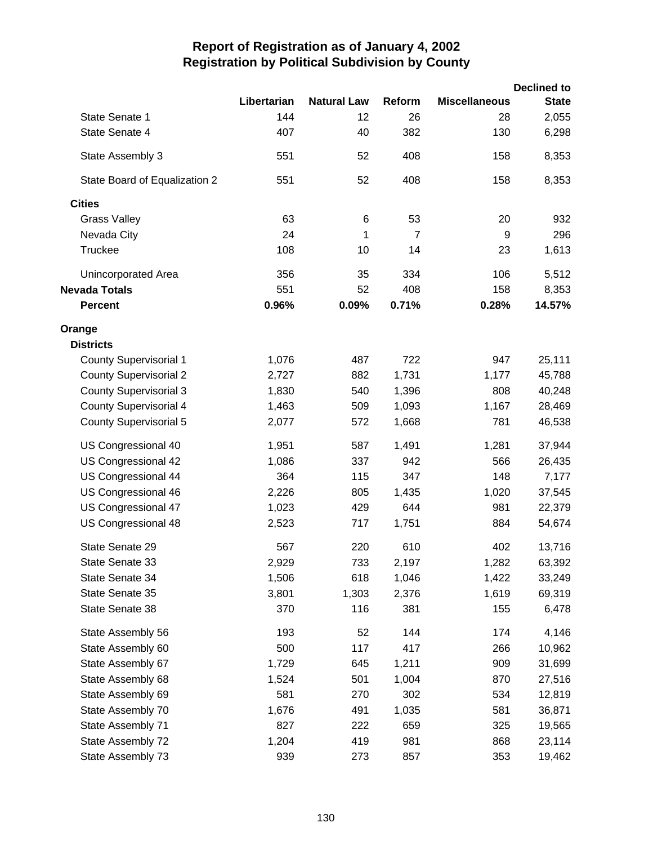|                               |             |                    |                |                      | <b>Declined to</b> |
|-------------------------------|-------------|--------------------|----------------|----------------------|--------------------|
|                               | Libertarian | <b>Natural Law</b> | Reform         | <b>Miscellaneous</b> | <b>State</b>       |
| State Senate 1                | 144         | 12                 | 26             | 28                   | 2,055              |
| State Senate 4                | 407         | 40                 | 382            | 130                  | 6,298              |
| State Assembly 3              | 551         | 52                 | 408            | 158                  | 8,353              |
| State Board of Equalization 2 | 551         | 52                 | 408            | 158                  | 8,353              |
| <b>Cities</b>                 |             |                    |                |                      |                    |
| <b>Grass Valley</b>           | 63          | 6                  | 53             | 20                   | 932                |
| Nevada City                   | 24          | 1                  | $\overline{7}$ | 9                    | 296                |
| Truckee                       | 108         | 10                 | 14             | 23                   | 1,613              |
| <b>Unincorporated Area</b>    | 356         | 35                 | 334            | 106                  | 5,512              |
| <b>Nevada Totals</b>          | 551         | 52                 | 408            | 158                  | 8,353              |
| <b>Percent</b>                | 0.96%       | 0.09%              | 0.71%          | 0.28%                | 14.57%             |
| Orange                        |             |                    |                |                      |                    |
| <b>Districts</b>              |             |                    |                |                      |                    |
| <b>County Supervisorial 1</b> | 1,076       | 487                | 722            | 947                  | 25,111             |
| <b>County Supervisorial 2</b> | 2,727       | 882                | 1,731          | 1,177                | 45,788             |
| <b>County Supervisorial 3</b> | 1,830       | 540                | 1,396          | 808                  | 40,248             |
| <b>County Supervisorial 4</b> | 1,463       | 509                | 1,093          | 1,167                | 28,469             |
| <b>County Supervisorial 5</b> | 2,077       | 572                | 1,668          | 781                  | 46,538             |
| US Congressional 40           | 1,951       | 587                | 1,491          | 1,281                | 37,944             |
| US Congressional 42           | 1,086       | 337                | 942            | 566                  | 26,435             |
| US Congressional 44           | 364         | 115                | 347            | 148                  | 7,177              |
| US Congressional 46           | 2,226       | 805                | 1,435          | 1,020                | 37,545             |
| US Congressional 47           | 1,023       | 429                | 644            | 981                  | 22,379             |
| US Congressional 48           | 2,523       | 717                | 1,751          | 884                  | 54,674             |
| State Senate 29               | 567         | 220                | 610            | 402                  | 13,716             |
| State Senate 33               | 2,929       | 733                | 2,197          | 1,282                | 63,392             |
| State Senate 34               | 1,506       | 618                | 1,046          | 1,422                | 33,249             |
| State Senate 35               | 3,801       | 1,303              | 2,376          | 1,619                | 69,319             |
| State Senate 38               | 370         | 116                | 381            | 155                  | 6,478              |
| State Assembly 56             | 193         | 52                 | 144            | 174                  | 4,146              |
| State Assembly 60             | 500         | 117                | 417            | 266                  | 10,962             |
| State Assembly 67             | 1,729       | 645                | 1,211          | 909                  | 31,699             |
| State Assembly 68             | 1,524       | 501                | 1,004          | 870                  | 27,516             |
| State Assembly 69             | 581         | 270                | 302            | 534                  | 12,819             |
| State Assembly 70             | 1,676       | 491                | 1,035          | 581                  | 36,871             |
| State Assembly 71             | 827         | 222                | 659            | 325                  | 19,565             |
| State Assembly 72             | 1,204       | 419                | 981            | 868                  | 23,114             |
| State Assembly 73             | 939         | 273                | 857            | 353                  | 19,462             |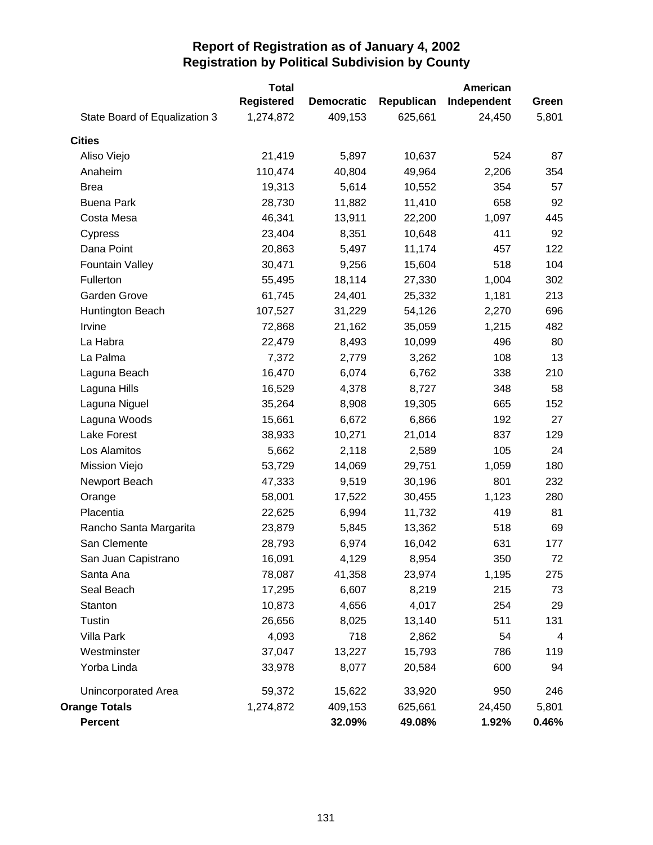| State Board of Equalization 3 | <b>Total</b><br><b>Registered</b><br>1,274,872 | <b>Democratic</b><br>409,153 | Republican<br>625,661 | American<br>Independent<br>24,450 | Green<br>5,801 |
|-------------------------------|------------------------------------------------|------------------------------|-----------------------|-----------------------------------|----------------|
|                               |                                                |                              |                       |                                   |                |
| <b>Cities</b>                 |                                                |                              |                       |                                   |                |
| Aliso Viejo                   | 21,419                                         | 5,897                        | 10,637                | 524                               | 87             |
| Anaheim                       | 110,474                                        | 40,804                       | 49,964                | 2,206                             | 354            |
| <b>Brea</b>                   | 19,313                                         | 5,614                        | 10,552                | 354                               | 57             |
| <b>Buena Park</b>             | 28,730                                         | 11,882                       | 11,410                | 658                               | 92             |
| Costa Mesa                    | 46,341                                         | 13,911                       | 22,200                | 1,097                             | 445            |
| Cypress                       | 23,404                                         | 8,351                        | 10,648                | 411                               | 92             |
| Dana Point                    | 20,863                                         | 5,497                        | 11,174                | 457                               | 122            |
| <b>Fountain Valley</b>        | 30,471                                         | 9,256                        | 15,604                | 518                               | 104            |
| Fullerton                     | 55,495                                         | 18,114                       | 27,330                | 1,004                             | 302            |
| <b>Garden Grove</b>           | 61,745                                         | 24,401                       | 25,332                | 1,181                             | 213            |
| Huntington Beach              | 107,527                                        | 31,229                       | 54,126                | 2,270                             | 696            |
| Irvine                        | 72,868                                         | 21,162                       | 35,059                | 1,215                             | 482            |
| La Habra                      | 22,479                                         | 8,493                        | 10,099                | 496                               | 80             |
| La Palma                      | 7,372                                          | 2,779                        | 3,262                 | 108                               | 13             |
| Laguna Beach                  | 16,470                                         | 6,074                        | 6,762                 | 338                               | 210            |
| Laguna Hills                  | 16,529                                         | 4,378                        | 8,727                 | 348                               | 58             |
| Laguna Niguel                 | 35,264                                         | 8,908                        | 19,305                | 665                               | 152            |
| Laguna Woods                  | 15,661                                         | 6,672                        | 6,866                 | 192                               | 27             |
| Lake Forest                   | 38,933                                         | 10,271                       | 21,014                | 837                               | 129            |
| Los Alamitos                  | 5,662                                          | 2,118                        | 2,589                 | 105                               | 24             |
| Mission Viejo                 | 53,729                                         | 14,069                       | 29,751                | 1,059                             | 180            |
| Newport Beach                 | 47,333                                         | 9,519                        | 30,196                | 801                               | 232            |
| Orange                        | 58,001                                         | 17,522                       | 30,455                | 1,123                             | 280            |
| Placentia                     | 22,625                                         | 6,994                        | 11,732                | 419                               | 81             |
| Rancho Santa Margarita        | 23,879                                         | 5,845                        | 13,362                | 518                               | 69             |
| San Clemente                  | 28,793                                         | 6,974                        | 16,042                | 631                               | 177            |
| San Juan Capistrano           | 16,091                                         | 4,129                        | 8,954                 | 350                               | 72             |
| Santa Ana                     | 78,087                                         | 41,358                       | 23,974                | 1,195                             | 275            |
| Seal Beach                    | 17,295                                         | 6,607                        | 8,219                 | 215                               | 73             |
| Stanton                       | 10,873                                         | 4,656                        | 4,017                 | 254                               | 29             |
| Tustin                        | 26,656                                         | 8,025                        | 13,140                | 511                               | 131            |
| Villa Park                    | 4,093                                          | 718                          | 2,862                 | 54                                | 4              |
| Westminster                   | 37,047                                         | 13,227                       | 15,793                | 786                               | 119            |
| Yorba Linda                   | 33,978                                         | 8,077                        | 20,584                | 600                               | 94             |
| <b>Unincorporated Area</b>    | 59,372                                         | 15,622                       | 33,920                | 950                               | 246            |
| <b>Orange Totals</b>          | 1,274,872                                      | 409,153                      | 625,661               | 24,450                            | 5,801          |
| <b>Percent</b>                |                                                | 32.09%                       | 49.08%                | 1.92%                             | 0.46%          |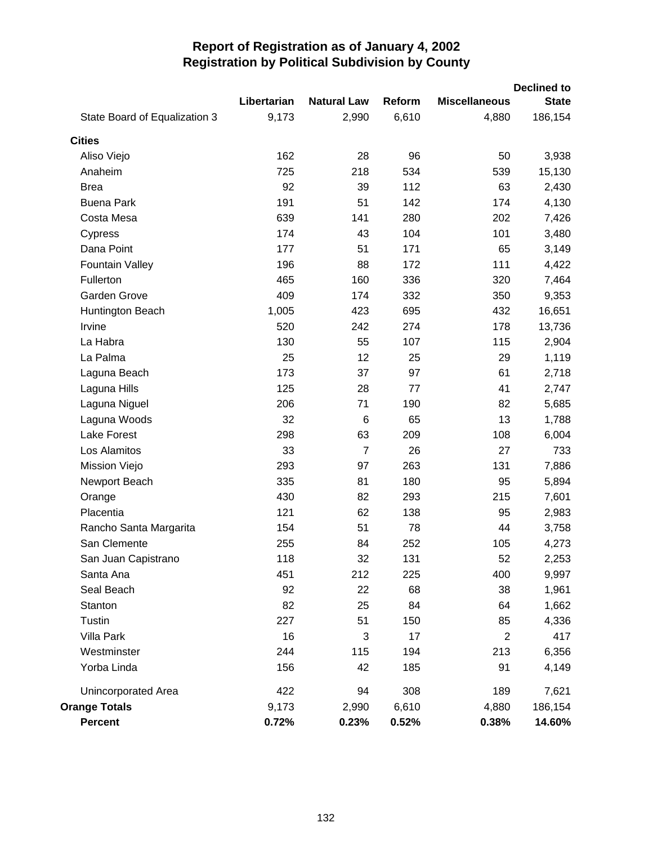|                               |             |                    |        |                      | <b>Declined to</b> |
|-------------------------------|-------------|--------------------|--------|----------------------|--------------------|
|                               | Libertarian | <b>Natural Law</b> | Reform | <b>Miscellaneous</b> | <b>State</b>       |
| State Board of Equalization 3 | 9,173       | 2,990              | 6,610  | 4,880                | 186,154            |
| <b>Cities</b>                 |             |                    |        |                      |                    |
| Aliso Viejo                   | 162         | 28                 | 96     | 50                   | 3,938              |
| Anaheim                       | 725         | 218                | 534    | 539                  | 15,130             |
| <b>Brea</b>                   | 92          | 39                 | 112    | 63                   | 2,430              |
| <b>Buena Park</b>             | 191         | 51                 | 142    | 174                  | 4,130              |
| Costa Mesa                    | 639         | 141                | 280    | 202                  | 7,426              |
| Cypress                       | 174         | 43                 | 104    | 101                  | 3,480              |
| Dana Point                    | 177         | 51                 | 171    | 65                   | 3,149              |
| <b>Fountain Valley</b>        | 196         | 88                 | 172    | 111                  | 4,422              |
| Fullerton                     | 465         | 160                | 336    | 320                  | 7,464              |
| Garden Grove                  | 409         | 174                | 332    | 350                  | 9,353              |
| Huntington Beach              | 1,005       | 423                | 695    | 432                  | 16,651             |
| Irvine                        | 520         | 242                | 274    | 178                  | 13,736             |
| La Habra                      | 130         | 55                 | 107    | 115                  | 2,904              |
| La Palma                      | 25          | 12                 | 25     | 29                   | 1,119              |
| Laguna Beach                  | 173         | 37                 | 97     | 61                   | 2,718              |
| Laguna Hills                  | 125         | 28                 | 77     | 41                   | 2,747              |
| Laguna Niguel                 | 206         | 71                 | 190    | 82                   | 5,685              |
| Laguna Woods                  | 32          | 6                  | 65     | 13                   | 1,788              |
| <b>Lake Forest</b>            | 298         | 63                 | 209    | 108                  | 6,004              |
| Los Alamitos                  | 33          | $\overline{7}$     | 26     | 27                   | 733                |
| Mission Viejo                 | 293         | 97                 | 263    | 131                  | 7,886              |
| Newport Beach                 | 335         | 81                 | 180    | 95                   | 5,894              |
| Orange                        | 430         | 82                 | 293    | 215                  | 7,601              |
| Placentia                     | 121         | 62                 | 138    | 95                   | 2,983              |
| Rancho Santa Margarita        | 154         | 51                 | 78     | 44                   | 3,758              |
| San Clemente                  | 255         | 84                 | 252    | 105                  | 4,273              |
| San Juan Capistrano           | 118         | 32                 | 131    | 52                   | 2,253              |
| Santa Ana                     | 451         | 212                | 225    | 400                  | 9,997              |
| Seal Beach                    | 92          | 22                 | 68     | 38                   | 1,961              |
| Stanton                       | 82          | 25                 | 84     | 64                   | 1,662              |
| Tustin                        | 227         | 51                 | 150    | 85                   | 4,336              |
| Villa Park                    | 16          | 3                  | 17     | $\overline{2}$       | 417                |
| Westminster                   | 244         | 115                | 194    | 213                  | 6,356              |
| Yorba Linda                   | 156         | 42                 | 185    | 91                   | 4,149              |
| Unincorporated Area           | 422         | 94                 | 308    | 189                  | 7,621              |
| <b>Orange Totals</b>          | 9,173       | 2,990              | 6,610  | 4,880                | 186,154            |
| Percent                       | 0.72%       | 0.23%              | 0.52%  | 0.38%                | 14.60%             |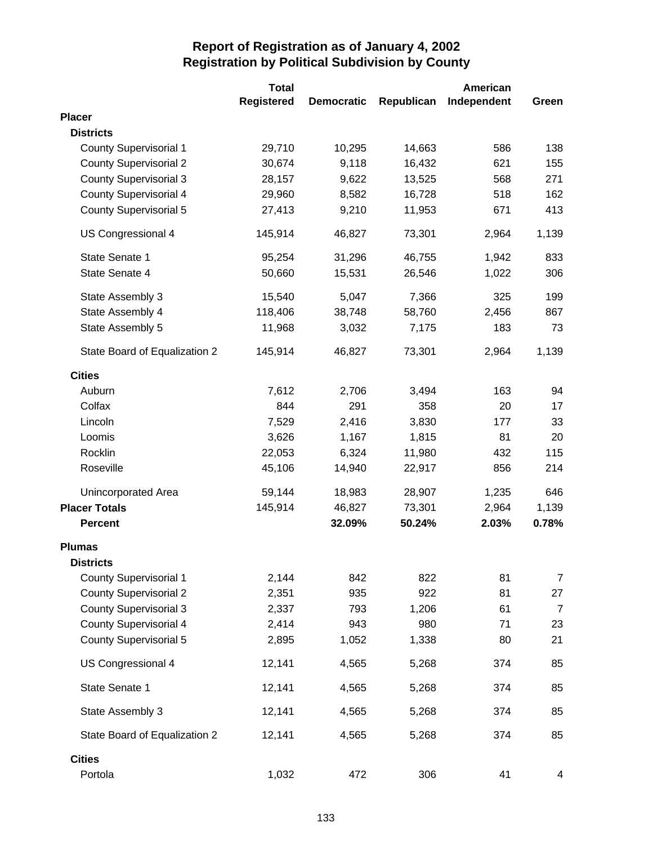|                               | <b>Total</b>      |                   |            | American    |                |
|-------------------------------|-------------------|-------------------|------------|-------------|----------------|
|                               | <b>Registered</b> | <b>Democratic</b> | Republican | Independent | Green          |
| <b>Placer</b>                 |                   |                   |            |             |                |
| <b>Districts</b>              |                   |                   |            |             |                |
| <b>County Supervisorial 1</b> | 29,710            | 10,295            | 14,663     | 586         | 138            |
| <b>County Supervisorial 2</b> | 30,674            | 9,118             | 16,432     | 621         | 155            |
| <b>County Supervisorial 3</b> | 28,157            | 9,622             | 13,525     | 568         | 271            |
| <b>County Supervisorial 4</b> | 29,960            | 8,582             | 16,728     | 518         | 162            |
| <b>County Supervisorial 5</b> | 27,413            | 9,210             | 11,953     | 671         | 413            |
| US Congressional 4            | 145,914           | 46,827            | 73,301     | 2,964       | 1,139          |
| State Senate 1                | 95,254            | 31,296            | 46,755     | 1,942       | 833            |
| State Senate 4                | 50,660            | 15,531            | 26,546     | 1,022       | 306            |
| State Assembly 3              | 15,540            | 5,047             | 7,366      | 325         | 199            |
| State Assembly 4              | 118,406           | 38,748            | 58,760     | 2,456       | 867            |
| State Assembly 5              | 11,968            | 3,032             | 7,175      | 183         | 73             |
| State Board of Equalization 2 | 145,914           | 46,827            | 73,301     | 2,964       | 1,139          |
| <b>Cities</b>                 |                   |                   |            |             |                |
| Auburn                        | 7,612             | 2,706             | 3,494      | 163         | 94             |
| Colfax                        | 844               | 291               | 358        | 20          | 17             |
| Lincoln                       | 7,529             | 2,416             | 3,830      | 177         | 33             |
| Loomis                        | 3,626             | 1,167             | 1,815      | 81          | 20             |
| Rocklin                       | 22,053            | 6,324             | 11,980     | 432         | 115            |
| Roseville                     | 45,106            | 14,940            | 22,917     | 856         | 214            |
| Unincorporated Area           | 59,144            | 18,983            | 28,907     | 1,235       | 646            |
| <b>Placer Totals</b>          | 145,914           | 46,827            | 73,301     | 2,964       | 1,139          |
| <b>Percent</b>                |                   | 32.09%            | 50.24%     | 2.03%       | 0.78%          |
| <b>Plumas</b>                 |                   |                   |            |             |                |
| <b>Districts</b>              |                   |                   |            |             |                |
| <b>County Supervisorial 1</b> | 2,144             | 842               | 822        | 81          | $\overline{7}$ |
| <b>County Supervisorial 2</b> | 2,351             | 935               | 922        | 81          | 27             |
| <b>County Supervisorial 3</b> | 2,337             | 793               | 1,206      | 61          | $\overline{7}$ |
| <b>County Supervisorial 4</b> | 2,414             | 943               | 980        | 71          | 23             |
| <b>County Supervisorial 5</b> | 2,895             | 1,052             | 1,338      | 80          | 21             |
| US Congressional 4            | 12,141            | 4,565             | 5,268      | 374         | 85             |
| State Senate 1                | 12,141            | 4,565             | 5,268      | 374         | 85             |
| State Assembly 3              | 12,141            | 4,565             | 5,268      | 374         | 85             |
| State Board of Equalization 2 | 12,141            | 4,565             | 5,268      | 374         | 85             |
| <b>Cities</b>                 |                   |                   |            |             |                |
| Portola                       | 1,032             | 472               | 306        | 41          | 4              |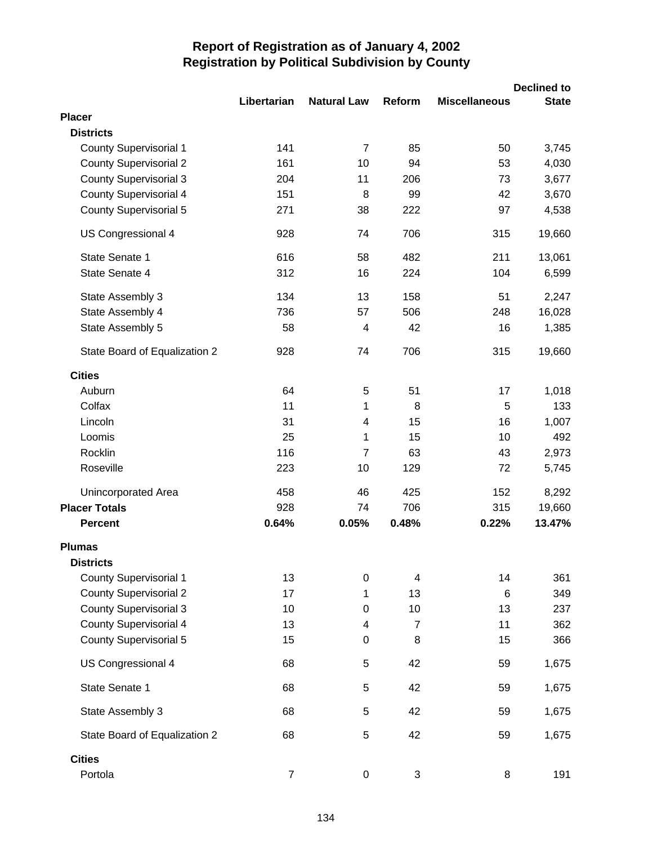|                                                                |                |                         |                |                      | <b>Declined to</b> |
|----------------------------------------------------------------|----------------|-------------------------|----------------|----------------------|--------------------|
|                                                                | Libertarian    | <b>Natural Law</b>      | Reform         | <b>Miscellaneous</b> | <b>State</b>       |
| <b>Placer</b>                                                  |                |                         |                |                      |                    |
| <b>Districts</b>                                               |                |                         |                |                      |                    |
| <b>County Supervisorial 1</b>                                  | 141            | $\overline{7}$          | 85             | 50                   | 3,745              |
| <b>County Supervisorial 2</b>                                  | 161            | 10                      | 94             | 53                   | 4,030              |
| <b>County Supervisorial 3</b><br><b>County Supervisorial 4</b> | 204<br>151     | 11<br>8                 | 206<br>99      | 73<br>42             | 3,677<br>3,670     |
| <b>County Supervisorial 5</b>                                  | 271            | 38                      | 222            | 97                   | 4,538              |
|                                                                | 928            | 74                      | 706            | 315                  | 19,660             |
| US Congressional 4                                             |                |                         |                |                      |                    |
| State Senate 1                                                 | 616            | 58                      | 482            | 211                  | 13,061             |
| State Senate 4                                                 | 312            | 16                      | 224            | 104                  | 6,599              |
| State Assembly 3                                               | 134            | 13                      | 158            | 51                   | 2,247              |
| State Assembly 4                                               | 736            | 57                      | 506            | 248                  | 16,028             |
| State Assembly 5                                               | 58             | 4                       | 42             | 16                   | 1,385              |
| State Board of Equalization 2                                  | 928            | 74                      | 706            | 315                  | 19,660             |
| <b>Cities</b>                                                  |                |                         |                |                      |                    |
| Auburn                                                         | 64             | 5                       | 51             | 17                   | 1,018              |
| Colfax                                                         | 11             | 1                       | 8              | 5                    | 133                |
| Lincoln                                                        | 31             | $\overline{\mathbf{4}}$ | 15             | 16                   | 1,007              |
| Loomis                                                         | 25             | 1                       | 15             | 10                   | 492                |
| Rocklin                                                        | 116            | $\overline{7}$          | 63             | 43                   | 2,973              |
| Roseville                                                      | 223            | 10                      | 129            | 72                   | 5,745              |
| <b>Unincorporated Area</b>                                     | 458            | 46                      | 425            | 152                  | 8,292              |
| <b>Placer Totals</b>                                           | 928            | 74                      | 706            | 315                  | 19,660             |
| <b>Percent</b>                                                 | 0.64%          | 0.05%                   | 0.48%          | 0.22%                | 13.47%             |
| <b>Plumas</b>                                                  |                |                         |                |                      |                    |
| <b>Districts</b>                                               |                |                         |                |                      |                    |
| <b>County Supervisorial 1</b>                                  | 13             | 0                       | 4              | 14                   | 361                |
| <b>County Supervisorial 2</b>                                  | 17             | 1                       | 13             | 6                    | 349                |
| <b>County Supervisorial 3</b>                                  | 10             | $\pmb{0}$               | 10             | 13                   | 237                |
| <b>County Supervisorial 4</b>                                  | 13             | 4                       | $\overline{7}$ | 11                   | 362                |
| <b>County Supervisorial 5</b>                                  | 15             | $\pmb{0}$               | 8              | 15                   | 366                |
| US Congressional 4                                             | 68             | 5                       | 42             | 59                   | 1,675              |
| State Senate 1                                                 | 68             | 5                       | 42             | 59                   | 1,675              |
| State Assembly 3                                               | 68             | 5                       | 42             | 59                   | 1,675              |
| State Board of Equalization 2                                  | 68             | $\sqrt{5}$              | 42             | 59                   | 1,675              |
| <b>Cities</b>                                                  |                |                         |                |                      |                    |
| Portola                                                        | $\overline{7}$ | $\boldsymbol{0}$        | 3              | 8                    | 191                |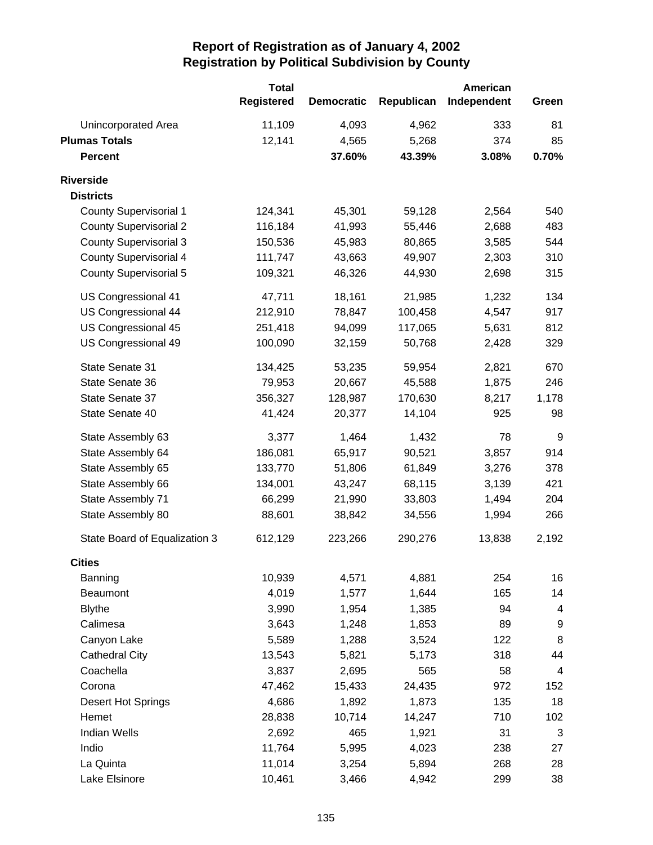|                               | <b>Total</b>      |                   |            | American    |                  |
|-------------------------------|-------------------|-------------------|------------|-------------|------------------|
|                               | <b>Registered</b> | <b>Democratic</b> | Republican | Independent | Green            |
| Unincorporated Area           | 11,109            | 4,093             | 4,962      | 333         | 81               |
| <b>Plumas Totals</b>          | 12,141            | 4,565             | 5,268      | 374         | 85               |
| <b>Percent</b>                |                   | 37.60%            | 43.39%     | 3.08%       | 0.70%            |
| <b>Riverside</b>              |                   |                   |            |             |                  |
| <b>Districts</b>              |                   |                   |            |             |                  |
| <b>County Supervisorial 1</b> | 124,341           | 45,301            | 59,128     | 2,564       | 540              |
| <b>County Supervisorial 2</b> | 116,184           | 41,993            | 55,446     | 2,688       | 483              |
| <b>County Supervisorial 3</b> | 150,536           | 45,983            | 80,865     | 3,585       | 544              |
| <b>County Supervisorial 4</b> | 111,747           | 43,663            | 49,907     | 2,303       | 310              |
| <b>County Supervisorial 5</b> | 109,321           | 46,326            | 44,930     | 2,698       | 315              |
| US Congressional 41           | 47,711            | 18,161            | 21,985     | 1,232       | 134              |
| US Congressional 44           | 212,910           | 78,847            | 100,458    | 4,547       | 917              |
| US Congressional 45           | 251,418           | 94,099            | 117,065    | 5,631       | 812              |
| US Congressional 49           | 100,090           | 32,159            | 50,768     | 2,428       | 329              |
| State Senate 31               | 134,425           | 53,235            | 59,954     | 2,821       | 670              |
| State Senate 36               | 79,953            | 20,667            | 45,588     | 1,875       | 246              |
| State Senate 37               | 356,327           | 128,987           | 170,630    | 8,217       | 1,178            |
| State Senate 40               | 41,424            | 20,377            | 14,104     | 925         | 98               |
| State Assembly 63             | 3,377             | 1,464             | 1,432      | 78          | 9                |
| State Assembly 64             | 186,081           | 65,917            | 90,521     | 3,857       | 914              |
| State Assembly 65             | 133,770           | 51,806            | 61,849     | 3,276       | 378              |
| State Assembly 66             | 134,001           | 43,247            | 68,115     | 3,139       | 421              |
| State Assembly 71             | 66,299            | 21,990            | 33,803     | 1,494       | 204              |
| State Assembly 80             | 88,601            | 38,842            | 34,556     | 1,994       | 266              |
| State Board of Equalization 3 | 612,129           | 223,266           | 290,276    | 13,838      | 2,192            |
| <b>Cities</b>                 |                   |                   |            |             |                  |
| Banning                       | 10,939            | 4,571             | 4,881      | 254         | 16               |
| Beaumont                      | 4,019             | 1,577             | 1,644      | 165         | 14               |
| <b>Blythe</b>                 | 3,990             | 1,954             | 1,385      | 94          | 4                |
| Calimesa                      | 3,643             | 1,248             | 1,853      | 89          | $\boldsymbol{9}$ |
| Canyon Lake                   | 5,589             | 1,288             | 3,524      | 122         | 8                |
| <b>Cathedral City</b>         | 13,543            | 5,821             | 5,173      | 318         | 44               |
| Coachella                     | 3,837             | 2,695             | 565        | 58          | 4                |
| Corona                        | 47,462            | 15,433            | 24,435     | 972         | 152              |
| Desert Hot Springs            | 4,686             | 1,892             | 1,873      | 135         | 18               |
| Hemet                         | 28,838            | 10,714            | 14,247     | 710         | 102              |
| <b>Indian Wells</b>           | 2,692             | 465               | 1,921      | 31          | 3                |
| Indio                         | 11,764            | 5,995             | 4,023      | 238         | 27               |
| La Quinta                     | 11,014            | 3,254             | 5,894      | 268         | 28               |
| Lake Elsinore                 | 10,461            | 3,466             | 4,942      | 299         | 38               |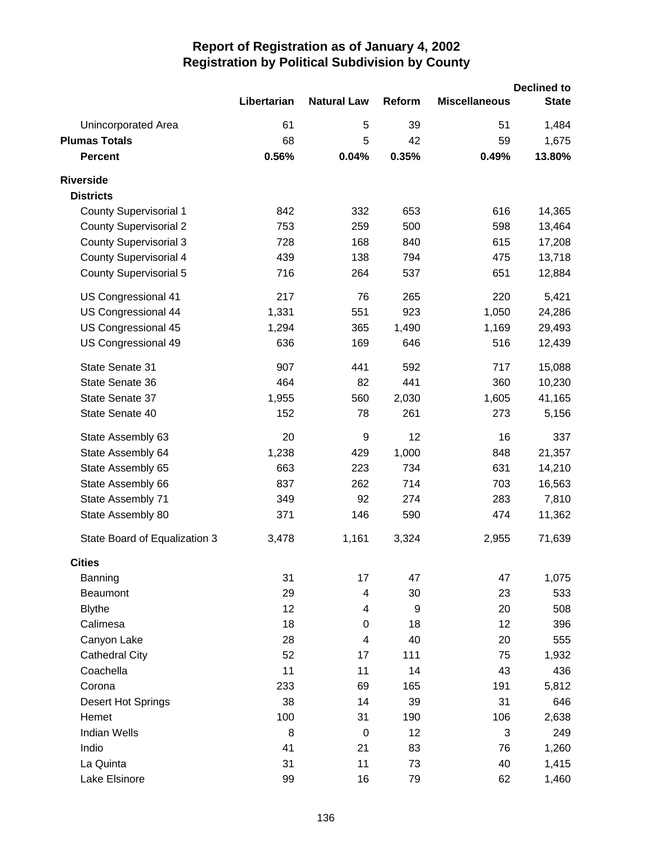|                               |             |                         |               |                      | <b>Declined to</b> |
|-------------------------------|-------------|-------------------------|---------------|----------------------|--------------------|
|                               | Libertarian | <b>Natural Law</b>      | <b>Reform</b> | <b>Miscellaneous</b> | <b>State</b>       |
| Unincorporated Area           | 61          | 5                       | 39            | 51                   | 1,484              |
| <b>Plumas Totals</b>          | 68          | 5                       | 42            | 59                   | 1,675              |
| <b>Percent</b>                | 0.56%       | 0.04%                   | 0.35%         | 0.49%                | 13.80%             |
| <b>Riverside</b>              |             |                         |               |                      |                    |
| <b>Districts</b>              |             |                         |               |                      |                    |
| <b>County Supervisorial 1</b> | 842         | 332                     | 653           | 616                  | 14,365             |
| <b>County Supervisorial 2</b> | 753         | 259                     | 500           | 598                  | 13,464             |
| <b>County Supervisorial 3</b> | 728         | 168                     | 840           | 615                  | 17,208             |
| <b>County Supervisorial 4</b> | 439         | 138                     | 794           | 475                  | 13,718             |
| <b>County Supervisorial 5</b> | 716         | 264                     | 537           | 651                  | 12,884             |
| US Congressional 41           | 217         | 76                      | 265           | 220                  | 5,421              |
| US Congressional 44           | 1,331       | 551                     | 923           | 1,050                | 24,286             |
| US Congressional 45           | 1,294       | 365                     | 1,490         | 1,169                | 29,493             |
| US Congressional 49           | 636         | 169                     | 646           | 516                  | 12,439             |
| State Senate 31               | 907         | 441                     | 592           | 717                  | 15,088             |
| State Senate 36               | 464         | 82                      | 441           | 360                  | 10,230             |
| State Senate 37               | 1,955       | 560                     | 2,030         | 1,605                | 41,165             |
| State Senate 40               | 152         | 78                      | 261           | 273                  | 5,156              |
| State Assembly 63             | 20          | 9                       | 12            | 16                   | 337                |
| State Assembly 64             | 1,238       | 429                     | 1,000         | 848                  | 21,357             |
| State Assembly 65             | 663         | 223                     | 734           | 631                  | 14,210             |
| State Assembly 66             | 837         | 262                     | 714           | 703                  | 16,563             |
| State Assembly 71             | 349         | 92                      | 274           | 283                  | 7,810              |
| State Assembly 80             | 371         | 146                     | 590           | 474                  | 11,362             |
| State Board of Equalization 3 | 3,478       | 1,161                   | 3,324         | 2,955                | 71,639             |
| <b>Cities</b>                 |             |                         |               |                      |                    |
| Banning                       | 31          | 17                      | 47            | 47                   | 1,075              |
| <b>Beaumont</b>               | 29          | 4                       | 30            | 23                   | 533                |
| <b>Blythe</b>                 | 12          | 4                       | 9             | 20                   | 508                |
| Calimesa                      | 18          | 0                       | 18            | 12                   | 396                |
| Canyon Lake                   | 28          | $\overline{\mathbf{4}}$ | 40            | 20                   | 555                |
| <b>Cathedral City</b>         | 52          | 17                      | 111           | 75                   | 1,932              |
| Coachella                     | 11          | 11                      | 14            | 43                   | 436                |
| Corona                        | 233         | 69                      | 165           | 191                  | 5,812              |
| Desert Hot Springs            | 38          | 14                      | 39            | 31                   | 646                |
| Hemet                         | 100         | 31                      | 190           | 106                  | 2,638              |
| <b>Indian Wells</b>           | 8           | $\mathbf 0$             | 12            | 3                    | 249                |
| Indio                         | 41          | 21                      | 83            | 76                   | 1,260              |
| La Quinta                     | 31          | 11                      | 73            | 40                   | 1,415              |
| Lake Elsinore                 | 99          | 16                      | 79            | 62                   | 1,460              |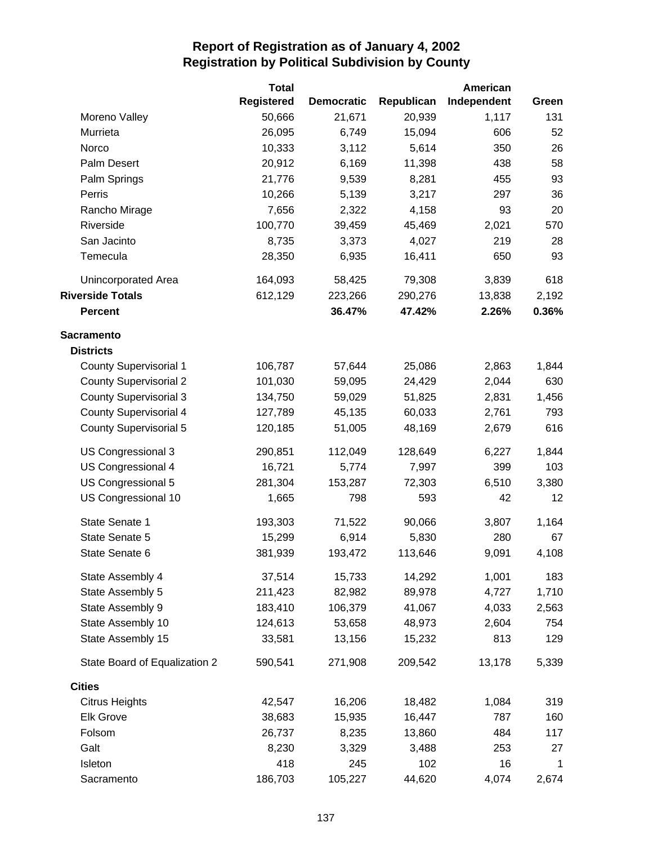|                               | <b>Total</b><br><b>Registered</b> | <b>Democratic</b> | Republican | American<br>Independent | Green       |
|-------------------------------|-----------------------------------|-------------------|------------|-------------------------|-------------|
| Moreno Valley                 | 50,666                            | 21,671            | 20,939     | 1,117                   | 131         |
| Murrieta                      | 26,095                            | 6,749             | 15,094     | 606                     | 52          |
| Norco                         | 10,333                            | 3,112             | 5,614      | 350                     | 26          |
| Palm Desert                   | 20,912                            | 6,169             | 11,398     | 438                     | 58          |
| Palm Springs                  | 21,776                            | 9,539             | 8,281      | 455                     | 93          |
| Perris                        | 10,266                            | 5,139             | 3,217      | 297                     | 36          |
| Rancho Mirage                 | 7,656                             | 2,322             | 4,158      | 93                      | 20          |
| Riverside                     | 100,770                           | 39,459            | 45,469     | 2,021                   | 570         |
| San Jacinto                   | 8,735                             | 3,373             | 4,027      | 219                     | 28          |
| Temecula                      | 28,350                            | 6,935             | 16,411     | 650                     | 93          |
|                               |                                   |                   |            |                         |             |
| Unincorporated Area           | 164,093                           | 58,425            | 79,308     | 3,839                   | 618         |
| <b>Riverside Totals</b>       | 612,129                           | 223,266           | 290,276    | 13,838                  | 2,192       |
| <b>Percent</b>                |                                   | 36.47%            | 47.42%     | 2.26%                   | 0.36%       |
| <b>Sacramento</b>             |                                   |                   |            |                         |             |
| <b>Districts</b>              |                                   |                   |            |                         |             |
| <b>County Supervisorial 1</b> | 106,787                           | 57,644            | 25,086     | 2,863                   | 1,844       |
| <b>County Supervisorial 2</b> | 101,030                           | 59,095            | 24,429     | 2,044                   | 630         |
| <b>County Supervisorial 3</b> | 134,750                           | 59,029            | 51,825     | 2,831                   | 1,456       |
| <b>County Supervisorial 4</b> | 127,789                           | 45,135            | 60,033     | 2,761                   | 793         |
| <b>County Supervisorial 5</b> | 120,185                           | 51,005            | 48,169     | 2,679                   | 616         |
| US Congressional 3            | 290,851                           | 112,049           | 128,649    | 6,227                   | 1,844       |
| US Congressional 4            | 16,721                            | 5,774             | 7,997      | 399                     | 103         |
| US Congressional 5            | 281,304                           | 153,287           | 72,303     | 6,510                   | 3,380       |
| US Congressional 10           | 1,665                             | 798               | 593        | 42                      | 12          |
| State Senate 1                | 193,303                           | 71,522            | 90,066     | 3,807                   | 1,164       |
| State Senate 5                | 15,299                            | 6,914             | 5,830      | 280                     | 67          |
| State Senate 6                | 381,939                           | 193,472           | 113,646    | 9,091                   | 4,108       |
| State Assembly 4              | 37,514                            | 15,733            | 14,292     | 1,001                   | 183         |
| State Assembly 5              | 211,423                           | 82,982            | 89,978     | 4,727                   | 1,710       |
| State Assembly 9              | 183,410                           | 106,379           | 41,067     | 4,033                   | 2,563       |
| State Assembly 10             | 124,613                           | 53,658            | 48,973     | 2,604                   | 754         |
| State Assembly 15             | 33,581                            | 13,156            | 15,232     | 813                     | 129         |
| State Board of Equalization 2 | 590,541                           | 271,908           | 209,542    | 13,178                  | 5,339       |
| <b>Cities</b>                 |                                   |                   |            |                         |             |
| <b>Citrus Heights</b>         | 42,547                            | 16,206            | 18,482     | 1,084                   | 319         |
| <b>Elk Grove</b>              | 38,683                            | 15,935            | 16,447     | 787                     | 160         |
| Folsom                        | 26,737                            | 8,235             | 13,860     | 484                     | 117         |
| Galt                          | 8,230                             | 3,329             | 3,488      | 253                     | 27          |
| Isleton                       | 418                               | 245               | 102        | 16                      | $\mathbf 1$ |
| Sacramento                    | 186,703                           | 105,227           | 44,620     | 4,074                   | 2,674       |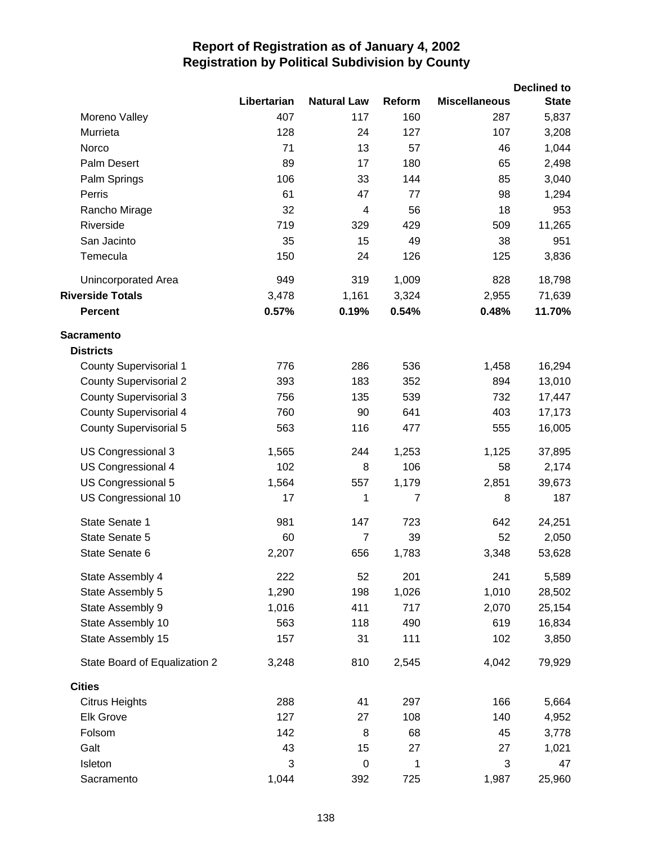|                               |             |                    |        |                      | <b>Declined to</b> |
|-------------------------------|-------------|--------------------|--------|----------------------|--------------------|
|                               | Libertarian | <b>Natural Law</b> | Reform | <b>Miscellaneous</b> | <b>State</b>       |
| Moreno Valley                 | 407         | 117                | 160    | 287                  | 5,837              |
| Murrieta                      | 128         | 24                 | 127    | 107                  | 3,208              |
| Norco                         | 71          | 13                 | 57     | 46                   | 1,044              |
| Palm Desert                   | 89          | 17                 | 180    | 65                   | 2,498              |
| Palm Springs                  | 106         | 33                 | 144    | 85                   | 3,040              |
| Perris                        | 61          | 47                 | 77     | 98                   | 1,294              |
| Rancho Mirage                 | 32          | 4                  | 56     | 18                   | 953                |
| Riverside                     | 719         | 329                | 429    | 509                  | 11,265             |
| San Jacinto                   | 35          | 15                 | 49     | 38                   | 951                |
| Temecula                      | 150         | 24                 | 126    | 125                  | 3,836              |
| Unincorporated Area           | 949         | 319                | 1,009  | 828                  | 18,798             |
| <b>Riverside Totals</b>       | 3,478       | 1,161              | 3,324  | 2,955                | 71,639             |
| <b>Percent</b>                | 0.57%       | 0.19%              | 0.54%  | 0.48%                | 11.70%             |
| <b>Sacramento</b>             |             |                    |        |                      |                    |
| <b>Districts</b>              |             |                    |        |                      |                    |
| <b>County Supervisorial 1</b> | 776         | 286                | 536    | 1,458                | 16,294             |
| <b>County Supervisorial 2</b> | 393         | 183                | 352    | 894                  | 13,010             |
| <b>County Supervisorial 3</b> | 756         | 135                | 539    | 732                  | 17,447             |
| <b>County Supervisorial 4</b> | 760         | 90                 | 641    | 403                  | 17,173             |
| <b>County Supervisorial 5</b> | 563         | 116                | 477    | 555                  | 16,005             |
| US Congressional 3            | 1,565       | 244                | 1,253  | 1,125                | 37,895             |
| US Congressional 4            | 102         | 8                  | 106    | 58                   | 2,174              |
| US Congressional 5            | 1,564       | 557                | 1,179  | 2,851                | 39,673             |
| US Congressional 10           | 17          | 1                  | 7      | 8                    | 187                |
| State Senate 1                | 981         | 147                | 723    | 642                  | 24,251             |
| State Senate 5                | 60          | $\overline{7}$     | 39     | 52                   | 2,050              |
| State Senate 6                | 2,207       | 656                | 1,783  | 3,348                | 53,628             |
| State Assembly 4              | 222         | 52                 | 201    | 241                  | 5,589              |
| State Assembly 5              | 1,290       | 198                | 1,026  | 1,010                | 28,502             |
| State Assembly 9              | 1,016       | 411                | 717    | 2,070                | 25,154             |
| State Assembly 10             | 563         | 118                | 490    | 619                  | 16,834             |
| State Assembly 15             | 157         | 31                 | 111    | 102                  | 3,850              |
| State Board of Equalization 2 | 3,248       | 810                | 2,545  | 4,042                | 79,929             |
| <b>Cities</b>                 |             |                    |        |                      |                    |
| <b>Citrus Heights</b>         | 288         | 41                 | 297    | 166                  | 5,664              |
| <b>Elk Grove</b>              | 127         | 27                 | 108    | 140                  | 4,952              |
| Folsom                        | 142         | 8                  | 68     | 45                   | 3,778              |
| Galt                          | 43          | 15                 | 27     | 27                   | 1,021              |
| Isleton                       | 3           | 0                  | 1      | 3                    | 47                 |
| Sacramento                    | 1,044       | 392                | 725    | 1,987                | 25,960             |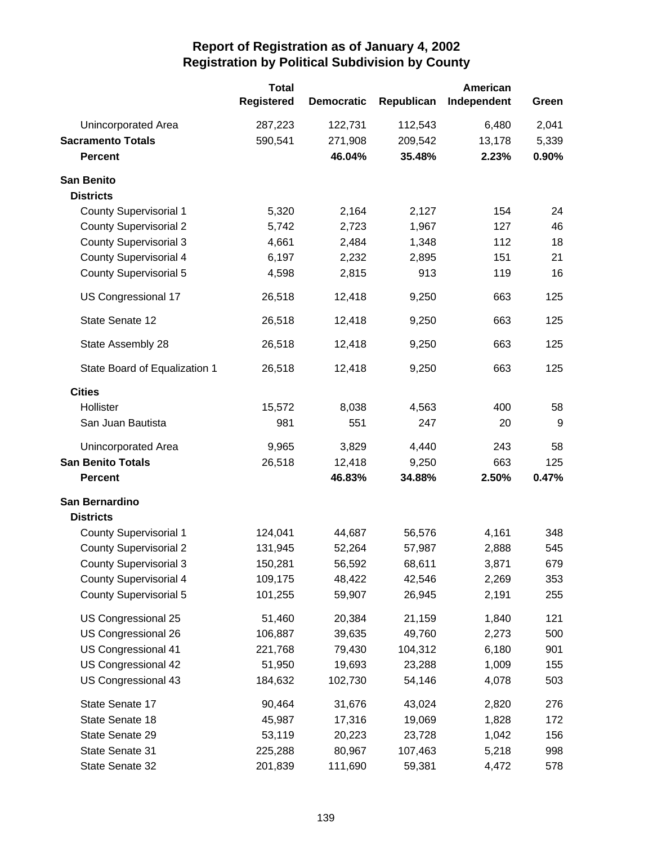|                                       | <b>Total</b><br><b>Registered</b> | <b>Democratic</b> | Republican | American<br>Independent | Green |
|---------------------------------------|-----------------------------------|-------------------|------------|-------------------------|-------|
| <b>Unincorporated Area</b>            | 287,223                           | 122,731           | 112,543    | 6,480                   | 2,041 |
| <b>Sacramento Totals</b>              | 590,541                           | 271,908           | 209,542    | 13,178                  | 5,339 |
| <b>Percent</b>                        |                                   | 46.04%            | 35.48%     | 2.23%                   | 0.90% |
| <b>San Benito</b><br><b>Districts</b> |                                   |                   |            |                         |       |
| <b>County Supervisorial 1</b>         | 5,320                             | 2,164             | 2,127      | 154                     | 24    |
| <b>County Supervisorial 2</b>         | 5,742                             | 2,723             | 1,967      | 127                     | 46    |
| <b>County Supervisorial 3</b>         | 4,661                             | 2,484             | 1,348      | 112                     | 18    |
| <b>County Supervisorial 4</b>         | 6,197                             | 2,232             | 2,895      | 151                     | 21    |
| <b>County Supervisorial 5</b>         | 4,598                             | 2,815             | 913        | 119                     | 16    |
| US Congressional 17                   | 26,518                            | 12,418            | 9,250      | 663                     | 125   |
| State Senate 12                       | 26,518                            | 12,418            | 9,250      | 663                     | 125   |
| State Assembly 28                     | 26,518                            | 12,418            | 9,250      | 663                     | 125   |
| State Board of Equalization 1         | 26,518                            | 12,418            | 9,250      | 663                     | 125   |
| <b>Cities</b>                         |                                   |                   |            |                         |       |
| Hollister                             | 15,572                            | 8,038             | 4,563      | 400                     | 58    |
| San Juan Bautista                     | 981                               | 551               | 247        | 20                      | 9     |
| Unincorporated Area                   | 9,965                             | 3,829             | 4,440      | 243                     | 58    |
| <b>San Benito Totals</b>              | 26,518                            | 12,418            | 9,250      | 663                     | 125   |
| <b>Percent</b>                        |                                   | 46.83%            | 34.88%     | 2.50%                   | 0.47% |
| San Bernardino<br><b>Districts</b>    |                                   |                   |            |                         |       |
| <b>County Supervisorial 1</b>         | 124,041                           | 44,687            | 56,576     | 4,161                   | 348   |
| <b>County Supervisorial 2</b>         | 131,945                           | 52,264            | 57,987     | 2,888                   | 545   |
| <b>County Supervisorial 3</b>         | 150,281                           | 56,592            | 68,611     | 3,871                   | 679   |
| County Supervisorial 4                | 109,175                           | 48,422            | 42,546     | 2,269                   | 353   |
| <b>County Supervisorial 5</b>         | 101,255                           | 59,907            | 26,945     | 2,191                   | 255   |
| US Congressional 25                   | 51,460                            | 20,384            | 21,159     | 1,840                   | 121   |
| US Congressional 26                   | 106,887                           | 39,635            | 49,760     | 2,273                   | 500   |
| US Congressional 41                   | 221,768                           | 79,430            | 104,312    | 6,180                   | 901   |
| US Congressional 42                   | 51,950                            | 19,693            | 23,288     | 1,009                   | 155   |
| US Congressional 43                   | 184,632                           | 102,730           | 54,146     | 4,078                   | 503   |
| State Senate 17                       | 90,464                            | 31,676            | 43,024     | 2,820                   | 276   |
| State Senate 18                       | 45,987                            | 17,316            | 19,069     | 1,828                   | 172   |
| State Senate 29                       | 53,119                            | 20,223            | 23,728     | 1,042                   | 156   |
| State Senate 31                       | 225,288                           | 80,967            | 107,463    | 5,218                   | 998   |
| State Senate 32                       | 201,839                           | 111,690           | 59,381     | 4,472                   | 578   |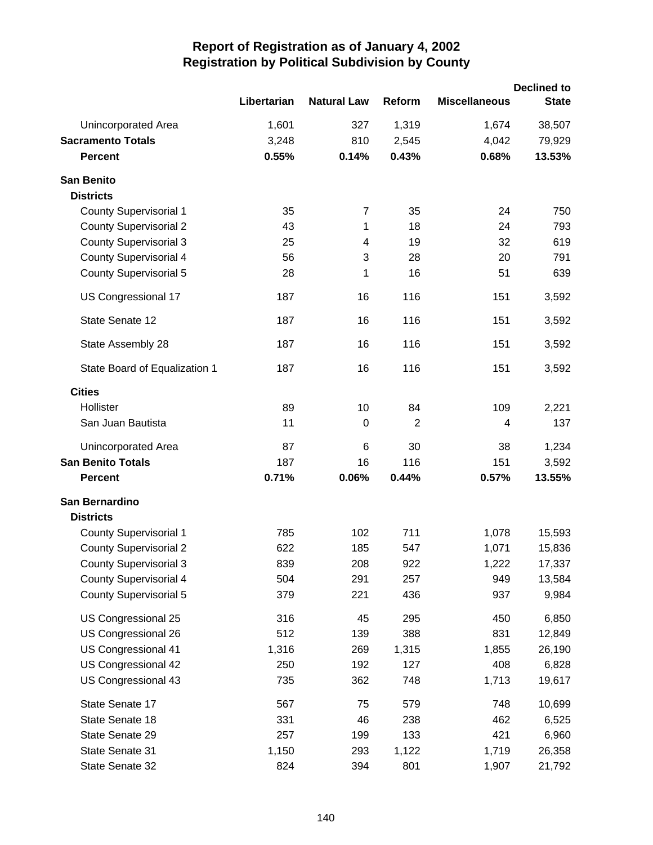|                               |             |                    |        |                      | <b>Declined to</b> |
|-------------------------------|-------------|--------------------|--------|----------------------|--------------------|
|                               | Libertarian | <b>Natural Law</b> | Reform | <b>Miscellaneous</b> | <b>State</b>       |
| <b>Unincorporated Area</b>    | 1,601       | 327                | 1,319  | 1,674                | 38,507             |
| <b>Sacramento Totals</b>      | 3,248       | 810                | 2,545  | 4,042                | 79,929             |
| <b>Percent</b>                | 0.55%       | 0.14%              | 0.43%  | 0.68%                | 13.53%             |
| <b>San Benito</b>             |             |                    |        |                      |                    |
| <b>Districts</b>              |             |                    |        |                      |                    |
| <b>County Supervisorial 1</b> | 35          | $\overline{7}$     | 35     | 24                   | 750                |
| <b>County Supervisorial 2</b> | 43          | 1                  | 18     | 24                   | 793                |
| <b>County Supervisorial 3</b> | 25          | 4                  | 19     | 32                   | 619                |
| <b>County Supervisorial 4</b> | 56          | 3                  | 28     | 20                   | 791                |
| <b>County Supervisorial 5</b> | 28          | 1                  | 16     | 51                   | 639                |
| US Congressional 17           | 187         | 16                 | 116    | 151                  | 3,592              |
| State Senate 12               | 187         | 16                 | 116    | 151                  | 3,592              |
| State Assembly 28             | 187         | 16                 | 116    | 151                  | 3,592              |
| State Board of Equalization 1 | 187         | 16                 | 116    | 151                  | 3,592              |
| <b>Cities</b>                 |             |                    |        |                      |                    |
| Hollister                     | 89          | 10                 | 84     | 109                  | 2,221              |
| San Juan Bautista             | 11          | 0                  | 2      | $\overline{4}$       | 137                |
| Unincorporated Area           | 87          | 6                  | 30     | 38                   | 1,234              |
| <b>San Benito Totals</b>      | 187         | 16                 | 116    | 151                  | 3,592              |
| <b>Percent</b>                | 0.71%       | 0.06%              | 0.44%  | 0.57%                | 13.55%             |
| San Bernardino                |             |                    |        |                      |                    |
| <b>Districts</b>              |             |                    |        |                      |                    |
| <b>County Supervisorial 1</b> | 785         | 102                | 711    | 1,078                | 15,593             |
| <b>County Supervisorial 2</b> | 622         | 185                | 547    | 1,071                | 15,836             |
| <b>County Supervisorial 3</b> | 839         | 208                | 922    | 1,222                | 17,337             |
| <b>County Supervisorial 4</b> | 504         | 291                | 257    | 949                  | 13,584             |
| <b>County Supervisorial 5</b> | 379         | 221                | 436    | 937                  | 9,984              |
| US Congressional 25           | 316         | 45                 | 295    | 450                  | 6,850              |
| US Congressional 26           | 512         | 139                | 388    | 831                  | 12,849             |
| US Congressional 41           | 1,316       | 269                | 1,315  | 1,855                | 26,190             |
| US Congressional 42           | 250         | 192                | 127    | 408                  | 6,828              |
| US Congressional 43           | 735         | 362                | 748    | 1,713                | 19,617             |
| State Senate 17               | 567         | 75                 | 579    | 748                  | 10,699             |
| State Senate 18               | 331         | 46                 | 238    | 462                  | 6,525              |
| State Senate 29               | 257         | 199                | 133    | 421                  | 6,960              |
| State Senate 31               | 1,150       | 293                | 1,122  | 1,719                | 26,358             |
| State Senate 32               | 824         | 394                | 801    | 1,907                | 21,792             |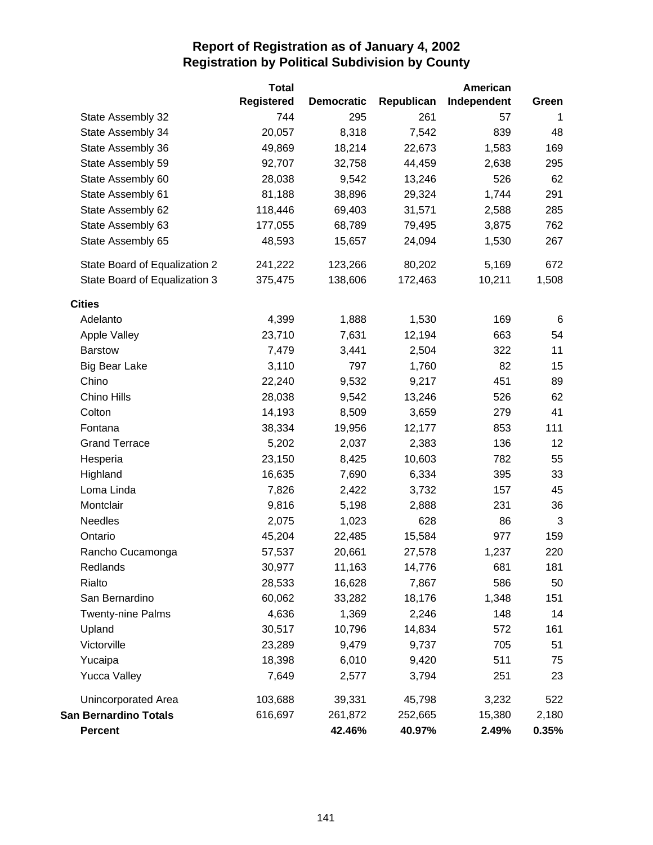|                               | <b>Total</b>      |                   |            | American    |       |
|-------------------------------|-------------------|-------------------|------------|-------------|-------|
|                               | <b>Registered</b> | <b>Democratic</b> | Republican | Independent | Green |
| State Assembly 32             | 744               | 295               | 261        | 57          | 1     |
| State Assembly 34             | 20,057            | 8,318             | 7,542      | 839         | 48    |
| State Assembly 36             | 49,869            | 18,214            | 22,673     | 1,583       | 169   |
| State Assembly 59             | 92,707            | 32,758            | 44,459     | 2,638       | 295   |
| State Assembly 60             | 28,038            | 9,542             | 13,246     | 526         | 62    |
| State Assembly 61             | 81,188            | 38,896            | 29,324     | 1,744       | 291   |
| State Assembly 62             | 118,446           | 69,403            | 31,571     | 2,588       | 285   |
| State Assembly 63             | 177,055           | 68,789            | 79,495     | 3,875       | 762   |
| State Assembly 65             | 48,593            | 15,657            | 24,094     | 1,530       | 267   |
| State Board of Equalization 2 | 241,222           | 123,266           | 80,202     | 5,169       | 672   |
| State Board of Equalization 3 | 375,475           | 138,606           | 172,463    | 10,211      | 1,508 |
| <b>Cities</b>                 |                   |                   |            |             |       |
| Adelanto                      | 4,399             | 1,888             | 1,530      | 169         | 6     |
| Apple Valley                  | 23,710            | 7,631             | 12,194     | 663         | 54    |
| <b>Barstow</b>                | 7,479             | 3,441             | 2,504      | 322         | 11    |
| <b>Big Bear Lake</b>          | 3,110             | 797               | 1,760      | 82          | 15    |
| Chino                         | 22,240            | 9,532             | 9,217      | 451         | 89    |
| Chino Hills                   | 28,038            | 9,542             | 13,246     | 526         | 62    |
| Colton                        | 14,193            | 8,509             | 3,659      | 279         | 41    |
| Fontana                       | 38,334            | 19,956            | 12,177     | 853         | 111   |
| <b>Grand Terrace</b>          | 5,202             | 2,037             | 2,383      | 136         | 12    |
| Hesperia                      | 23,150            | 8,425             | 10,603     | 782         | 55    |
| Highland                      | 16,635            | 7,690             | 6,334      | 395         | 33    |
| Loma Linda                    | 7,826             | 2,422             | 3,732      | 157         | 45    |
| Montclair                     | 9,816             | 5,198             | 2,888      | 231         | 36    |
| Needles                       | 2,075             | 1,023             | 628        | 86          | 3     |
| Ontario                       | 45,204            | 22,485            | 15,584     | 977         | 159   |
| Rancho Cucamonga              | 57,537            | 20,661            | 27,578     | 1,237       | 220   |
| Redlands                      | 30,977            | 11,163            | 14,776     | 681         | 181   |
| Rialto                        | 28,533            | 16,628            | 7,867      | 586         | 50    |
| San Bernardino                | 60,062            | 33,282            | 18,176     | 1,348       | 151   |
| <b>Twenty-nine Palms</b>      | 4,636             | 1,369             | 2,246      | 148         | 14    |
| Upland                        | 30,517            | 10,796            | 14,834     | 572         | 161   |
| Victorville                   | 23,289            | 9,479             | 9,737      | 705         | 51    |
| Yucaipa                       | 18,398            | 6,010             | 9,420      | 511         | 75    |
| <b>Yucca Valley</b>           | 7,649             | 2,577             | 3,794      | 251         | 23    |
| <b>Unincorporated Area</b>    | 103,688           | 39,331            | 45,798     | 3,232       | 522   |
| <b>San Bernardino Totals</b>  | 616,697           | 261,872           | 252,665    | 15,380      | 2,180 |
| <b>Percent</b>                |                   | 42.46%            | 40.97%     | 2.49%       | 0.35% |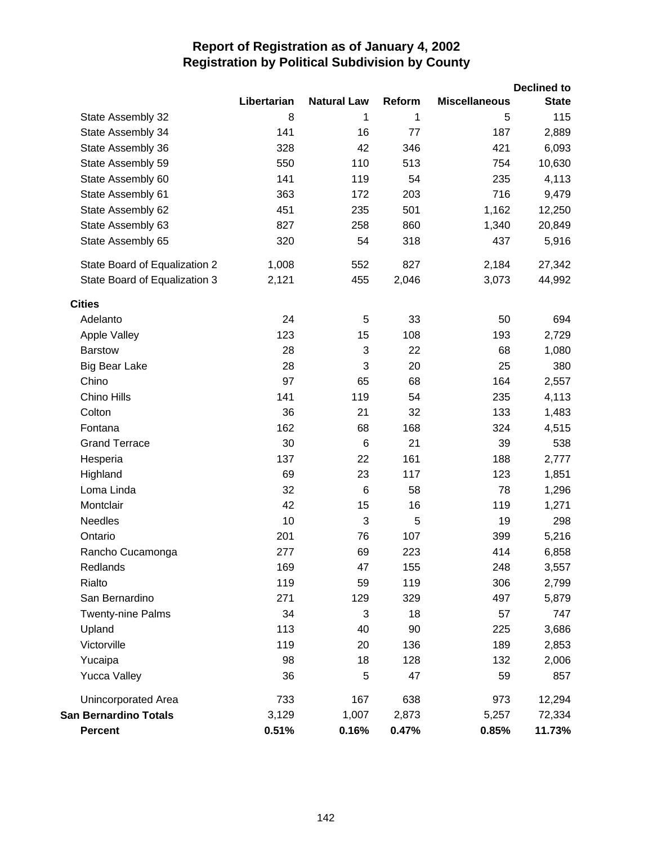|                               |             |                    |        |                      | <b>Declined to</b> |
|-------------------------------|-------------|--------------------|--------|----------------------|--------------------|
|                               | Libertarian | <b>Natural Law</b> | Reform | <b>Miscellaneous</b> | <b>State</b>       |
| State Assembly 32             | 8           | 1                  | 1      | 5                    | 115                |
| State Assembly 34             | 141         | 16                 | 77     | 187                  | 2,889              |
| State Assembly 36             | 328         | 42                 | 346    | 421                  | 6,093              |
| State Assembly 59             | 550         | 110                | 513    | 754                  | 10,630             |
| State Assembly 60             | 141         | 119                | 54     | 235                  | 4,113              |
| State Assembly 61             | 363         | 172                | 203    | 716                  | 9,479              |
| State Assembly 62             | 451         | 235                | 501    | 1,162                | 12,250             |
| State Assembly 63             | 827         | 258                | 860    | 1,340                | 20,849             |
| State Assembly 65             | 320         | 54                 | 318    | 437                  | 5,916              |
| State Board of Equalization 2 | 1,008       | 552                | 827    | 2,184                | 27,342             |
| State Board of Equalization 3 | 2,121       | 455                | 2,046  | 3,073                | 44,992             |
| <b>Cities</b>                 |             |                    |        |                      |                    |
| Adelanto                      | 24          | 5                  | 33     | 50                   | 694                |
| <b>Apple Valley</b>           | 123         | 15                 | 108    | 193                  | 2,729              |
| <b>Barstow</b>                | 28          | 3                  | 22     | 68                   | 1,080              |
| <b>Big Bear Lake</b>          | 28          | 3                  | 20     | 25                   | 380                |
| Chino                         | 97          | 65                 | 68     | 164                  | 2,557              |
| Chino Hills                   | 141         | 119                | 54     | 235                  | 4,113              |
| Colton                        | 36          | 21                 | 32     | 133                  | 1,483              |
| Fontana                       | 162         | 68                 | 168    | 324                  | 4,515              |
| <b>Grand Terrace</b>          | 30          | $6\phantom{1}6$    | 21     | 39                   | 538                |
| Hesperia                      | 137         | 22                 | 161    | 188                  | 2,777              |
| Highland                      | 69          | 23                 | 117    | 123                  | 1,851              |
| Loma Linda                    | 32          | $\,6$              | 58     | 78                   | 1,296              |
| Montclair                     | 42          | 15                 | 16     | 119                  | 1,271              |
| <b>Needles</b>                | 10          | 3                  | 5      | 19                   | 298                |
| Ontario                       | 201         | 76                 | 107    | 399                  | 5,216              |
| Rancho Cucamonga              | 277         | 69                 | 223    | 414                  | 6,858              |
| Redlands                      | 169         | 47                 | 155    | 248                  | 3,557              |
| Rialto                        | 119         | 59                 | 119    | 306                  | 2,799              |
| San Bernardino                | 271         | 129                | 329    | 497                  | 5,879              |
| Twenty-nine Palms             | 34          | 3                  | 18     | 57                   | 747                |
| Upland                        | 113         | 40                 | 90     | 225                  | 3,686              |
| Victorville                   | 119         | 20                 | 136    | 189                  | 2,853              |
| Yucaipa                       | 98          | 18                 | 128    | 132                  | 2,006              |
| <b>Yucca Valley</b>           | 36          | 5                  | 47     | 59                   | 857                |
| Unincorporated Area           | 733         | 167                | 638    | 973                  | 12,294             |
| <b>San Bernardino Totals</b>  | 3,129       | 1,007              | 2,873  | 5,257                | 72,334             |
| <b>Percent</b>                | 0.51%       | 0.16%              | 0.47%  | 0.85%                | 11.73%             |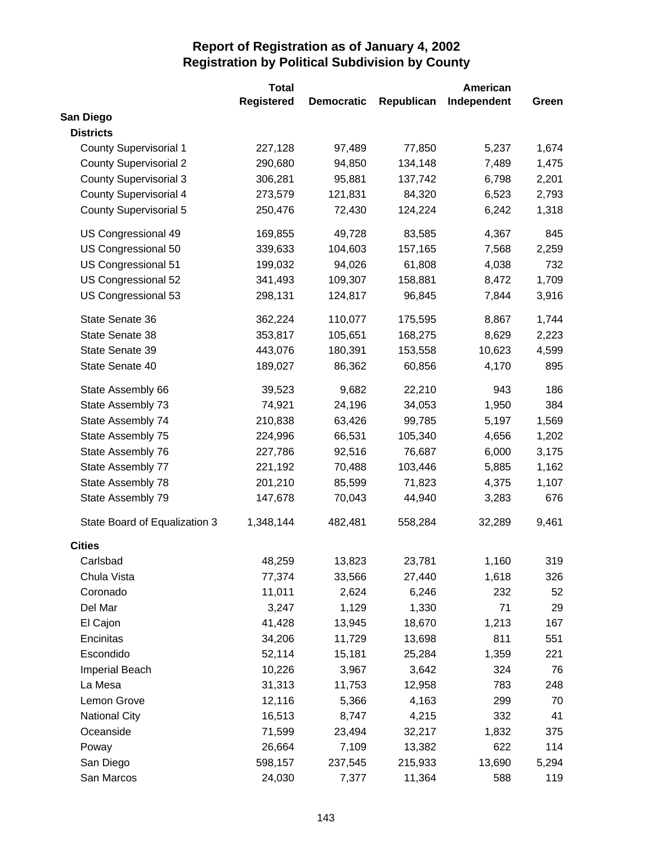|                               | <b>Total</b>      |                   |            | American    |       |
|-------------------------------|-------------------|-------------------|------------|-------------|-------|
|                               | <b>Registered</b> | <b>Democratic</b> | Republican | Independent | Green |
| San Diego                     |                   |                   |            |             |       |
| <b>Districts</b>              |                   |                   |            |             |       |
| <b>County Supervisorial 1</b> | 227,128           | 97,489            | 77,850     | 5,237       | 1,674 |
| <b>County Supervisorial 2</b> | 290,680           | 94,850            | 134,148    | 7,489       | 1,475 |
| <b>County Supervisorial 3</b> | 306,281           | 95,881            | 137,742    | 6,798       | 2,201 |
| <b>County Supervisorial 4</b> | 273,579           | 121,831           | 84,320     | 6,523       | 2,793 |
| <b>County Supervisorial 5</b> | 250,476           | 72,430            | 124,224    | 6,242       | 1,318 |
| US Congressional 49           | 169,855           | 49,728            | 83,585     | 4,367       | 845   |
| US Congressional 50           | 339,633           | 104,603           | 157,165    | 7,568       | 2,259 |
| US Congressional 51           | 199,032           | 94,026            | 61,808     | 4,038       | 732   |
| US Congressional 52           | 341,493           | 109,307           | 158,881    | 8,472       | 1,709 |
| US Congressional 53           | 298,131           | 124,817           | 96,845     | 7,844       | 3,916 |
| State Senate 36               | 362,224           | 110,077           | 175,595    | 8,867       | 1,744 |
| State Senate 38               | 353,817           | 105,651           | 168,275    | 8,629       | 2,223 |
| State Senate 39               | 443,076           | 180,391           | 153,558    | 10,623      | 4,599 |
| State Senate 40               | 189,027           | 86,362            | 60,856     | 4,170       | 895   |
| State Assembly 66             | 39,523            | 9,682             | 22,210     | 943         | 186   |
| State Assembly 73             | 74,921            | 24,196            | 34,053     | 1,950       | 384   |
| State Assembly 74             | 210,838           | 63,426            | 99,785     | 5,197       | 1,569 |
| State Assembly 75             | 224,996           | 66,531            | 105,340    | 4,656       | 1,202 |
| State Assembly 76             | 227,786           | 92,516            | 76,687     | 6,000       | 3,175 |
| State Assembly 77             | 221,192           | 70,488            | 103,446    | 5,885       | 1,162 |
| State Assembly 78             | 201,210           | 85,599            | 71,823     | 4,375       | 1,107 |
| State Assembly 79             | 147,678           | 70,043            | 44,940     | 3,283       | 676   |
| State Board of Equalization 3 | 1,348,144         | 482,481           | 558,284    | 32,289      | 9,461 |
| <b>Cities</b>                 |                   |                   |            |             |       |
| Carlsbad                      | 48,259            | 13,823            | 23,781     | 1,160       | 319   |
| Chula Vista                   | 77,374            | 33,566            | 27,440     | 1,618       | 326   |
| Coronado                      | 11,011            | 2,624             | 6,246      | 232         | 52    |
| Del Mar                       | 3,247             | 1,129             | 1,330      | 71          | 29    |
| El Cajon                      | 41,428            | 13,945            | 18,670     | 1,213       | 167   |
| Encinitas                     | 34,206            | 11,729            | 13,698     | 811         | 551   |
| Escondido                     | 52,114            | 15,181            | 25,284     | 1,359       | 221   |
| Imperial Beach                | 10,226            | 3,967             | 3,642      | 324         | 76    |
| La Mesa                       | 31,313            | 11,753            | 12,958     | 783         | 248   |
| Lemon Grove                   | 12,116            | 5,366             | 4,163      | 299         | 70    |
| <b>National City</b>          | 16,513            | 8,747             | 4,215      | 332         | 41    |
| Oceanside                     | 71,599            | 23,494            | 32,217     | 1,832       | 375   |
| Poway                         | 26,664            | 7,109             | 13,382     | 622         | 114   |
| San Diego                     | 598,157           | 237,545           | 215,933    | 13,690      | 5,294 |
| San Marcos                    | 24,030            | 7,377             | 11,364     | 588         | 119   |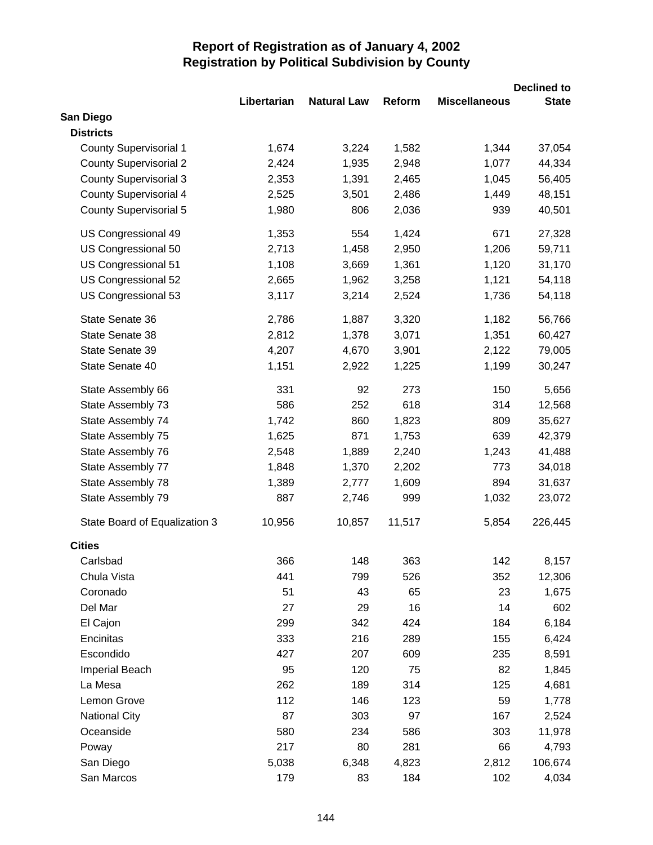|                               |             |                    |        |                      | <b>Declined to</b> |
|-------------------------------|-------------|--------------------|--------|----------------------|--------------------|
|                               | Libertarian | <b>Natural Law</b> | Reform | <b>Miscellaneous</b> | <b>State</b>       |
| San Diego                     |             |                    |        |                      |                    |
| <b>Districts</b>              |             |                    |        |                      |                    |
| <b>County Supervisorial 1</b> | 1,674       | 3,224              | 1,582  | 1,344                | 37,054             |
| <b>County Supervisorial 2</b> | 2,424       | 1,935              | 2,948  | 1,077                | 44,334             |
| <b>County Supervisorial 3</b> | 2,353       | 1,391              | 2,465  | 1,045                | 56,405             |
| <b>County Supervisorial 4</b> | 2,525       | 3,501              | 2,486  | 1,449                | 48,151             |
| <b>County Supervisorial 5</b> | 1,980       | 806                | 2,036  | 939                  | 40,501             |
| US Congressional 49           | 1,353       | 554                | 1,424  | 671                  | 27,328             |
| US Congressional 50           | 2,713       | 1,458              | 2,950  | 1,206                | 59,711             |
| US Congressional 51           | 1,108       | 3,669              | 1,361  | 1,120                | 31,170             |
| US Congressional 52           | 2,665       | 1,962              | 3,258  | 1,121                | 54,118             |
| US Congressional 53           | 3,117       | 3,214              | 2,524  | 1,736                | 54,118             |
| State Senate 36               | 2,786       | 1,887              | 3,320  | 1,182                | 56,766             |
| State Senate 38               | 2,812       | 1,378              | 3,071  | 1,351                | 60,427             |
| State Senate 39               | 4,207       | 4,670              | 3,901  | 2,122                | 79,005             |
| State Senate 40               | 1,151       | 2,922              | 1,225  | 1,199                | 30,247             |
| State Assembly 66             | 331         | 92                 | 273    | 150                  | 5,656              |
| State Assembly 73             | 586         | 252                | 618    | 314                  | 12,568             |
| State Assembly 74             | 1,742       | 860                | 1,823  | 809                  | 35,627             |
| State Assembly 75             | 1,625       | 871                | 1,753  | 639                  | 42,379             |
| State Assembly 76             | 2,548       | 1,889              | 2,240  | 1,243                | 41,488             |
| State Assembly 77             | 1,848       | 1,370              | 2,202  | 773                  | 34,018             |
| State Assembly 78             | 1,389       | 2,777              | 1,609  | 894                  | 31,637             |
| State Assembly 79             | 887         | 2,746              | 999    | 1,032                | 23,072             |
| State Board of Equalization 3 | 10,956      | 10,857             | 11,517 | 5,854                | 226,445            |
| <b>Cities</b>                 |             |                    |        |                      |                    |
| Carlsbad                      | 366         | 148                | 363    | 142                  | 8,157              |
| Chula Vista                   | 441         | 799                | 526    | 352                  | 12,306             |
| Coronado                      | 51          | 43                 | 65     | 23                   | 1,675              |
| Del Mar                       | 27          | 29                 | 16     | 14                   | 602                |
| El Cajon                      | 299         | 342                | 424    | 184                  | 6,184              |
| Encinitas                     | 333         | 216                | 289    | 155                  | 6,424              |
| Escondido                     | 427         | 207                | 609    | 235                  | 8,591              |
| Imperial Beach                | 95          | 120                | 75     | 82                   | 1,845              |
| La Mesa                       | 262         | 189                | 314    | 125                  | 4,681              |
| Lemon Grove                   | 112         | 146                | 123    | 59                   | 1,778              |
| <b>National City</b>          | 87          | 303                | 97     | 167                  | 2,524              |
| Oceanside                     | 580         | 234                | 586    | 303                  | 11,978             |
| Poway                         | 217         | 80                 | 281    | 66                   | 4,793              |
| San Diego                     | 5,038       | 6,348              | 4,823  | 2,812                | 106,674            |
| San Marcos                    | 179         | 83                 | 184    | 102                  | 4,034              |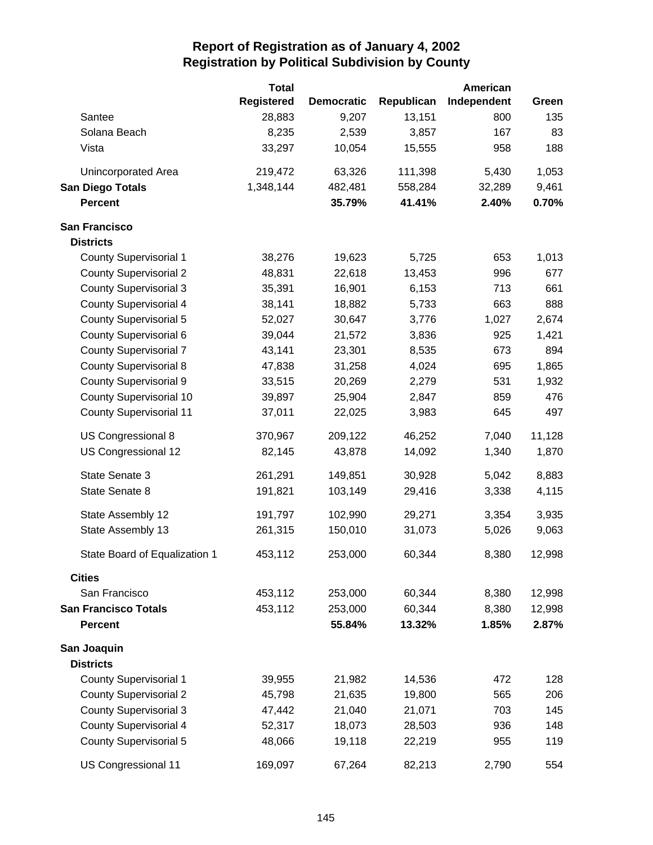|                                | <b>Total</b>      |                   |            | American    |        |
|--------------------------------|-------------------|-------------------|------------|-------------|--------|
|                                | <b>Registered</b> | <b>Democratic</b> | Republican | Independent | Green  |
| Santee                         | 28,883            | 9,207             | 13,151     | 800         | 135    |
| Solana Beach                   | 8,235             | 2,539             | 3,857      | 167         | 83     |
| Vista                          | 33,297            | 10,054            | 15,555     | 958         | 188    |
| Unincorporated Area            | 219,472           | 63,326            | 111,398    | 5,430       | 1,053  |
| <b>San Diego Totals</b>        | 1,348,144         | 482,481           | 558,284    | 32,289      | 9,461  |
| <b>Percent</b>                 |                   | 35.79%            | 41.41%     | 2.40%       | 0.70%  |
| <b>San Francisco</b>           |                   |                   |            |             |        |
| <b>Districts</b>               |                   |                   |            |             |        |
| <b>County Supervisorial 1</b>  | 38,276            | 19,623            | 5,725      | 653         | 1,013  |
| <b>County Supervisorial 2</b>  | 48,831            | 22,618            | 13,453     | 996         | 677    |
| <b>County Supervisorial 3</b>  | 35,391            | 16,901            | 6,153      | 713         | 661    |
| <b>County Supervisorial 4</b>  | 38,141            | 18,882            | 5,733      | 663         | 888    |
| <b>County Supervisorial 5</b>  | 52,027            | 30,647            | 3,776      | 1,027       | 2,674  |
| County Supervisorial 6         | 39,044            | 21,572            | 3,836      | 925         | 1,421  |
| <b>County Supervisorial 7</b>  | 43,141            | 23,301            | 8,535      | 673         | 894    |
| <b>County Supervisorial 8</b>  | 47,838            | 31,258            | 4,024      | 695         | 1,865  |
| County Supervisorial 9         | 33,515            | 20,269            | 2,279      | 531         | 1,932  |
| <b>County Supervisorial 10</b> | 39,897            | 25,904            | 2,847      | 859         | 476    |
| <b>County Supervisorial 11</b> | 37,011            | 22,025            | 3,983      | 645         | 497    |
| US Congressional 8             | 370,967           | 209,122           | 46,252     | 7,040       | 11,128 |
| US Congressional 12            | 82,145            | 43,878            | 14,092     | 1,340       | 1,870  |
| State Senate 3                 | 261,291           | 149,851           | 30,928     | 5,042       | 8,883  |
| State Senate 8                 | 191,821           | 103,149           | 29,416     | 3,338       | 4,115  |
| State Assembly 12              | 191,797           | 102,990           | 29,271     | 3,354       | 3,935  |
| State Assembly 13              | 261,315           | 150,010           | 31,073     | 5,026       | 9,063  |
| State Board of Equalization 1  | 453,112           | 253,000           | 60,344     | 8,380       | 12,998 |
| <b>Cities</b>                  |                   |                   |            |             |        |
| San Francisco                  | 453,112           | 253,000           | 60,344     | 8,380       | 12,998 |
| <b>San Francisco Totals</b>    | 453,112           | 253,000           | 60,344     | 8,380       | 12,998 |
| <b>Percent</b>                 |                   | 55.84%            | 13.32%     | 1.85%       | 2.87%  |
| San Joaquin                    |                   |                   |            |             |        |
| <b>Districts</b>               |                   |                   |            |             |        |
| <b>County Supervisorial 1</b>  | 39,955            | 21,982            | 14,536     | 472         | 128    |
| <b>County Supervisorial 2</b>  | 45,798            | 21,635            | 19,800     | 565         | 206    |
| <b>County Supervisorial 3</b>  | 47,442            | 21,040            | 21,071     | 703         | 145    |
| <b>County Supervisorial 4</b>  | 52,317            | 18,073            | 28,503     | 936         | 148    |
| <b>County Supervisorial 5</b>  | 48,066            | 19,118            | 22,219     | 955         | 119    |
| US Congressional 11            | 169,097           | 67,264            | 82,213     | 2,790       | 554    |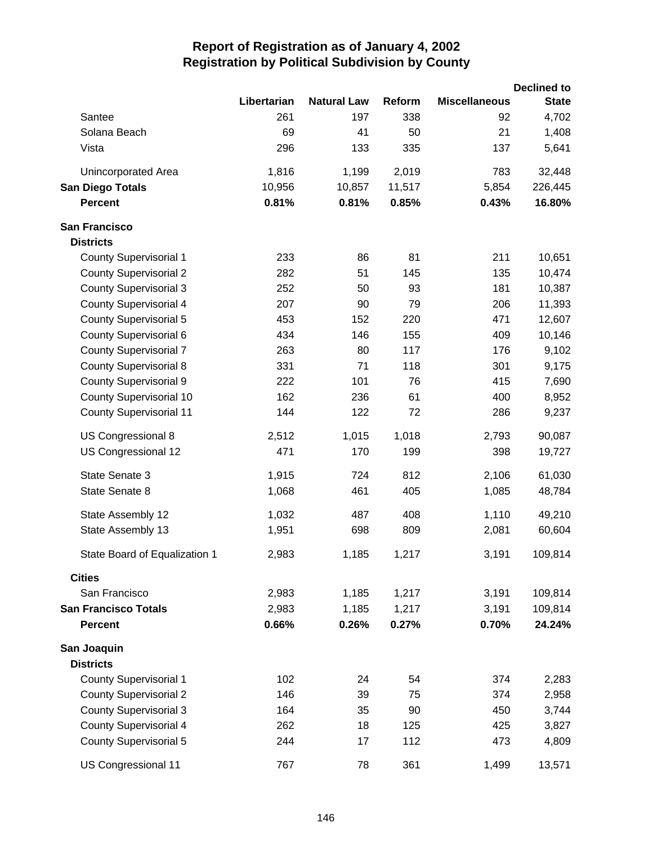|                                |             |                    |        |                      | <b>Declined to</b> |
|--------------------------------|-------------|--------------------|--------|----------------------|--------------------|
|                                | Libertarian | <b>Natural Law</b> | Reform | <b>Miscellaneous</b> | <b>State</b>       |
| Santee                         | 261         | 197                | 338    | 92                   | 4,702              |
| Solana Beach                   | 69          | 41                 | 50     | 21                   | 1,408              |
| Vista                          | 296         | 133                | 335    | 137                  | 5,641              |
| Unincorporated Area            | 1,816       | 1,199              | 2,019  | 783                  | 32,448             |
| <b>San Diego Totals</b>        | 10,956      | 10,857             | 11,517 | 5,854                | 226,445            |
| <b>Percent</b>                 | 0.81%       | 0.81%              | 0.85%  | 0.43%                | 16.80%             |
| <b>San Francisco</b>           |             |                    |        |                      |                    |
| <b>Districts</b>               |             |                    |        |                      |                    |
| <b>County Supervisorial 1</b>  | 233         | 86                 | 81     | 211                  | 10,651             |
| <b>County Supervisorial 2</b>  | 282         | 51                 | 145    | 135                  | 10,474             |
| <b>County Supervisorial 3</b>  | 252         | 50                 | 93     | 181                  | 10,387             |
| <b>County Supervisorial 4</b>  | 207         | 90                 | 79     | 206                  | 11,393             |
| <b>County Supervisorial 5</b>  | 453         | 152                | 220    | 471                  | 12,607             |
| County Supervisorial 6         | 434         | 146                | 155    | 409                  | 10,146             |
| <b>County Supervisorial 7</b>  | 263         | 80                 | 117    | 176                  | 9,102              |
| <b>County Supervisorial 8</b>  | 331         | 71                 | 118    | 301                  | 9,175              |
| <b>County Supervisorial 9</b>  | 222         | 101                | 76     | 415                  | 7,690              |
| <b>County Supervisorial 10</b> | 162         | 236                | 61     | 400                  | 8,952              |
| <b>County Supervisorial 11</b> | 144         | 122                | 72     | 286                  | 9,237              |
| US Congressional 8             | 2,512       | 1,015              | 1,018  | 2,793                | 90,087             |
| US Congressional 12            | 471         | 170                | 199    | 398                  | 19,727             |
| State Senate 3                 | 1,915       | 724                | 812    | 2,106                | 61,030             |
| State Senate 8                 | 1,068       | 461                | 405    | 1,085                | 48,784             |
| State Assembly 12              | 1,032       | 487                | 408    | 1,110                | 49,210             |
| State Assembly 13              | 1,951       | 698                | 809    | 2,081                | 60,604             |
| State Board of Equalization 1  | 2,983       | 1,185              | 1,217  | 3,191                | 109,814            |
| <b>Cities</b>                  |             |                    |        |                      |                    |
| San Francisco                  | 2,983       | 1,185              | 1,217  | 3,191                | 109,814            |
| <b>San Francisco Totals</b>    | 2,983       | 1,185              | 1,217  | 3,191                | 109,814            |
| <b>Percent</b>                 | 0.66%       | 0.26%              | 0.27%  | 0.70%                | 24.24%             |
| San Joaquin                    |             |                    |        |                      |                    |
| <b>Districts</b>               |             |                    |        |                      |                    |
| <b>County Supervisorial 1</b>  | 102         | 24                 | 54     | 374                  | 2,283              |
| <b>County Supervisorial 2</b>  | 146         | 39                 | 75     | 374                  | 2,958              |
| <b>County Supervisorial 3</b>  | 164         | 35                 | 90     | 450                  | 3,744              |
| <b>County Supervisorial 4</b>  | 262         | 18                 | 125    | 425                  | 3,827              |
| <b>County Supervisorial 5</b>  | 244         | 17                 | 112    | 473                  | 4,809              |
| US Congressional 11            | 767         | 78                 | 361    | 1,499                | 13,571             |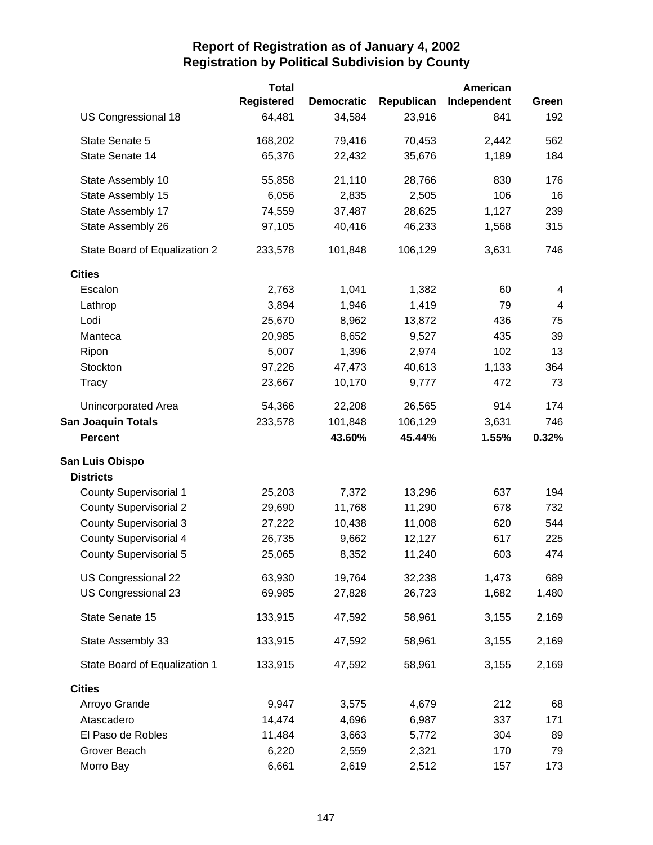|                               | <b>Total</b>      |                   |            | American    |       |
|-------------------------------|-------------------|-------------------|------------|-------------|-------|
|                               | <b>Registered</b> | <b>Democratic</b> | Republican | Independent | Green |
| US Congressional 18           | 64,481            | 34,584            | 23,916     | 841         | 192   |
| State Senate 5                | 168,202           | 79,416            | 70,453     | 2,442       | 562   |
| State Senate 14               | 65,376            | 22,432            | 35,676     | 1,189       | 184   |
| State Assembly 10             | 55,858            | 21,110            | 28,766     | 830         | 176   |
| State Assembly 15             | 6,056             | 2,835             | 2,505      | 106         | 16    |
| State Assembly 17             | 74,559            | 37,487            | 28,625     | 1,127       | 239   |
| State Assembly 26             | 97,105            | 40,416            | 46,233     | 1,568       | 315   |
| State Board of Equalization 2 | 233,578           | 101,848           | 106,129    | 3,631       | 746   |
| <b>Cities</b>                 |                   |                   |            |             |       |
| Escalon                       | 2,763             | 1,041             | 1,382      | 60          | 4     |
| Lathrop                       | 3,894             | 1,946             | 1,419      | 79          | 4     |
| Lodi                          | 25,670            | 8,962             | 13,872     | 436         | 75    |
| Manteca                       | 20,985            | 8,652             | 9,527      | 435         | 39    |
| Ripon                         | 5,007             | 1,396             | 2,974      | 102         | 13    |
| Stockton                      | 97,226            | 47,473            | 40,613     | 1,133       | 364   |
| Tracy                         | 23,667            | 10,170            | 9,777      | 472         | 73    |
| Unincorporated Area           | 54,366            | 22,208            | 26,565     | 914         | 174   |
| <b>San Joaquin Totals</b>     | 233,578           | 101,848           | 106,129    | 3,631       | 746   |
| <b>Percent</b>                |                   | 43.60%            | 45.44%     | 1.55%       | 0.32% |
| San Luis Obispo               |                   |                   |            |             |       |
| <b>Districts</b>              |                   |                   |            |             |       |
| <b>County Supervisorial 1</b> | 25,203            | 7,372             | 13,296     | 637         | 194   |
| <b>County Supervisorial 2</b> | 29,690            | 11,768            | 11,290     | 678         | 732   |
| <b>County Supervisorial 3</b> | 27,222            | 10,438            | 11,008     | 620         | 544   |
| County Supervisorial 4        | 26,735            | 9,662             | 12,127     | 617         | 225   |
| <b>County Supervisorial 5</b> | 25,065            | 8,352             | 11,240     | 603         | 474   |
| US Congressional 22           | 63,930            | 19,764            | 32,238     | 1,473       | 689   |
| US Congressional 23           | 69,985            | 27,828            | 26,723     | 1,682       | 1,480 |
| State Senate 15               | 133,915           | 47,592            | 58,961     | 3,155       | 2,169 |
| State Assembly 33             | 133,915           | 47,592            | 58,961     | 3,155       | 2,169 |
| State Board of Equalization 1 | 133,915           | 47,592            | 58,961     | 3,155       | 2,169 |
| <b>Cities</b>                 |                   |                   |            |             |       |
| Arroyo Grande                 | 9,947             | 3,575             | 4,679      | 212         | 68    |
| Atascadero                    | 14,474            | 4,696             | 6,987      | 337         | 171   |
| El Paso de Robles             | 11,484            | 3,663             | 5,772      | 304         | 89    |
| Grover Beach                  | 6,220             | 2,559             | 2,321      | 170         | 79    |
| Morro Bay                     | 6,661             | 2,619             | 2,512      | 157         | 173   |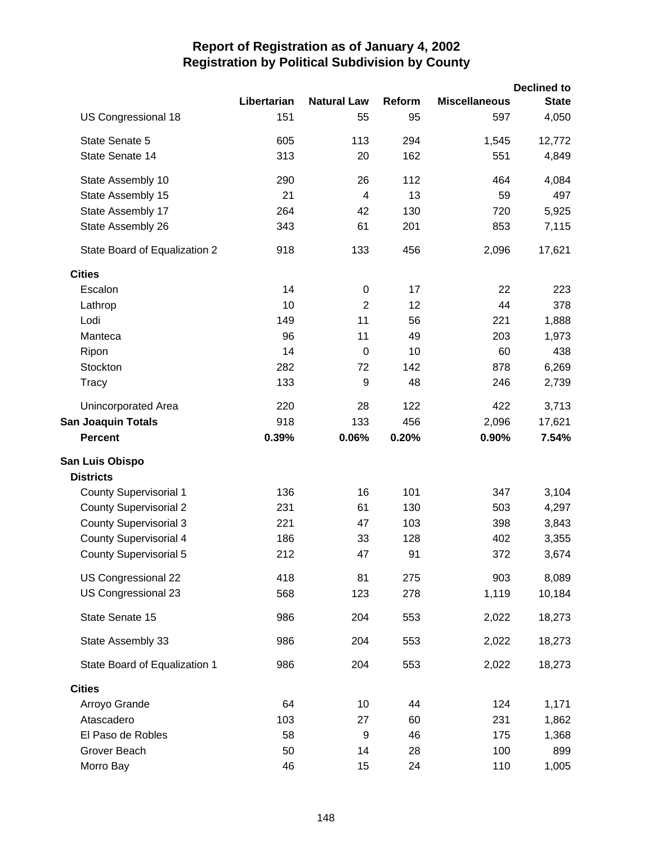|                               |             |                    |        |                      | <b>Declined to</b> |
|-------------------------------|-------------|--------------------|--------|----------------------|--------------------|
|                               | Libertarian | <b>Natural Law</b> | Reform | <b>Miscellaneous</b> | <b>State</b>       |
| US Congressional 18           | 151         | 55                 | 95     | 597                  | 4,050              |
| State Senate 5                | 605         | 113                | 294    | 1,545                | 12,772             |
| State Senate 14               | 313         | 20                 | 162    | 551                  | 4,849              |
| State Assembly 10             | 290         | 26                 | 112    | 464                  | 4,084              |
| State Assembly 15             | 21          | $\overline{4}$     | 13     | 59                   | 497                |
| State Assembly 17             | 264         | 42                 | 130    | 720                  | 5,925              |
| State Assembly 26             | 343         | 61                 | 201    | 853                  | 7,115              |
| State Board of Equalization 2 | 918         | 133                | 456    | 2,096                | 17,621             |
| <b>Cities</b>                 |             |                    |        |                      |                    |
| Escalon                       | 14          | $\mathbf 0$        | 17     | 22                   | 223                |
| Lathrop                       | 10          | $\overline{2}$     | 12     | 44                   | 378                |
| Lodi                          | 149         | 11                 | 56     | 221                  | 1,888              |
| Manteca                       | 96          | 11                 | 49     | 203                  | 1,973              |
| Ripon                         | 14          | $\mathbf 0$        | 10     | 60                   | 438                |
| Stockton                      | 282         | 72                 | 142    | 878                  | 6,269              |
| Tracy                         | 133         | 9                  | 48     | 246                  | 2,739              |
| Unincorporated Area           | 220         | 28                 | 122    | 422                  | 3,713              |
| <b>San Joaquin Totals</b>     | 918         | 133                | 456    | 2,096                | 17,621             |
| <b>Percent</b>                | 0.39%       | 0.06%              | 0.20%  | 0.90%                | 7.54%              |
| San Luis Obispo               |             |                    |        |                      |                    |
| <b>Districts</b>              |             |                    |        |                      |                    |
| <b>County Supervisorial 1</b> | 136         | 16                 | 101    | 347                  | 3,104              |
| <b>County Supervisorial 2</b> | 231         | 61                 | 130    | 503                  | 4,297              |
| <b>County Supervisorial 3</b> | 221         | 47                 | 103    | 398                  | 3,843              |
| <b>County Supervisorial 4</b> | 186         | 33                 | 128    | 402                  | 3,355              |
| <b>County Supervisorial 5</b> | 212         | 47                 | 91     | 372                  | 3,674              |
| US Congressional 22           | 418         | 81                 | 275    | 903                  | 8,089              |
| US Congressional 23           | 568         | 123                | 278    | 1,119                | 10,184             |
| State Senate 15               | 986         | 204                | 553    | 2,022                | 18,273             |
| State Assembly 33             | 986         | 204                | 553    | 2,022                | 18,273             |
| State Board of Equalization 1 | 986         | 204                | 553    | 2,022                | 18,273             |
| <b>Cities</b>                 |             |                    |        |                      |                    |
| Arroyo Grande                 | 64          | 10                 | 44     | 124                  | 1,171              |
| Atascadero                    | 103         | 27                 | 60     | 231                  | 1,862              |
| El Paso de Robles             | 58          | 9                  | 46     | 175                  | 1,368              |
| Grover Beach                  | 50          | 14                 | 28     | 100                  | 899                |
| Morro Bay                     | 46          | 15                 | 24     | 110                  | 1,005              |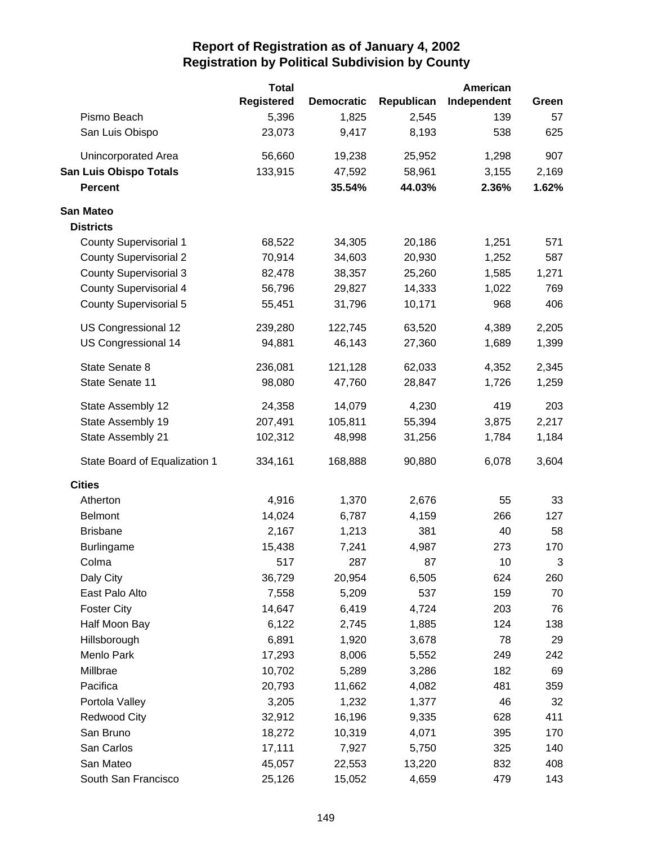|                               | <b>Total</b>      |                   |            | American    |       |
|-------------------------------|-------------------|-------------------|------------|-------------|-------|
|                               | <b>Registered</b> | <b>Democratic</b> | Republican | Independent | Green |
| Pismo Beach                   | 5,396             | 1,825             | 2,545      | 139         | 57    |
| San Luis Obispo               | 23,073            | 9,417             | 8,193      | 538         | 625   |
| Unincorporated Area           | 56,660            | 19,238            | 25,952     | 1,298       | 907   |
| <b>San Luis Obispo Totals</b> | 133,915           | 47,592            | 58,961     | 3,155       | 2,169 |
| <b>Percent</b>                |                   | 35.54%            | 44.03%     | 2.36%       | 1.62% |
| <b>San Mateo</b>              |                   |                   |            |             |       |
| <b>Districts</b>              |                   |                   |            |             |       |
| <b>County Supervisorial 1</b> | 68,522            | 34,305            | 20,186     | 1,251       | 571   |
| <b>County Supervisorial 2</b> | 70,914            | 34,603            | 20,930     | 1,252       | 587   |
| <b>County Supervisorial 3</b> | 82,478            | 38,357            | 25,260     | 1,585       | 1,271 |
| <b>County Supervisorial 4</b> | 56,796            | 29,827            | 14,333     | 1,022       | 769   |
| <b>County Supervisorial 5</b> | 55,451            | 31,796            | 10,171     | 968         | 406   |
| US Congressional 12           | 239,280           | 122,745           | 63,520     | 4,389       | 2,205 |
| US Congressional 14           | 94,881            | 46,143            | 27,360     | 1,689       | 1,399 |
| State Senate 8                | 236,081           | 121,128           | 62,033     | 4,352       | 2,345 |
| State Senate 11               | 98,080            | 47,760            | 28,847     | 1,726       | 1,259 |
| State Assembly 12             | 24,358            | 14,079            | 4,230      | 419         | 203   |
| State Assembly 19             | 207,491           | 105,811           | 55,394     | 3,875       | 2,217 |
| State Assembly 21             | 102,312           | 48,998            | 31,256     | 1,784       | 1,184 |
| State Board of Equalization 1 | 334,161           | 168,888           | 90,880     | 6,078       | 3,604 |
| <b>Cities</b>                 |                   |                   |            |             |       |
| Atherton                      | 4,916             | 1,370             | 2,676      | 55          | 33    |
| <b>Belmont</b>                | 14,024            | 6,787             | 4,159      | 266         | 127   |
| <b>Brisbane</b>               | 2,167             | 1,213             | 381        | 40          | 58    |
| Burlingame                    | 15,438            | 7,241             | 4,987      | 273         | 170   |
| Colma                         | 517               | 287               | 87         | 10          | 3     |
| Daly City                     | 36,729            | 20,954            | 6,505      | 624         | 260   |
| East Palo Alto                | 7,558             | 5,209             | 537        | 159         | 70    |
| <b>Foster City</b>            | 14,647            | 6,419             | 4,724      | 203         | 76    |
| Half Moon Bay                 | 6,122             | 2,745             | 1,885      | 124         | 138   |
| Hillsborough                  | 6,891             | 1,920             | 3,678      | 78          | 29    |
| Menlo Park                    | 17,293            | 8,006             | 5,552      | 249         | 242   |
| Millbrae                      | 10,702            | 5,289             | 3,286      | 182         | 69    |
| Pacifica                      | 20,793            | 11,662            | 4,082      | 481         | 359   |
| Portola Valley                | 3,205             | 1,232             | 1,377      | 46          | 32    |
| <b>Redwood City</b>           | 32,912            | 16,196            | 9,335      | 628         | 411   |
| San Bruno                     | 18,272            | 10,319            | 4,071      | 395         | 170   |
| San Carlos                    | 17,111            | 7,927             | 5,750      | 325         | 140   |
| San Mateo                     | 45,057            | 22,553            | 13,220     | 832         | 408   |
| South San Francisco           | 25,126            | 15,052            | 4,659      | 479         | 143   |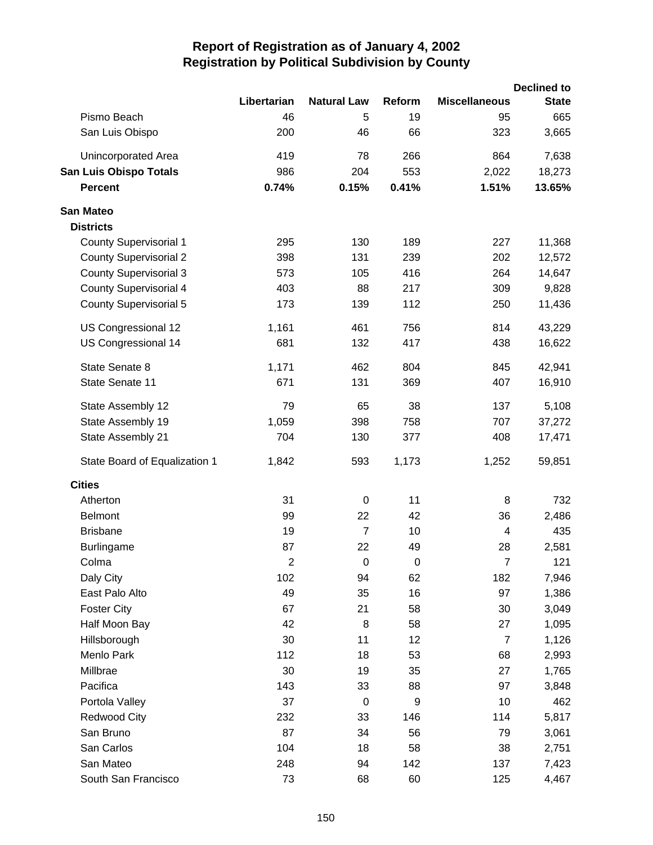|                               |                         |                    |                |                         | <b>Declined to</b> |
|-------------------------------|-------------------------|--------------------|----------------|-------------------------|--------------------|
|                               | Libertarian             | <b>Natural Law</b> | Reform         | <b>Miscellaneous</b>    | <b>State</b>       |
| Pismo Beach                   | 46                      | 5                  | 19             | 95                      | 665                |
| San Luis Obispo               | 200                     | 46                 | 66             | 323                     | 3,665              |
| Unincorporated Area           | 419                     | 78                 | 266            | 864                     | 7,638              |
| <b>San Luis Obispo Totals</b> | 986                     | 204                | 553            | 2,022                   | 18,273             |
| <b>Percent</b>                | 0.74%                   | 0.15%              | 0.41%          | 1.51%                   | 13.65%             |
| <b>San Mateo</b>              |                         |                    |                |                         |                    |
| <b>Districts</b>              |                         |                    |                |                         |                    |
| <b>County Supervisorial 1</b> | 295                     | 130                | 189            | 227                     | 11,368             |
| <b>County Supervisorial 2</b> | 398                     | 131                | 239            | 202                     | 12,572             |
| <b>County Supervisorial 3</b> | 573                     | 105                | 416            | 264                     | 14,647             |
| <b>County Supervisorial 4</b> | 403                     | 88                 | 217            | 309                     | 9,828              |
| <b>County Supervisorial 5</b> | 173                     | 139                | 112            | 250                     | 11,436             |
| US Congressional 12           | 1,161                   | 461                | 756            | 814                     | 43,229             |
| US Congressional 14           | 681                     | 132                | 417            | 438                     | 16,622             |
| State Senate 8                | 1,171                   | 462                | 804            | 845                     | 42,941             |
| State Senate 11               | 671                     | 131                | 369            | 407                     | 16,910             |
| State Assembly 12             | 79                      | 65                 | 38             | 137                     | 5,108              |
| State Assembly 19             | 1,059                   | 398                | 758            | 707                     | 37,272             |
| State Assembly 21             | 704                     | 130                | 377            | 408                     | 17,471             |
| State Board of Equalization 1 | 1,842                   | 593                | 1,173          | 1,252                   | 59,851             |
| <b>Cities</b>                 |                         |                    |                |                         |                    |
| Atherton                      | 31                      | $\pmb{0}$          | 11             | 8                       | 732                |
| <b>Belmont</b>                | 99                      | 22                 | 42             | 36                      | 2,486              |
| <b>Brisbane</b>               | 19                      | $\overline{7}$     | 10             | $\overline{\mathbf{4}}$ | 435                |
| <b>Burlingame</b>             | 87                      | 22                 | 49             | 28                      | 2,581              |
| Colma                         | $\overline{\mathbf{c}}$ | $\pmb{0}$          | $\overline{0}$ | $\overline{7}$          | 121                |
| Daly City                     | 102                     | 94                 | 62             | 182                     | 7,946              |
| East Palo Alto                | 49                      | 35                 | 16             | 97                      | 1,386              |
| <b>Foster City</b>            | 67                      | 21                 | 58             | 30                      | 3,049              |
| Half Moon Bay                 | 42                      | 8                  | 58             | 27                      | 1,095              |
| Hillsborough                  | 30                      | 11                 | 12             | $\overline{7}$          | 1,126              |
| Menlo Park                    | 112                     | 18                 | 53             | 68                      | 2,993              |
| Millbrae                      | 30                      | 19                 | 35             | 27                      | 1,765              |
| Pacifica                      | 143                     | 33                 | 88             | 97                      | 3,848              |
| Portola Valley                | 37                      | $\mathbf 0$        | 9              | 10                      | 462                |
| <b>Redwood City</b>           | 232                     | 33                 | 146            | 114                     | 5,817              |
| San Bruno                     | 87                      | 34                 | 56             | 79                      | 3,061              |
| San Carlos                    | 104                     | 18                 | 58             | 38                      | 2,751              |
| San Mateo                     | 248                     | 94                 | 142            | 137                     | 7,423              |
| South San Francisco           | 73                      | 68                 | 60             | 125                     | 4,467              |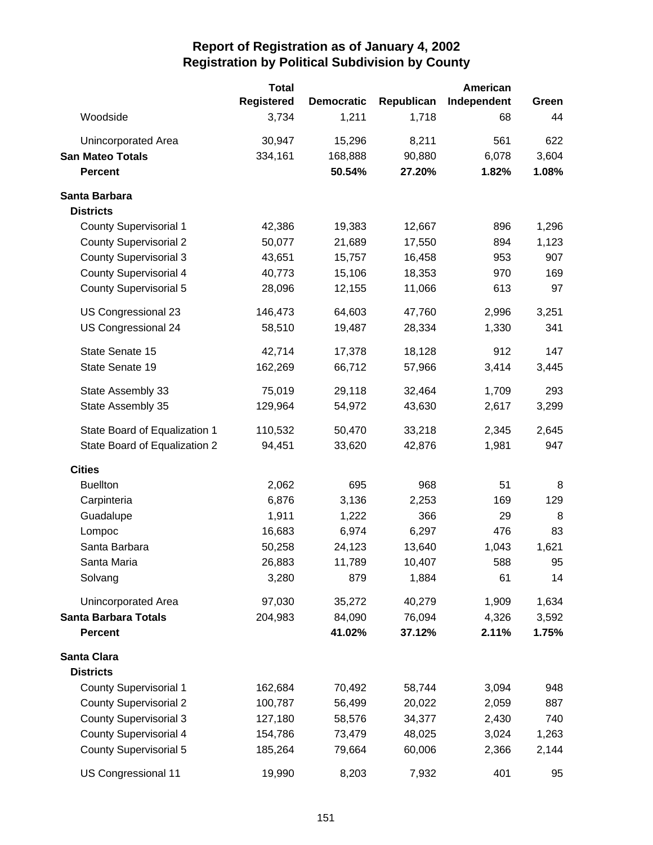|                               | <b>Total</b>      |                   |            | American    |       |
|-------------------------------|-------------------|-------------------|------------|-------------|-------|
|                               | <b>Registered</b> | <b>Democratic</b> | Republican | Independent | Green |
| Woodside                      | 3,734             | 1,211             | 1,718      | 68          | 44    |
| Unincorporated Area           | 30,947            | 15,296            | 8,211      | 561         | 622   |
| <b>San Mateo Totals</b>       | 334,161           | 168,888           | 90,880     | 6,078       | 3,604 |
| <b>Percent</b>                |                   | 50.54%            | 27.20%     | 1.82%       | 1.08% |
| Santa Barbara                 |                   |                   |            |             |       |
| <b>Districts</b>              |                   |                   |            |             |       |
| <b>County Supervisorial 1</b> | 42,386            | 19,383            | 12,667     | 896         | 1,296 |
| <b>County Supervisorial 2</b> | 50,077            | 21,689            | 17,550     | 894         | 1,123 |
| <b>County Supervisorial 3</b> | 43,651            | 15,757            | 16,458     | 953         | 907   |
| <b>County Supervisorial 4</b> | 40,773            | 15,106            | 18,353     | 970         | 169   |
| <b>County Supervisorial 5</b> | 28,096            | 12,155            | 11,066     | 613         | 97    |
| US Congressional 23           | 146,473           | 64,603            | 47,760     | 2,996       | 3,251 |
| US Congressional 24           | 58,510            | 19,487            | 28,334     | 1,330       | 341   |
| State Senate 15               | 42,714            | 17,378            | 18,128     | 912         | 147   |
| State Senate 19               | 162,269           | 66,712            | 57,966     | 3,414       | 3,445 |
| State Assembly 33             | 75,019            | 29,118            | 32,464     | 1,709       | 293   |
| State Assembly 35             | 129,964           | 54,972            | 43,630     | 2,617       | 3,299 |
| State Board of Equalization 1 | 110,532           | 50,470            | 33,218     | 2,345       | 2,645 |
| State Board of Equalization 2 | 94,451            | 33,620            | 42,876     | 1,981       | 947   |
| <b>Cities</b>                 |                   |                   |            |             |       |
| <b>Buellton</b>               | 2,062             | 695               | 968        | 51          | 8     |
| Carpinteria                   | 6,876             | 3,136             | 2,253      | 169         | 129   |
| Guadalupe                     | 1,911             | 1,222             | 366        | 29          | 8     |
| Lompoc                        | 16,683            | 6,974             | 6,297      | 476         | 83    |
| Santa Barbara                 | 50,258            | 24,123            | 13,640     | 1,043       | 1,621 |
| Santa Maria                   | 26,883            | 11,789            | 10,407     | 588         | 95    |
| Solvang                       | 3,280             | 879               | 1,884      | 61          | 14    |
| Unincorporated Area           | 97,030            | 35,272            | 40,279     | 1,909       | 1,634 |
| <b>Santa Barbara Totals</b>   | 204,983           | 84,090            | 76,094     | 4,326       | 3,592 |
| <b>Percent</b>                |                   | 41.02%            | 37.12%     | 2.11%       | 1.75% |
| Santa Clara                   |                   |                   |            |             |       |
| <b>Districts</b>              |                   |                   |            |             |       |
| <b>County Supervisorial 1</b> | 162,684           | 70,492            | 58,744     | 3,094       | 948   |
| <b>County Supervisorial 2</b> | 100,787           | 56,499            | 20,022     | 2,059       | 887   |
| <b>County Supervisorial 3</b> | 127,180           | 58,576            | 34,377     | 2,430       | 740   |
| <b>County Supervisorial 4</b> | 154,786           | 73,479            | 48,025     | 3,024       | 1,263 |
| <b>County Supervisorial 5</b> | 185,264           | 79,664            | 60,006     | 2,366       | 2,144 |
| US Congressional 11           | 19,990            | 8,203             | 7,932      | 401         | 95    |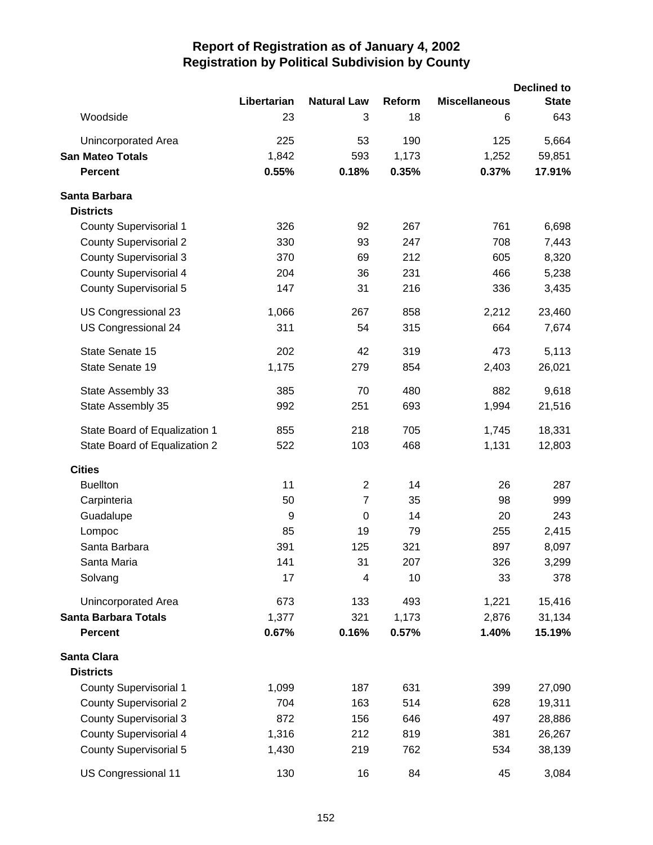|                               |             |                         |        |                      | <b>Declined to</b> |
|-------------------------------|-------------|-------------------------|--------|----------------------|--------------------|
|                               | Libertarian | <b>Natural Law</b>      | Reform | <b>Miscellaneous</b> | <b>State</b>       |
| Woodside                      | 23          | 3                       | 18     | 6                    | 643                |
| Unincorporated Area           | 225         | 53                      | 190    | 125                  | 5,664              |
| <b>San Mateo Totals</b>       | 1,842       | 593                     | 1,173  | 1,252                | 59,851             |
| <b>Percent</b>                | 0.55%       | 0.18%                   | 0.35%  | 0.37%                | 17.91%             |
| Santa Barbara                 |             |                         |        |                      |                    |
| <b>Districts</b>              |             |                         |        |                      |                    |
| <b>County Supervisorial 1</b> | 326         | 92                      | 267    | 761                  | 6,698              |
| <b>County Supervisorial 2</b> | 330         | 93                      | 247    | 708                  | 7,443              |
| <b>County Supervisorial 3</b> | 370         | 69                      | 212    | 605                  | 8,320              |
| <b>County Supervisorial 4</b> | 204         | 36                      | 231    | 466                  | 5,238              |
| <b>County Supervisorial 5</b> | 147         | 31                      | 216    | 336                  | 3,435              |
| US Congressional 23           | 1,066       | 267                     | 858    | 2,212                | 23,460             |
| US Congressional 24           | 311         | 54                      | 315    | 664                  | 7,674              |
| State Senate 15               | 202         | 42                      | 319    | 473                  | 5,113              |
| State Senate 19               | 1,175       | 279                     | 854    | 2,403                | 26,021             |
| State Assembly 33             | 385         | 70                      | 480    | 882                  | 9,618              |
| State Assembly 35             | 992         | 251                     | 693    | 1,994                | 21,516             |
| State Board of Equalization 1 | 855         | 218                     | 705    | 1,745                | 18,331             |
| State Board of Equalization 2 | 522         | 103                     | 468    | 1,131                | 12,803             |
| <b>Cities</b>                 |             |                         |        |                      |                    |
| <b>Buellton</b>               | 11          | $\overline{2}$          | 14     | 26                   | 287                |
| Carpinteria                   | 50          | $\overline{7}$          | 35     | 98                   | 999                |
| Guadalupe                     | 9           | $\mathbf 0$             | 14     | 20                   | 243                |
| Lompoc                        | 85          | 19                      | 79     | 255                  | 2,415              |
| Santa Barbara                 | 391         | 125                     | 321    | 897                  | 8,097              |
| Santa Maria                   | 141         | 31                      | 207    | 326                  | 3,299              |
| Solvang                       | 17          | $\overline{\mathbf{4}}$ | 10     | 33                   | 378                |
| Unincorporated Area           | 673         | 133                     | 493    | 1,221                | 15,416             |
| <b>Santa Barbara Totals</b>   | 1,377       | 321                     | 1,173  | 2,876                | 31,134             |
| <b>Percent</b>                | 0.67%       | 0.16%                   | 0.57%  | 1.40%                | 15.19%             |
| Santa Clara                   |             |                         |        |                      |                    |
| <b>Districts</b>              |             |                         |        |                      |                    |
| <b>County Supervisorial 1</b> | 1,099       | 187                     | 631    | 399                  | 27,090             |
| <b>County Supervisorial 2</b> | 704         | 163                     | 514    | 628                  | 19,311             |
| <b>County Supervisorial 3</b> | 872         | 156                     | 646    | 497                  | 28,886             |
| <b>County Supervisorial 4</b> | 1,316       | 212                     | 819    | 381                  | 26,267             |
| <b>County Supervisorial 5</b> | 1,430       | 219                     | 762    | 534                  | 38,139             |
| US Congressional 11           | 130         | 16                      | 84     | 45                   | 3,084              |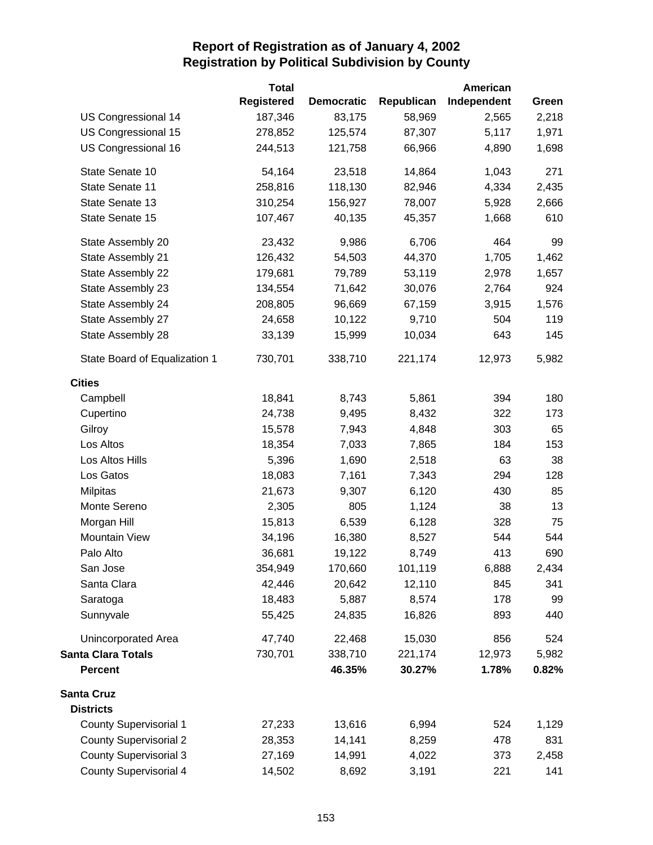|                               | <b>Total</b>      |                   |            | American    |       |
|-------------------------------|-------------------|-------------------|------------|-------------|-------|
|                               | <b>Registered</b> | <b>Democratic</b> | Republican | Independent | Green |
| <b>US Congressional 14</b>    | 187,346           | 83,175            | 58,969     | 2,565       | 2,218 |
| US Congressional 15           | 278,852           | 125,574           | 87,307     | 5,117       | 1,971 |
| US Congressional 16           | 244,513           | 121,758           | 66,966     | 4,890       | 1,698 |
| State Senate 10               | 54,164            | 23,518            | 14,864     | 1,043       | 271   |
| State Senate 11               | 258,816           | 118,130           | 82,946     | 4,334       | 2,435 |
| State Senate 13               | 310,254           | 156,927           | 78,007     | 5,928       | 2,666 |
| State Senate 15               | 107,467           | 40,135            | 45,357     | 1,668       | 610   |
| State Assembly 20             | 23,432            | 9,986             | 6,706      | 464         | 99    |
| State Assembly 21             | 126,432           | 54,503            | 44,370     | 1,705       | 1,462 |
| State Assembly 22             | 179,681           | 79,789            | 53,119     | 2,978       | 1,657 |
| State Assembly 23             | 134,554           | 71,642            | 30,076     | 2,764       | 924   |
| State Assembly 24             | 208,805           | 96,669            | 67,159     | 3,915       | 1,576 |
| State Assembly 27             | 24,658            | 10,122            | 9,710      | 504         | 119   |
| State Assembly 28             | 33,139            | 15,999            | 10,034     | 643         | 145   |
| State Board of Equalization 1 | 730,701           | 338,710           | 221,174    | 12,973      | 5,982 |
| <b>Cities</b>                 |                   |                   |            |             |       |
| Campbell                      | 18,841            | 8,743             | 5,861      | 394         | 180   |
| Cupertino                     | 24,738            | 9,495             | 8,432      | 322         | 173   |
| Gilroy                        | 15,578            | 7,943             | 4,848      | 303         | 65    |
| Los Altos                     | 18,354            | 7,033             | 7,865      | 184         | 153   |
| Los Altos Hills               | 5,396             | 1,690             | 2,518      | 63          | 38    |
| Los Gatos                     | 18,083            | 7,161             | 7,343      | 294         | 128   |
| Milpitas                      | 21,673            | 9,307             | 6,120      | 430         | 85    |
| Monte Sereno                  | 2,305             | 805               | 1,124      | 38          | 13    |
| Morgan Hill                   | 15,813            | 6,539             | 6,128      | 328         | 75    |
| <b>Mountain View</b>          | 34,196            | 16,380            | 8,527      | 544         | 544   |
| Palo Alto                     | 36,681            | 19,122            | 8,749      | 413         | 690   |
| San Jose                      | 354,949           | 170,660           | 101,119    | 6,888       | 2,434 |
| Santa Clara                   | 42,446            | 20,642            | 12,110     | 845         | 341   |
| Saratoga                      | 18,483            | 5,887             | 8,574      | 178         | 99    |
| Sunnyvale                     | 55,425            | 24,835            | 16,826     | 893         | 440   |
| Unincorporated Area           | 47,740            | 22,468            | 15,030     | 856         | 524   |
| <b>Santa Clara Totals</b>     | 730,701           | 338,710           | 221,174    | 12,973      | 5,982 |
| <b>Percent</b>                |                   | 46.35%            | 30.27%     | 1.78%       | 0.82% |
| <b>Santa Cruz</b>             |                   |                   |            |             |       |
| <b>Districts</b>              |                   |                   |            |             |       |
| <b>County Supervisorial 1</b> | 27,233            | 13,616            | 6,994      | 524         | 1,129 |
| <b>County Supervisorial 2</b> | 28,353            | 14,141            | 8,259      | 478         | 831   |
| <b>County Supervisorial 3</b> | 27,169            | 14,991            | 4,022      | 373         | 2,458 |
| <b>County Supervisorial 4</b> | 14,502            | 8,692             | 3,191      | 221         | 141   |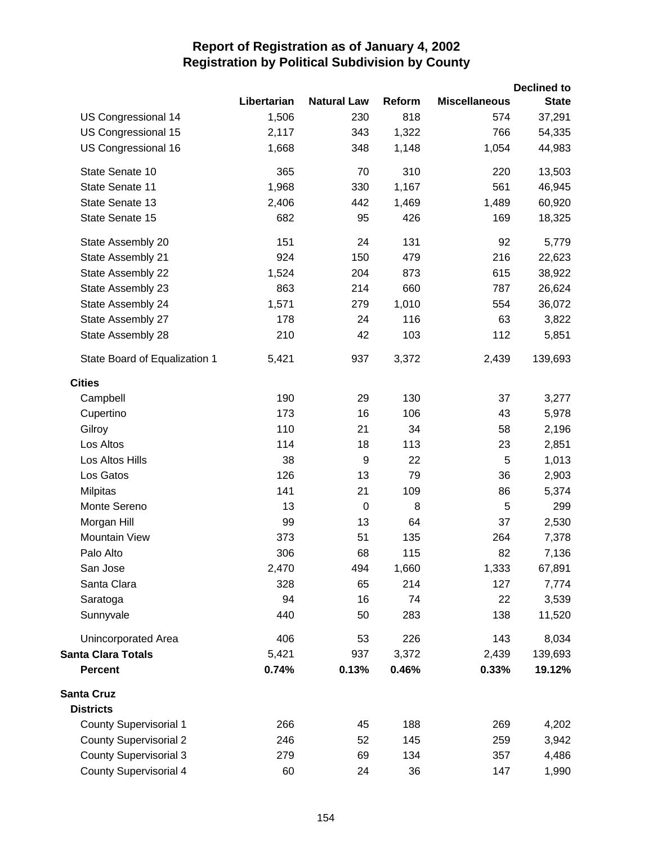|                               |             |                    |        |                      | <b>Declined to</b> |
|-------------------------------|-------------|--------------------|--------|----------------------|--------------------|
|                               | Libertarian | <b>Natural Law</b> | Reform | <b>Miscellaneous</b> | <b>State</b>       |
| US Congressional 14           | 1,506       | 230                | 818    | 574                  | 37,291             |
| US Congressional 15           | 2,117       | 343                | 1,322  | 766                  | 54,335             |
| US Congressional 16           | 1,668       | 348                | 1,148  | 1,054                | 44,983             |
| State Senate 10               | 365         | 70                 | 310    | 220                  | 13,503             |
| State Senate 11               | 1,968       | 330                | 1,167  | 561                  | 46,945             |
| State Senate 13               | 2,406       | 442                | 1,469  | 1,489                | 60,920             |
| State Senate 15               | 682         | 95                 | 426    | 169                  | 18,325             |
| State Assembly 20             | 151         | 24                 | 131    | 92                   | 5,779              |
| State Assembly 21             | 924         | 150                | 479    | 216                  | 22,623             |
| State Assembly 22             | 1,524       | 204                | 873    | 615                  | 38,922             |
| State Assembly 23             | 863         | 214                | 660    | 787                  | 26,624             |
| State Assembly 24             | 1,571       | 279                | 1,010  | 554                  | 36,072             |
| State Assembly 27             | 178         | 24                 | 116    | 63                   | 3,822              |
| State Assembly 28             | 210         | 42                 | 103    | 112                  | 5,851              |
| State Board of Equalization 1 | 5,421       | 937                | 3,372  | 2,439                | 139,693            |
| <b>Cities</b>                 |             |                    |        |                      |                    |
| Campbell                      | 190         | 29                 | 130    | 37                   | 3,277              |
| Cupertino                     | 173         | 16                 | 106    | 43                   | 5,978              |
| Gilroy                        | 110         | 21                 | 34     | 58                   | 2,196              |
| Los Altos                     | 114         | 18                 | 113    | 23                   | 2,851              |
| Los Altos Hills               | 38          | 9                  | 22     | 5                    | 1,013              |
| Los Gatos                     | 126         | 13                 | 79     | 36                   | 2,903              |
| <b>Milpitas</b>               | 141         | 21                 | 109    | 86                   | 5,374              |
| Monte Sereno                  | 13          | $\boldsymbol{0}$   | 8      | 5                    | 299                |
| Morgan Hill                   | 99          | 13                 | 64     | 37                   | 2,530              |
| <b>Mountain View</b>          | 373         | 51                 | 135    | 264                  | 7,378              |
| Palo Alto                     | 306         | 68                 | 115    | 82                   | 7,136              |
| San Jose                      | 2,470       | 494                | 1,660  | 1,333                | 67,891             |
| Santa Clara                   | 328         | 65                 | 214    | 127                  | 7,774              |
| Saratoga                      | 94          | 16                 | 74     | 22                   | 3,539              |
| Sunnyvale                     | 440         | 50                 | 283    | 138                  | 11,520             |
| Unincorporated Area           | 406         | 53                 | 226    | 143                  | 8,034              |
| <b>Santa Clara Totals</b>     | 5,421       | 937                | 3,372  | 2,439                | 139,693            |
| <b>Percent</b>                | 0.74%       | 0.13%              | 0.46%  | 0.33%                | 19.12%             |
| <b>Santa Cruz</b>             |             |                    |        |                      |                    |
| <b>Districts</b>              |             |                    |        |                      |                    |
| <b>County Supervisorial 1</b> | 266         | 45                 | 188    | 269                  | 4,202              |
| <b>County Supervisorial 2</b> | 246         | 52                 | 145    | 259                  | 3,942              |
| <b>County Supervisorial 3</b> | 279         | 69                 | 134    | 357                  | 4,486              |
| <b>County Supervisorial 4</b> | 60          | 24                 | 36     | 147                  | 1,990              |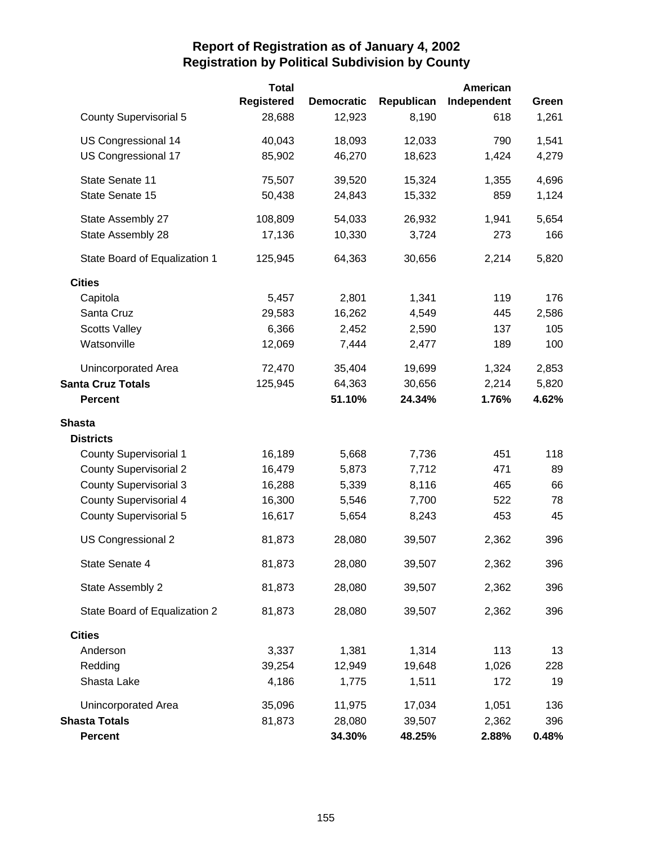|                               | <b>Total</b>      |                   |            | American    |       |
|-------------------------------|-------------------|-------------------|------------|-------------|-------|
|                               | <b>Registered</b> | <b>Democratic</b> | Republican | Independent | Green |
| <b>County Supervisorial 5</b> | 28,688            | 12,923            | 8,190      | 618         | 1,261 |
| US Congressional 14           | 40,043            | 18,093            | 12,033     | 790         | 1,541 |
| US Congressional 17           | 85,902            | 46,270            | 18,623     | 1,424       | 4,279 |
| State Senate 11               | 75,507            | 39,520            | 15,324     | 1,355       | 4,696 |
| State Senate 15               | 50,438            | 24,843            | 15,332     | 859         | 1,124 |
| State Assembly 27             | 108,809           | 54,033            | 26,932     | 1,941       | 5,654 |
| State Assembly 28             | 17,136            | 10,330            | 3,724      | 273         | 166   |
| State Board of Equalization 1 | 125,945           | 64,363            | 30,656     | 2,214       | 5,820 |
| <b>Cities</b>                 |                   |                   |            |             |       |
| Capitola                      | 5,457             | 2,801             | 1,341      | 119         | 176   |
| Santa Cruz                    | 29,583            | 16,262            | 4,549      | 445         | 2,586 |
| <b>Scotts Valley</b>          | 6,366             | 2,452             | 2,590      | 137         | 105   |
| Watsonville                   | 12,069            | 7,444             | 2,477      | 189         | 100   |
| Unincorporated Area           | 72,470            | 35,404            | 19,699     | 1,324       | 2,853 |
| <b>Santa Cruz Totals</b>      | 125,945           | 64,363            | 30,656     | 2,214       | 5,820 |
| <b>Percent</b>                |                   | 51.10%            | 24.34%     | 1.76%       | 4.62% |
| <b>Shasta</b>                 |                   |                   |            |             |       |
| <b>Districts</b>              |                   |                   |            |             |       |
| <b>County Supervisorial 1</b> | 16,189            | 5,668             | 7,736      | 451         | 118   |
| <b>County Supervisorial 2</b> | 16,479            | 5,873             | 7,712      | 471         | 89    |
| <b>County Supervisorial 3</b> | 16,288            | 5,339             | 8,116      | 465         | 66    |
| <b>County Supervisorial 4</b> | 16,300            | 5,546             | 7,700      | 522         | 78    |
| <b>County Supervisorial 5</b> | 16,617            | 5,654             | 8,243      | 453         | 45    |
| US Congressional 2            | 81,873            | 28,080            | 39,507     | 2,362       | 396   |
| State Senate 4                | 81,873            | 28,080            | 39,507     | 2,362       | 396   |
| State Assembly 2              | 81,873            | 28,080            | 39,507     | 2,362       | 396   |
| State Board of Equalization 2 | 81,873            | 28,080            | 39,507     | 2,362       | 396   |
| <b>Cities</b>                 |                   |                   |            |             |       |
| Anderson                      | 3,337             | 1,381             | 1,314      | 113         | 13    |
| Redding                       | 39,254            | 12,949            | 19,648     | 1,026       | 228   |
| Shasta Lake                   | 4,186             | 1,775             | 1,511      | 172         | 19    |
| Unincorporated Area           | 35,096            | 11,975            | 17,034     | 1,051       | 136   |
| <b>Shasta Totals</b>          | 81,873            | 28,080            | 39,507     | 2,362       | 396   |
| <b>Percent</b>                |                   | 34.30%            | 48.25%     | 2.88%       | 0.48% |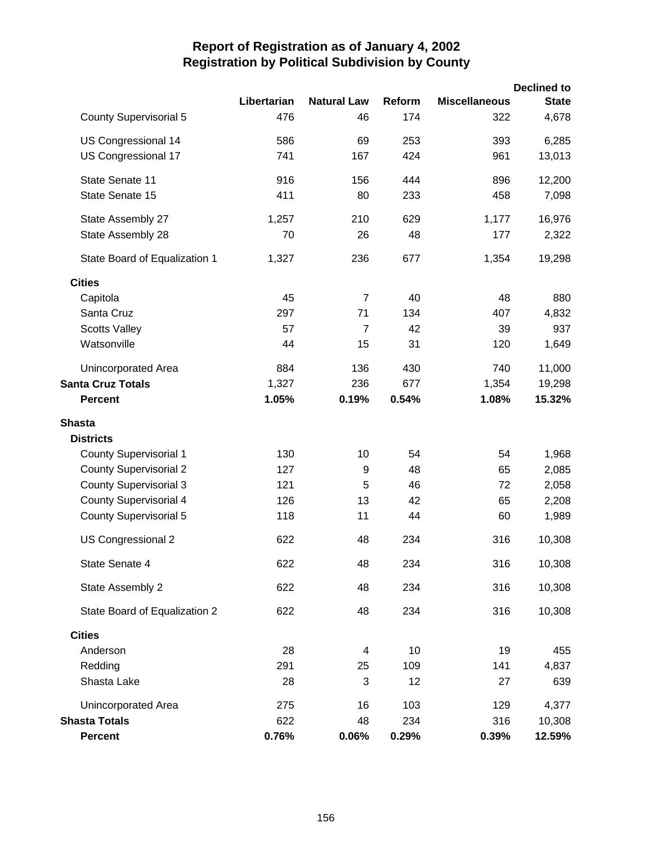|                               | Libertarian | <b>Natural Law</b> | Reform | <b>Miscellaneous</b> | <b>Declined to</b><br><b>State</b> |
|-------------------------------|-------------|--------------------|--------|----------------------|------------------------------------|
| <b>County Supervisorial 5</b> | 476         | 46                 | 174    | 322                  | 4,678                              |
| US Congressional 14           | 586         | 69                 | 253    | 393                  | 6,285                              |
| US Congressional 17           | 741         | 167                | 424    | 961                  | 13,013                             |
| State Senate 11               | 916         | 156                | 444    | 896                  | 12,200                             |
| State Senate 15               | 411         | 80                 | 233    | 458                  | 7,098                              |
| State Assembly 27             | 1,257       | 210                | 629    | 1,177                | 16,976                             |
| State Assembly 28             | 70          | 26                 | 48     | 177                  | 2,322                              |
| State Board of Equalization 1 | 1,327       | 236                | 677    | 1,354                | 19,298                             |
| <b>Cities</b>                 |             |                    |        |                      |                                    |
| Capitola                      | 45          | $\overline{7}$     | 40     | 48                   | 880                                |
| Santa Cruz                    | 297         | 71                 | 134    | 407                  | 4,832                              |
| <b>Scotts Valley</b>          | 57          | $\overline{7}$     | 42     | 39                   | 937                                |
| Watsonville                   | 44          | 15                 | 31     | 120                  | 1,649                              |
| Unincorporated Area           | 884         | 136                | 430    | 740                  | 11,000                             |
| <b>Santa Cruz Totals</b>      | 1,327       | 236                | 677    | 1,354                | 19,298                             |
| <b>Percent</b>                | 1.05%       | 0.19%              | 0.54%  | 1.08%                | 15.32%                             |
| <b>Shasta</b>                 |             |                    |        |                      |                                    |
| <b>Districts</b>              |             |                    |        |                      |                                    |
| <b>County Supervisorial 1</b> | 130         | 10                 | 54     | 54                   | 1,968                              |
| <b>County Supervisorial 2</b> | 127         | 9                  | 48     | 65                   | 2,085                              |
| <b>County Supervisorial 3</b> | 121         | 5                  | 46     | 72                   | 2,058                              |
| <b>County Supervisorial 4</b> | 126         | 13                 | 42     | 65                   | 2,208                              |
| <b>County Supervisorial 5</b> | 118         | 11                 | 44     | 60                   | 1,989                              |
| US Congressional 2            | 622         | 48                 | 234    | 316                  | 10,308                             |
| State Senate 4                | 622         | 48                 | 234    | 316                  | 10,308                             |
| State Assembly 2              | 622         | 48                 | 234    | 316                  | 10,308                             |
| State Board of Equalization 2 | 622         | 48                 | 234    | 316                  | 10,308                             |
| <b>Cities</b>                 |             |                    |        |                      |                                    |
| Anderson                      | 28          | 4                  | 10     | 19                   | 455                                |
| Redding                       | 291         | 25                 | 109    | 141                  | 4,837                              |
| Shasta Lake                   | 28          | 3                  | 12     | 27                   | 639                                |
| Unincorporated Area           | 275         | 16                 | 103    | 129                  | 4,377                              |
| <b>Shasta Totals</b>          | 622         | 48                 | 234    | 316                  | 10,308                             |
| Percent                       | 0.76%       | 0.06%              | 0.29%  | 0.39%                | 12.59%                             |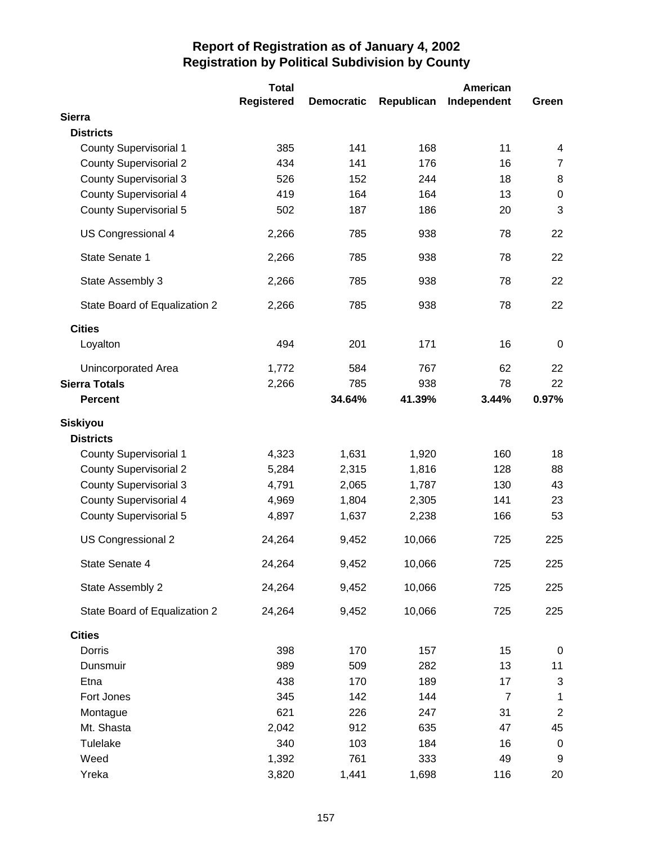|                               | <b>Total</b>      |                   |            | American       |                |
|-------------------------------|-------------------|-------------------|------------|----------------|----------------|
|                               | <b>Registered</b> | <b>Democratic</b> | Republican | Independent    | Green          |
| <b>Sierra</b>                 |                   |                   |            |                |                |
| <b>Districts</b>              |                   |                   |            |                |                |
| <b>County Supervisorial 1</b> | 385               | 141               | 168        | 11             | 4              |
| <b>County Supervisorial 2</b> | 434               | 141               | 176        | 16             | $\overline{7}$ |
| <b>County Supervisorial 3</b> | 526               | 152               | 244        | 18             | 8              |
| <b>County Supervisorial 4</b> | 419               | 164               | 164        | 13             | 0              |
| <b>County Supervisorial 5</b> | 502               | 187               | 186        | 20             | 3              |
| US Congressional 4            | 2,266             | 785               | 938        | 78             | 22             |
| State Senate 1                | 2,266             | 785               | 938        | 78             | 22             |
| State Assembly 3              | 2,266             | 785               | 938        | 78             | 22             |
| State Board of Equalization 2 | 2,266             | 785               | 938        | 78             | 22             |
| <b>Cities</b>                 |                   |                   |            |                |                |
| Loyalton                      | 494               | 201               | 171        | 16             | 0              |
| Unincorporated Area           | 1,772             | 584               | 767        | 62             | 22             |
| <b>Sierra Totals</b>          | 2,266             | 785               | 938        | 78             | 22             |
| <b>Percent</b>                |                   | 34.64%            | 41.39%     | 3.44%          | 0.97%          |
| <b>Siskiyou</b>               |                   |                   |            |                |                |
| <b>Districts</b>              |                   |                   |            |                |                |
| <b>County Supervisorial 1</b> | 4,323             | 1,631             | 1,920      | 160            | 18             |
| <b>County Supervisorial 2</b> | 5,284             | 2,315             | 1,816      | 128            | 88             |
| <b>County Supervisorial 3</b> | 4,791             | 2,065             | 1,787      | 130            | 43             |
| <b>County Supervisorial 4</b> | 4,969             | 1,804             | 2,305      | 141            | 23             |
| <b>County Supervisorial 5</b> | 4,897             | 1,637             | 2,238      | 166            | 53             |
| US Congressional 2            | 24,264            | 9,452             | 10,066     | 725            | 225            |
| State Senate 4                | 24,264            | 9,452             | 10,066     | 725            | 225            |
| State Assembly 2              | 24,264            | 9,452             | 10,066     | 725            | 225            |
| State Board of Equalization 2 | 24,264            | 9,452             | 10,066     | 725            | 225            |
| <b>Cities</b>                 |                   |                   |            |                |                |
| Dorris                        | 398               | 170               | 157        | 15             | $\pmb{0}$      |
| Dunsmuir                      | 989               | 509               | 282        | 13             | 11             |
| Etna                          | 438               | 170               | 189        | 17             | 3              |
| Fort Jones                    | 345               | 142               | 144        | $\overline{7}$ | 1              |
| Montague                      | 621               | 226               | 247        | 31             | $\overline{c}$ |
| Mt. Shasta                    | 2,042             | 912               | 635        | 47             | 45             |
| Tulelake                      | 340               | 103               | 184        | 16             | $\pmb{0}$      |
| Weed                          | 1,392             | 761               | 333        | 49             | 9              |
| Yreka                         | 3,820             | 1,441             | 1,698      | 116            | 20             |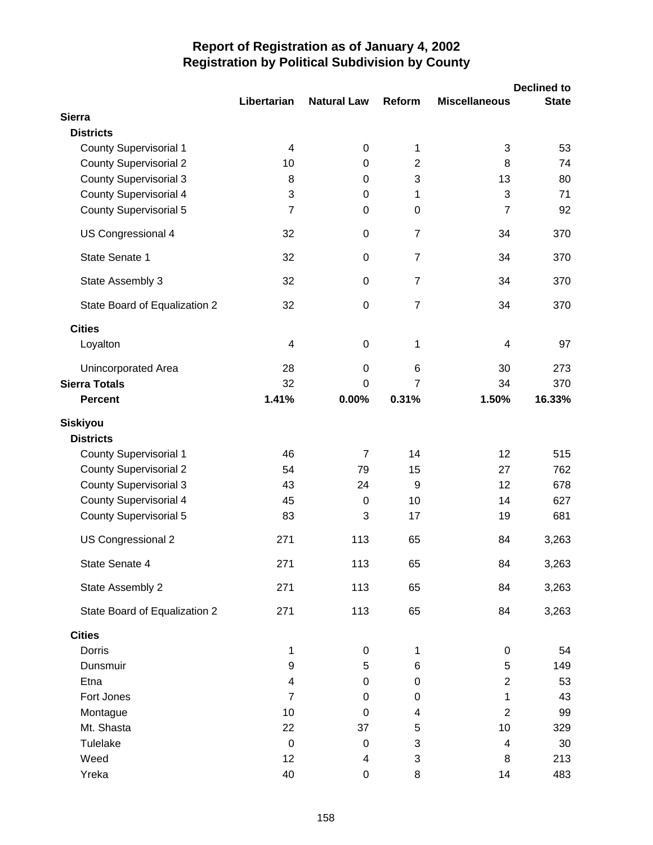|                               |                         |                    |                |                      | <b>Declined to</b> |
|-------------------------------|-------------------------|--------------------|----------------|----------------------|--------------------|
| <b>Sierra</b>                 | Libertarian             | <b>Natural Law</b> | Reform         | <b>Miscellaneous</b> | <b>State</b>       |
| <b>Districts</b>              |                         |                    |                |                      |                    |
| <b>County Supervisorial 1</b> | 4                       | $\pmb{0}$          | 1              | 3                    | 53                 |
| <b>County Supervisorial 2</b> | 10                      | 0                  | $\overline{2}$ | 8                    | 74                 |
| <b>County Supervisorial 3</b> | 8                       | $\pmb{0}$          | 3              | 13                   | 80                 |
| County Supervisorial 4        | 3                       | $\pmb{0}$          | 1              | 3                    | 71                 |
| <b>County Supervisorial 5</b> | $\overline{7}$          | $\pmb{0}$          | 0              | 7                    | 92                 |
| US Congressional 4            | 32                      | $\pmb{0}$          | $\overline{7}$ | 34                   | 370                |
| State Senate 1                | 32                      | $\pmb{0}$          | 7              | 34                   | 370                |
| State Assembly 3              | 32                      | $\boldsymbol{0}$   | $\overline{7}$ | 34                   | 370                |
| State Board of Equalization 2 | 32                      | $\mathbf 0$        | $\overline{7}$ | 34                   | 370                |
| <b>Cities</b>                 |                         |                    |                |                      |                    |
| Loyalton                      | 4                       | $\boldsymbol{0}$   | 1              | 4                    | 97                 |
| Unincorporated Area           | 28                      | 0                  | 6              | 30                   | 273                |
| <b>Sierra Totals</b>          | 32                      | $\mathbf 0$        | $\overline{7}$ | 34                   | 370                |
| <b>Percent</b>                | 1.41%                   | 0.00%              | 0.31%          | 1.50%                | 16.33%             |
| <b>Siskiyou</b>               |                         |                    |                |                      |                    |
| <b>Districts</b>              |                         |                    |                |                      |                    |
| <b>County Supervisorial 1</b> | 46                      | $\overline{7}$     | 14             | 12                   | 515                |
| <b>County Supervisorial 2</b> | 54                      | 79                 | 15             | 27                   | 762                |
| <b>County Supervisorial 3</b> | 43                      | 24                 | 9              | 12                   | 678                |
| <b>County Supervisorial 4</b> | 45                      | 0                  | 10             | 14                   | 627                |
| <b>County Supervisorial 5</b> | 83                      | 3                  | 17             | 19                   | 681                |
| US Congressional 2            | 271                     | 113                | 65             | 84                   | 3,263              |
| State Senate 4                | 271                     | 113                | 65             | 84                   | 3,263              |
| State Assembly 2              | 271                     | 113                | 65             | 84                   | 3,263              |
| State Board of Equalization 2 | 271                     | 113                | 65             | 84                   | 3,263              |
| <b>Cities</b>                 |                         |                    |                |                      |                    |
| Dorris                        | 1                       | $\pmb{0}$          | 1              | 0                    | 54                 |
| Dunsmuir                      | 9                       | 5                  | 6              | 5                    | 149                |
| Etna                          | $\overline{\mathbf{4}}$ | 0                  | 0              | $\overline{2}$       | 53                 |
| Fort Jones                    | $\overline{7}$          | 0                  | 0              | 1                    | 43                 |
| Montague                      | 10                      | $\mathbf 0$        | 4              | $\overline{2}$       | 99                 |
| Mt. Shasta                    | 22                      | 37                 | 5              | 10                   | 329                |
| <b>Tulelake</b>               | $\boldsymbol{0}$        | $\boldsymbol{0}$   | 3              | 4                    | 30                 |
| Weed                          | 12                      | 4                  | 3              | 8                    | 213                |
| Yreka                         | 40                      | $\boldsymbol{0}$   | 8              | 14                   | 483                |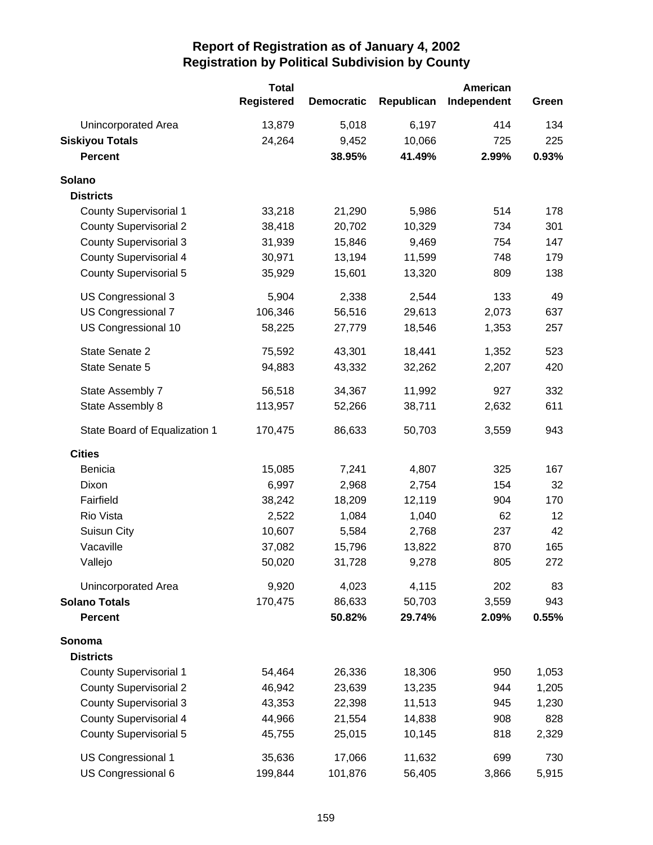|                               | <b>Total</b>      |                   |            | American    |       |
|-------------------------------|-------------------|-------------------|------------|-------------|-------|
|                               | <b>Registered</b> | <b>Democratic</b> | Republican | Independent | Green |
| Unincorporated Area           | 13,879            | 5,018             | 6,197      | 414         | 134   |
| <b>Siskiyou Totals</b>        | 24,264            | 9,452             | 10,066     | 725         | 225   |
| <b>Percent</b>                |                   | 38.95%            | 41.49%     | 2.99%       | 0.93% |
| Solano                        |                   |                   |            |             |       |
| <b>Districts</b>              |                   |                   |            |             |       |
| <b>County Supervisorial 1</b> | 33,218            | 21,290            | 5,986      | 514         | 178   |
| <b>County Supervisorial 2</b> | 38,418            | 20,702            | 10,329     | 734         | 301   |
| <b>County Supervisorial 3</b> | 31,939            | 15,846            | 9,469      | 754         | 147   |
| <b>County Supervisorial 4</b> | 30,971            | 13,194            | 11,599     | 748         | 179   |
| <b>County Supervisorial 5</b> | 35,929            | 15,601            | 13,320     | 809         | 138   |
| US Congressional 3            | 5,904             | 2,338             | 2,544      | 133         | 49    |
| US Congressional 7            | 106,346           | 56,516            | 29,613     | 2,073       | 637   |
| US Congressional 10           | 58,225            | 27,779            | 18,546     | 1,353       | 257   |
| State Senate 2                | 75,592            | 43,301            | 18,441     | 1,352       | 523   |
| State Senate 5                | 94,883            | 43,332            | 32,262     | 2,207       | 420   |
| State Assembly 7              | 56,518            | 34,367            | 11,992     | 927         | 332   |
| State Assembly 8              | 113,957           | 52,266            | 38,711     | 2,632       | 611   |
| State Board of Equalization 1 | 170,475           | 86,633            | 50,703     | 3,559       | 943   |
| <b>Cities</b>                 |                   |                   |            |             |       |
| Benicia                       | 15,085            | 7,241             | 4,807      | 325         | 167   |
| Dixon                         | 6,997             | 2,968             | 2,754      | 154         | 32    |
| Fairfield                     | 38,242            | 18,209            | 12,119     | 904         | 170   |
| Rio Vista                     | 2,522             | 1,084             | 1,040      | 62          | 12    |
| Suisun City                   | 10,607            | 5,584             | 2,768      | 237         | 42    |
| Vacaville                     | 37,082            | 15,796            | 13,822     | 870         | 165   |
| Vallejo                       | 50,020            | 31,728            | 9,278      | 805         | 272   |
| <b>Unincorporated Area</b>    | 9,920             | 4,023             | 4,115      | 202         | 83    |
| <b>Solano Totals</b>          | 170,475           | 86,633            | 50,703     | 3,559       | 943   |
| <b>Percent</b>                |                   | 50.82%            | 29.74%     | 2.09%       | 0.55% |
| Sonoma                        |                   |                   |            |             |       |
| <b>Districts</b>              |                   |                   |            |             |       |
| <b>County Supervisorial 1</b> | 54,464            | 26,336            | 18,306     | 950         | 1,053 |
| <b>County Supervisorial 2</b> | 46,942            | 23,639            | 13,235     | 944         | 1,205 |
| <b>County Supervisorial 3</b> | 43,353            | 22,398            | 11,513     | 945         | 1,230 |
| <b>County Supervisorial 4</b> | 44,966            | 21,554            | 14,838     | 908         | 828   |
| <b>County Supervisorial 5</b> | 45,755            | 25,015            | 10,145     | 818         | 2,329 |
| US Congressional 1            | 35,636            | 17,066            | 11,632     | 699         | 730   |
| US Congressional 6            | 199,844           | 101,876           | 56,405     | 3,866       | 5,915 |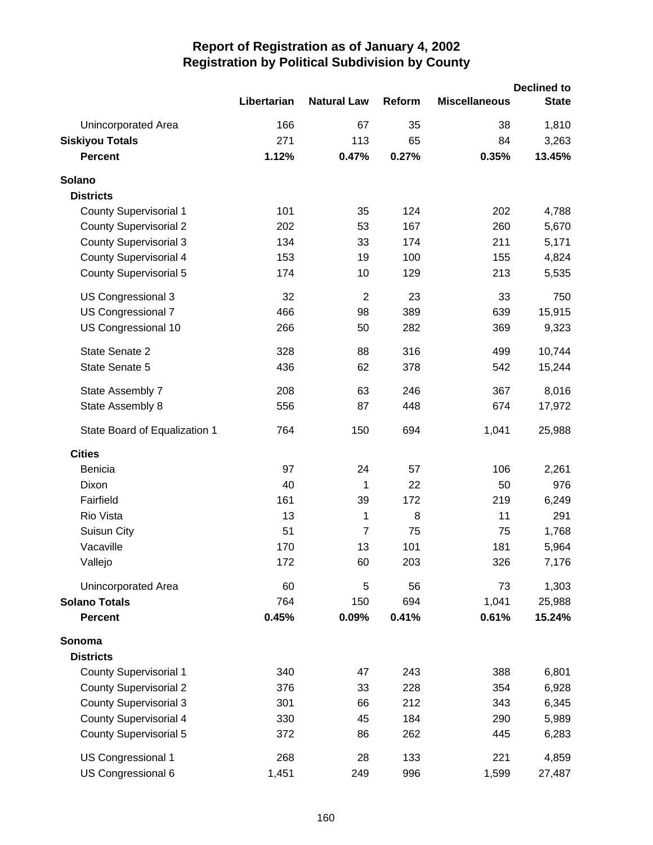|                               |             |                    |        | <b>Declined to</b>   |              |  |
|-------------------------------|-------------|--------------------|--------|----------------------|--------------|--|
|                               | Libertarian | <b>Natural Law</b> | Reform | <b>Miscellaneous</b> | <b>State</b> |  |
| Unincorporated Area           | 166         | 67                 | 35     | 38                   | 1,810        |  |
| <b>Siskiyou Totals</b>        | 271         | 113                | 65     | 84                   | 3,263        |  |
| <b>Percent</b>                | 1.12%       | 0.47%              | 0.27%  | 0.35%                | 13.45%       |  |
| Solano                        |             |                    |        |                      |              |  |
| <b>Districts</b>              |             |                    |        |                      |              |  |
| <b>County Supervisorial 1</b> | 101         | 35                 | 124    | 202                  | 4,788        |  |
| <b>County Supervisorial 2</b> | 202         | 53                 | 167    | 260                  | 5,670        |  |
| <b>County Supervisorial 3</b> | 134         | 33                 | 174    | 211                  | 5,171        |  |
| <b>County Supervisorial 4</b> | 153         | 19                 | 100    | 155                  | 4,824        |  |
| <b>County Supervisorial 5</b> | 174         | 10                 | 129    | 213                  | 5,535        |  |
| US Congressional 3            | 32          | $\overline{2}$     | 23     | 33                   | 750          |  |
| US Congressional 7            | 466         | 98                 | 389    | 639                  | 15,915       |  |
| US Congressional 10           | 266         | 50                 | 282    | 369                  | 9,323        |  |
| State Senate 2                | 328         | 88                 | 316    | 499                  | 10,744       |  |
| State Senate 5                | 436         | 62                 | 378    | 542                  | 15,244       |  |
| State Assembly 7              | 208         | 63                 | 246    | 367                  | 8,016        |  |
| State Assembly 8              | 556         | 87                 | 448    | 674                  | 17,972       |  |
| State Board of Equalization 1 | 764         | 150                | 694    | 1,041                | 25,988       |  |
| <b>Cities</b>                 |             |                    |        |                      |              |  |
| Benicia                       | 97          | 24                 | 57     | 106                  | 2,261        |  |
| Dixon                         | 40          | 1                  | 22     | 50                   | 976          |  |
| Fairfield                     | 161         | 39                 | 172    | 219                  | 6,249        |  |
| Rio Vista                     | 13          | 1                  | 8      | 11                   | 291          |  |
| Suisun City                   | 51          | $\overline{7}$     | 75     | 75                   | 1,768        |  |
| Vacaville                     | 170         | 13                 | 101    | 181                  | 5,964        |  |
| Vallejo                       | 172         | 60                 | 203    | 326                  | 7,176        |  |
| Unincorporated Area           | 60          | 5                  | 56     | 73                   | 1,303        |  |
| <b>Solano Totals</b>          | 764         | 150                | 694    | 1,041                | 25,988       |  |
| <b>Percent</b>                | 0.45%       | 0.09%              | 0.41%  | 0.61%                | 15.24%       |  |
| Sonoma                        |             |                    |        |                      |              |  |
| <b>Districts</b>              |             |                    |        |                      |              |  |
| <b>County Supervisorial 1</b> | 340         | 47                 | 243    | 388                  | 6,801        |  |
| <b>County Supervisorial 2</b> | 376         | 33                 | 228    | 354                  | 6,928        |  |
| <b>County Supervisorial 3</b> | 301         | 66                 | 212    | 343                  | 6,345        |  |
| <b>County Supervisorial 4</b> | 330         | 45                 | 184    | 290                  | 5,989        |  |
| <b>County Supervisorial 5</b> | 372         | 86                 | 262    | 445                  | 6,283        |  |
| US Congressional 1            | 268         | 28                 | 133    | 221                  | 4,859        |  |
| US Congressional 6            | 1,451       | 249                | 996    | 1,599                | 27,487       |  |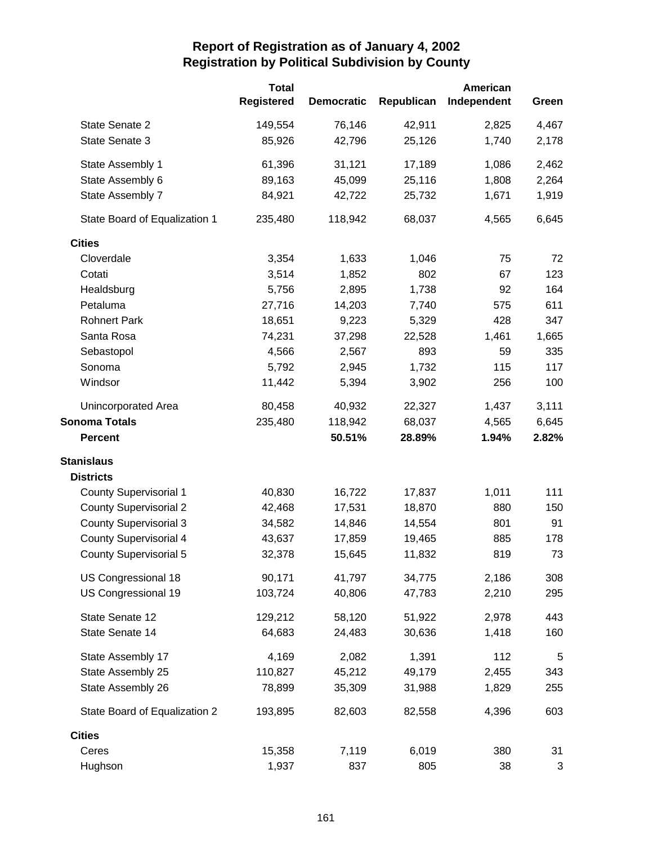|                               | <b>Total</b><br><b>Registered</b> | <b>Democratic</b> | Republican | American<br>Independent | Green |
|-------------------------------|-----------------------------------|-------------------|------------|-------------------------|-------|
| State Senate 2                | 149,554                           | 76,146            | 42,911     | 2,825                   |       |
|                               |                                   |                   |            |                         | 4,467 |
| State Senate 3                | 85,926                            | 42,796            | 25,126     | 1,740                   | 2,178 |
| State Assembly 1              | 61,396                            | 31,121            | 17,189     | 1,086                   | 2,462 |
| State Assembly 6              | 89,163                            | 45,099            | 25,116     | 1,808                   | 2,264 |
| State Assembly 7              | 84,921                            | 42,722            | 25,732     | 1,671                   | 1,919 |
| State Board of Equalization 1 | 235,480                           | 118,942           | 68,037     | 4,565                   | 6,645 |
| <b>Cities</b>                 |                                   |                   |            |                         |       |
| Cloverdale                    | 3,354                             | 1,633             | 1,046      | 75                      | 72    |
| Cotati                        | 3,514                             | 1,852             | 802        | 67                      | 123   |
| Healdsburg                    | 5,756                             | 2,895             | 1,738      | 92                      | 164   |
| Petaluma                      | 27,716                            | 14,203            | 7,740      | 575                     | 611   |
| <b>Rohnert Park</b>           | 18,651                            | 9,223             | 5,329      | 428                     | 347   |
| Santa Rosa                    | 74,231                            | 37,298            | 22,528     | 1,461                   | 1,665 |
| Sebastopol                    | 4,566                             | 2,567             | 893        | 59                      | 335   |
| Sonoma                        | 5,792                             | 2,945             | 1,732      | 115                     | 117   |
| Windsor                       | 11,442                            | 5,394             | 3,902      | 256                     | 100   |
| <b>Unincorporated Area</b>    | 80,458                            | 40,932            | 22,327     | 1,437                   | 3,111 |
| <b>Sonoma Totals</b>          | 235,480                           | 118,942           | 68,037     | 4,565                   | 6,645 |
| <b>Percent</b>                |                                   | 50.51%            | 28.89%     | 1.94%                   | 2.82% |
| <b>Stanislaus</b>             |                                   |                   |            |                         |       |
| <b>Districts</b>              |                                   |                   |            |                         |       |
| <b>County Supervisorial 1</b> | 40,830                            | 16,722            | 17,837     | 1,011                   | 111   |
| <b>County Supervisorial 2</b> | 42,468                            | 17,531            | 18,870     | 880                     | 150   |
| <b>County Supervisorial 3</b> | 34,582                            | 14,846            | 14,554     | 801                     | 91    |
| <b>County Supervisorial 4</b> | 43,637                            | 17,859            | 19,465     | 885                     | 178   |
| <b>County Supervisorial 5</b> | 32,378                            | 15,645            | 11,832     | 819                     | 73    |
| US Congressional 18           | 90,171                            | 41,797            | 34,775     | 2,186                   | 308   |
| US Congressional 19           | 103,724                           | 40,806            | 47,783     | 2,210                   | 295   |
| State Senate 12               | 129,212                           | 58,120            | 51,922     | 2,978                   | 443   |
| State Senate 14               | 64,683                            | 24,483            | 30,636     | 1,418                   | 160   |
| State Assembly 17             | 4,169                             | 2,082             | 1,391      | 112                     | 5     |
| State Assembly 25             | 110,827                           | 45,212            | 49,179     | 2,455                   | 343   |
| State Assembly 26             | 78,899                            | 35,309            | 31,988     | 1,829                   | 255   |
| State Board of Equalization 2 | 193,895                           | 82,603            | 82,558     | 4,396                   | 603   |
| <b>Cities</b>                 |                                   |                   |            |                         |       |
| Ceres                         | 15,358                            | 7,119             | 6,019      | 380                     | 31    |
| Hughson                       | 1,937                             | 837               | 805        | 38                      | 3     |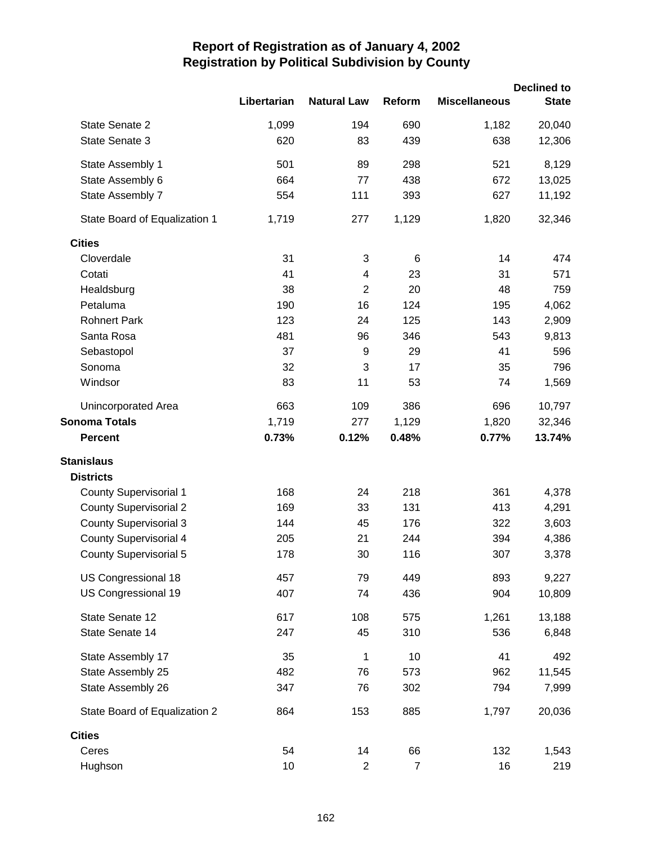|                               |             |                         |                |                      | <b>Declined to</b> |
|-------------------------------|-------------|-------------------------|----------------|----------------------|--------------------|
|                               | Libertarian | <b>Natural Law</b>      | Reform         | <b>Miscellaneous</b> | <b>State</b>       |
| State Senate 2                | 1,099       | 194                     | 690            | 1,182                | 20,040             |
| State Senate 3                | 620         | 83                      | 439            | 638                  | 12,306             |
| State Assembly 1              | 501         | 89                      | 298            | 521                  | 8,129              |
| State Assembly 6              | 664         | 77                      | 438            | 672                  | 13,025             |
| State Assembly 7              | 554         | 111                     | 393            | 627                  | 11,192             |
| State Board of Equalization 1 | 1,719       | 277                     | 1,129          | 1,820                | 32,346             |
| <b>Cities</b>                 |             |                         |                |                      |                    |
| Cloverdale                    | 31          | 3                       | 6              | 14                   | 474                |
| Cotati                        | 41          | $\overline{\mathbf{4}}$ | 23             | 31                   | 571                |
| Healdsburg                    | 38          | $\overline{2}$          | 20             | 48                   | 759                |
| Petaluma                      | 190         | 16                      | 124            | 195                  | 4,062              |
| <b>Rohnert Park</b>           | 123         | 24                      | 125            | 143                  | 2,909              |
| Santa Rosa                    | 481         | 96                      | 346            | 543                  | 9,813              |
| Sebastopol                    | 37          | $\boldsymbol{9}$        | 29             | 41                   | 596                |
| Sonoma                        | 32          | 3                       | 17             | 35                   | 796                |
| Windsor                       | 83          | 11                      | 53             | 74                   | 1,569              |
| Unincorporated Area           | 663         | 109                     | 386            | 696                  | 10,797             |
| <b>Sonoma Totals</b>          | 1,719       | 277                     | 1,129          | 1,820                | 32,346             |
| <b>Percent</b>                | 0.73%       | 0.12%                   | 0.48%          | 0.77%                | 13.74%             |
| <b>Stanislaus</b>             |             |                         |                |                      |                    |
| <b>Districts</b>              |             |                         |                |                      |                    |
| <b>County Supervisorial 1</b> | 168         | 24                      | 218            | 361                  | 4,378              |
| <b>County Supervisorial 2</b> | 169         | 33                      | 131            | 413                  | 4,291              |
| <b>County Supervisorial 3</b> | 144         | 45                      | 176            | 322                  | 3,603              |
| <b>County Supervisorial 4</b> | 205         | 21                      | 244            | 394                  | 4,386              |
| <b>County Supervisorial 5</b> | 178         | 30                      | 116            | 307                  | 3,378              |
| US Congressional 18           | 457         | 79                      | 449            | 893                  | 9,227              |
| US Congressional 19           | 407         | 74                      | 436            | 904                  | 10,809             |
| State Senate 12               | 617         | 108                     | 575            | 1,261                | 13,188             |
| State Senate 14               | 247         | 45                      | 310            | 536                  | 6,848              |
| State Assembly 17             | 35          | 1                       | 10             | 41                   | 492                |
| State Assembly 25             | 482         | 76                      | 573            | 962                  | 11,545             |
| State Assembly 26             | 347         | 76                      | 302            | 794                  | 7,999              |
| State Board of Equalization 2 | 864         | 153                     | 885            | 1,797                | 20,036             |
| <b>Cities</b>                 |             |                         |                |                      |                    |
| Ceres                         | 54          | 14                      | 66             | 132                  | 1,543              |
| Hughson                       | 10          | $\overline{2}$          | $\overline{7}$ | 16                   | 219                |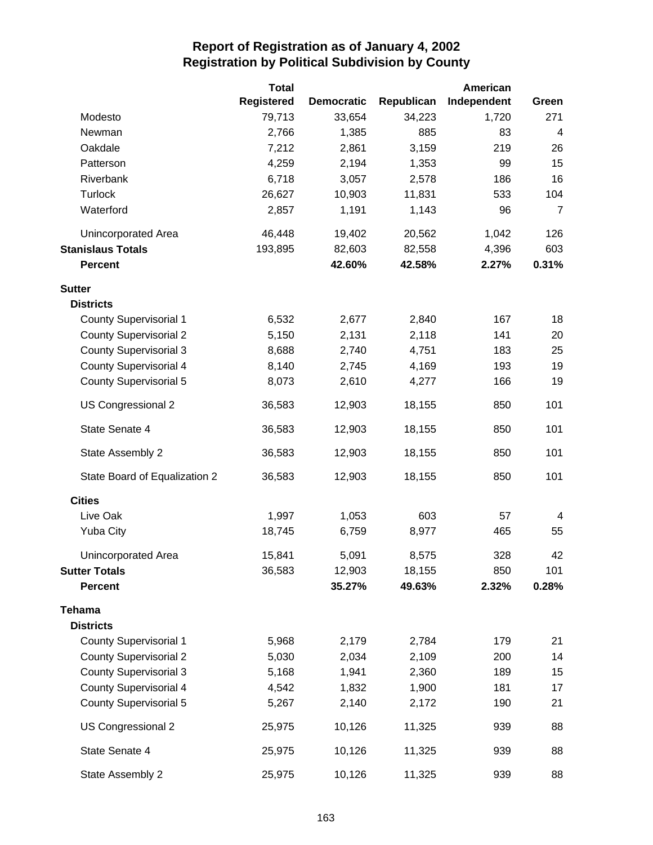|                               | <b>Total</b>      |                   |            | American    |                         |
|-------------------------------|-------------------|-------------------|------------|-------------|-------------------------|
|                               | <b>Registered</b> | <b>Democratic</b> | Republican | Independent | Green                   |
| Modesto                       | 79,713            | 33,654            | 34,223     | 1,720       | 271                     |
| Newman                        | 2,766             | 1,385             | 885        | 83          | $\overline{\mathbf{4}}$ |
| Oakdale                       | 7,212             | 2,861             | 3,159      | 219         | 26                      |
| Patterson                     | 4,259             | 2,194             | 1,353      | 99          | 15                      |
| Riverbank                     | 6,718             | 3,057             | 2,578      | 186         | 16                      |
| <b>Turlock</b>                | 26,627            | 10,903            | 11,831     | 533         | 104                     |
| Waterford                     | 2,857             | 1,191             | 1,143      | 96          | $\overline{7}$          |
| Unincorporated Area           | 46,448            | 19,402            | 20,562     | 1,042       | 126                     |
| <b>Stanislaus Totals</b>      | 193,895           | 82,603            | 82,558     | 4,396       | 603                     |
| <b>Percent</b>                |                   | 42.60%            | 42.58%     | 2.27%       | 0.31%                   |
| <b>Sutter</b>                 |                   |                   |            |             |                         |
| <b>Districts</b>              |                   |                   |            |             |                         |
| <b>County Supervisorial 1</b> | 6,532             | 2,677             | 2,840      | 167         | 18                      |
| <b>County Supervisorial 2</b> | 5,150             | 2,131             | 2,118      | 141         | 20                      |
| <b>County Supervisorial 3</b> | 8,688             | 2,740             | 4,751      | 183         | 25                      |
| <b>County Supervisorial 4</b> | 8,140             | 2,745             | 4,169      | 193         | 19                      |
| <b>County Supervisorial 5</b> | 8,073             | 2,610             | 4,277      | 166         | 19                      |
| US Congressional 2            | 36,583            | 12,903            | 18,155     | 850         | 101                     |
| State Senate 4                | 36,583            | 12,903            | 18,155     | 850         | 101                     |
| State Assembly 2              | 36,583            | 12,903            | 18,155     | 850         | 101                     |
| State Board of Equalization 2 | 36,583            | 12,903            | 18,155     | 850         | 101                     |
| <b>Cities</b>                 |                   |                   |            |             |                         |
| Live Oak                      | 1,997             | 1,053             | 603        | 57          | 4                       |
| <b>Yuba City</b>              | 18,745            | 6,759             | 8,977      | 465         | 55                      |
| Unincorporated Area           | 15,841            | 5,091             | 8,575      | 328         | 42                      |
| <b>Sutter Totals</b>          | 36,583            | 12,903            | 18,155     | 850         | 101                     |
| <b>Percent</b>                |                   | 35.27%            | 49.63%     | 2.32%       | 0.28%                   |
| <b>Tehama</b>                 |                   |                   |            |             |                         |
| <b>Districts</b>              |                   |                   |            |             |                         |
| <b>County Supervisorial 1</b> | 5,968             | 2,179             | 2,784      | 179         | 21                      |
| <b>County Supervisorial 2</b> | 5,030             | 2,034             | 2,109      | 200         | 14                      |
| <b>County Supervisorial 3</b> | 5,168             | 1,941             | 2,360      | 189         | 15                      |
| <b>County Supervisorial 4</b> | 4,542             | 1,832             | 1,900      | 181         | 17                      |
| <b>County Supervisorial 5</b> | 5,267             | 2,140             | 2,172      | 190         | 21                      |
| US Congressional 2            | 25,975            | 10,126            | 11,325     | 939         | 88                      |
| State Senate 4                | 25,975            | 10,126            | 11,325     | 939         | 88                      |
| State Assembly 2              | 25,975            | 10,126            | 11,325     | 939         | 88                      |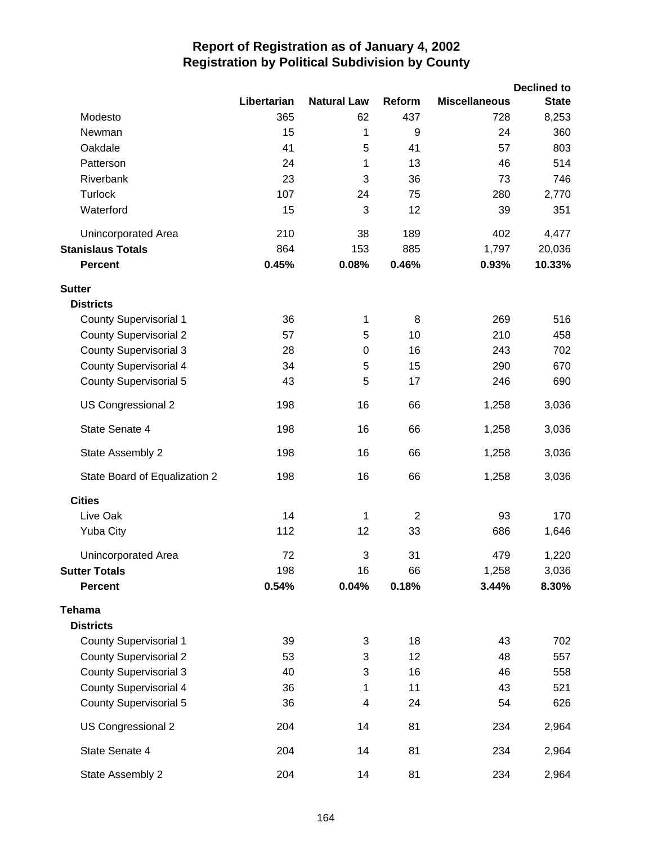|                               |             |                         |                |                      | <b>Declined to</b> |
|-------------------------------|-------------|-------------------------|----------------|----------------------|--------------------|
|                               | Libertarian | <b>Natural Law</b>      | Reform         | <b>Miscellaneous</b> | <b>State</b>       |
| Modesto                       | 365         | 62                      | 437            | 728                  | 8,253              |
| Newman                        | 15          | 1                       | 9              | 24                   | 360                |
| Oakdale                       | 41          | 5                       | 41             | 57                   | 803                |
| Patterson                     | 24          | 1                       | 13             | 46                   | 514                |
| Riverbank                     | 23          | 3                       | 36             | 73                   | 746                |
| <b>Turlock</b>                | 107         | 24                      | 75             | 280                  | 2,770              |
| Waterford                     | 15          | 3                       | 12             | 39                   | 351                |
| Unincorporated Area           | 210         | 38                      | 189            | 402                  | 4,477              |
| <b>Stanislaus Totals</b>      | 864         | 153                     | 885            | 1,797                | 20,036             |
| <b>Percent</b>                | 0.45%       | 0.08%                   | 0.46%          | 0.93%                | 10.33%             |
| <b>Sutter</b>                 |             |                         |                |                      |                    |
| <b>Districts</b>              |             |                         |                |                      |                    |
| <b>County Supervisorial 1</b> | 36          | 1                       | 8              | 269                  | 516                |
| <b>County Supervisorial 2</b> | 57          | 5                       | 10             | 210                  | 458                |
| <b>County Supervisorial 3</b> | 28          | $\mathbf 0$             | 16             | 243                  | 702                |
| <b>County Supervisorial 4</b> | 34          | 5                       | 15             | 290                  | 670                |
| <b>County Supervisorial 5</b> | 43          | 5                       | 17             | 246                  | 690                |
| US Congressional 2            | 198         | 16                      | 66             | 1,258                | 3,036              |
| State Senate 4                | 198         | 16                      | 66             | 1,258                | 3,036              |
| State Assembly 2              | 198         | 16                      | 66             | 1,258                | 3,036              |
| State Board of Equalization 2 | 198         | 16                      | 66             | 1,258                | 3,036              |
| <b>Cities</b>                 |             |                         |                |                      |                    |
| Live Oak                      | 14          | 1                       | $\overline{2}$ | 93                   | 170                |
| <b>Yuba City</b>              | 112         | 12                      | 33             | 686                  | 1,646              |
| <b>Unincorporated Area</b>    | 72          | 3                       | 31             | 479                  | 1,220              |
| <b>Sutter Totals</b>          | 198         | 16                      | 66             | 1,258                | 3,036              |
| <b>Percent</b>                | 0.54%       | 0.04%                   | 0.18%          | 3.44%                | 8.30%              |
| <b>Tehama</b>                 |             |                         |                |                      |                    |
| <b>Districts</b>              |             |                         |                |                      |                    |
| <b>County Supervisorial 1</b> | 39          | 3                       | 18             | 43                   | 702                |
| <b>County Supervisorial 2</b> | 53          | 3                       | 12             | 48                   | 557                |
| <b>County Supervisorial 3</b> | 40          | 3                       | 16             | 46                   | 558                |
| <b>County Supervisorial 4</b> | 36          | 1                       | 11             | 43                   | 521                |
| <b>County Supervisorial 5</b> | 36          | $\overline{\mathbf{4}}$ | 24             | 54                   | 626                |
| US Congressional 2            | 204         | 14                      | 81             | 234                  | 2,964              |
| State Senate 4                | 204         | 14                      | 81             | 234                  | 2,964              |
| State Assembly 2              | 204         | 14                      | 81             | 234                  | 2,964              |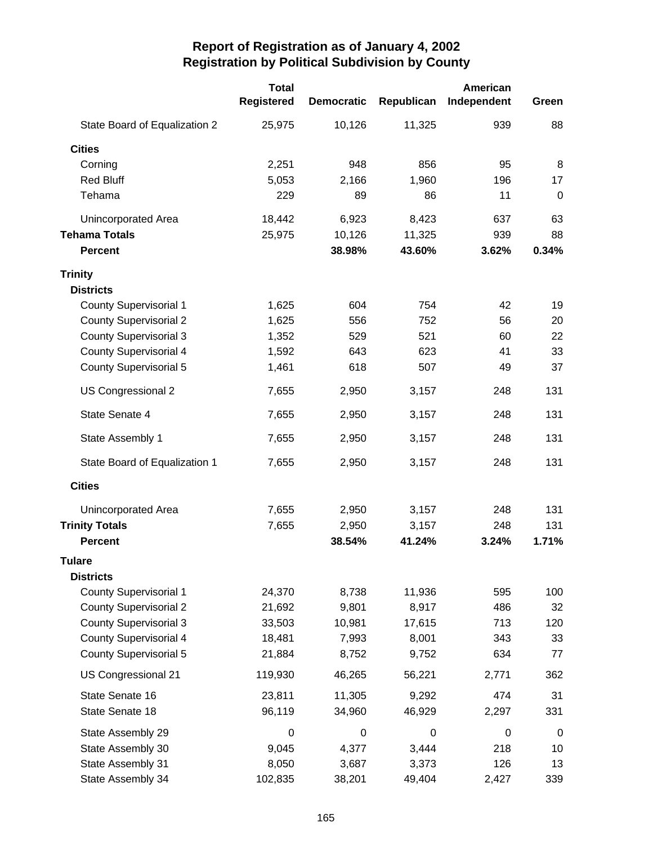|                               | <b>Total</b>      |                   |            | American    |             |
|-------------------------------|-------------------|-------------------|------------|-------------|-------------|
|                               | <b>Registered</b> | <b>Democratic</b> | Republican | Independent | Green       |
| State Board of Equalization 2 | 25,975            | 10,126            | 11,325     | 939         | 88          |
| <b>Cities</b>                 |                   |                   |            |             |             |
| Corning                       | 2,251             | 948               | 856        | 95          | 8           |
| <b>Red Bluff</b>              | 5,053             | 2,166             | 1,960      | 196         | 17          |
| Tehama                        | 229               | 89                | 86         | 11          | $\mathbf 0$ |
| Unincorporated Area           | 18,442            | 6,923             | 8,423      | 637         | 63          |
| <b>Tehama Totals</b>          | 25,975            | 10,126            | 11,325     | 939         | 88          |
| <b>Percent</b>                |                   | 38.98%            | 43.60%     | 3.62%       | 0.34%       |
| <b>Trinity</b>                |                   |                   |            |             |             |
| <b>Districts</b>              |                   |                   |            |             |             |
| <b>County Supervisorial 1</b> | 1,625             | 604               | 754        | 42          | 19          |
| <b>County Supervisorial 2</b> | 1,625             | 556               | 752        | 56          | 20          |
| <b>County Supervisorial 3</b> | 1,352             | 529               | 521        | 60          | 22          |
| <b>County Supervisorial 4</b> | 1,592             | 643               | 623        | 41          | 33          |
| <b>County Supervisorial 5</b> | 1,461             | 618               | 507        | 49          | 37          |
| US Congressional 2            | 7,655             | 2,950             | 3,157      | 248         | 131         |
| State Senate 4                | 7,655             | 2,950             | 3,157      | 248         | 131         |
| State Assembly 1              | 7,655             | 2,950             | 3,157      | 248         | 131         |
| State Board of Equalization 1 | 7,655             | 2,950             | 3,157      | 248         | 131         |
| <b>Cities</b>                 |                   |                   |            |             |             |
| Unincorporated Area           | 7,655             | 2,950             | 3,157      | 248         | 131         |
| <b>Trinity Totals</b>         | 7,655             | 2,950             | 3,157      | 248         | 131         |
| <b>Percent</b>                |                   | 38.54%            | 41.24%     | 3.24%       | 1.71%       |
| <b>Tulare</b>                 |                   |                   |            |             |             |
| <b>Districts</b>              |                   |                   |            |             |             |
| <b>County Supervisorial 1</b> | 24,370            | 8,738             | 11,936     | 595         | 100         |
| <b>County Supervisorial 2</b> | 21,692            | 9,801             | 8,917      | 486         | 32          |
| <b>County Supervisorial 3</b> | 33,503            | 10,981            | 17,615     | 713         | 120         |
| <b>County Supervisorial 4</b> | 18,481            | 7,993             | 8,001      | 343         | 33          |
| <b>County Supervisorial 5</b> | 21,884            | 8,752             | 9,752      | 634         | 77          |
| US Congressional 21           | 119,930           | 46,265            | 56,221     | 2,771       | 362         |
| State Senate 16               | 23,811            | 11,305            | 9,292      | 474         | 31          |
| State Senate 18               | 96,119            | 34,960            | 46,929     | 2,297       | 331         |
| State Assembly 29             | 0                 | $\mathbf 0$       | 0          | $\mathbf 0$ | $\mathbf 0$ |
| State Assembly 30             | 9,045             | 4,377             | 3,444      | 218         | 10          |
| State Assembly 31             | 8,050             | 3,687             | 3,373      | 126         | 13          |
| State Assembly 34             | 102,835           | 38,201            | 49,404     | 2,427       | 339         |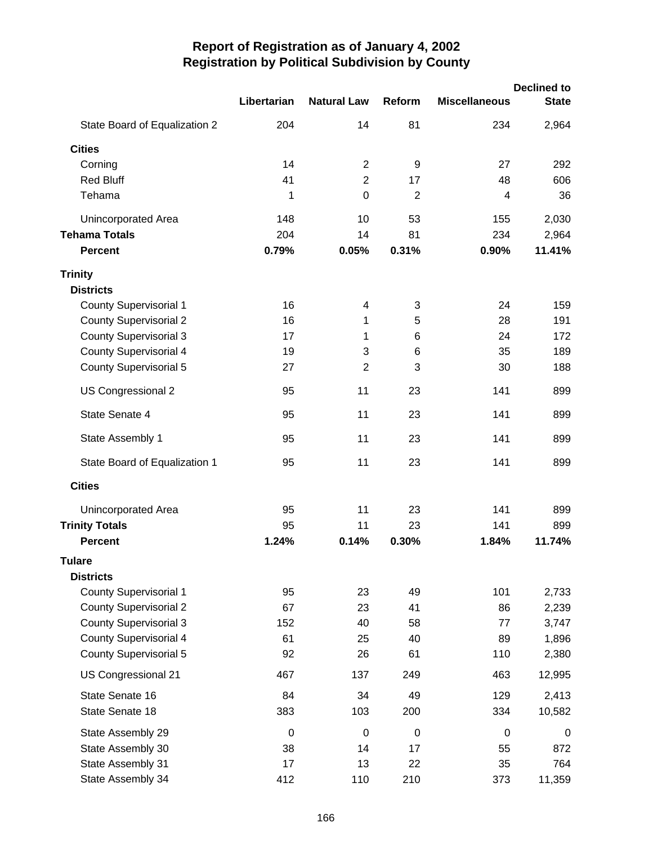|                               |                  |                    |                |                      | <b>Declined to</b> |
|-------------------------------|------------------|--------------------|----------------|----------------------|--------------------|
|                               | Libertarian      | <b>Natural Law</b> | Reform         | <b>Miscellaneous</b> | <b>State</b>       |
| State Board of Equalization 2 | 204              | 14                 | 81             | 234                  | 2,964              |
| <b>Cities</b>                 |                  |                    |                |                      |                    |
| Corning                       | 14               | $\overline{2}$     | 9              | 27                   | 292                |
| <b>Red Bluff</b>              | 41               | $\overline{2}$     | 17             | 48                   | 606                |
| Tehama                        | 1                | $\mathbf 0$        | $\overline{2}$ | 4                    | 36                 |
| Unincorporated Area           | 148              | 10                 | 53             | 155                  | 2,030              |
| <b>Tehama Totals</b>          | 204              | 14                 | 81             | 234                  | 2,964              |
| <b>Percent</b>                | 0.79%            | 0.05%              | 0.31%          | 0.90%                | 11.41%             |
| <b>Trinity</b>                |                  |                    |                |                      |                    |
| <b>Districts</b>              |                  |                    |                |                      |                    |
| <b>County Supervisorial 1</b> | 16               | 4                  | 3              | 24                   | 159                |
| <b>County Supervisorial 2</b> | 16               | 1                  | 5              | 28                   | 191                |
| <b>County Supervisorial 3</b> | 17               | 1                  | 6              | 24                   | 172                |
| <b>County Supervisorial 4</b> | 19               | 3                  | 6              | 35                   | 189                |
| <b>County Supervisorial 5</b> | 27               | $\overline{2}$     | 3              | 30                   | 188                |
| US Congressional 2            | 95               | 11                 | 23             | 141                  | 899                |
| State Senate 4                | 95               | 11                 | 23             | 141                  | 899                |
| State Assembly 1              | 95               | 11                 | 23             | 141                  | 899                |
| State Board of Equalization 1 | 95               | 11                 | 23             | 141                  | 899                |
| <b>Cities</b>                 |                  |                    |                |                      |                    |
| Unincorporated Area           | 95               | 11                 | 23             | 141                  | 899                |
| <b>Trinity Totals</b>         | 95               | 11                 | 23             | 141                  | 899                |
| <b>Percent</b>                | 1.24%            | 0.14%              | 0.30%          | 1.84%                | 11.74%             |
| <b>Tulare</b>                 |                  |                    |                |                      |                    |
| <b>Districts</b>              |                  |                    |                |                      |                    |
| <b>County Supervisorial 1</b> | 95               | 23                 | 49             | 101                  | 2,733              |
| <b>County Supervisorial 2</b> | 67               | 23                 | 41             | 86                   | 2,239              |
| <b>County Supervisorial 3</b> | 152              | 40                 | 58             | 77                   | 3,747              |
| <b>County Supervisorial 4</b> | 61               | 25                 | 40             | 89                   | 1,896              |
| <b>County Supervisorial 5</b> | 92               | 26                 | 61             | 110                  | 2,380              |
| US Congressional 21           | 467              | 137                | 249            | 463                  | 12,995             |
| State Senate 16               | 84               | 34                 | 49             | 129                  | 2,413              |
| State Senate 18               | 383              | 103                | 200            | 334                  | 10,582             |
| State Assembly 29             | $\boldsymbol{0}$ | $\mathbf 0$        | $\mathbf 0$    | $\boldsymbol{0}$     | $\mathbf 0$        |
| State Assembly 30             | 38               | 14                 | 17             | 55                   | 872                |
| State Assembly 31             | 17               | 13                 | 22             | 35                   | 764                |
| State Assembly 34             | 412              | 110                | 210            | 373                  | 11,359             |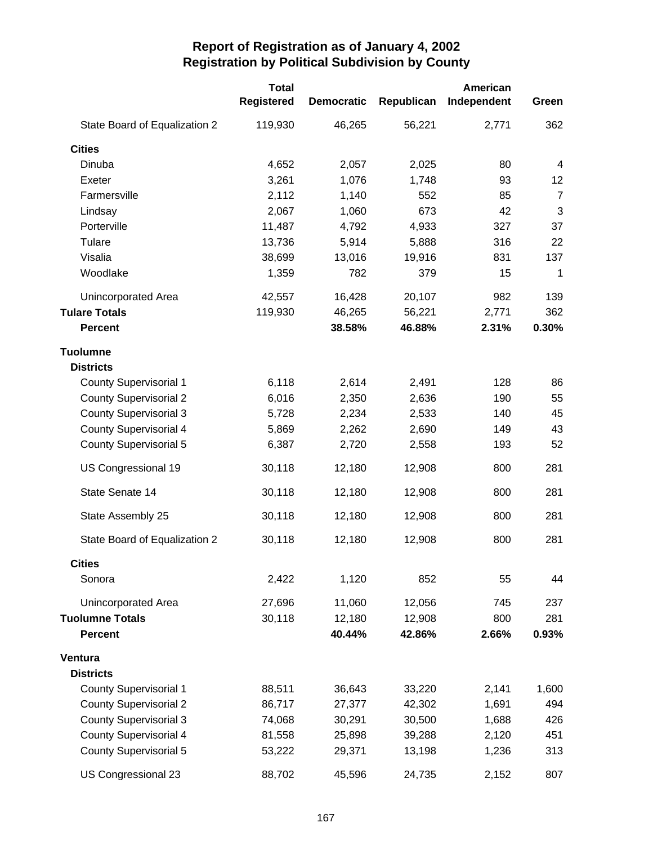|                               | <b>Total</b> | American          |            |             |                |
|-------------------------------|--------------|-------------------|------------|-------------|----------------|
|                               | Registered   | <b>Democratic</b> | Republican | Independent | Green          |
| State Board of Equalization 2 | 119,930      | 46,265            | 56,221     | 2,771       | 362            |
| <b>Cities</b>                 |              |                   |            |             |                |
| Dinuba                        | 4,652        | 2,057             | 2,025      | 80          | $\overline{4}$ |
| Exeter                        | 3,261        | 1,076             | 1,748      | 93          | 12             |
| Farmersville                  | 2,112        | 1,140             | 552        | 85          | $\overline{7}$ |
| Lindsay                       | 2,067        | 1,060             | 673        | 42          | 3              |
| Porterville                   | 11,487       | 4,792             | 4,933      | 327         | 37             |
| Tulare                        | 13,736       | 5,914             | 5,888      | 316         | 22             |
| Visalia                       | 38,699       | 13,016            | 19,916     | 831         | 137            |
| Woodlake                      | 1,359        | 782               | 379        | 15          | $\mathbf 1$    |
| Unincorporated Area           | 42,557       | 16,428            | 20,107     | 982         | 139            |
| <b>Tulare Totals</b>          | 119,930      | 46,265            | 56,221     | 2,771       | 362            |
| <b>Percent</b>                |              | 38.58%            | 46.88%     | 2.31%       | 0.30%          |
| Tuolumne                      |              |                   |            |             |                |
| <b>Districts</b>              |              |                   |            |             |                |
| <b>County Supervisorial 1</b> | 6,118        | 2,614             | 2,491      | 128         | 86             |
| <b>County Supervisorial 2</b> | 6,016        | 2,350             | 2,636      | 190         | 55             |
| <b>County Supervisorial 3</b> | 5,728        | 2,234             | 2,533      | 140         | 45             |
| <b>County Supervisorial 4</b> | 5,869        | 2,262             | 2,690      | 149         | 43             |
| <b>County Supervisorial 5</b> | 6,387        | 2,720             | 2,558      | 193         | 52             |
| US Congressional 19           | 30,118       | 12,180            | 12,908     | 800         | 281            |
| State Senate 14               | 30,118       | 12,180            | 12,908     | 800         | 281            |
| State Assembly 25             | 30,118       | 12,180            | 12,908     | 800         | 281            |
| State Board of Equalization 2 | 30,118       | 12,180            | 12,908     | 800         | 281            |
| <b>Cities</b>                 |              |                   |            |             |                |
| Sonora                        | 2,422        | 1,120             | 852        | 55          | 44             |
| Unincorporated Area           | 27,696       | 11,060            | 12,056     | 745         | 237            |
| <b>Tuolumne Totals</b>        | 30,118       | 12,180            | 12,908     | 800         | 281            |
| <b>Percent</b>                |              | 40.44%            | 42.86%     | 2.66%       | 0.93%          |
| Ventura                       |              |                   |            |             |                |
| <b>Districts</b>              |              |                   |            |             |                |
| <b>County Supervisorial 1</b> | 88,511       | 36,643            | 33,220     | 2,141       | 1,600          |
| <b>County Supervisorial 2</b> | 86,717       | 27,377            | 42,302     | 1,691       | 494            |
| <b>County Supervisorial 3</b> | 74,068       | 30,291            | 30,500     | 1,688       | 426            |
| <b>County Supervisorial 4</b> | 81,558       | 25,898            | 39,288     | 2,120       | 451            |
| <b>County Supervisorial 5</b> | 53,222       | 29,371            | 13,198     | 1,236       | 313            |
| US Congressional 23           | 88,702       | 45,596            | 24,735     | 2,152       | 807            |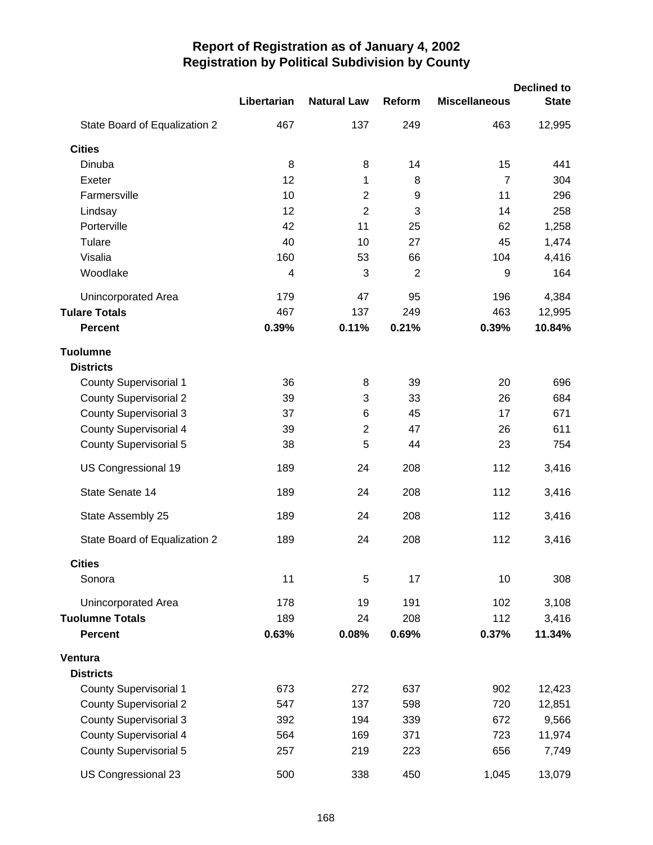|                               |             |                    |                |                      | <b>Declined to</b> |
|-------------------------------|-------------|--------------------|----------------|----------------------|--------------------|
|                               | Libertarian | <b>Natural Law</b> | Reform         | <b>Miscellaneous</b> | <b>State</b>       |
| State Board of Equalization 2 | 467         | 137                | 249            | 463                  | 12,995             |
| <b>Cities</b>                 |             |                    |                |                      |                    |
| Dinuba                        | 8           | 8                  | 14             | 15                   | 441                |
| Exeter                        | 12          | 1                  | 8              | $\overline{7}$       | 304                |
| Farmersville                  | 10          | $\overline{c}$     | 9              | 11                   | 296                |
| Lindsay                       | 12          | $\overline{2}$     | 3              | 14                   | 258                |
| Porterville                   | 42          | 11                 | 25             | 62                   | 1,258              |
| Tulare                        | 40          | 10                 | 27             | 45                   | 1,474              |
| Visalia                       | 160         | 53                 | 66             | 104                  | 4,416              |
| Woodlake                      | 4           | 3                  | $\overline{2}$ | 9                    | 164                |
| Unincorporated Area           | 179         | 47                 | 95             | 196                  | 4,384              |
| <b>Tulare Totals</b>          | 467         | 137                | 249            | 463                  | 12,995             |
| <b>Percent</b>                | 0.39%       | 0.11%              | 0.21%          | 0.39%                | 10.84%             |
| Tuolumne                      |             |                    |                |                      |                    |
| <b>Districts</b>              |             |                    |                |                      |                    |
| <b>County Supervisorial 1</b> | 36          | 8                  | 39             | 20                   | 696                |
| <b>County Supervisorial 2</b> | 39          | 3                  | 33             | 26                   | 684                |
| <b>County Supervisorial 3</b> | 37          | 6                  | 45             | 17                   | 671                |
| <b>County Supervisorial 4</b> | 39          | $\overline{2}$     | 47             | 26                   | 611                |
| <b>County Supervisorial 5</b> | 38          | 5                  | 44             | 23                   | 754                |
| US Congressional 19           | 189         | 24                 | 208            | 112                  | 3,416              |
| State Senate 14               | 189         | 24                 | 208            | 112                  | 3,416              |
| State Assembly 25             | 189         | 24                 | 208            | 112                  | 3,416              |
| State Board of Equalization 2 | 189         | 24                 | 208            | 112                  | 3,416              |
| <b>Cities</b>                 |             |                    |                |                      |                    |
| Sonora                        | 11          | 5                  | 17             | 10                   | 308                |
| Unincorporated Area           | 178         | 19                 | 191            | 102                  | 3,108              |
| <b>Tuolumne Totals</b>        | 189         | 24                 | 208            | 112                  | 3,416              |
| <b>Percent</b>                | 0.63%       | 0.08%              | 0.69%          | 0.37%                | 11.34%             |
| Ventura                       |             |                    |                |                      |                    |
| <b>Districts</b>              |             |                    |                |                      |                    |
| <b>County Supervisorial 1</b> | 673         | 272                | 637            | 902                  | 12,423             |
| <b>County Supervisorial 2</b> | 547         | 137                | 598            | 720                  | 12,851             |
| <b>County Supervisorial 3</b> | 392         | 194                | 339            | 672                  | 9,566              |
| County Supervisorial 4        | 564         | 169                | 371            | 723                  | 11,974             |
| <b>County Supervisorial 5</b> | 257         | 219                | 223            | 656                  | 7,749              |
| US Congressional 23           | 500         | 338                | 450            | 1,045                | 13,079             |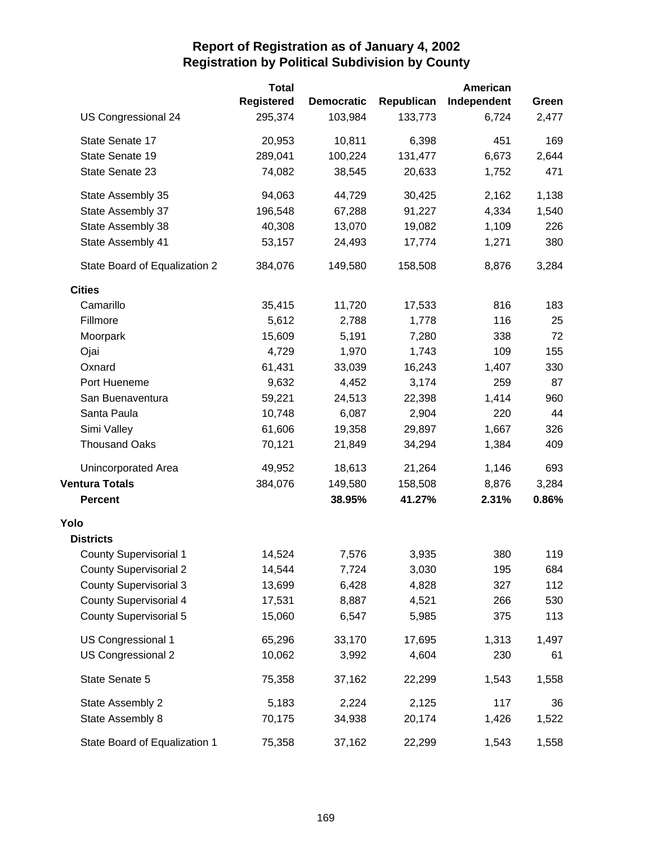|                               | <b>Total</b>      |                   |            | American    |       |
|-------------------------------|-------------------|-------------------|------------|-------------|-------|
|                               | <b>Registered</b> | <b>Democratic</b> | Republican | Independent | Green |
| US Congressional 24           | 295,374           | 103,984           | 133,773    | 6,724       | 2,477 |
| State Senate 17               | 20,953            | 10,811            | 6,398      | 451         | 169   |
| State Senate 19               | 289,041           | 100,224           | 131,477    | 6,673       | 2,644 |
| State Senate 23               | 74,082            | 38,545            | 20,633     | 1,752       | 471   |
| State Assembly 35             | 94,063            | 44,729            | 30,425     | 2,162       | 1,138 |
| State Assembly 37             | 196,548           | 67,288            | 91,227     | 4,334       | 1,540 |
| State Assembly 38             | 40,308            | 13,070            | 19,082     | 1,109       | 226   |
| State Assembly 41             | 53,157            | 24,493            | 17,774     | 1,271       | 380   |
| State Board of Equalization 2 | 384,076           | 149,580           | 158,508    | 8,876       | 3,284 |
| <b>Cities</b>                 |                   |                   |            |             |       |
| Camarillo                     | 35,415            | 11,720            | 17,533     | 816         | 183   |
| Fillmore                      | 5,612             | 2,788             | 1,778      | 116         | 25    |
| Moorpark                      | 15,609            | 5,191             | 7,280      | 338         | 72    |
| Ojai                          | 4,729             | 1,970             | 1,743      | 109         | 155   |
| Oxnard                        | 61,431            | 33,039            | 16,243     | 1,407       | 330   |
| Port Hueneme                  | 9,632             | 4,452             | 3,174      | 259         | 87    |
| San Buenaventura              | 59,221            | 24,513            | 22,398     | 1,414       | 960   |
| Santa Paula                   | 10,748            | 6,087             | 2,904      | 220         | 44    |
| Simi Valley                   | 61,606            | 19,358            | 29,897     | 1,667       | 326   |
| <b>Thousand Oaks</b>          | 70,121            | 21,849            | 34,294     | 1,384       | 409   |
| Unincorporated Area           | 49,952            | 18,613            | 21,264     | 1,146       | 693   |
| <b>Ventura Totals</b>         | 384,076           | 149,580           | 158,508    | 8,876       | 3,284 |
| <b>Percent</b>                |                   | 38.95%            | 41.27%     | 2.31%       | 0.86% |
| Yolo                          |                   |                   |            |             |       |
| <b>Districts</b>              |                   |                   |            |             |       |
| <b>County Supervisorial 1</b> | 14,524            | 7,576             | 3,935      | 380         | 119   |
| <b>County Supervisorial 2</b> | 14,544            | 7,724             | 3,030      | 195         | 684   |
| <b>County Supervisorial 3</b> | 13,699            | 6,428             | 4,828      | 327         | 112   |
| <b>County Supervisorial 4</b> | 17,531            | 8,887             | 4,521      | 266         | 530   |
| <b>County Supervisorial 5</b> | 15,060            | 6,547             | 5,985      | 375         | 113   |
| US Congressional 1            | 65,296            | 33,170            | 17,695     | 1,313       | 1,497 |
| US Congressional 2            | 10,062            | 3,992             | 4,604      | 230         | 61    |
| State Senate 5                | 75,358            | 37,162            | 22,299     | 1,543       | 1,558 |
| State Assembly 2              | 5,183             | 2,224             | 2,125      | 117         | 36    |
| State Assembly 8              | 70,175            | 34,938            | 20,174     | 1,426       | 1,522 |
| State Board of Equalization 1 | 75,358            | 37,162            | 22,299     | 1,543       | 1,558 |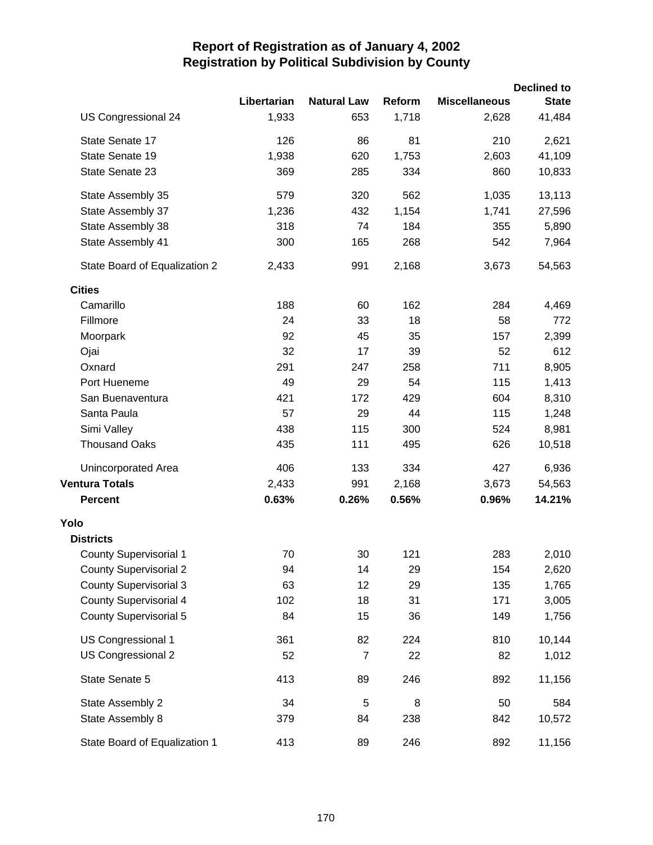|                               |             |                    |        |                      | <b>Declined to</b> |
|-------------------------------|-------------|--------------------|--------|----------------------|--------------------|
|                               | Libertarian | <b>Natural Law</b> | Reform | <b>Miscellaneous</b> | <b>State</b>       |
| US Congressional 24           | 1,933       | 653                | 1,718  | 2,628                | 41,484             |
| State Senate 17               | 126         | 86                 | 81     | 210                  | 2,621              |
| State Senate 19               | 1,938       | 620                | 1,753  | 2,603                | 41,109             |
| State Senate 23               | 369         | 285                | 334    | 860                  | 10,833             |
| State Assembly 35             | 579         | 320                | 562    | 1,035                | 13,113             |
| State Assembly 37             | 1,236       | 432                | 1,154  | 1,741                | 27,596             |
| State Assembly 38             | 318         | 74                 | 184    | 355                  | 5,890              |
| State Assembly 41             | 300         | 165                | 268    | 542                  | 7,964              |
| State Board of Equalization 2 | 2,433       | 991                | 2,168  | 3,673                | 54,563             |
| <b>Cities</b>                 |             |                    |        |                      |                    |
| Camarillo                     | 188         | 60                 | 162    | 284                  | 4,469              |
| Fillmore                      | 24          | 33                 | 18     | 58                   | 772                |
| Moorpark                      | 92          | 45                 | 35     | 157                  | 2,399              |
| Ojai                          | 32          | 17                 | 39     | 52                   | 612                |
| Oxnard                        | 291         | 247                | 258    | 711                  | 8,905              |
| Port Hueneme                  | 49          | 29                 | 54     | 115                  | 1,413              |
| San Buenaventura              | 421         | 172                | 429    | 604                  | 8,310              |
| Santa Paula                   | 57          | 29                 | 44     | 115                  | 1,248              |
| Simi Valley                   | 438         | 115                | 300    | 524                  | 8,981              |
| <b>Thousand Oaks</b>          | 435         | 111                | 495    | 626                  | 10,518             |
| Unincorporated Area           | 406         | 133                | 334    | 427                  | 6,936              |
| <b>Ventura Totals</b>         | 2,433       | 991                | 2,168  | 3,673                | 54,563             |
| <b>Percent</b>                | 0.63%       | 0.26%              | 0.56%  | 0.96%                | 14.21%             |
| Yolo                          |             |                    |        |                      |                    |
| <b>Districts</b>              |             |                    |        |                      |                    |
| <b>County Supervisorial 1</b> | 70          | 30                 | 121    | 283                  | 2,010              |
| <b>County Supervisorial 2</b> | 94          | 14                 | 29     | 154                  | 2,620              |
| <b>County Supervisorial 3</b> | 63          | 12                 | 29     | 135                  | 1,765              |
| <b>County Supervisorial 4</b> | 102         | 18                 | 31     | 171                  | 3,005              |
| <b>County Supervisorial 5</b> | 84          | 15                 | 36     | 149                  | 1,756              |
| US Congressional 1            | 361         | 82                 | 224    | 810                  | 10,144             |
| US Congressional 2            | 52          | $\overline{7}$     | 22     | 82                   | 1,012              |
| State Senate 5                | 413         | 89                 | 246    | 892                  | 11,156             |
| State Assembly 2              | 34          | 5                  | 8      | 50                   | 584                |
| State Assembly 8              | 379         | 84                 | 238    | 842                  | 10,572             |
| State Board of Equalization 1 | 413         | 89                 | 246    | 892                  | 11,156             |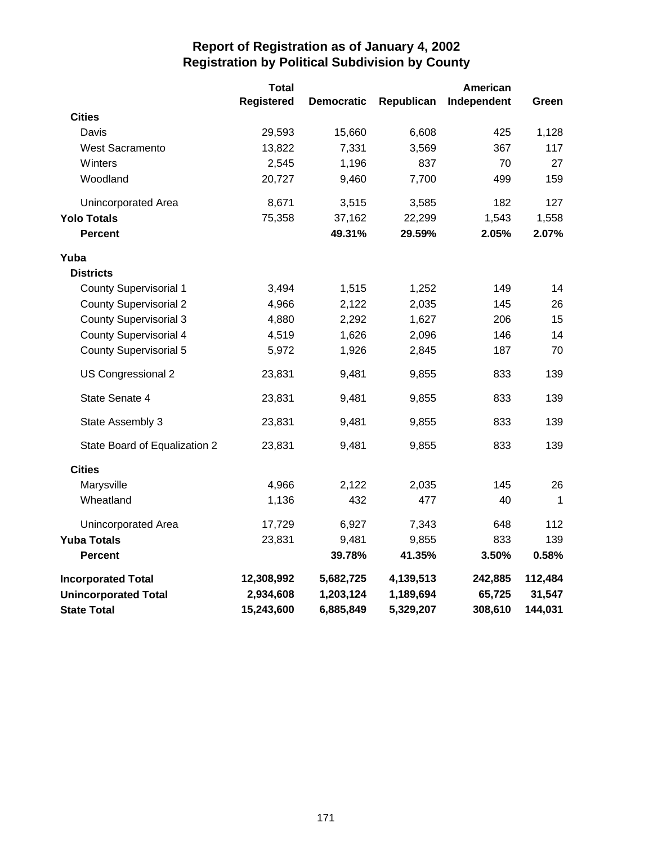|                               | <b>Total</b>      |                   |            | American    |             |
|-------------------------------|-------------------|-------------------|------------|-------------|-------------|
|                               | <b>Registered</b> | <b>Democratic</b> | Republican | Independent | Green       |
| <b>Cities</b>                 |                   |                   |            |             |             |
| Davis                         | 29,593            | 15,660            | 6,608      | 425         | 1,128       |
| <b>West Sacramento</b>        | 13,822            | 7,331             | 3,569      | 367         | 117         |
| Winters                       | 2,545             | 1,196             | 837        | 70          | 27          |
| Woodland                      | 20,727            | 9,460             | 7,700      | 499         | 159         |
| Unincorporated Area           | 8,671             | 3,515             | 3,585      | 182         | 127         |
| <b>Yolo Totals</b>            | 75,358            | 37,162            | 22,299     | 1,543       | 1,558       |
| <b>Percent</b>                |                   | 49.31%            | 29.59%     | 2.05%       | 2.07%       |
| Yuba                          |                   |                   |            |             |             |
| <b>Districts</b>              |                   |                   |            |             |             |
| <b>County Supervisorial 1</b> | 3,494             | 1,515             | 1,252      | 149         | 14          |
| <b>County Supervisorial 2</b> | 4,966             | 2,122             | 2,035      | 145         | 26          |
| <b>County Supervisorial 3</b> | 4,880             | 2,292             | 1,627      | 206         | 15          |
| <b>County Supervisorial 4</b> | 4,519             | 1,626             | 2,096      | 146         | 14          |
| County Supervisorial 5        | 5,972             | 1,926             | 2,845      | 187         | 70          |
| US Congressional 2            | 23,831            | 9,481             | 9,855      | 833         | 139         |
| State Senate 4                | 23,831            | 9,481             | 9,855      | 833         | 139         |
| State Assembly 3              | 23,831            | 9,481             | 9,855      | 833         | 139         |
| State Board of Equalization 2 | 23,831            | 9,481             | 9,855      | 833         | 139         |
| <b>Cities</b>                 |                   |                   |            |             |             |
| Marysville                    | 4,966             | 2,122             | 2,035      | 145         | 26          |
| Wheatland                     | 1,136             | 432               | 477        | 40          | $\mathbf 1$ |
| Unincorporated Area           | 17,729            | 6,927             | 7,343      | 648         | 112         |
| <b>Yuba Totals</b>            | 23,831            | 9,481             | 9,855      | 833         | 139         |
| <b>Percent</b>                |                   | 39.78%            | 41.35%     | 3.50%       | 0.58%       |
| <b>Incorporated Total</b>     | 12,308,992        | 5,682,725         | 4,139,513  | 242,885     | 112,484     |
| <b>Unincorporated Total</b>   | 2,934,608         | 1,203,124         | 1,189,694  | 65,725      | 31,547      |
| <b>State Total</b>            | 15,243,600        | 6,885,849         | 5,329,207  | 308,610     | 144,031     |